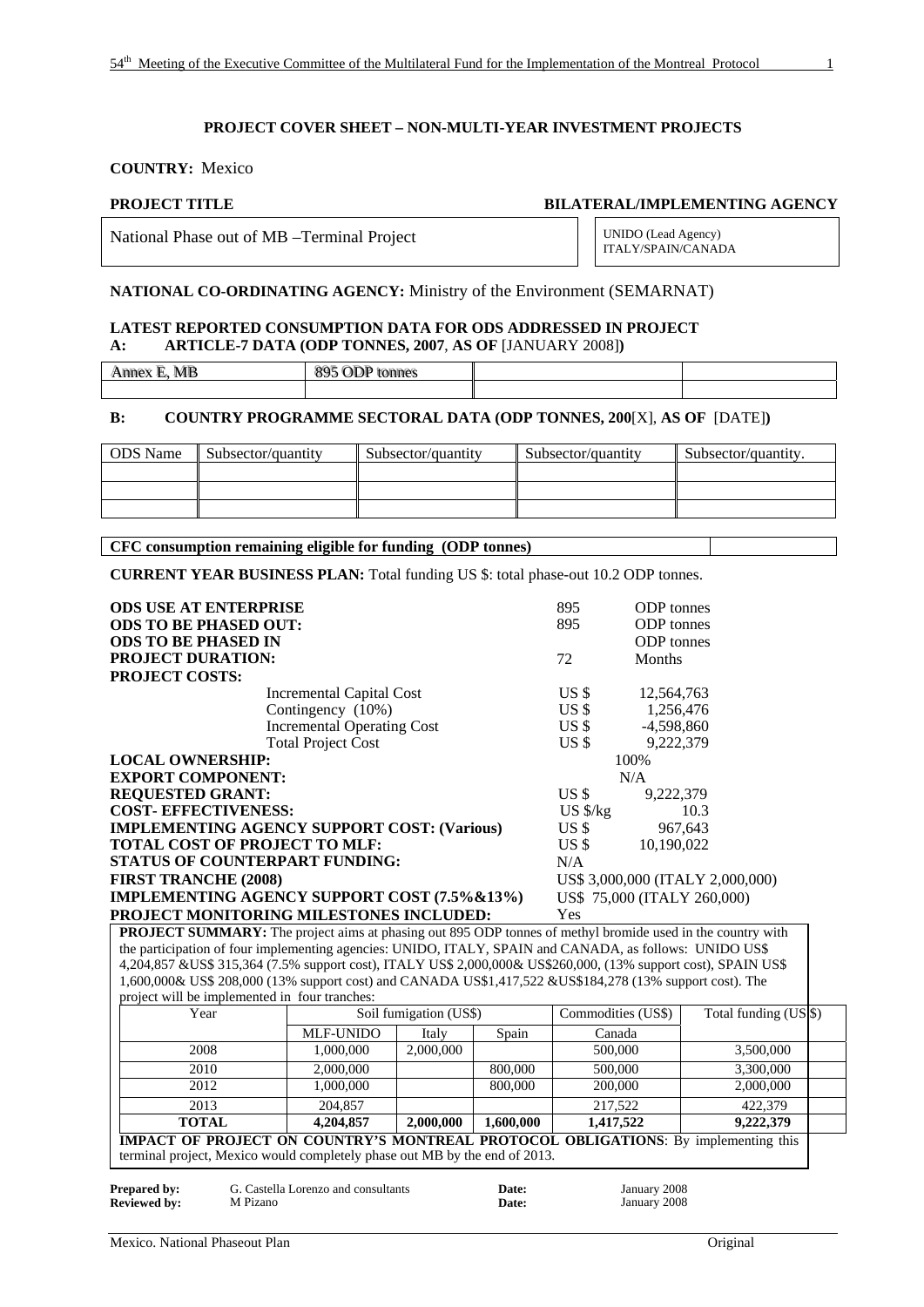#### **COUNTRY:** Mexico

**PROJECT TITLE BILATERAL/IMPLEMENTING AGENCY** 

National Phase out of MB –Terminal Project UNIDO (Lead Agency)

ITALY/SPAIN/CANADA

#### **NATIONAL CO-ORDINATING AGENCY:** Ministry of the Environment (SEMARNAT)

#### **LATEST REPORTED CONSUMPTION DATA FOR ODS ADDRESSED IN PROJECT A: ARTICLE-7 DATA (ODP TONNES, 2007**, **AS OF** [JANUARY 2008]**)**

Annex E, MB i, MB
895 ODP tonnes

#### **B: COUNTRY PROGRAMME SECTORAL DATA (ODP TONNES, 200**[X], **AS OF** [DATE]**)**

| <b>ODS</b> Name | <b>Subsector/quantity</b> | Subsector/quantity | Subsector/quantity | Subsector/quantity. |
|-----------------|---------------------------|--------------------|--------------------|---------------------|
|                 |                           |                    |                    |                     |
|                 |                           |                    |                    |                     |
|                 |                           |                    |                    |                     |

**CFC consumption remaining eligible for funding (ODP tonnes)** 

**CURRENT YEAR BUSINESS PLAN:** Total funding US \$: total phase-out 10.2 ODP tonnes.

| <b>ODS USE AT ENTERPRISE</b>                                                                                      |                                 |                        |       | 895                | ODP tonnes        |                                  |  |
|-------------------------------------------------------------------------------------------------------------------|---------------------------------|------------------------|-------|--------------------|-------------------|----------------------------------|--|
| <b>ODS TO BE PHASED OUT:</b>                                                                                      |                                 |                        |       | 895                | <b>ODP</b> tonnes |                                  |  |
| <b>ODS TO BE PHASED IN</b>                                                                                        |                                 |                        |       |                    | <b>ODP</b> tonnes |                                  |  |
| <b>PROJECT DURATION:</b>                                                                                          |                                 |                        |       | 72                 | Months            |                                  |  |
| <b>PROJECT COSTS:</b>                                                                                             |                                 |                        |       |                    |                   |                                  |  |
|                                                                                                                   | <b>Incremental Capital Cost</b> |                        |       | US <sub>5</sub>    | 12,564,763        |                                  |  |
|                                                                                                                   | Contingency (10%)               |                        |       | US <sub>5</sub>    | 1,256,476         |                                  |  |
| <b>Incremental Operating Cost</b>                                                                                 |                                 |                        |       | US <sub>3</sub>    | $-4,598,860$      |                                  |  |
|                                                                                                                   | <b>Total Project Cost</b>       |                        |       | US <sub>5</sub>    | 9,222,379         |                                  |  |
| <b>LOCAL OWNERSHIP:</b>                                                                                           |                                 |                        |       |                    | 100%              |                                  |  |
| <b>EXPORT COMPONENT:</b>                                                                                          |                                 |                        |       |                    | N/A               |                                  |  |
| <b>REQUESTED GRANT:</b>                                                                                           |                                 |                        |       | US <sub>3</sub>    | 9,222,379         |                                  |  |
| <b>COST- EFFECTIVENESS:</b>                                                                                       |                                 |                        |       | $US$ $\frac{k}{g}$ |                   | 10.3                             |  |
| <b>IMPLEMENTING AGENCY SUPPORT COST: (Various)</b>                                                                |                                 |                        |       | USS                |                   | 967,643                          |  |
| <b>TOTAL COST OF PROJECT TO MLF:</b>                                                                              |                                 |                        |       | US <sub>s</sub>    | 10,190,022        |                                  |  |
| <b>STATUS OF COUNTERPART FUNDING:</b>                                                                             |                                 |                        |       | N/A                |                   |                                  |  |
| <b>FIRST TRANCHE (2008)</b>                                                                                       |                                 |                        |       |                    |                   | US\$ 3,000,000 (ITALY 2,000,000) |  |
| IMPLEMENTING AGENCY SUPPORT COST (7.5%&13%)                                                                       |                                 |                        |       |                    |                   | US\$ 75,000 (ITALY 260,000)      |  |
| PROJECT MONITORING MILESTONES INCLUDED:                                                                           |                                 |                        |       | Yes                |                   |                                  |  |
| <b>PROJECT SUMMARY:</b> The project aims at phasing out 895 ODP tonnes of methyl bromide used in the country with |                                 |                        |       |                    |                   |                                  |  |
| the participation of four implementing agencies: UNIDO, ITALY, SPAIN and CANADA, as follows: UNIDO US\$           |                                 |                        |       |                    |                   |                                  |  |
| 4,204,857 &US\$ 315,364 (7.5% support cost), ITALY US\$ 2,000,000& US\$260,000, (13% support cost), SPAIN US\$    |                                 |                        |       |                    |                   |                                  |  |
| 1,600,000& US\$ 208,000 (13% support cost) and CANADA US\$1,417,522 &US\$184,278 (13% support cost). The          |                                 |                        |       |                    |                   |                                  |  |
| project will be implemented in four tranches:                                                                     |                                 |                        |       |                    |                   |                                  |  |
| Year                                                                                                              |                                 | Soil fumigation (US\$) |       | Commodities (US\$) |                   | Total funding (US \$)            |  |
|                                                                                                                   | MI E-HNIDO                      | Italy                  | Snain | Canada             |                   |                                  |  |

|                                                                                                                                                                         |                  |           |           | 1000      |           |  |  |
|-------------------------------------------------------------------------------------------------------------------------------------------------------------------------|------------------|-----------|-----------|-----------|-----------|--|--|
|                                                                                                                                                                         | <b>MLF-UNIDO</b> | Italy     | Spain     | Canada    |           |  |  |
| 2008                                                                                                                                                                    | 1,000,000        | 2,000,000 |           | 500,000   | 3,500,000 |  |  |
| 2010                                                                                                                                                                    | 2,000,000        |           | 800,000   | 500,000   | 3,300,000 |  |  |
| 2012                                                                                                                                                                    | 1,000,000        |           | 800,000   | 200,000   | 2,000,000 |  |  |
| 2013                                                                                                                                                                    | 204,857          |           |           | 217,522   | 422,379   |  |  |
| <b>TOTAL</b>                                                                                                                                                            | 4,204,857        | 2,000,000 | 1,600,000 | 1,417,522 | 9,222,379 |  |  |
| <b>IMPACT OF PROJECT ON COUNTRY'S MONTREAL PROTOCOL OBLIGATIONS:</b> By implementing this<br>terminal project, Mexico would completely phase out MB by the end of 2013. |                  |           |           |           |           |  |  |

| Prepared by:        | G. Castella Lorenzo and consultants | <b>Date:</b> | January 2008 |
|---------------------|-------------------------------------|--------------|--------------|
| <b>Reviewed by:</b> | M Pizano                            | <b>Date:</b> | January 2008 |
|                     |                                     |              |              |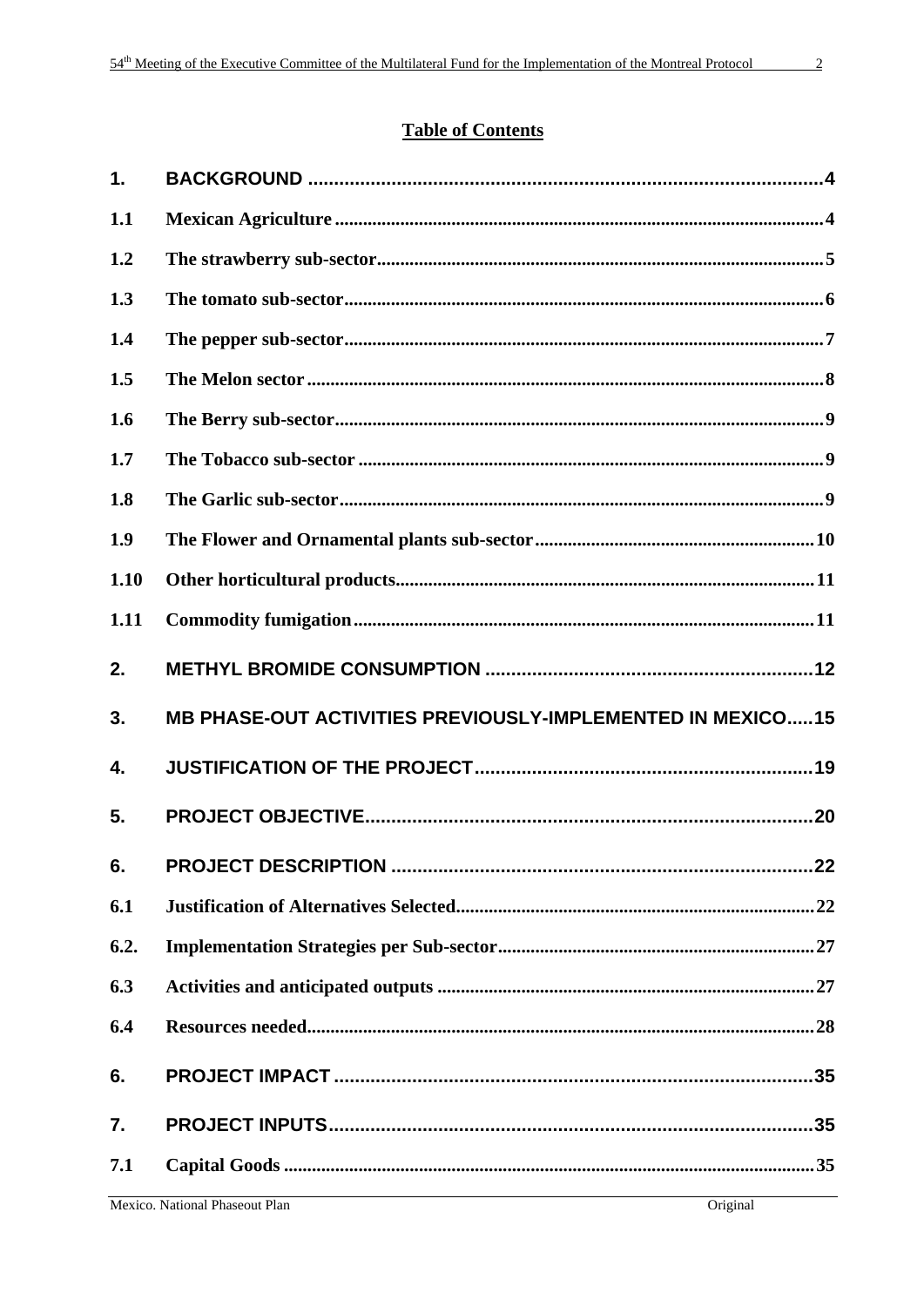# **Table of Contents**

| $\mathbf{1}$ . |                                                                   |
|----------------|-------------------------------------------------------------------|
| 1.1            |                                                                   |
| 1.2            |                                                                   |
| 1.3            |                                                                   |
| 1.4            |                                                                   |
| 1.5            |                                                                   |
| 1.6            |                                                                   |
| 1.7            |                                                                   |
| 1.8            |                                                                   |
| 1.9            |                                                                   |
| 1.10           |                                                                   |
| 1.11           |                                                                   |
| 2.             |                                                                   |
| 3.             | <b>MB PHASE-OUT ACTIVITIES PREVIOUSLY-IMPLEMENTED IN MEXICO15</b> |
| 4.             |                                                                   |
| 5.             |                                                                   |
| 6.             |                                                                   |
| 6.1            |                                                                   |
| 6.2.           |                                                                   |
| 6.3            |                                                                   |
| 6.4            |                                                                   |
| 6.             | .35                                                               |
| 7.             |                                                                   |
| 7.1            |                                                                   |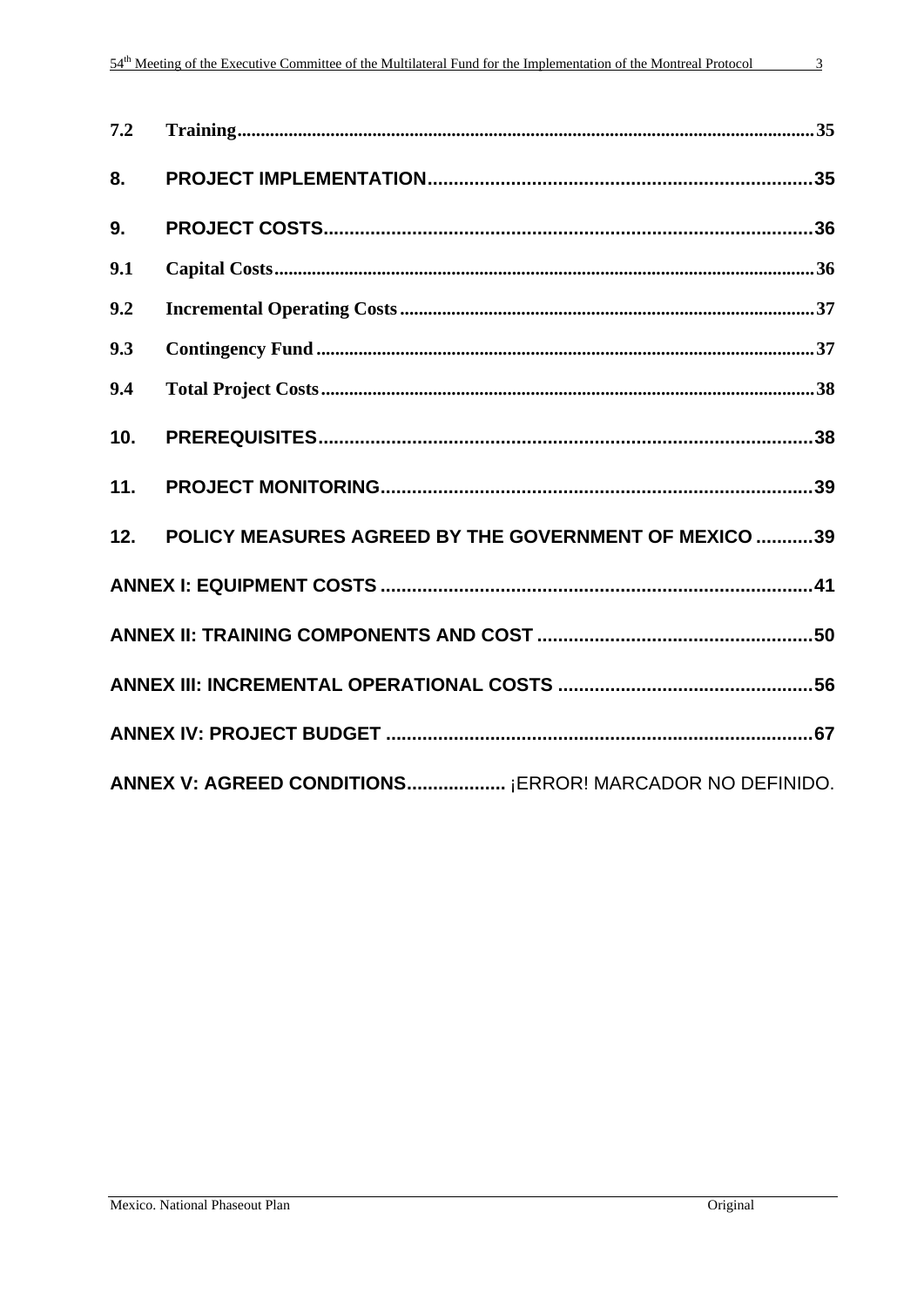| ۰ |
|---|
| ٠ |

| 7.2 |                                                       |
|-----|-------------------------------------------------------|
| 8.  |                                                       |
| 9.  |                                                       |
| 9.1 |                                                       |
| 9.2 |                                                       |
| 9.3 |                                                       |
| 9.4 |                                                       |
| 10. |                                                       |
| 11. |                                                       |
| 12. | POLICY MEASURES AGREED BY THE GOVERNMENT OF MEXICO 39 |
|     |                                                       |
|     |                                                       |
|     |                                                       |
|     |                                                       |
|     |                                                       |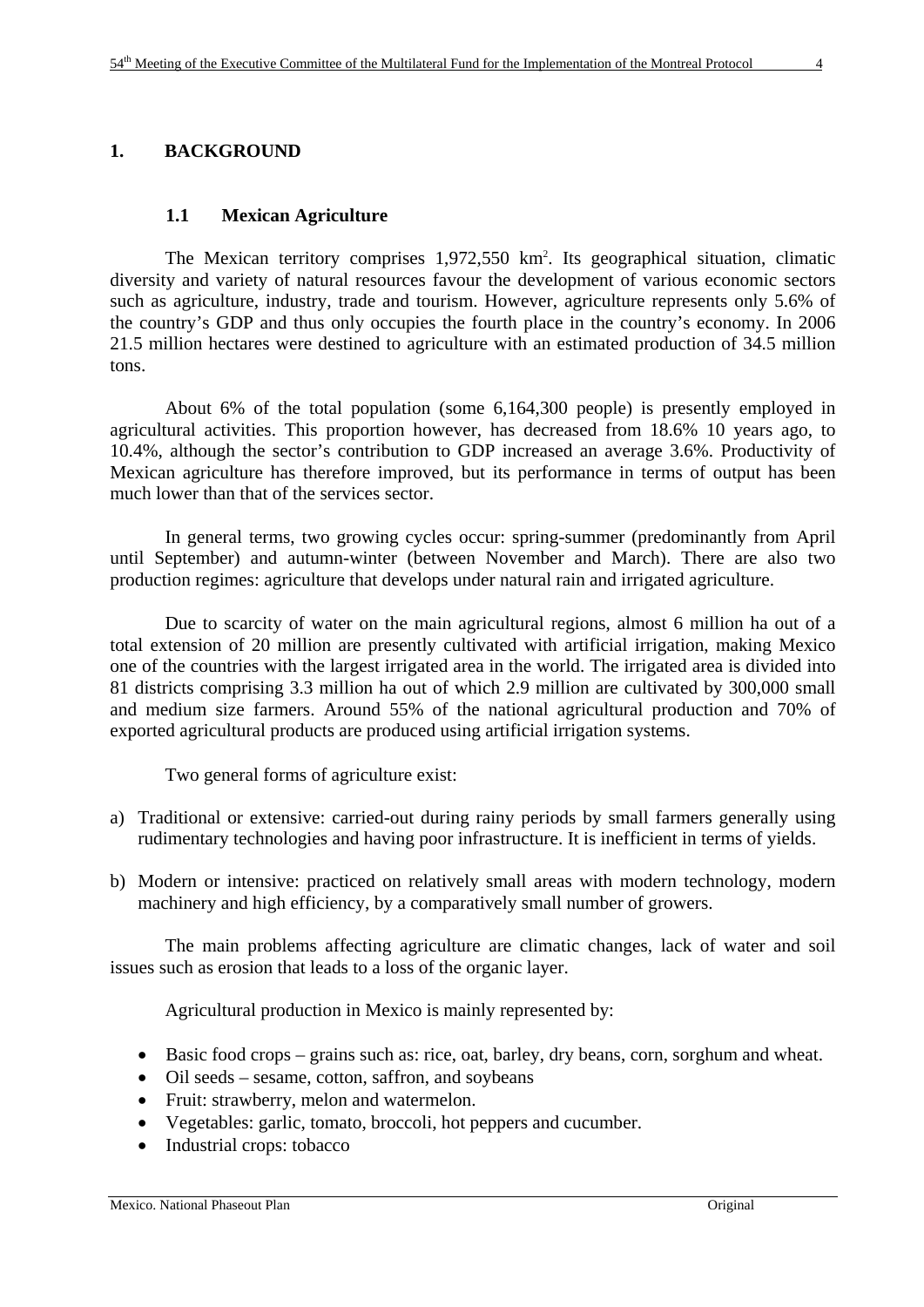#### **1. BACKGROUND**

#### **1.1 Mexican Agriculture**

The Mexican territory comprises 1,972,550 km<sup>2</sup>. Its geographical situation, climatic diversity and variety of natural resources favour the development of various economic sectors such as agriculture, industry, trade and tourism. However, agriculture represents only 5.6% of the country's GDP and thus only occupies the fourth place in the country's economy. In 2006 21.5 million hectares were destined to agriculture with an estimated production of 34.5 million tons.

About 6% of the total population (some 6,164,300 people) is presently employed in agricultural activities. This proportion however, has decreased from 18.6% 10 years ago, to 10.4%, although the sector's contribution to GDP increased an average 3.6%. Productivity of Mexican agriculture has therefore improved, but its performance in terms of output has been much lower than that of the services sector.

In general terms, two growing cycles occur: spring-summer (predominantly from April until September) and autumn-winter (between November and March). There are also two production regimes: agriculture that develops under natural rain and irrigated agriculture.

Due to scarcity of water on the main agricultural regions, almost 6 million ha out of a total extension of 20 million are presently cultivated with artificial irrigation, making Mexico one of the countries with the largest irrigated area in the world. The irrigated area is divided into 81 districts comprising 3.3 million ha out of which 2.9 million are cultivated by 300,000 small and medium size farmers. Around 55% of the national agricultural production and 70% of exported agricultural products are produced using artificial irrigation systems.

Two general forms of agriculture exist:

- a) Traditional or extensive: carried-out during rainy periods by small farmers generally using rudimentary technologies and having poor infrastructure. It is inefficient in terms of yields.
- b) Modern or intensive: practiced on relatively small areas with modern technology, modern machinery and high efficiency, by a comparatively small number of growers.

The main problems affecting agriculture are climatic changes, lack of water and soil issues such as erosion that leads to a loss of the organic layer.

Agricultural production in Mexico is mainly represented by:

- Basic food crops grains such as: rice, oat, barley, dry beans, corn, sorghum and wheat.
- Oil seeds sesame, cotton, saffron, and soybeans
- Fruit: strawberry, melon and watermelon.
- Vegetables: garlic, tomato, broccoli, hot peppers and cucumber.
- Industrial crops: tobacco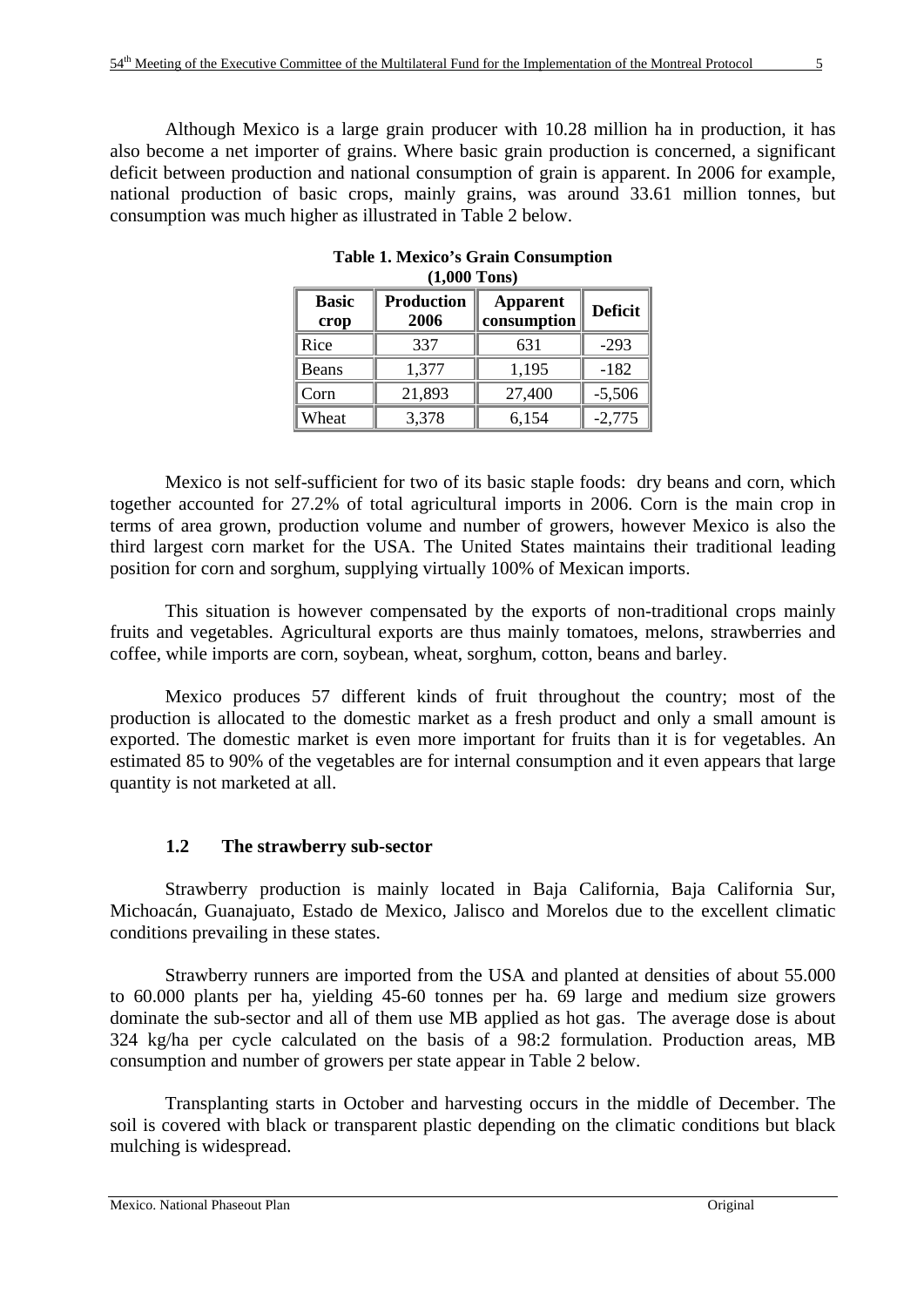Although Mexico is a large grain producer with 10.28 million ha in production, it has also become a net importer of grains. Where basic grain production is concerned, a significant deficit between production and national consumption of grain is apparent. In 2006 for example, national production of basic crops, mainly grains, was around 33.61 million tonnes, but consumption was much higher as illustrated in Table 2 below.

| (14000 10119 <i>)</i>                             |        |                                |                |  |  |  |  |
|---------------------------------------------------|--------|--------------------------------|----------------|--|--|--|--|
| <b>Basic</b><br><b>Production</b><br>2006<br>crop |        | <b>Apparent</b><br>consumption | <b>Deficit</b> |  |  |  |  |
| Rice                                              | 337    | 631                            | $-293$         |  |  |  |  |
| Beans                                             | 1,377  | 1,195                          | $-182$         |  |  |  |  |
| Corn                                              | 21,893 | 27,400                         | $-5,506$       |  |  |  |  |
| Wheat                                             | 3,378  | 6,154                          | $-2,775$       |  |  |  |  |

**Table 1. Mexico's Grain Consumption (1,000 Tons)** 

Mexico is not self-sufficient for two of its basic staple foods: dry beans and corn, which together accounted for 27.2% of total agricultural imports in 2006. Corn is the main crop in terms of area grown, production volume and number of growers, however Mexico is also the third largest corn market for the USA. The United States maintains their traditional leading position for corn and sorghum, supplying virtually 100% of Mexican imports.

This situation is however compensated by the exports of non-traditional crops mainly fruits and vegetables. Agricultural exports are thus mainly tomatoes, melons, strawberries and coffee, while imports are corn, soybean, wheat, sorghum, cotton, beans and barley.

Mexico produces 57 different kinds of fruit throughout the country; most of the production is allocated to the domestic market as a fresh product and only a small amount is exported. The domestic market is even more important for fruits than it is for vegetables. An estimated 85 to 90% of the vegetables are for internal consumption and it even appears that large quantity is not marketed at all.

#### **1.2 The strawberry sub-sector**

Strawberry production is mainly located in Baja California, Baja California Sur, Michoacán, Guanajuato, Estado de Mexico, Jalisco and Morelos due to the excellent climatic conditions prevailing in these states.

Strawberry runners are imported from the USA and planted at densities of about 55.000 to 60.000 plants per ha, yielding 45-60 tonnes per ha. 69 large and medium size growers dominate the sub-sector and all of them use MB applied as hot gas. The average dose is about 324 kg/ha per cycle calculated on the basis of a 98:2 formulation. Production areas, MB consumption and number of growers per state appear in Table 2 below.

Transplanting starts in October and harvesting occurs in the middle of December. The soil is covered with black or transparent plastic depending on the climatic conditions but black mulching is widespread.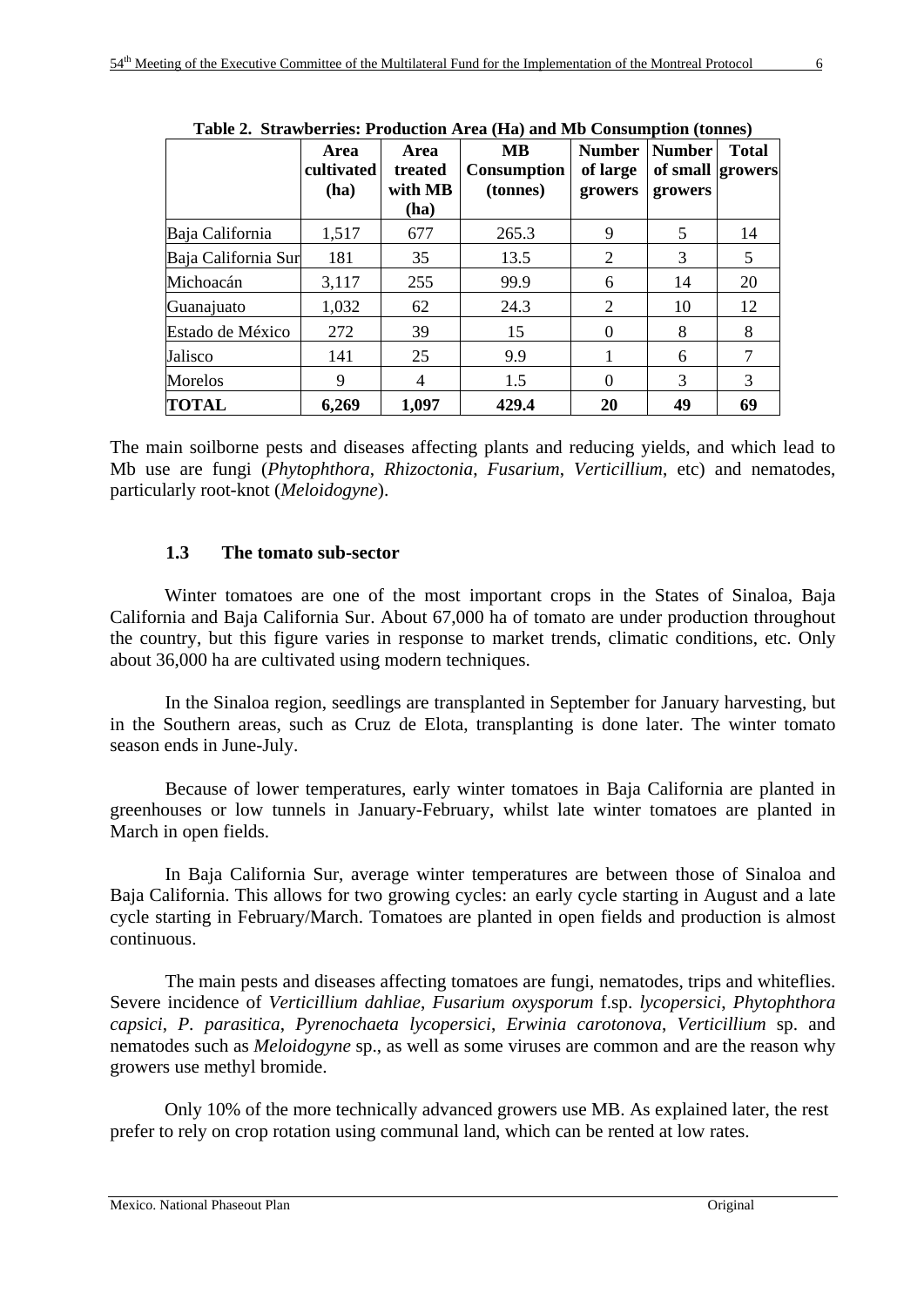|                     | rabic 2. Strawberries. I rougenon Area (11a) and Mb Consumption (tonnes) |                            |                               |                                      |                                              |              |  |  |  |
|---------------------|--------------------------------------------------------------------------|----------------------------|-------------------------------|--------------------------------------|----------------------------------------------|--------------|--|--|--|
|                     | Area<br>cultivated<br>(ha)                                               | Area<br>treated<br>with MB | MВ<br>Consumption<br>(tonnes) | <b>Number</b><br>of large<br>growers | <b>Number</b><br>of small growers<br>growers | <b>Total</b> |  |  |  |
|                     |                                                                          | (ha)                       |                               |                                      |                                              |              |  |  |  |
| Baja California     | 1,517                                                                    | 677                        | 265.3                         | 9                                    | 5                                            | 14           |  |  |  |
| Baja California Sur | 181                                                                      | 35                         | 13.5                          | 2                                    | 3                                            | 5            |  |  |  |
| Michoacán           | 3,117                                                                    | 255                        | 99.9                          | 6                                    | 14                                           | 20           |  |  |  |
| Guanajuato          | 1,032                                                                    | 62                         | 24.3                          | 2                                    | 10                                           | 12           |  |  |  |
| Estado de México    | 272                                                                      | 39                         | 15                            | $\theta$                             | 8                                            | 8            |  |  |  |
| Jalisco             | 141                                                                      | 25                         | 9.9                           |                                      | 6                                            |              |  |  |  |
| Morelos             | 9                                                                        | $\overline{4}$             | 1.5                           | 0                                    | 3                                            | 3            |  |  |  |
| <b>TOTAL</b>        | 6,269                                                                    | 1,097                      | 429.4                         | 20                                   | 49                                           | 69           |  |  |  |

**Table 2. Strawberries: Production Area (Ha) and Mb Consumption (tonnes)** 

The main soilborne pests and diseases affecting plants and reducing yields, and which lead to Mb use are fungi (*Phytophthora*, *Rhizoctonia*, *Fusarium*, *Verticillium*, etc) and nematodes, particularly root-knot (*Meloidogyne*).

# **1.3 The tomato sub-sector**

 Winter tomatoes are one of the most important crops in the States of Sinaloa, Baja California and Baja California Sur. About 67,000 ha of tomato are under production throughout the country, but this figure varies in response to market trends, climatic conditions, etc. Only about 36,000 ha are cultivated using modern techniques.

In the Sinaloa region, seedlings are transplanted in September for January harvesting, but in the Southern areas, such as Cruz de Elota, transplanting is done later. The winter tomato season ends in June-July.

Because of lower temperatures, early winter tomatoes in Baja California are planted in greenhouses or low tunnels in January-February, whilst late winter tomatoes are planted in March in open fields.

In Baja California Sur, average winter temperatures are between those of Sinaloa and Baja California. This allows for two growing cycles: an early cycle starting in August and a late cycle starting in February/March. Tomatoes are planted in open fields and production is almost continuous.

The main pests and diseases affecting tomatoes are fungi, nematodes, trips and whiteflies. Severe incidence of *Verticillium dahliae*, *Fusarium oxysporum* f.sp. *lycopersici*, *Phytophthora capsici*, *P. parasitica*, *Pyrenochaeta lycopersici*, *Erwinia carotonova*, *Verticillium* sp. and nematodes such as *Meloidogyne* sp., as well as some viruses are common and are the reason why growers use methyl bromide.

Only 10% of the more technically advanced growers use MB. As explained later, the rest prefer to rely on crop rotation using communal land, which can be rented at low rates.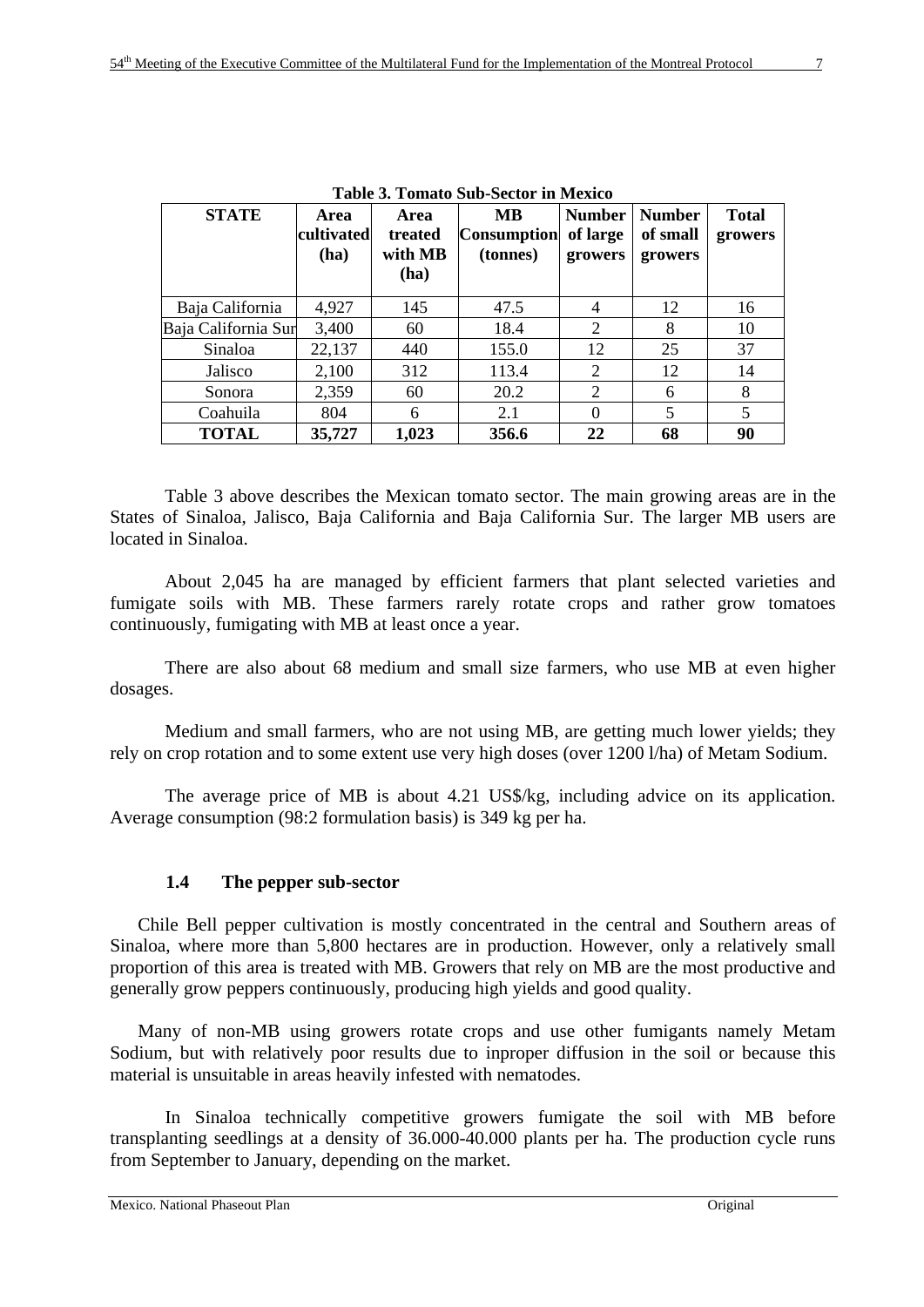| <b>STATE</b>        | Area<br>cultivated<br>(ha) | Area<br>treated<br>with MB<br>(ha) | MВ<br><b>Consumption</b><br>(tonnes) | <b>Number</b><br>of large<br>growers | <b>Number</b><br>of small<br>growers | <b>Total</b><br>growers |
|---------------------|----------------------------|------------------------------------|--------------------------------------|--------------------------------------|--------------------------------------|-------------------------|
| Baja California     | 4,927                      | 145                                | 47.5                                 | 4                                    | 12                                   | 16                      |
| Baja California Sur | 3,400                      | 60                                 | 18.4                                 | 2                                    | 8                                    | 10                      |
| Sinaloa             | 22,137                     | 440                                | 155.0                                | 12                                   | 25                                   | 37                      |
| Jalisco             | 2,100                      | 312                                | 113.4                                | $\overline{2}$                       | 12                                   | 14                      |
| Sonora              | 2,359                      | 60                                 | 20.2                                 | $\overline{2}$                       | 6                                    | 8                       |
| Coahuila            | 804                        | 6                                  | 2.1                                  | $\Omega$                             | 5                                    | 5                       |
| <b>TOTAL</b>        | 35,727                     | 1,023                              | 356.6                                | 22                                   | 68                                   | 90                      |

**Table 3. Tomato Sub-Sector in Mexico** 

Table 3 above describes the Mexican tomato sector. The main growing areas are in the States of Sinaloa, Jalisco, Baja California and Baja California Sur. The larger MB users are located in Sinaloa.

About 2,045 ha are managed by efficient farmers that plant selected varieties and fumigate soils with MB. These farmers rarely rotate crops and rather grow tomatoes continuously, fumigating with MB at least once a year.

There are also about 68 medium and small size farmers, who use MB at even higher dosages.

Medium and small farmers, who are not using MB, are getting much lower yields; they rely on crop rotation and to some extent use very high doses (over 1200 l/ha) of Metam Sodium.

The average price of MB is about 4.21 US\$/kg, including advice on its application. Average consumption (98:2 formulation basis) is 349 kg per ha.

# **1.4 The pepper sub-sector**

Chile Bell pepper cultivation is mostly concentrated in the central and Southern areas of Sinaloa, where more than 5,800 hectares are in production. However, only a relatively small proportion of this area is treated with MB. Growers that rely on MB are the most productive and generally grow peppers continuously, producing high yields and good quality.

Many of non-MB using growers rotate crops and use other fumigants namely Metam Sodium, but with relatively poor results due to inproper diffusion in the soil or because this material is unsuitable in areas heavily infested with nematodes.

In Sinaloa technically competitive growers fumigate the soil with MB before transplanting seedlings at a density of 36.000-40.000 plants per ha. The production cycle runs from September to January, depending on the market.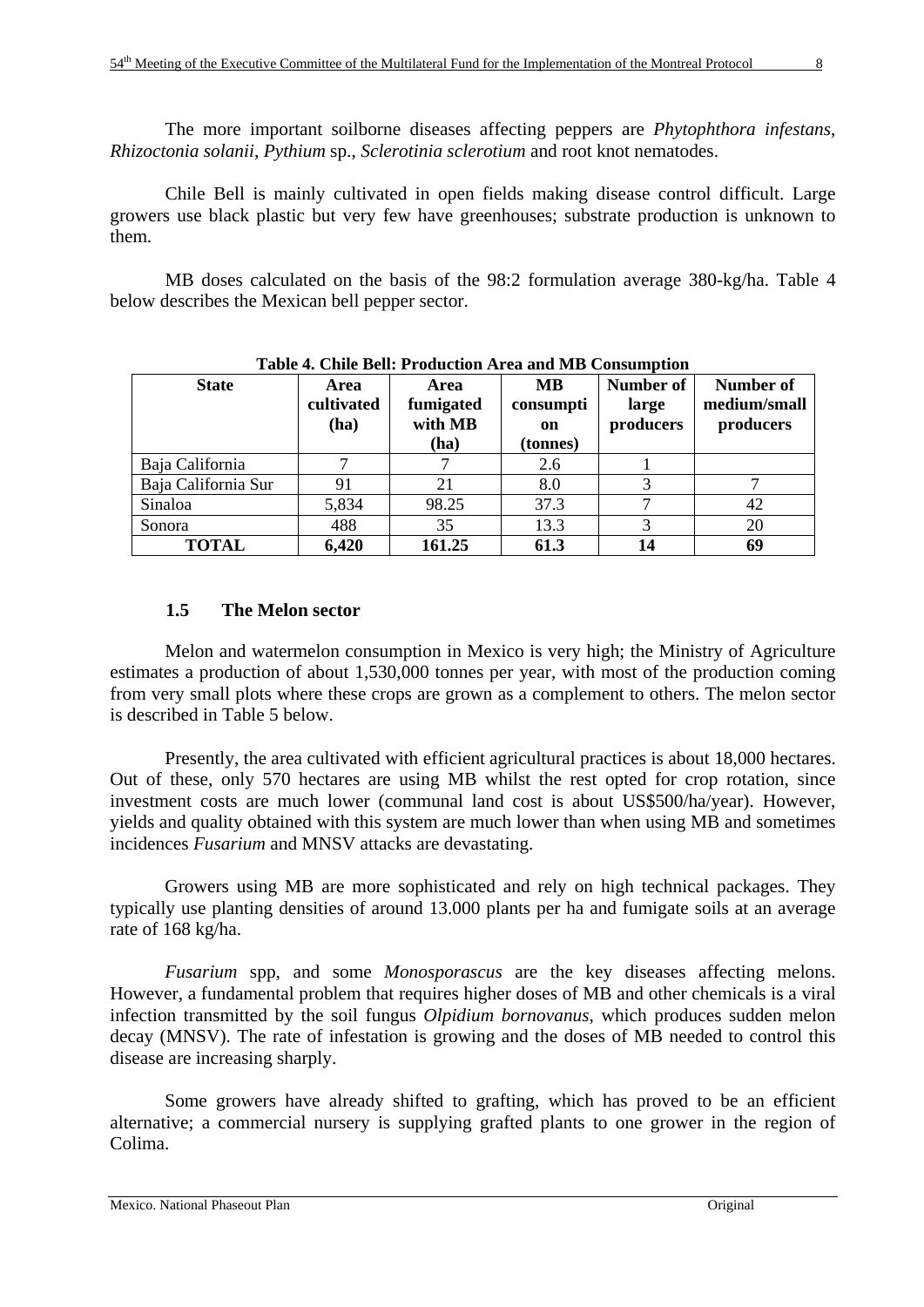The more important soilborne diseases affecting peppers are *Phytophthora infestans*, *Rhizoctonia solanii*, *Pythium* sp., *Sclerotinia sclerotium* and root knot nematodes.

Chile Bell is mainly cultivated in open fields making disease control difficult. Large growers use black plastic but very few have greenhouses; substrate production is unknown to them.

MB doses calculated on the basis of the 98:2 formulation average 380-kg/ha. Table 4 below describes the Mexican bell pepper sector.

| <b>State</b>        | <b>Area</b><br>cultivated<br>(ha) | Area<br>fumigated<br>with MB<br>(ha) | <b>MB</b><br>consumpti<br>on<br>(tonnes) | Number of<br>large<br>producers | Number of<br>medium/small<br>producers |
|---------------------|-----------------------------------|--------------------------------------|------------------------------------------|---------------------------------|----------------------------------------|
| Baja California     |                                   |                                      | 2.6                                      |                                 |                                        |
| Baja California Sur | 91                                | 21                                   | 8.0                                      |                                 |                                        |
| Sinaloa             | 5,834                             | 98.25                                | 37.3                                     |                                 | 42                                     |
| Sonora              | 488                               | 35                                   | 13.3                                     | 3                               | 20                                     |
| <b>TOTAL</b>        | 6,420                             | 161.25                               | 61.3                                     | 14                              | 69                                     |

#### **Table 4. Chile Bell: Production Area and MB Consumption**

#### **1.5 The Melon sector**

Melon and watermelon consumption in Mexico is very high; the Ministry of Agriculture estimates a production of about 1,530,000 tonnes per year, with most of the production coming from very small plots where these crops are grown as a complement to others. The melon sector is described in Table 5 below.

Presently, the area cultivated with efficient agricultural practices is about 18,000 hectares. Out of these, only 570 hectares are using MB whilst the rest opted for crop rotation, since investment costs are much lower (communal land cost is about US\$500/ha/year). However, yields and quality obtained with this system are much lower than when using MB and sometimes incidences *Fusarium* and MNSV attacks are devastating.

Growers using MB are more sophisticated and rely on high technical packages. They typically use planting densities of around 13.000 plants per ha and fumigate soils at an average rate of 168 kg/ha.

*Fusarium* spp, and some *Monosporascus* are the key diseases affecting melons. However, a fundamental problem that requires higher doses of MB and other chemicals is a viral infection transmitted by the soil fungus *Olpidium bornovanus*, which produces sudden melon decay (MNSV). The rate of infestation is growing and the doses of MB needed to control this disease are increasing sharply.

Some growers have already shifted to grafting, which has proved to be an efficient alternative; a commercial nursery is supplying grafted plants to one grower in the region of Colima.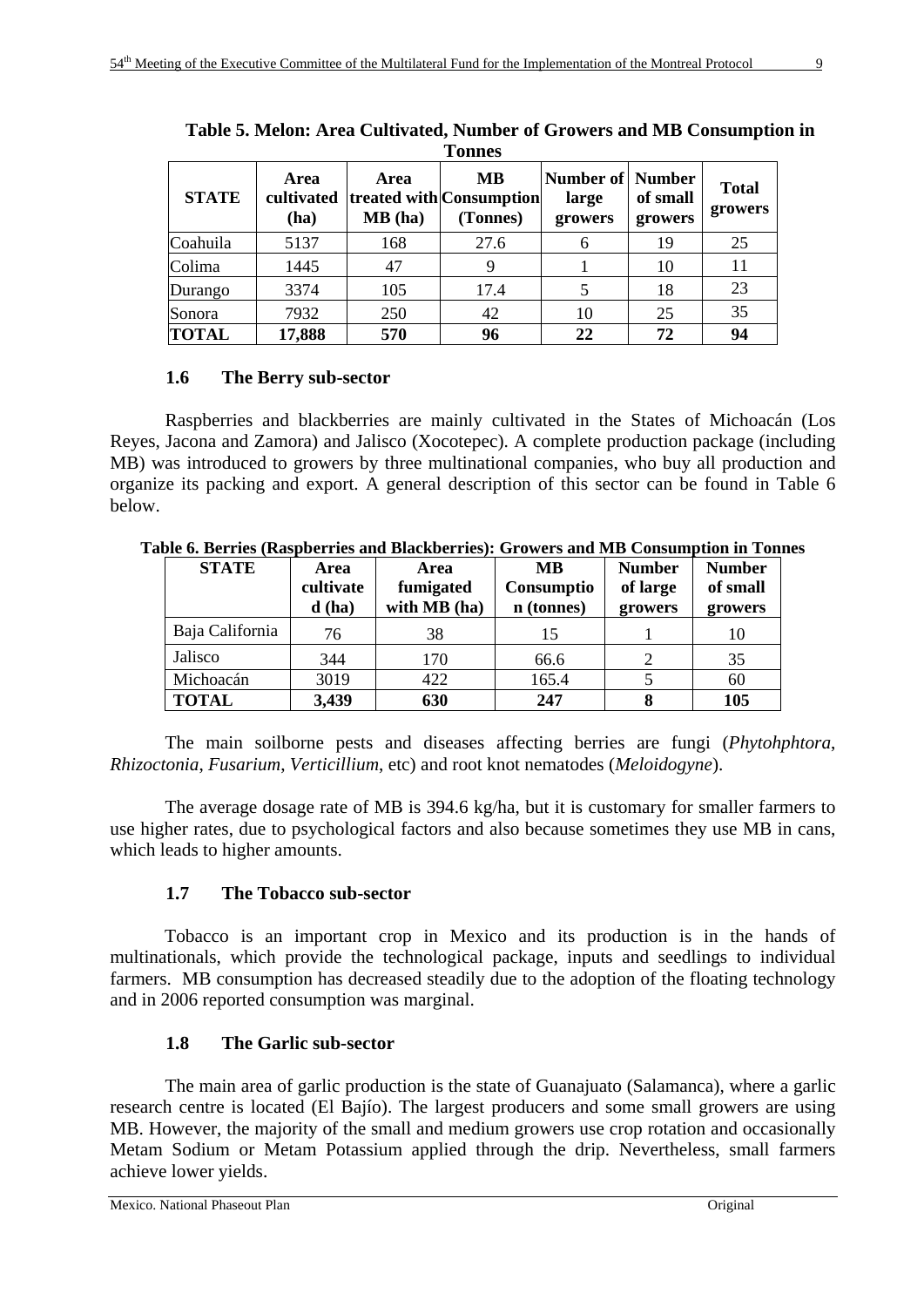| 1 onnes      |                            |                |                                            |                                             |                     |                         |  |  |
|--------------|----------------------------|----------------|--------------------------------------------|---------------------------------------------|---------------------|-------------------------|--|--|
| <b>STATE</b> | Area<br>cultivated<br>(ha) | Area<br>MB(ha) | MB<br>treated with Consumption<br>(Tonnes) | <b>Number of Number</b><br>large<br>growers | of small<br>growers | <b>Total</b><br>growers |  |  |
| Coahuila     | 5137                       | 168            | 27.6                                       | 6                                           | 19                  | 25                      |  |  |
| Colima       | 1445                       | 47             | 9                                          |                                             | 10                  | 11                      |  |  |
| Durango      | 3374                       | 105            | 17.4                                       |                                             | 18                  | 23                      |  |  |
| Sonora       | 7932                       | 250            | 42                                         | 10                                          | 25                  | 35                      |  |  |
| <b>TOTAL</b> | 17,888                     | 570            | 96                                         | 22                                          | 72                  | 94                      |  |  |

**Table 5. Melon: Area Cultivated, Number of Growers and MB Consumption in Tonnes** 

# **1.6 The Berry sub-sector**

Raspberries and blackberries are mainly cultivated in the States of Michoacán (Los Reyes, Jacona and Zamora) and Jalisco (Xocotepec). A complete production package (including MB) was introduced to growers by three multinational companies, who buy all production and organize its packing and export. A general description of this sector can be found in Table 6 below.

| <b>STATE</b>    | Area<br>cultivate<br>d(ha) | Area<br>fumigated<br>with MB (ha) | MВ<br>Consumptio<br>n (tonnes) | <b>Number</b><br>of large<br>growers | <b>Number</b><br>of small<br>growers |
|-----------------|----------------------------|-----------------------------------|--------------------------------|--------------------------------------|--------------------------------------|
| Baja California | 76                         | 38                                | 15                             |                                      | 10                                   |
| Jalisco         | 344                        | 170                               | 66.6                           |                                      | 35                                   |
| Michoacán       | 3019                       | 422                               | 165.4                          |                                      | 60                                   |
| <b>TOTAL</b>    | 3,439                      | 630                               | 247                            |                                      | 105                                  |

**Table 6. Berries (Raspberries and Blackberries): Growers and MB Consumption in Tonnes** 

The main soilborne pests and diseases affecting berries are fungi (*Phytohphtora*, *Rhizoctonia*, *Fusarium*, *Verticillium*, etc) and root knot nematodes (*Meloidogyne*).

The average dosage rate of MB is 394.6 kg/ha, but it is customary for smaller farmers to use higher rates, due to psychological factors and also because sometimes they use MB in cans, which leads to higher amounts.

# **1.7 The Tobacco sub-sector**

Tobacco is an important crop in Mexico and its production is in the hands of multinationals, which provide the technological package, inputs and seedlings to individual farmers. MB consumption has decreased steadily due to the adoption of the floating technology and in 2006 reported consumption was marginal.

# **1.8 The Garlic sub-sector**

The main area of garlic production is the state of Guanajuato (Salamanca), where a garlic research centre is located (El Bajío). The largest producers and some small growers are using MB. However, the majority of the small and medium growers use crop rotation and occasionally Metam Sodium or Metam Potassium applied through the drip. Nevertheless, small farmers achieve lower yields.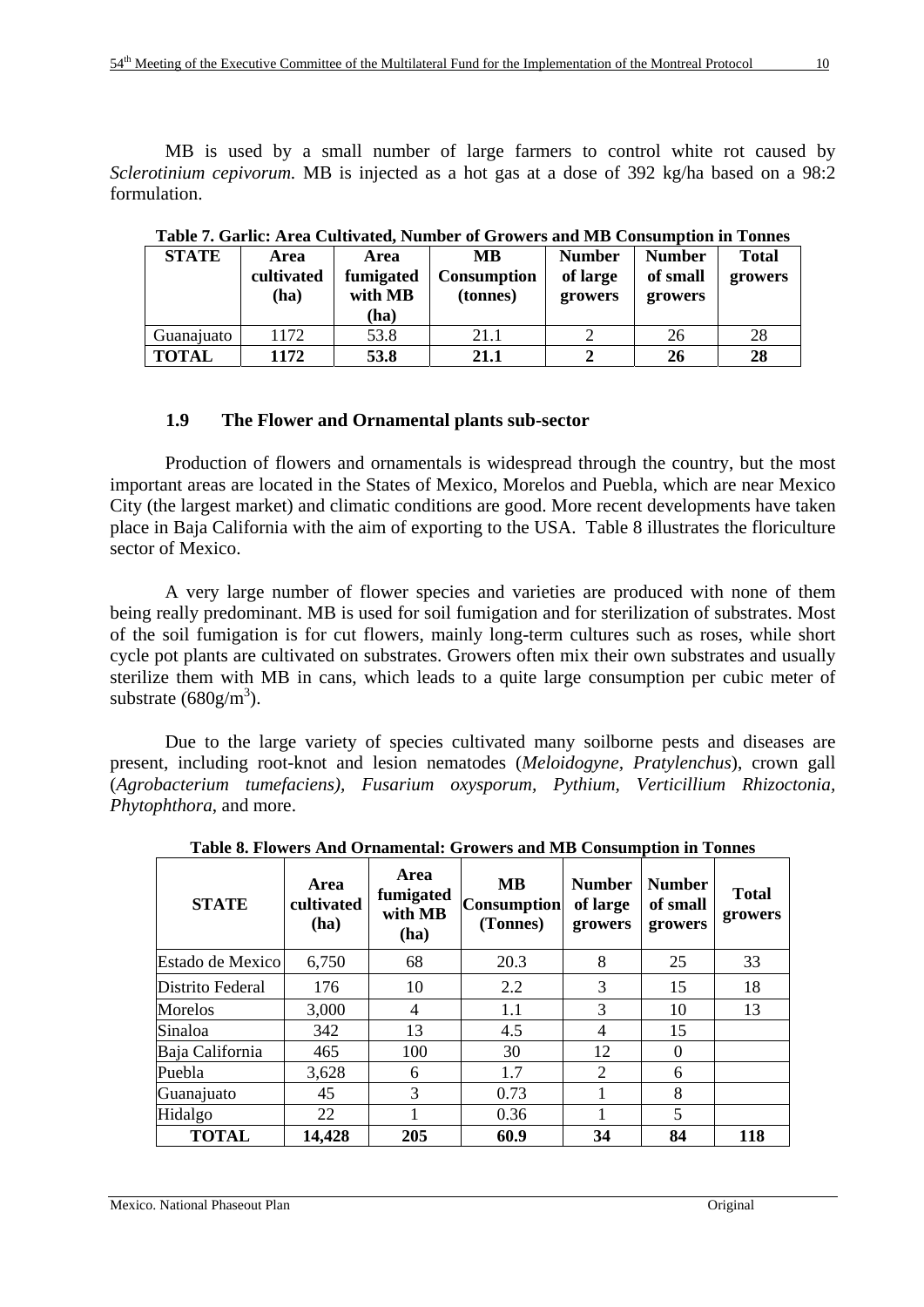MB is used by a small number of large farmers to control white rot caused by *Sclerotinium cepivorum.* MB is injected as a hot gas at a dose of 392 kg/ha based on a 98:2 formulation.

| <b>STATE</b> | Area<br>cultivated<br>(ha) | <b>Area</b><br>fumigated<br>with MB<br>(ha) | <b>MB</b><br><b>Consumption</b><br>(tonnes) | <b>Number</b><br>of large<br>growers | <b>Number</b><br>of small<br>growers | <b>Total</b><br>growers |
|--------------|----------------------------|---------------------------------------------|---------------------------------------------|--------------------------------------|--------------------------------------|-------------------------|
| Guanajuato   | 1172                       | 53.8                                        | 21.1                                        |                                      | 26                                   | 28                      |
| <b>TOTAL</b> | 1172                       | 53.8                                        | 21.1                                        |                                      | 26                                   | 28                      |

**Table 7. Garlic: Area Cultivated, Number of Growers and MB Consumption in Tonnes** 

# **1.9 The Flower and Ornamental plants sub-sector**

Production of flowers and ornamentals is widespread through the country, but the most important areas are located in the States of Mexico, Morelos and Puebla, which are near Mexico City (the largest market) and climatic conditions are good. More recent developments have taken place in Baja California with the aim of exporting to the USA. Table 8 illustrates the floriculture sector of Mexico.

A very large number of flower species and varieties are produced with none of them being really predominant. MB is used for soil fumigation and for sterilization of substrates. Most of the soil fumigation is for cut flowers, mainly long-term cultures such as roses, while short cycle pot plants are cultivated on substrates. Growers often mix their own substrates and usually sterilize them with MB in cans, which leads to a quite large consumption per cubic meter of substrate  $(680 \text{g/m}^3)$ .

Due to the large variety of species cultivated many soilborne pests and diseases are present, including root-knot and lesion nematodes (*Meloidogyne, Pratylenchus*), crown gall (*Agrobacterium tumefaciens), Fusarium oxysporum, Pythium, Verticillium Rhizoctonia, Phytophthora*, and more.

| <b>STATE</b>     | Area<br>cultivated<br>(ha) | Area<br>fumigated<br>with MB<br>(ha) | <b>MB</b><br><b>Consumption</b><br>(Tonnes) | <b>Number</b><br>of large<br>growers | <b>Number</b><br>of small<br>growers | <b>Total</b><br>growers |
|------------------|----------------------------|--------------------------------------|---------------------------------------------|--------------------------------------|--------------------------------------|-------------------------|
| Estado de Mexico | 6,750                      | 68                                   | 20.3                                        | 8                                    | 25                                   | 33                      |
| Distrito Federal | 176                        | 10                                   | 2.2                                         | 3                                    | 15                                   | 18                      |
| <b>Morelos</b>   | 3,000                      | 4                                    | 1.1                                         | 3                                    | 10                                   | 13                      |
| Sinaloa          | 342                        | 13                                   | 4.5                                         | $\overline{4}$                       | 15                                   |                         |
| Baja California  | 465                        | 100                                  | 30                                          | 12                                   | $\theta$                             |                         |
| Puebla           | 3,628                      | 6                                    | 1.7                                         | 2                                    | 6                                    |                         |
| Guanajuato       | 45                         | 3                                    | 0.73                                        |                                      | 8                                    |                         |
| Hidalgo          | 22                         |                                      | 0.36                                        |                                      | 5                                    |                         |
| <b>TOTAL</b>     | 14,428                     | 205                                  | 60.9                                        | 34                                   | 84                                   | 118                     |

**Table 8. Flowers And Ornamental: Growers and MB Consumption in Tonnes**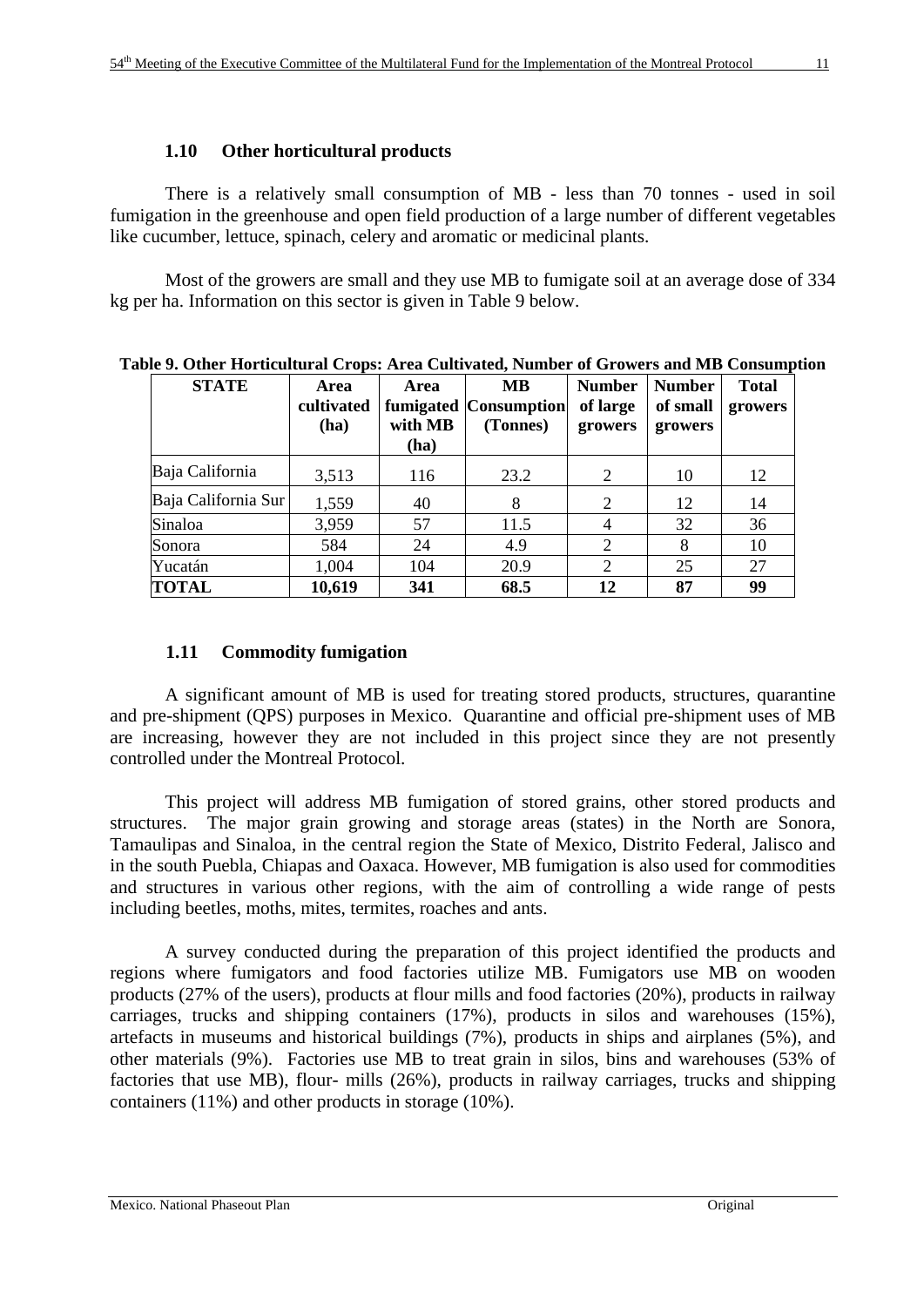There is a relatively small consumption of MB - less than 70 tonnes - used in soil fumigation in the greenhouse and open field production of a large number of different vegetables like cucumber, lettuce, spinach, celery and aromatic or medicinal plants.

Most of the growers are small and they use MB to fumigate soil at an average dose of 334 kg per ha. Information on this sector is given in Table 9 below.

| <b>STATE</b>        | Area<br>cultivated<br>(ha) | <b>Area</b><br>with MB<br>(ha) | <b>MB</b><br>fumigated Consumption<br>(Tonnes) | <b>Number</b><br>of large<br>growers | <b>Number</b><br>of small<br>growers | <b>Total</b><br>growers |
|---------------------|----------------------------|--------------------------------|------------------------------------------------|--------------------------------------|--------------------------------------|-------------------------|
| Baja California     | 3,513                      | 116                            | 23.2                                           | 2                                    | 10                                   | 12                      |
| Baja California Sur | 1,559                      | 40                             | 8                                              | 2                                    | 12                                   | 14                      |
| Sinaloa             | 3,959                      | 57                             | 11.5                                           | 4                                    | 32                                   | 36                      |
| Sonora              | 584                        | 24                             | 4.9                                            | $\overline{2}$                       | 8                                    | 10                      |
| Yucatán             | 1,004                      | 104                            | 20.9                                           | 2                                    | 25                                   | 27                      |
| <b>TOTAL</b>        | 10,619                     | 341                            | 68.5                                           | 12                                   | 87                                   | 99                      |

**Table 9. Other Horticultural Crops: Area Cultivated, Number of Growers and MB Consumption** 

# **1.11 Commodity fumigation**

A significant amount of MB is used for treating stored products, structures, quarantine and pre-shipment (QPS) purposes in Mexico. Quarantine and official pre-shipment uses of MB are increasing, however they are not included in this project since they are not presently controlled under the Montreal Protocol.

This project will address MB fumigation of stored grains, other stored products and structures. The major grain growing and storage areas (states) in the North are Sonora, Tamaulipas and Sinaloa, in the central region the State of Mexico, Distrito Federal, Jalisco and in the south Puebla, Chiapas and Oaxaca. However, MB fumigation is also used for commodities and structures in various other regions, with the aim of controlling a wide range of pests including beetles, moths, mites, termites, roaches and ants.

A survey conducted during the preparation of this project identified the products and regions where fumigators and food factories utilize MB. Fumigators use MB on wooden products (27% of the users), products at flour mills and food factories (20%), products in railway carriages, trucks and shipping containers (17%), products in silos and warehouses (15%), artefacts in museums and historical buildings (7%), products in ships and airplanes (5%), and other materials (9%). Factories use MB to treat grain in silos, bins and warehouses (53% of factories that use MB), flour- mills (26%), products in railway carriages, trucks and shipping containers (11%) and other products in storage (10%).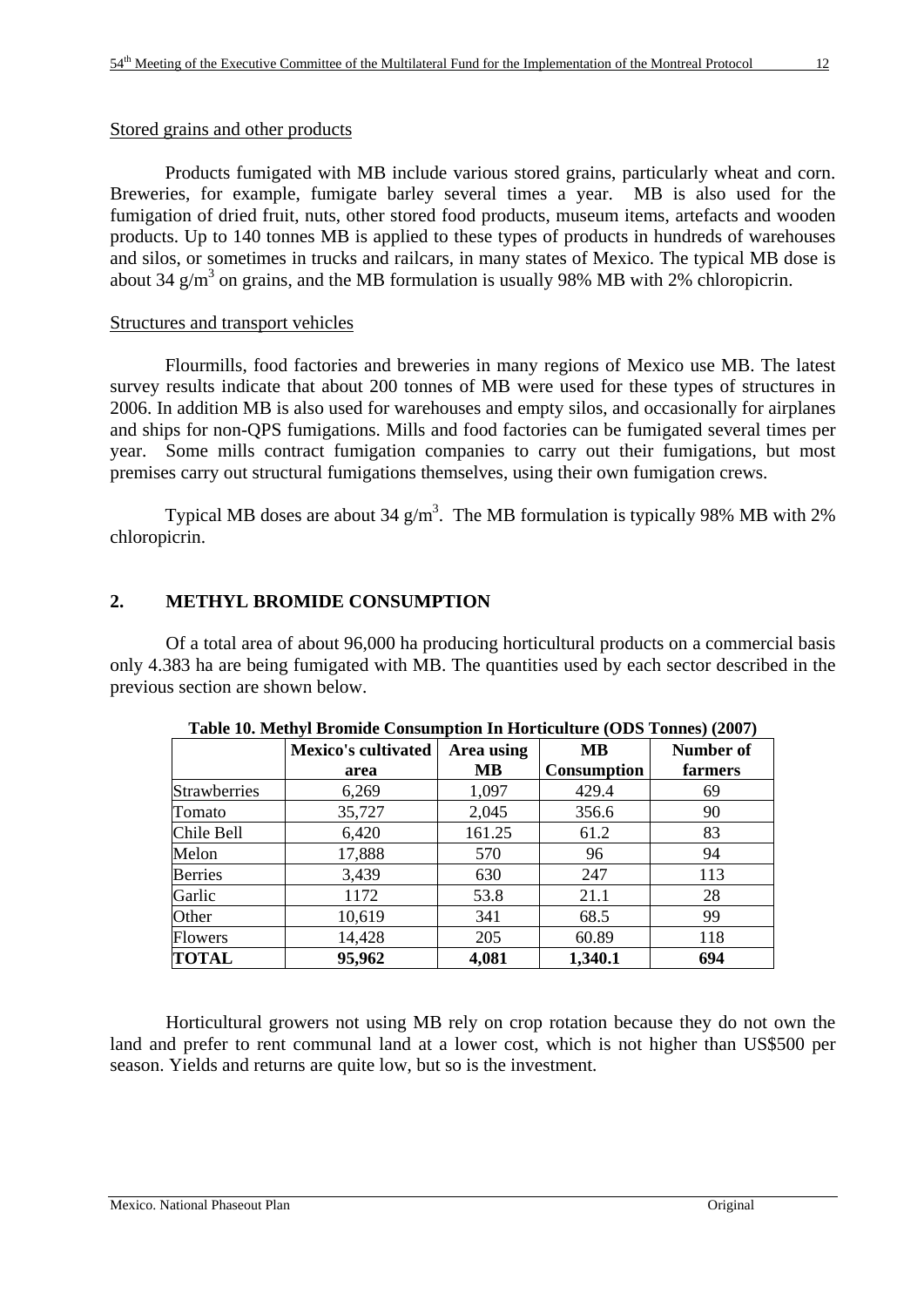Stored grains and other products

Products fumigated with MB include various stored grains, particularly wheat and corn. Breweries, for example, fumigate barley several times a year. MB is also used for the fumigation of dried fruit, nuts, other stored food products, museum items, artefacts and wooden products. Up to 140 tonnes MB is applied to these types of products in hundreds of warehouses and silos, or sometimes in trucks and railcars, in many states of Mexico. The typical MB dose is about 34  $g/m<sup>3</sup>$  on grains, and the MB formulation is usually 98% MB with 2% chloropicrin.

# Structures and transport vehicles

Flourmills, food factories and breweries in many regions of Mexico use MB. The latest survey results indicate that about 200 tonnes of MB were used for these types of structures in 2006. In addition MB is also used for warehouses and empty silos, and occasionally for airplanes and ships for non-QPS fumigations. Mills and food factories can be fumigated several times per year. Some mills contract fumigation companies to carry out their fumigations, but most premises carry out structural fumigations themselves, using their own fumigation crews.

Typical MB doses are about 34  $\text{g/m}^3$ . The MB formulation is typically 98% MB with 2% chloropicrin.

# **2. METHYL BROMIDE CONSUMPTION**

Of a total area of about 96,000 ha producing horticultural products on a commercial basis only 4.383 ha are being fumigated with MB. The quantities used by each sector described in the previous section are shown below.

|                     | <b>Mexico's cultivated</b> | Area using | <b>MB</b>          | <b>Number of</b> |
|---------------------|----------------------------|------------|--------------------|------------------|
|                     | area                       | MВ         | <b>Consumption</b> | farmers          |
| <b>Strawberries</b> | 6,269                      | 1,097      | 429.4              | 69               |
| Tomato              | 35,727                     | 2,045      | 356.6              | 90               |
| Chile Bell          | 6,420                      | 161.25     | 61.2               | 83               |
| Melon               | 17,888                     | 570        | 96                 | 94               |
| <b>Berries</b>      | 3,439                      | 630        | 247                | 113              |
| Garlic              | 1172                       | 53.8       | 21.1               | 28               |
| Other               | 10,619                     | 341        | 68.5               | 99               |
| <b>Flowers</b>      | 14,428                     | 205        | 60.89              | 118              |
| <b>TOTAL</b>        | 95,962                     | 4,081      | 1,340.1            | 694              |

**Table 10. Methyl Bromide Consumption In Horticulture (ODS Tonnes) (2007)** 

Horticultural growers not using MB rely on crop rotation because they do not own the land and prefer to rent communal land at a lower cost, which is not higher than US\$500 per season. Yields and returns are quite low, but so is the investment.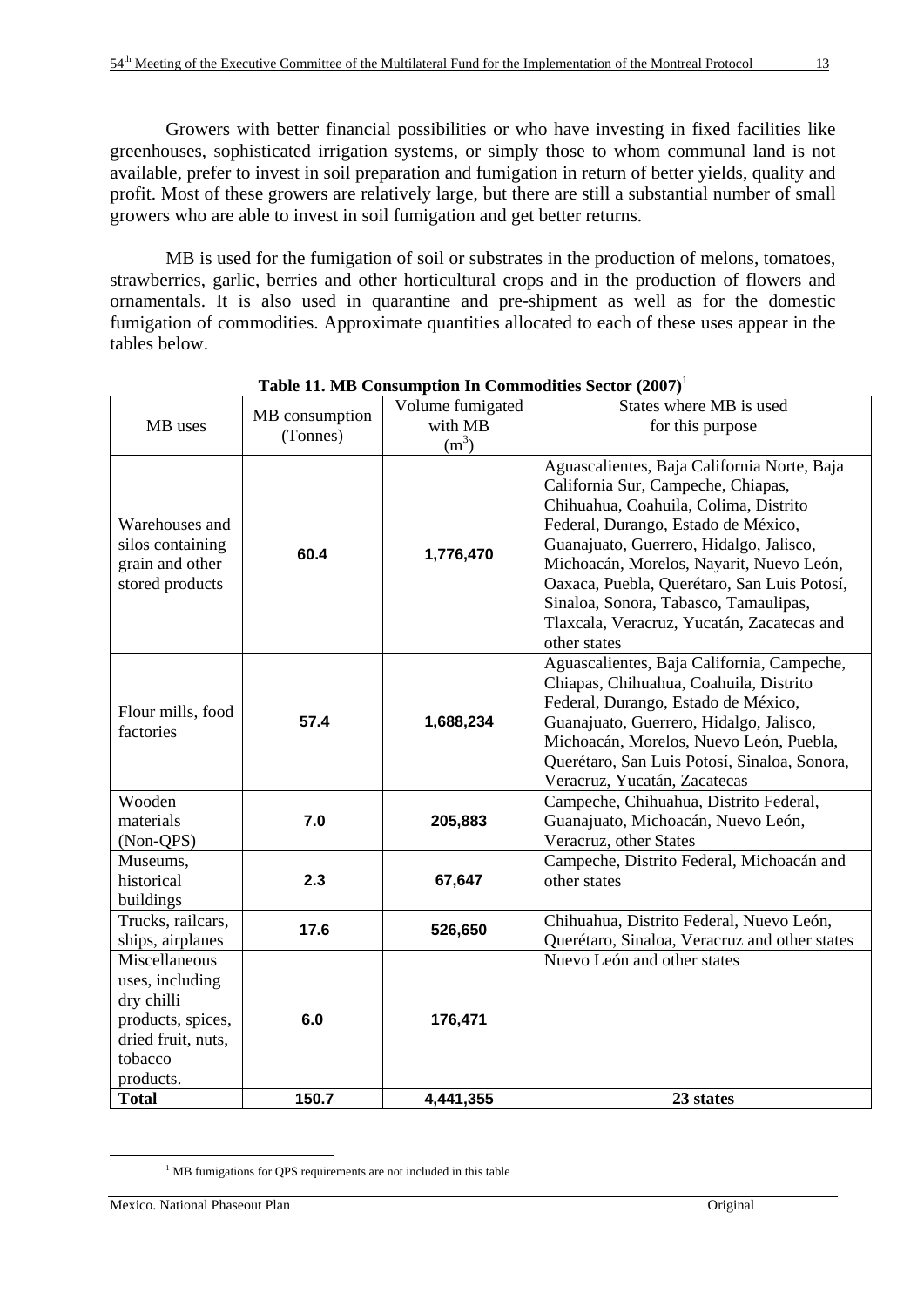Growers with better financial possibilities or who have investing in fixed facilities like greenhouses, sophisticated irrigation systems, or simply those to whom communal land is not available, prefer to invest in soil preparation and fumigation in return of better yields, quality and profit. Most of these growers are relatively large, but there are still a substantial number of small growers who are able to invest in soil fumigation and get better returns.

MB is used for the fumigation of soil or substrates in the production of melons, tomatoes, strawberries, garlic, berries and other horticultural crops and in the production of flowers and ornamentals. It is also used in quarantine and pre-shipment as well as for the domestic fumigation of commodities. Approximate quantities allocated to each of these uses appear in the tables below.

| MB uses                                                                                                           | MB consumption<br>(Tonnes) | Volume fumigated<br>with MB<br>$(m^3)$ | States where MB is used<br>for this purpose                                                                                                                                                                                                                                                                                                                                                                    |
|-------------------------------------------------------------------------------------------------------------------|----------------------------|----------------------------------------|----------------------------------------------------------------------------------------------------------------------------------------------------------------------------------------------------------------------------------------------------------------------------------------------------------------------------------------------------------------------------------------------------------------|
| Warehouses and<br>silos containing<br>grain and other<br>stored products                                          | 60.4                       | 1,776,470                              | Aguascalientes, Baja California Norte, Baja<br>California Sur, Campeche, Chiapas,<br>Chihuahua, Coahuila, Colima, Distrito<br>Federal, Durango, Estado de México,<br>Guanajuato, Guerrero, Hidalgo, Jalisco,<br>Michoacán, Morelos, Nayarit, Nuevo León,<br>Oaxaca, Puebla, Querétaro, San Luis Potosí,<br>Sinaloa, Sonora, Tabasco, Tamaulipas,<br>Tlaxcala, Veracruz, Yucatán, Zacatecas and<br>other states |
| Flour mills, food<br>factories                                                                                    | 57.4                       | 1,688,234                              | Aguascalientes, Baja California, Campeche,<br>Chiapas, Chihuahua, Coahuila, Distrito<br>Federal, Durango, Estado de México,<br>Guanajuato, Guerrero, Hidalgo, Jalisco,<br>Michoacán, Morelos, Nuevo León, Puebla,<br>Querétaro, San Luis Potosí, Sinaloa, Sonora,<br>Veracruz, Yucatán, Zacatecas                                                                                                              |
| Wooden<br>materials<br>(Non-QPS)                                                                                  | 7.0                        | 205,883                                | Campeche, Chihuahua, Distrito Federal,<br>Guanajuato, Michoacán, Nuevo León,<br>Veracruz, other States                                                                                                                                                                                                                                                                                                         |
| Museums,<br>historical<br>buildings                                                                               | 2.3                        | 67,647                                 | Campeche, Distrito Federal, Michoacán and<br>other states                                                                                                                                                                                                                                                                                                                                                      |
| Trucks, railcars,<br>ships, airplanes                                                                             | 17.6                       | 526,650                                | Chihuahua, Distrito Federal, Nuevo León,<br>Querétaro, Sinaloa, Veracruz and other states                                                                                                                                                                                                                                                                                                                      |
| Miscellaneous<br>uses, including<br>dry chilli<br>products, spices,<br>dried fruit, nuts,<br>tobacco<br>products. | 6.0                        | 176,471                                | Nuevo León and other states                                                                                                                                                                                                                                                                                                                                                                                    |
| <b>Total</b>                                                                                                      | 150.7                      | 4,441,355                              | 23 states                                                                                                                                                                                                                                                                                                                                                                                                      |

| Table 11. MB Consumption In Commodities Sector (2007) <sup>1</sup> |  |  |  |  |  |  |
|--------------------------------------------------------------------|--|--|--|--|--|--|
|--------------------------------------------------------------------|--|--|--|--|--|--|

 $\begin{array}{c|c}\n\hline\n\end{array}$ <sup>1</sup> MB fumigations for QPS requirements are not included in this table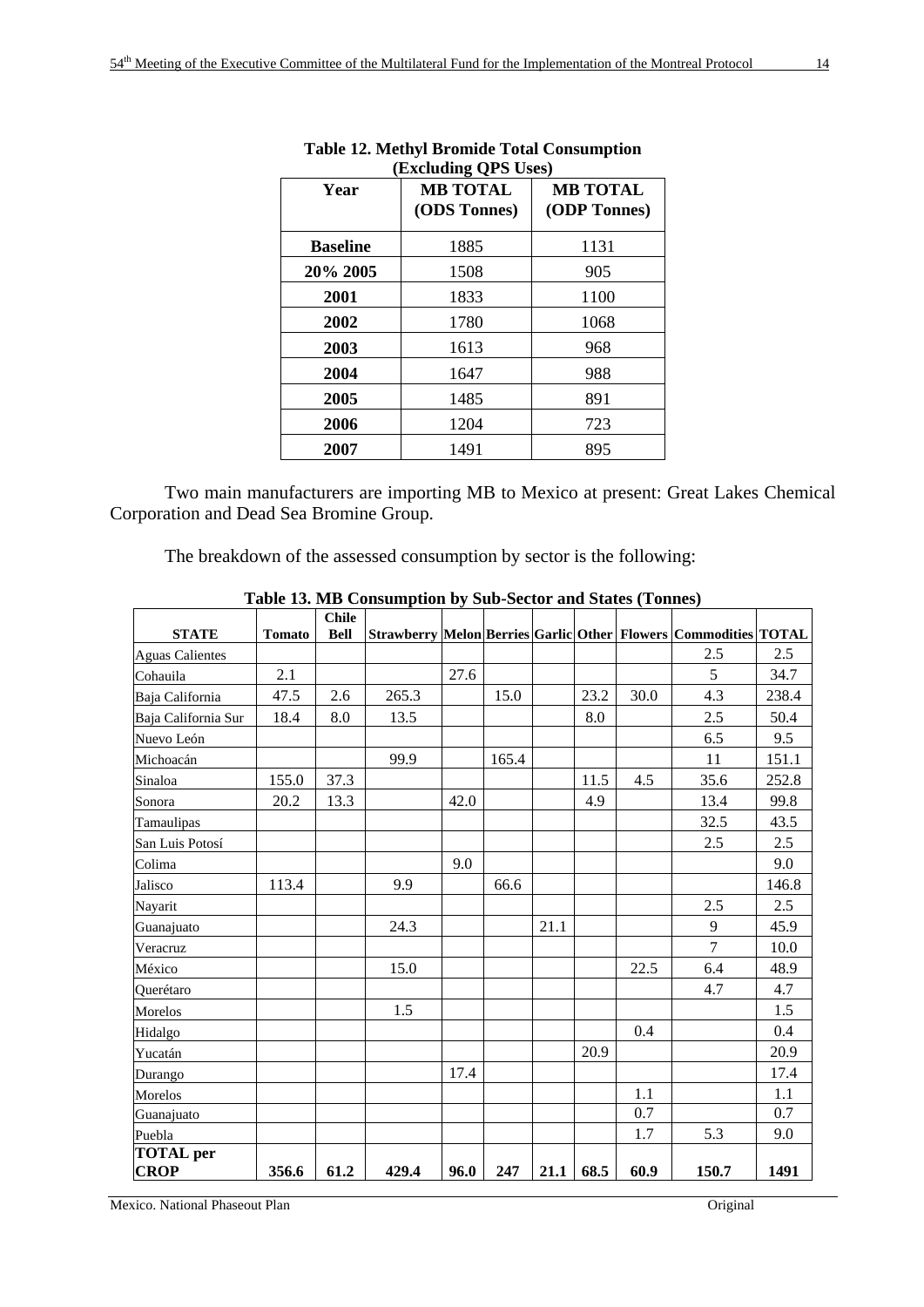| <b>Excluding QPS Uses</b> |                                 |                                 |  |  |  |
|---------------------------|---------------------------------|---------------------------------|--|--|--|
| Year                      | <b>MB TOTAL</b><br>(ODS Tonnes) | <b>MB TOTAL</b><br>(ODP Tonnes) |  |  |  |
| <b>Baseline</b>           | 1885                            | 1131                            |  |  |  |
| 20% 2005                  | 1508                            | 905                             |  |  |  |
| 2001                      | 1833                            | 1100                            |  |  |  |
| 2002                      | 1780                            | 1068                            |  |  |  |
| 2003                      | 1613                            | 968                             |  |  |  |
| 2004                      | 1647                            | 988                             |  |  |  |
| 2005                      | 1485                            | 891                             |  |  |  |
| 2006                      | 1204                            | 723                             |  |  |  |
| 2007                      | 1491                            | 895                             |  |  |  |

#### **Table 12. Methyl Bromide Total Consumption (Excluding QPS Uses)**

Two main manufacturers are importing MB to Mexico at present: Great Lakes Chemical Corporation and Dead Sea Bromine Group.

The breakdown of the assessed consumption by sector is the following:

| <b>STATE</b>                    | <b>Tomato</b> | <b>Chile</b><br><b>Bell</b> |       |      |       |      |      |      | Strawberry Melon Berries Garlic Other Flowers Commodities TOTAL |       |
|---------------------------------|---------------|-----------------------------|-------|------|-------|------|------|------|-----------------------------------------------------------------|-------|
| <b>Aguas Calientes</b>          |               |                             |       |      |       |      |      |      | 2.5                                                             | 2.5   |
| Cohauila                        | 2.1           |                             |       | 27.6 |       |      |      |      | 5                                                               | 34.7  |
| Baja California                 | 47.5          | 2.6                         | 265.3 |      | 15.0  |      | 23.2 | 30.0 | 4.3                                                             | 238.4 |
| Baja California Sur             | 18.4          | 8.0                         | 13.5  |      |       |      | 8.0  |      | 2.5                                                             | 50.4  |
| Nuevo León                      |               |                             |       |      |       |      |      |      | 6.5                                                             | 9.5   |
| Michoacán                       |               |                             | 99.9  |      | 165.4 |      |      |      | 11                                                              | 151.1 |
| Sinaloa                         | 155.0         | 37.3                        |       |      |       |      | 11.5 | 4.5  | 35.6                                                            | 252.8 |
| Sonora                          | 20.2          | 13.3                        |       | 42.0 |       |      | 4.9  |      | 13.4                                                            | 99.8  |
| Tamaulipas                      |               |                             |       |      |       |      |      |      | 32.5                                                            | 43.5  |
| San Luis Potosí                 |               |                             |       |      |       |      |      |      | 2.5                                                             | 2.5   |
| Colima                          |               |                             |       | 9.0  |       |      |      |      |                                                                 | 9.0   |
| Jalisco                         | 113.4         |                             | 9.9   |      | 66.6  |      |      |      |                                                                 | 146.8 |
| Nayarit                         |               |                             |       |      |       |      |      |      | 2.5                                                             | 2.5   |
| Guanajuato                      |               |                             | 24.3  |      |       | 21.1 |      |      | 9                                                               | 45.9  |
| Veracruz                        |               |                             |       |      |       |      |      |      | 7                                                               | 10.0  |
| México                          |               |                             | 15.0  |      |       |      |      | 22.5 | 6.4                                                             | 48.9  |
| Ouerétaro                       |               |                             |       |      |       |      |      |      | 4.7                                                             | 4.7   |
| Morelos                         |               |                             | 1.5   |      |       |      |      |      |                                                                 | 1.5   |
| Hidalgo                         |               |                             |       |      |       |      |      | 0.4  |                                                                 | 0.4   |
| Yucatán                         |               |                             |       |      |       |      | 20.9 |      |                                                                 | 20.9  |
| Durango                         |               |                             |       | 17.4 |       |      |      |      |                                                                 | 17.4  |
| Morelos                         |               |                             |       |      |       |      |      | 1.1  |                                                                 | 1.1   |
| Guanajuato                      |               |                             |       |      |       |      |      | 0.7  |                                                                 | 0.7   |
| Puebla                          |               |                             |       |      |       |      |      | 1.7  | 5.3                                                             | 9.0   |
| <b>TOTAL</b> per<br><b>CROP</b> | 356.6         | 61.2                        | 429.4 | 96.0 | 247   | 21.1 | 68.5 | 60.9 | 150.7                                                           | 1491  |

**Table 13. MB Consumption by Sub-Sector and States (Tonnes)** 

Mexico. National Phaseout Plan Original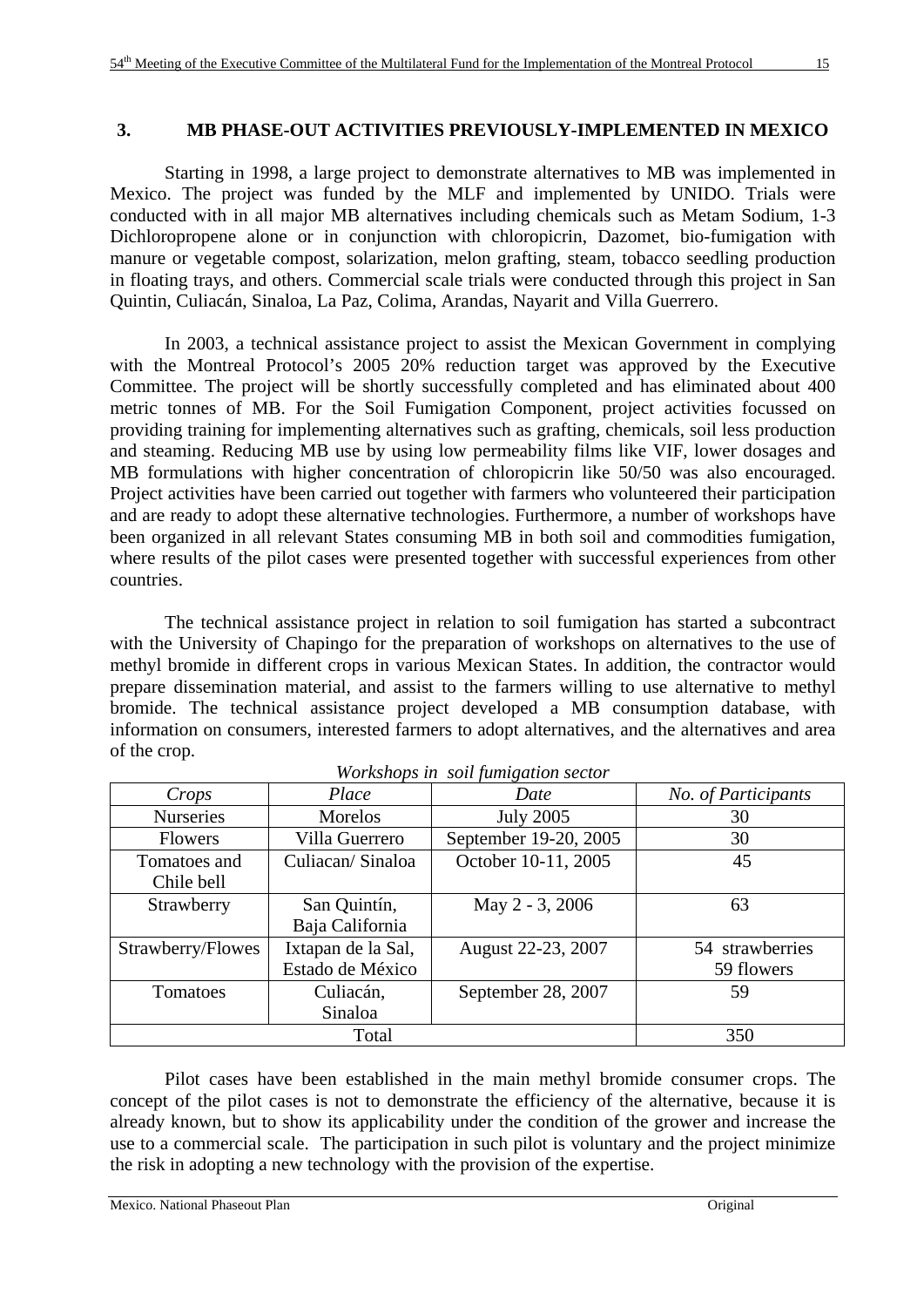# **3. MB PHASE-OUT ACTIVITIES PREVIOUSLY-IMPLEMENTED IN MEXICO**

Starting in 1998, a large project to demonstrate alternatives to MB was implemented in Mexico. The project was funded by the MLF and implemented by UNIDO. Trials were conducted with in all major MB alternatives including chemicals such as Metam Sodium, 1-3 Dichloropropene alone or in conjunction with chloropicrin, Dazomet, bio-fumigation with manure or vegetable compost, solarization, melon grafting, steam, tobacco seedling production in floating trays, and others. Commercial scale trials were conducted through this project in San Quintin, Culiacán, Sinaloa, La Paz, Colima, Arandas, Nayarit and Villa Guerrero.

 In 2003, a technical assistance project to assist the Mexican Government in complying with the Montreal Protocol's 2005 20% reduction target was approved by the Executive Committee. The project will be shortly successfully completed and has eliminated about 400 metric tonnes of MB. For the Soil Fumigation Component, project activities focussed on providing training for implementing alternatives such as grafting, chemicals, soil less production and steaming. Reducing MB use by using low permeability films like VIF, lower dosages and MB formulations with higher concentration of chloropicrin like 50/50 was also encouraged. Project activities have been carried out together with farmers who volunteered their participation and are ready to adopt these alternative technologies. Furthermore, a number of workshops have been organized in all relevant States consuming MB in both soil and commodities fumigation, where results of the pilot cases were presented together with successful experiences from other countries.

The technical assistance project in relation to soil fumigation has started a subcontract with the University of Chapingo for the preparation of workshops on alternatives to the use of methyl bromide in different crops in various Mexican States. In addition, the contractor would prepare dissemination material, and assist to the farmers willing to use alternative to methyl bromide. The technical assistance project developed a MB consumption database, with information on consumers, interested farmers to adopt alternatives, and the alternatives and area of the crop.

| Crops             | Place              | Date                  | No. of Participants |
|-------------------|--------------------|-----------------------|---------------------|
| <b>Nurseries</b>  | Morelos            | <b>July 2005</b>      | 30                  |
| <b>Flowers</b>    | Villa Guerrero     | September 19-20, 2005 | 30                  |
| Tomatoes and      | Culiacan/Sinaloa   | October 10-11, 2005   | 45                  |
| Chile bell        |                    |                       |                     |
| Strawberry        | San Quintín,       | May 2 - 3, 2006       | 63                  |
|                   | Baja California    |                       |                     |
| Strawberry/Flowes | Ixtapan de la Sal, | August 22-23, 2007    | 54 strawberries     |
|                   | Estado de México   |                       | 59 flowers          |
| Tomatoes          | Culiacán,          | September 28, 2007    | 59                  |
|                   | Sinaloa            |                       |                     |
|                   | Total              |                       | 350                 |

*Workshops in soil fumigation sector*

Pilot cases have been established in the main methyl bromide consumer crops. The concept of the pilot cases is not to demonstrate the efficiency of the alternative, because it is already known, but to show its applicability under the condition of the grower and increase the use to a commercial scale. The participation in such pilot is voluntary and the project minimize the risk in adopting a new technology with the provision of the expertise.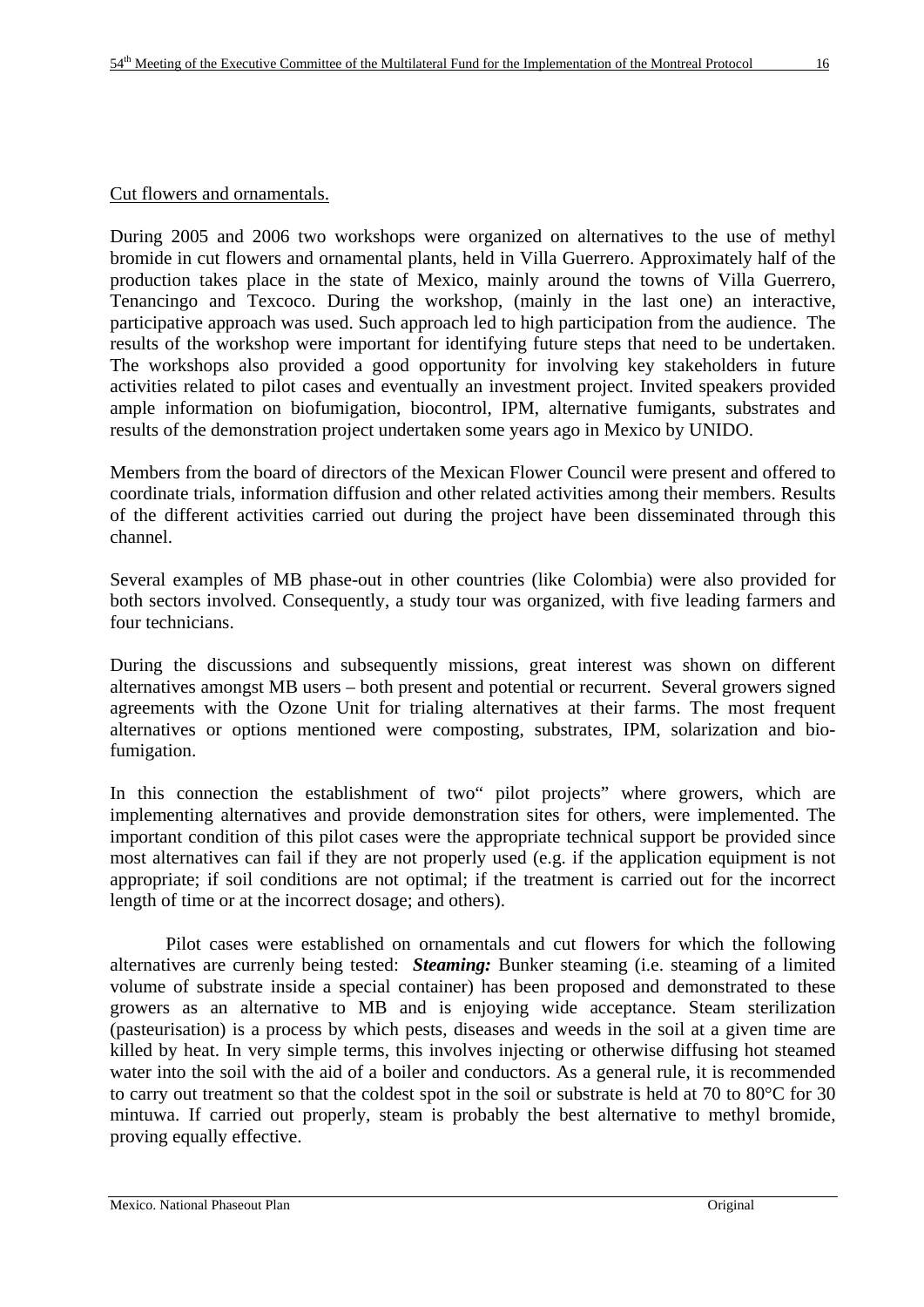# Cut flowers and ornamentals.

During 2005 and 2006 two workshops were organized on alternatives to the use of methyl bromide in cut flowers and ornamental plants, held in Villa Guerrero. Approximately half of the production takes place in the state of Mexico, mainly around the towns of Villa Guerrero, Tenancingo and Texcoco. During the workshop, (mainly in the last one) an interactive, participative approach was used. Such approach led to high participation from the audience. The results of the workshop were important for identifying future steps that need to be undertaken. The workshops also provided a good opportunity for involving key stakeholders in future activities related to pilot cases and eventually an investment project. Invited speakers provided ample information on biofumigation, biocontrol, IPM, alternative fumigants, substrates and results of the demonstration project undertaken some years ago in Mexico by UNIDO.

Members from the board of directors of the Mexican Flower Council were present and offered to coordinate trials, information diffusion and other related activities among their members. Results of the different activities carried out during the project have been disseminated through this channel.

Several examples of MB phase-out in other countries (like Colombia) were also provided for both sectors involved. Consequently, a study tour was organized, with five leading farmers and four technicians.

During the discussions and subsequently missions, great interest was shown on different alternatives amongst MB users – both present and potential or recurrent. Several growers signed agreements with the Ozone Unit for trialing alternatives at their farms. The most frequent alternatives or options mentioned were composting, substrates, IPM, solarization and biofumigation.

In this connection the establishment of two" pilot projects" where growers, which are implementing alternatives and provide demonstration sites for others, were implemented. The important condition of this pilot cases were the appropriate technical support be provided since most alternatives can fail if they are not properly used (e.g. if the application equipment is not appropriate; if soil conditions are not optimal; if the treatment is carried out for the incorrect length of time or at the incorrect dosage; and others).

Pilot cases were established on ornamentals and cut flowers for which the following alternatives are currenly being tested: *Steaming:* Bunker steaming (i.e. steaming of a limited volume of substrate inside a special container) has been proposed and demonstrated to these growers as an alternative to MB and is enjoying wide acceptance. Steam sterilization (pasteurisation) is a process by which pests, diseases and weeds in the soil at a given time are killed by heat. In very simple terms, this involves injecting or otherwise diffusing hot steamed water into the soil with the aid of a boiler and conductors. As a general rule, it is recommended to carry out treatment so that the coldest spot in the soil or substrate is held at 70 to 80°C for 30 mintuwa. If carried out properly, steam is probably the best alternative to methyl bromide, proving equally effective.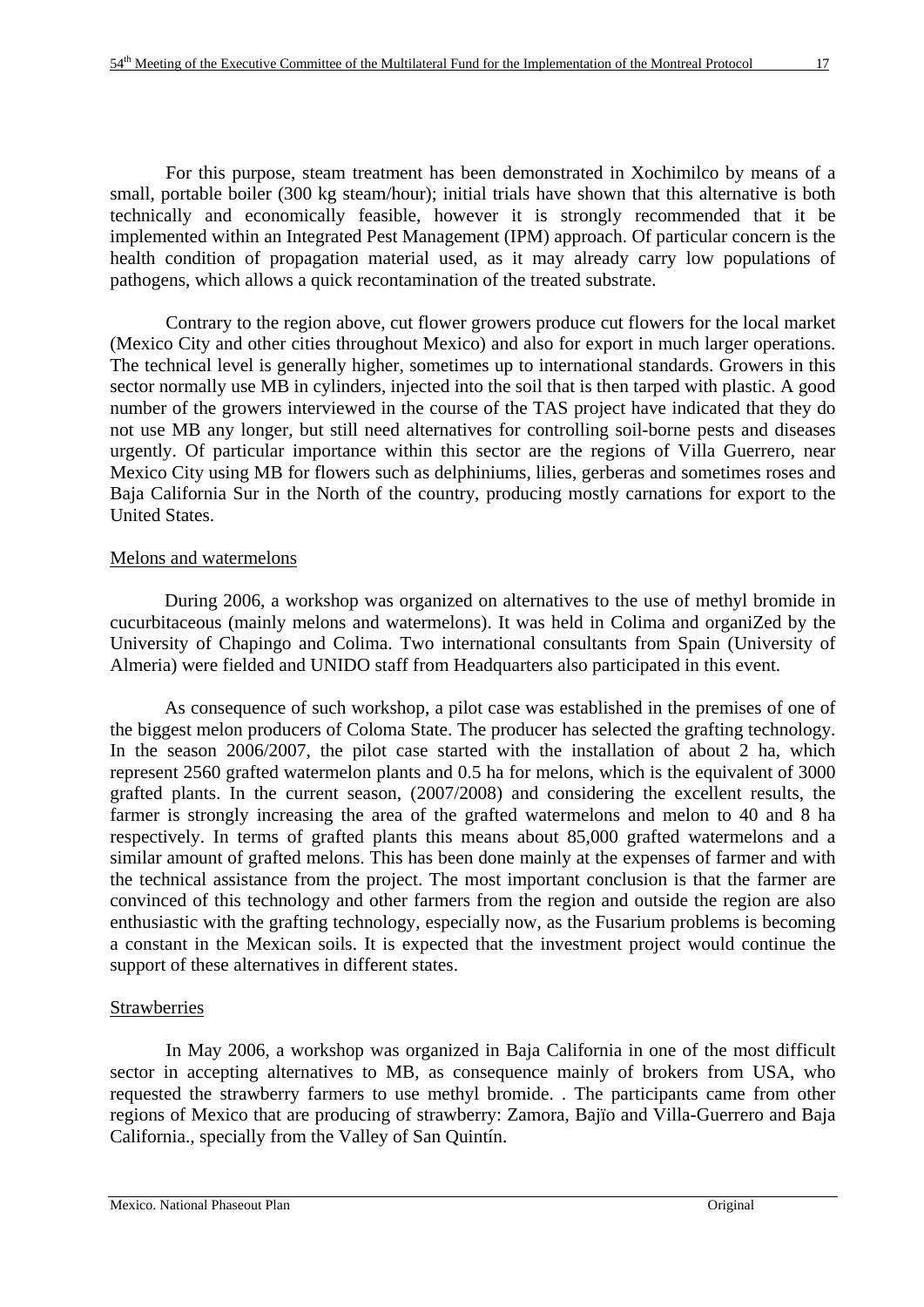For this purpose, steam treatment has been demonstrated in Xochimilco by means of a small, portable boiler (300 kg steam/hour); initial trials have shown that this alternative is both technically and economically feasible, however it is strongly recommended that it be implemented within an Integrated Pest Management (IPM) approach. Of particular concern is the health condition of propagation material used, as it may already carry low populations of pathogens, which allows a quick recontamination of the treated substrate.

Contrary to the region above, cut flower growers produce cut flowers for the local market (Mexico City and other cities throughout Mexico) and also for export in much larger operations. The technical level is generally higher, sometimes up to international standards. Growers in this sector normally use MB in cylinders, injected into the soil that is then tarped with plastic. A good number of the growers interviewed in the course of the TAS project have indicated that they do not use MB any longer, but still need alternatives for controlling soil-borne pests and diseases urgently. Of particular importance within this sector are the regions of Villa Guerrero, near Mexico City using MB for flowers such as delphiniums, lilies, gerberas and sometimes roses and Baja California Sur in the North of the country, producing mostly carnations for export to the United States.

#### Melons and watermelons

During 2006, a workshop was organized on alternatives to the use of methyl bromide in cucurbitaceous (mainly melons and watermelons). It was held in Colima and organiZed by the University of Chapingo and Colima. Two international consultants from Spain (University of Almeria) were fielded and UNIDO staff from Headquarters also participated in this event.

As consequence of such workshop, a pilot case was established in the premises of one of the biggest melon producers of Coloma State. The producer has selected the grafting technology. In the season 2006/2007, the pilot case started with the installation of about 2 ha, which represent 2560 grafted watermelon plants and 0.5 ha for melons, which is the equivalent of 3000 grafted plants. In the current season, (2007/2008) and considering the excellent results, the farmer is strongly increasing the area of the grafted watermelons and melon to 40 and 8 ha respectively. In terms of grafted plants this means about 85,000 grafted watermelons and a similar amount of grafted melons. This has been done mainly at the expenses of farmer and with the technical assistance from the project. The most important conclusion is that the farmer are convinced of this technology and other farmers from the region and outside the region are also enthusiastic with the grafting technology, especially now, as the Fusarium problems is becoming a constant in the Mexican soils. It is expected that the investment project would continue the support of these alternatives in different states.

#### **Strawberries**

 In May 2006, a workshop was organized in Baja California in one of the most difficult sector in accepting alternatives to MB, as consequence mainly of brokers from USA, who requested the strawberry farmers to use methyl bromide. . The participants came from other regions of Mexico that are producing of strawberry: Zamora, Bajïo and Villa-Guerrero and Baja California., specially from the Valley of San Quintín.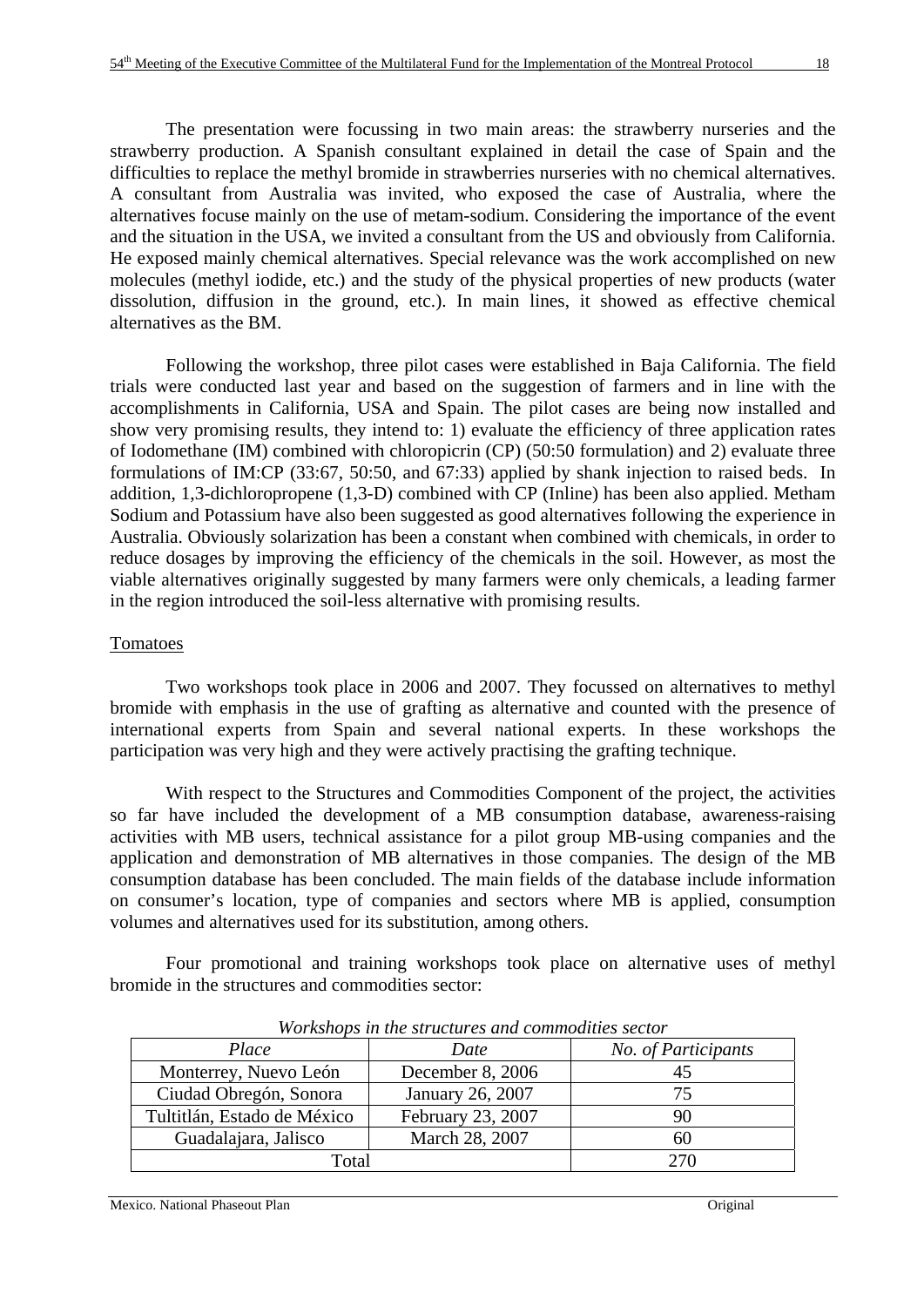The presentation were focussing in two main areas: the strawberry nurseries and the strawberry production. A Spanish consultant explained in detail the case of Spain and the difficulties to replace the methyl bromide in strawberries nurseries with no chemical alternatives. A consultant from Australia was invited, who exposed the case of Australia, where the alternatives focuse mainly on the use of metam-sodium. Considering the importance of the event and the situation in the USA, we invited a consultant from the US and obviously from California. He exposed mainly chemical alternatives. Special relevance was the work accomplished on new molecules (methyl iodide, etc.) and the study of the physical properties of new products (water dissolution, diffusion in the ground, etc.). In main lines, it showed as effective chemical alternatives as the BM.

 Following the workshop, three pilot cases were established in Baja California. The field trials were conducted last year and based on the suggestion of farmers and in line with the accomplishments in California, USA and Spain. The pilot cases are being now installed and show very promising results, they intend to: 1) evaluate the efficiency of three application rates of Iodomethane (IM) combined with chloropicrin (CP) (50:50 formulation) and 2) evaluate three formulations of IM:CP (33:67, 50:50, and 67:33) applied by shank injection to raised beds. In addition, 1,3-dichloropropene (1,3-D) combined with CP (Inline) has been also applied. Metham Sodium and Potassium have also been suggested as good alternatives following the experience in Australia. Obviously solarization has been a constant when combined with chemicals, in order to reduce dosages by improving the efficiency of the chemicals in the soil. However, as most the viable alternatives originally suggested by many farmers were only chemicals, a leading farmer in the region introduced the soil-less alternative with promising results.

#### Tomatoes

 Two workshops took place in 2006 and 2007. They focussed on alternatives to methyl bromide with emphasis in the use of grafting as alternative and counted with the presence of international experts from Spain and several national experts. In these workshops the participation was very high and they were actively practising the grafting technique.

 With respect to the Structures and Commodities Component of the project, the activities so far have included the development of a MB consumption database, awareness-raising activities with MB users, technical assistance for a pilot group MB-using companies and the application and demonstration of MB alternatives in those companies. The design of the MB consumption database has been concluded. The main fields of the database include information on consumer's location, type of companies and sectors where MB is applied, consumption volumes and alternatives used for its substitution, among others.

 Four promotional and training workshops took place on alternative uses of methyl bromide in the structures and commodities sector:

| <u>n oriwriops in the structures where commodities sector</u> |                   |                     |  |  |
|---------------------------------------------------------------|-------------------|---------------------|--|--|
| Place                                                         | Date              | No. of Participants |  |  |
| Monterrey, Nuevo León                                         | December 8, 2006  | 45                  |  |  |
| Ciudad Obregón, Sonora                                        | January 26, 2007  | 75                  |  |  |
| Tultitlán, Estado de México                                   | February 23, 2007 | 90                  |  |  |
| Guadalajara, Jalisco                                          | March 28, 2007    | 60                  |  |  |
| Total                                                         | 270               |                     |  |  |

*Workshops in the structures and commodities sector*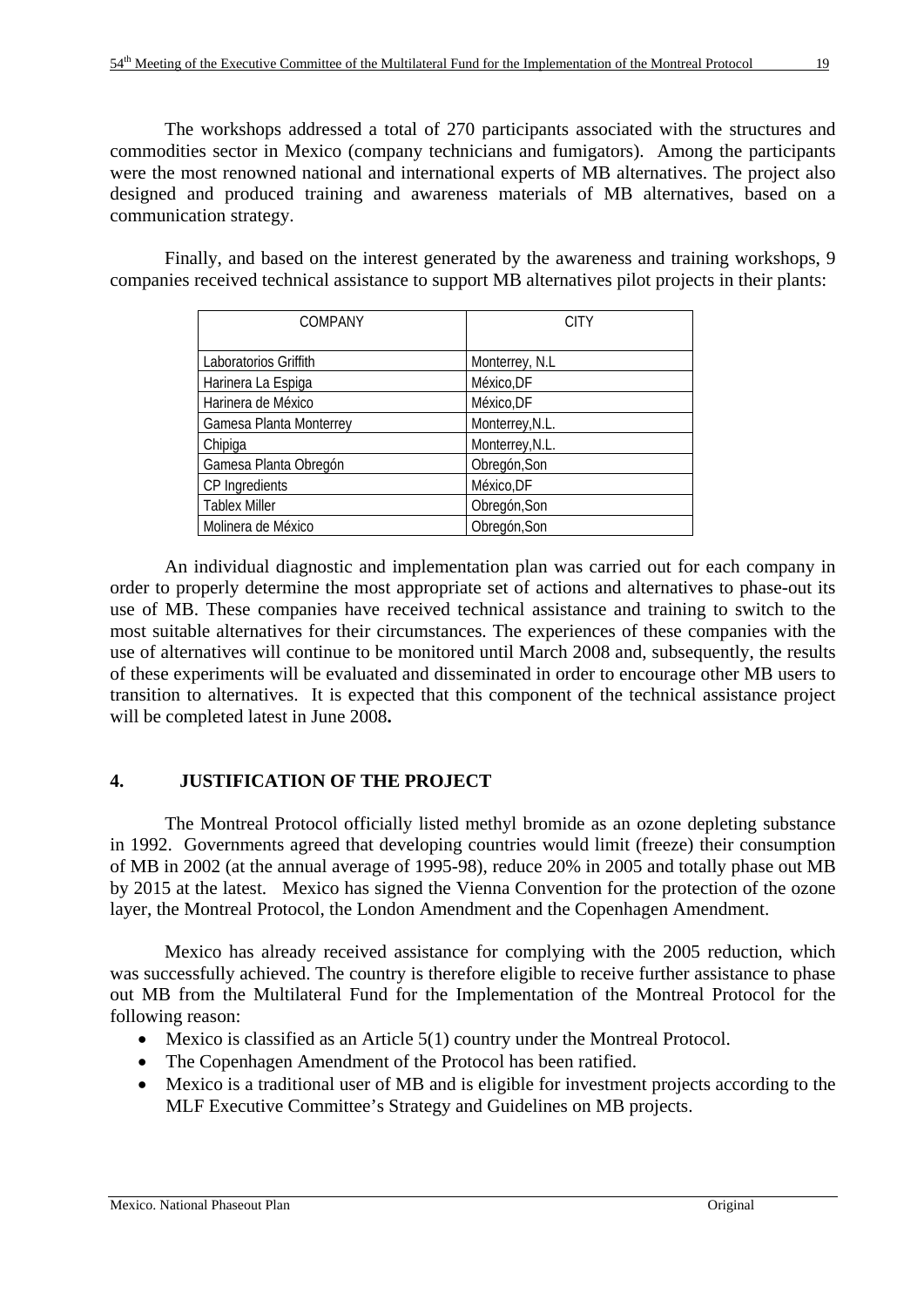The workshops addressed a total of 270 participants associated with the structures and commodities sector in Mexico (company technicians and fumigators). Among the participants were the most renowned national and international experts of MB alternatives. The project also designed and produced training and awareness materials of MB alternatives, based on a communication strategy.

Finally, and based on the interest generated by the awareness and training workshops, 9 companies received technical assistance to support MB alternatives pilot projects in their plants:

| <b>COMPANY</b>          | <b>CITY</b>     |
|-------------------------|-----------------|
|                         |                 |
| Laboratorios Griffith   | Monterrey, N.L. |
| Harinera La Espiga      | México, DF      |
| Harinera de México      | México, DF      |
| Gamesa Planta Monterrey | Monterrey, N.L. |
| Chipiga                 | Monterrey, N.L. |
| Gamesa Planta Obregón   | Obregón, Son    |
| CP Ingredients          | México, DF      |
| <b>Tablex Miller</b>    | Obregón, Son    |
| Molinera de México      | Obregón, Son    |

An individual diagnostic and implementation plan was carried out for each company in order to properly determine the most appropriate set of actions and alternatives to phase-out its use of MB. These companies have received technical assistance and training to switch to the most suitable alternatives for their circumstances. The experiences of these companies with the use of alternatives will continue to be monitored until March 2008 and, subsequently, the results of these experiments will be evaluated and disseminated in order to encourage other MB users to transition to alternatives. It is expected that this component of the technical assistance project will be completed latest in June 2008**.** 

# **4. JUSTIFICATION OF THE PROJECT**

The Montreal Protocol officially listed methyl bromide as an ozone depleting substance in 1992. Governments agreed that developing countries would limit (freeze) their consumption of MB in 2002 (at the annual average of 1995-98), reduce 20% in 2005 and totally phase out MB by 2015 at the latest. Mexico has signed the Vienna Convention for the protection of the ozone layer, the Montreal Protocol, the London Amendment and the Copenhagen Amendment.

Mexico has already received assistance for complying with the 2005 reduction, which was successfully achieved. The country is therefore eligible to receive further assistance to phase out MB from the Multilateral Fund for the Implementation of the Montreal Protocol for the following reason:

- Mexico is classified as an Article 5(1) country under the Montreal Protocol.
- The Copenhagen Amendment of the Protocol has been ratified.
- Mexico is a traditional user of MB and is eligible for investment projects according to the MLF Executive Committee's Strategy and Guidelines on MB projects.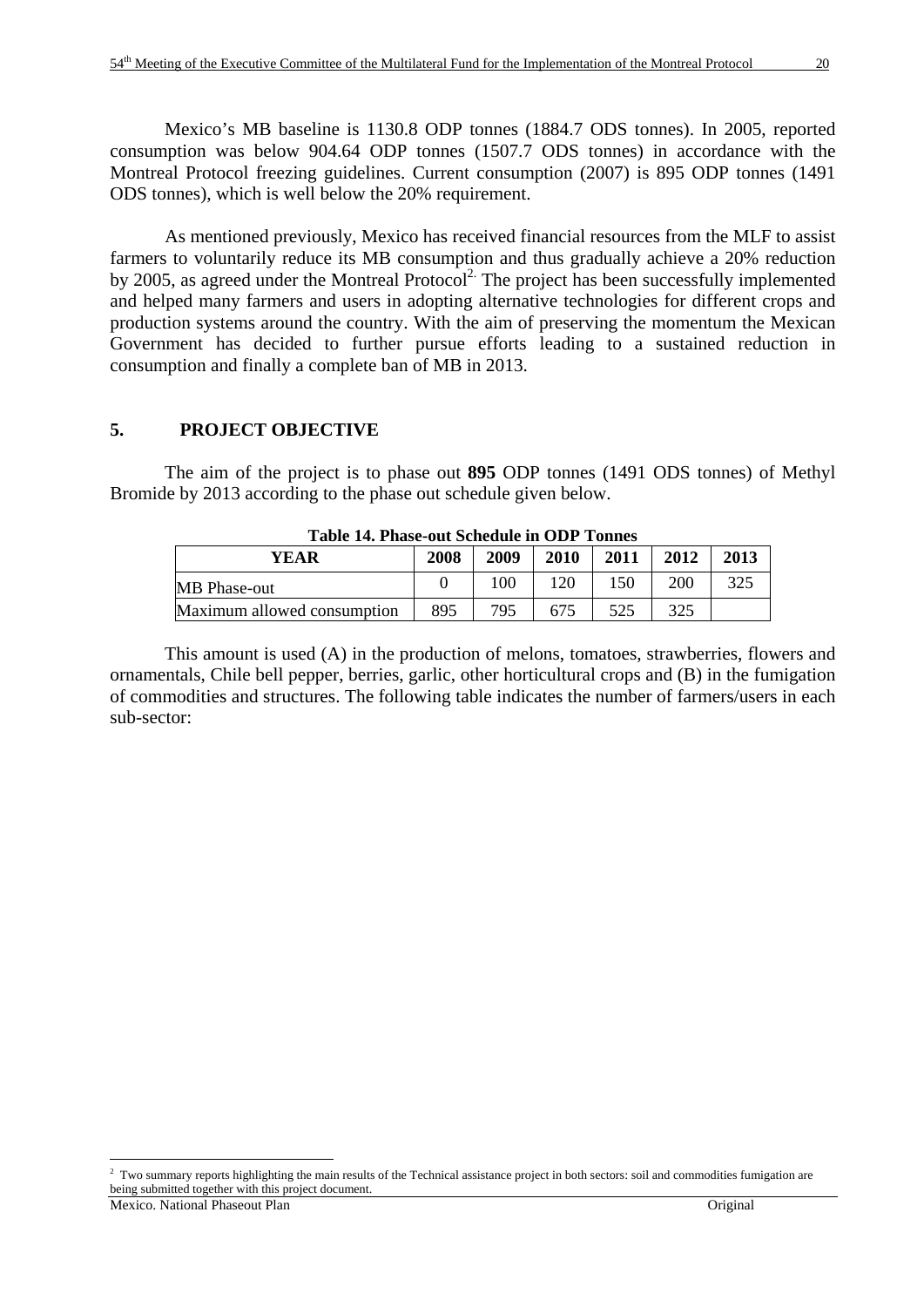Mexico's MB baseline is 1130.8 ODP tonnes (1884.7 ODS tonnes). In 2005, reported consumption was below 904.64 ODP tonnes (1507.7 ODS tonnes) in accordance with the Montreal Protocol freezing guidelines. Current consumption (2007) is 895 ODP tonnes (1491 ODS tonnes), which is well below the 20% requirement.

As mentioned previously, Mexico has received financial resources from the MLF to assist farmers to voluntarily reduce its MB consumption and thus gradually achieve a 20% reduction by 2005, as agreed under the Montreal Protocol<sup>2.</sup> The project has been successfully implemented and helped many farmers and users in adopting alternative technologies for different crops and production systems around the country. With the aim of preserving the momentum the Mexican Government has decided to further pursue efforts leading to a sustained reduction in consumption and finally a complete ban of MB in 2013.

# **5. PROJECT OBJECTIVE**

 The aim of the project is to phase out **895** ODP tonnes (1491 ODS tonnes) of Methyl Bromide by 2013 according to the phase out schedule given below.

| Table 14. I hase-but schedule in ODI Tomies  |     |     |     |     |     |     |  |  |  |  |  |
|----------------------------------------------|-----|-----|-----|-----|-----|-----|--|--|--|--|--|
| 2011<br>2010<br>2012<br>2008<br>2009<br>YEAR |     |     |     |     |     |     |  |  |  |  |  |
| MB Phase-out                                 |     | 100 | 120 | 150 | 200 | 325 |  |  |  |  |  |
| Maximum allowed consumption                  | 895 | 795 | 675 | 525 | 325 |     |  |  |  |  |  |

**Table 14. Phase-out Schedule in ODP Tonnes** 

 This amount is used (A) in the production of melons, tomatoes, strawberries, flowers and ornamentals, Chile bell pepper, berries, garlic, other horticultural crops and (B) in the fumigation of commodities and structures. The following table indicates the number of farmers/users in each sub-sector:

<sup>&</sup>lt;u>.</u>  $2$  Two summary reports highlighting the main results of the Technical assistance project in both sectors: soil and commodities fumigation are being submitted together with this project document.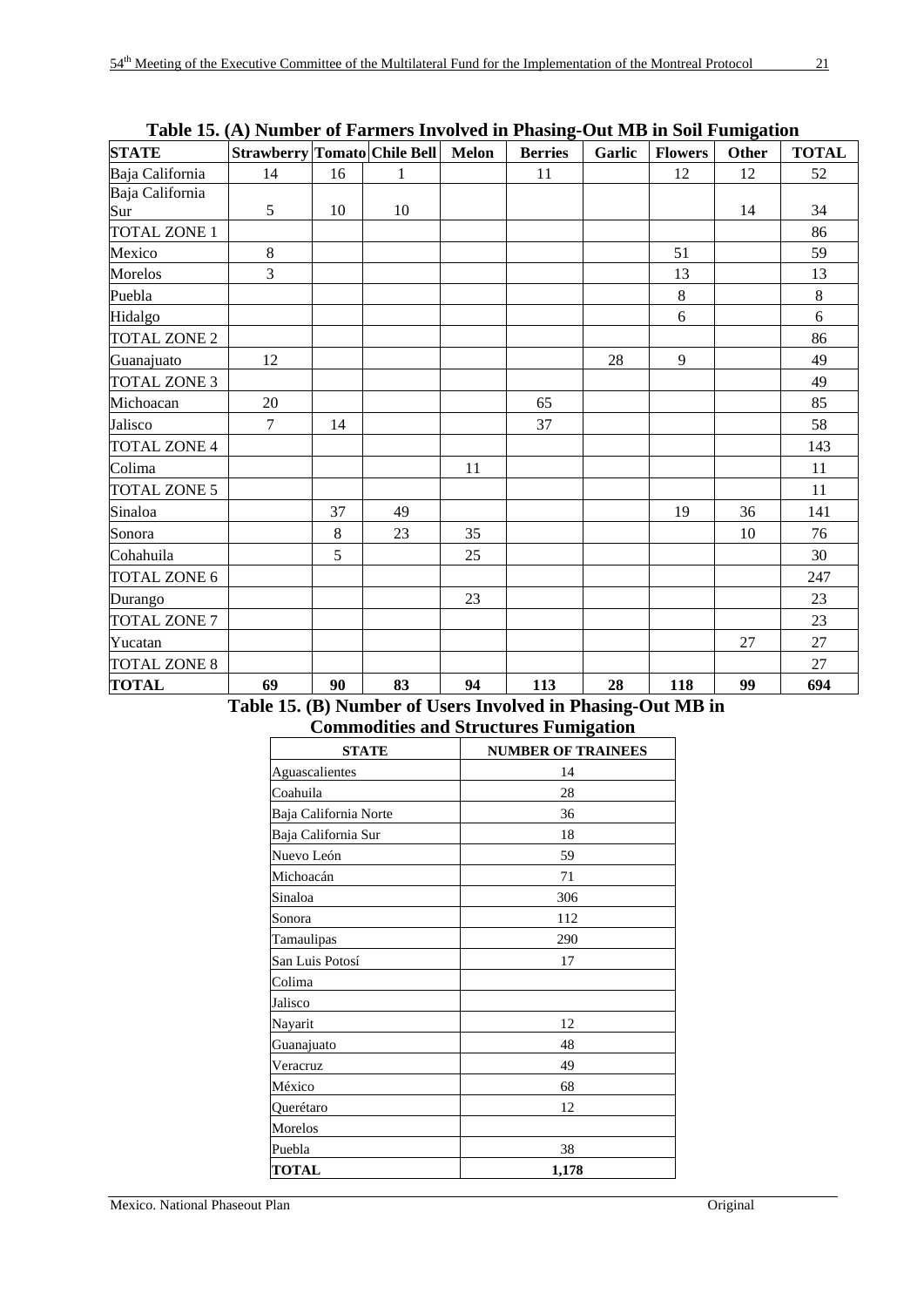|                     | There is, $\{11\}$ is an order of a matrix of the set of the matrix of $\{11\}$ one is the bound matrix of the set of $\{12\}$ |         |              |    |                |        |                |              |              |
|---------------------|--------------------------------------------------------------------------------------------------------------------------------|---------|--------------|----|----------------|--------|----------------|--------------|--------------|
| <b>STATE</b>        | Strawberry Tomato Chile Bell Melon                                                                                             |         |              |    | <b>Berries</b> | Garlic | <b>Flowers</b> | <b>Other</b> | <b>TOTAL</b> |
| Baja California     | 14                                                                                                                             | 16      | $\mathbf{1}$ |    | 11             |        | 12             | 12           | 52           |
| Baja California     |                                                                                                                                |         |              |    |                |        |                |              |              |
| Sur                 | $5\overline{)}$                                                                                                                | 10      | 10           |    |                |        |                | 14           | 34           |
| TOTAL ZONE 1        |                                                                                                                                |         |              |    |                |        |                |              | 86           |
| Mexico              | $\,8\,$                                                                                                                        |         |              |    |                |        | 51             |              | 59           |
| Morelos             | $\overline{3}$                                                                                                                 |         |              |    |                |        | 13             |              | 13           |
| Puebla              |                                                                                                                                |         |              |    |                |        | 8              |              | $\,8\,$      |
| Hidalgo             |                                                                                                                                |         |              |    |                |        | 6              |              | 6            |
| <b>TOTAL ZONE 2</b> |                                                                                                                                |         |              |    |                |        |                |              | 86           |
| Guanajuato          | 12                                                                                                                             |         |              |    |                | 28     | 9              |              | 49           |
| <b>TOTAL ZONE 3</b> |                                                                                                                                |         |              |    |                |        |                |              | 49           |
| Michoacan           | 20                                                                                                                             |         |              |    | 65             |        |                |              | 85           |
| Jalisco             | $\tau$                                                                                                                         | 14      |              |    | 37             |        |                |              | 58           |
| <b>TOTAL ZONE 4</b> |                                                                                                                                |         |              |    |                |        |                |              | 143          |
| Colima              |                                                                                                                                |         |              | 11 |                |        |                |              | 11           |
| <b>TOTAL ZONE 5</b> |                                                                                                                                |         |              |    |                |        |                |              | 11           |
| Sinaloa             |                                                                                                                                | 37      | 49           |    |                |        | 19             | 36           | 141          |
| Sonora              |                                                                                                                                | $\,8\,$ | 23           | 35 |                |        |                | 10           | 76           |
| Cohahuila           |                                                                                                                                | 5       |              | 25 |                |        |                |              | 30           |
| TOTAL ZONE 6        |                                                                                                                                |         |              |    |                |        |                |              | 247          |
| Durango             |                                                                                                                                |         |              | 23 |                |        |                |              | 23           |
| <b>TOTAL ZONE 7</b> |                                                                                                                                |         |              |    |                |        |                |              | 23           |
| Yucatan             |                                                                                                                                |         |              |    |                |        |                | 27           | 27           |
| <b>TOTAL ZONE 8</b> |                                                                                                                                |         |              |    |                |        |                |              | 27           |
| <b>TOTAL</b>        | 69                                                                                                                             | 90      | 83           | 94 | 113            | 28     | 118            | 99           | 694          |

**Table 15. (A) Number of Farmers Involved in Phasing-Out MB in Soil Fumigation** 

| Table 15. (B) Number of Users Involved in Phasing-Out MB in |  |
|-------------------------------------------------------------|--|
| <b>Commodities and Structures Fumigation</b>                |  |

| <b>STATE</b>          | <b>NUMBER OF TRAINEES</b> |
|-----------------------|---------------------------|
| Aguascalientes        | 14                        |
| Coahuila              | 28                        |
| Baja California Norte | 36                        |
| Baja California Sur   | 18                        |
| Nuevo León            | 59                        |
| Michoacán             | 71                        |
| Sinaloa               | 306                       |
| Sonora                | 112                       |
| Tamaulipas            | 290                       |
| San Luis Potosí       | 17                        |
| Colima                |                           |
| Jalisco               |                           |
| Nayarit               | 12                        |
| Guanajuato            | 48                        |
| Veracruz              | 49                        |
| México                | 68                        |
| Querétaro             | 12                        |
| Morelos               |                           |
| Puebla                | 38                        |
| <b>TOTAL</b>          | 1,178                     |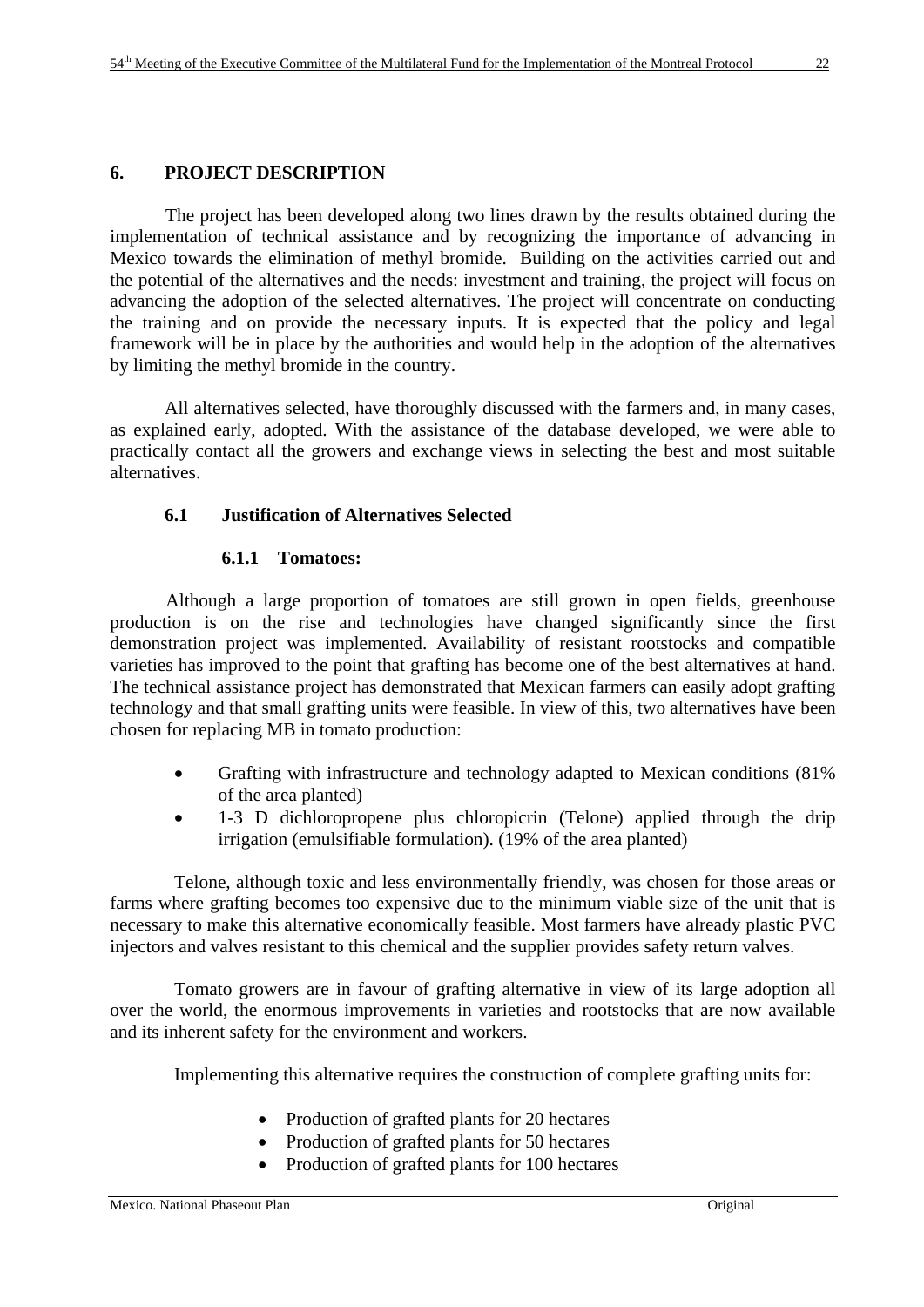# **6. PROJECT DESCRIPTION**

 The project has been developed along two lines drawn by the results obtained during the implementation of technical assistance and by recognizing the importance of advancing in Mexico towards the elimination of methyl bromide. Building on the activities carried out and the potential of the alternatives and the needs: investment and training, the project will focus on advancing the adoption of the selected alternatives. The project will concentrate on conducting the training and on provide the necessary inputs. It is expected that the policy and legal framework will be in place by the authorities and would help in the adoption of the alternatives by limiting the methyl bromide in the country.

 All alternatives selected, have thoroughly discussed with the farmers and, in many cases, as explained early, adopted. With the assistance of the database developed, we were able to practically contact all the growers and exchange views in selecting the best and most suitable alternatives.

# **6.1 Justification of Alternatives Selected**

# **6.1.1 Tomatoes:**

 Although a large proportion of tomatoes are still grown in open fields, greenhouse production is on the rise and technologies have changed significantly since the first demonstration project was implemented. Availability of resistant rootstocks and compatible varieties has improved to the point that grafting has become one of the best alternatives at hand. The technical assistance project has demonstrated that Mexican farmers can easily adopt grafting technology and that small grafting units were feasible. In view of this, two alternatives have been chosen for replacing MB in tomato production:

- Grafting with infrastructure and technology adapted to Mexican conditions (81%) of the area planted)
- 1-3 D dichloropropene plus chloropicrin (Telone) applied through the drip irrigation (emulsifiable formulation). (19% of the area planted)

 Telone, although toxic and less environmentally friendly, was chosen for those areas or farms where grafting becomes too expensive due to the minimum viable size of the unit that is necessary to make this alternative economically feasible. Most farmers have already plastic PVC injectors and valves resistant to this chemical and the supplier provides safety return valves.

 Tomato growers are in favour of grafting alternative in view of its large adoption all over the world, the enormous improvements in varieties and rootstocks that are now available and its inherent safety for the environment and workers.

Implementing this alternative requires the construction of complete grafting units for:

- Production of grafted plants for 20 hectares
- Production of grafted plants for 50 hectares
- Production of grafted plants for 100 hectares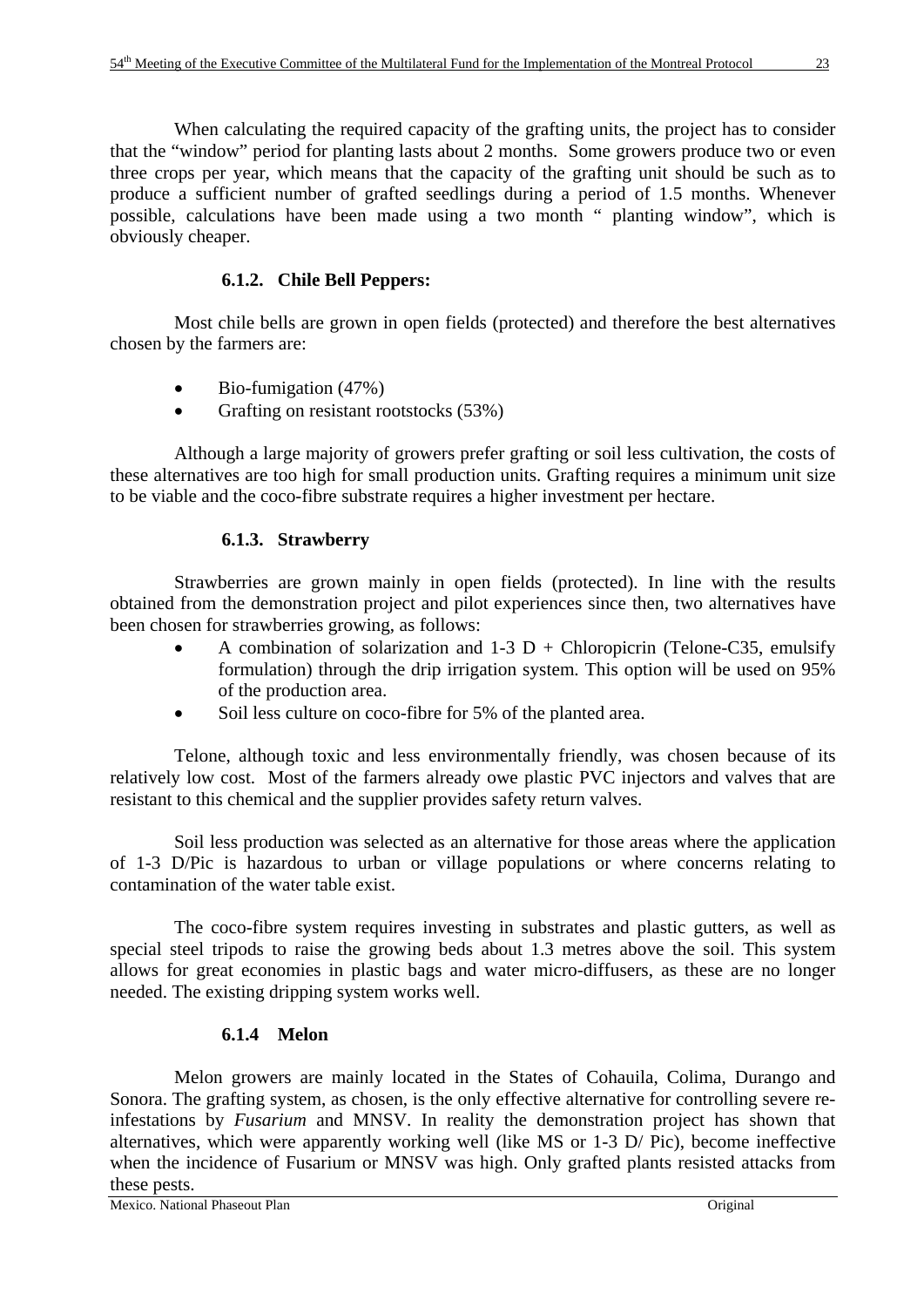When calculating the required capacity of the grafting units, the project has to consider that the "window" period for planting lasts about 2 months. Some growers produce two or even three crops per year, which means that the capacity of the grafting unit should be such as to produce a sufficient number of grafted seedlings during a period of 1.5 months. Whenever possible, calculations have been made using a two month " planting window", which is obviously cheaper.

# **6.1.2. Chile Bell Peppers:**

 Most chile bells are grown in open fields (protected) and therefore the best alternatives chosen by the farmers are:

- Bio-fumigation (47%)
- Grafting on resistant rootstocks (53%)

 Although a large majority of growers prefer grafting or soil less cultivation, the costs of these alternatives are too high for small production units. Grafting requires a minimum unit size to be viable and the coco-fibre substrate requires a higher investment per hectare.

# **6.1.3. Strawberry**

 Strawberries are grown mainly in open fields (protected). In line with the results obtained from the demonstration project and pilot experiences since then, two alternatives have been chosen for strawberries growing, as follows:

- A combination of solarization and  $1-3$  D + Chloropicrin (Telone-C35, emulsify formulation) through the drip irrigation system. This option will be used on 95% of the production area.
- Soil less culture on coco-fibre for 5% of the planted area.

 Telone, although toxic and less environmentally friendly, was chosen because of its relatively low cost. Most of the farmers already owe plastic PVC injectors and valves that are resistant to this chemical and the supplier provides safety return valves.

 Soil less production was selected as an alternative for those areas where the application of 1-3 D/Pic is hazardous to urban or village populations or where concerns relating to contamination of the water table exist.

 The coco-fibre system requires investing in substrates and plastic gutters, as well as special steel tripods to raise the growing beds about 1.3 metres above the soil. This system allows for great economies in plastic bags and water micro-diffusers, as these are no longer needed. The existing dripping system works well.

# **6.1.4 Melon**

 Melon growers are mainly located in the States of Cohauila, Colima, Durango and Sonora. The grafting system, as chosen, is the only effective alternative for controlling severe reinfestations by *Fusarium* and MNSV. In reality the demonstration project has shown that alternatives, which were apparently working well (like MS or 1-3 D/ Pic), become ineffective when the incidence of Fusarium or MNSV was high. Only grafted plants resisted attacks from these pests.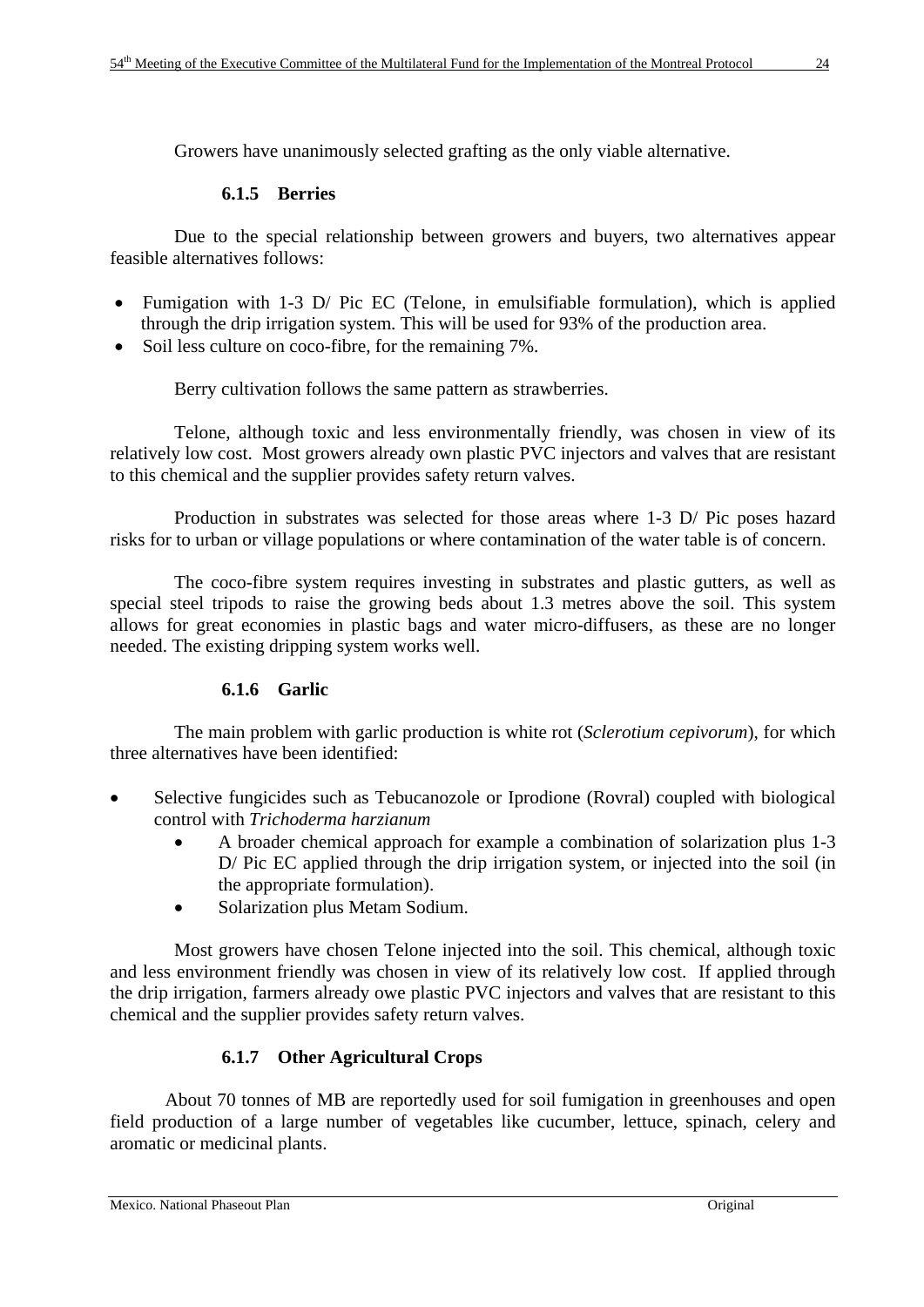Growers have unanimously selected grafting as the only viable alternative.

# **6.1.5 Berries**

 Due to the special relationship between growers and buyers, two alternatives appear feasible alternatives follows:

- Fumigation with 1-3 D/ Pic EC (Telone, in emulsifiable formulation), which is applied through the drip irrigation system. This will be used for 93% of the production area.
- Soil less culture on coco-fibre, for the remaining 7%.

Berry cultivation follows the same pattern as strawberries.

 Telone, although toxic and less environmentally friendly, was chosen in view of its relatively low cost. Most growers already own plastic PVC injectors and valves that are resistant to this chemical and the supplier provides safety return valves.

 Production in substrates was selected for those areas where 1-3 D/ Pic poses hazard risks for to urban or village populations or where contamination of the water table is of concern.

 The coco-fibre system requires investing in substrates and plastic gutters, as well as special steel tripods to raise the growing beds about 1.3 metres above the soil. This system allows for great economies in plastic bags and water micro-diffusers, as these are no longer needed. The existing dripping system works well.

# **6.1.6 Garlic**

 The main problem with garlic production is white rot (*Sclerotium cepivorum*), for which three alternatives have been identified:

- Selective fungicides such as Tebucanozole or Iprodione (Rovral) coupled with biological control with *Trichoderma harzianum*
	- A broader chemical approach for example a combination of solarization plus 1-3 D/ Pic EC applied through the drip irrigation system, or injected into the soil (in the appropriate formulation).
	- Solarization plus Metam Sodium.

 Most growers have chosen Telone injected into the soil. This chemical, although toxic and less environment friendly was chosen in view of its relatively low cost. If applied through the drip irrigation, farmers already owe plastic PVC injectors and valves that are resistant to this chemical and the supplier provides safety return valves.

# **6.1.7 Other Agricultural Crops**

About 70 tonnes of MB are reportedly used for soil fumigation in greenhouses and open field production of a large number of vegetables like cucumber, lettuce, spinach, celery and aromatic or medicinal plants.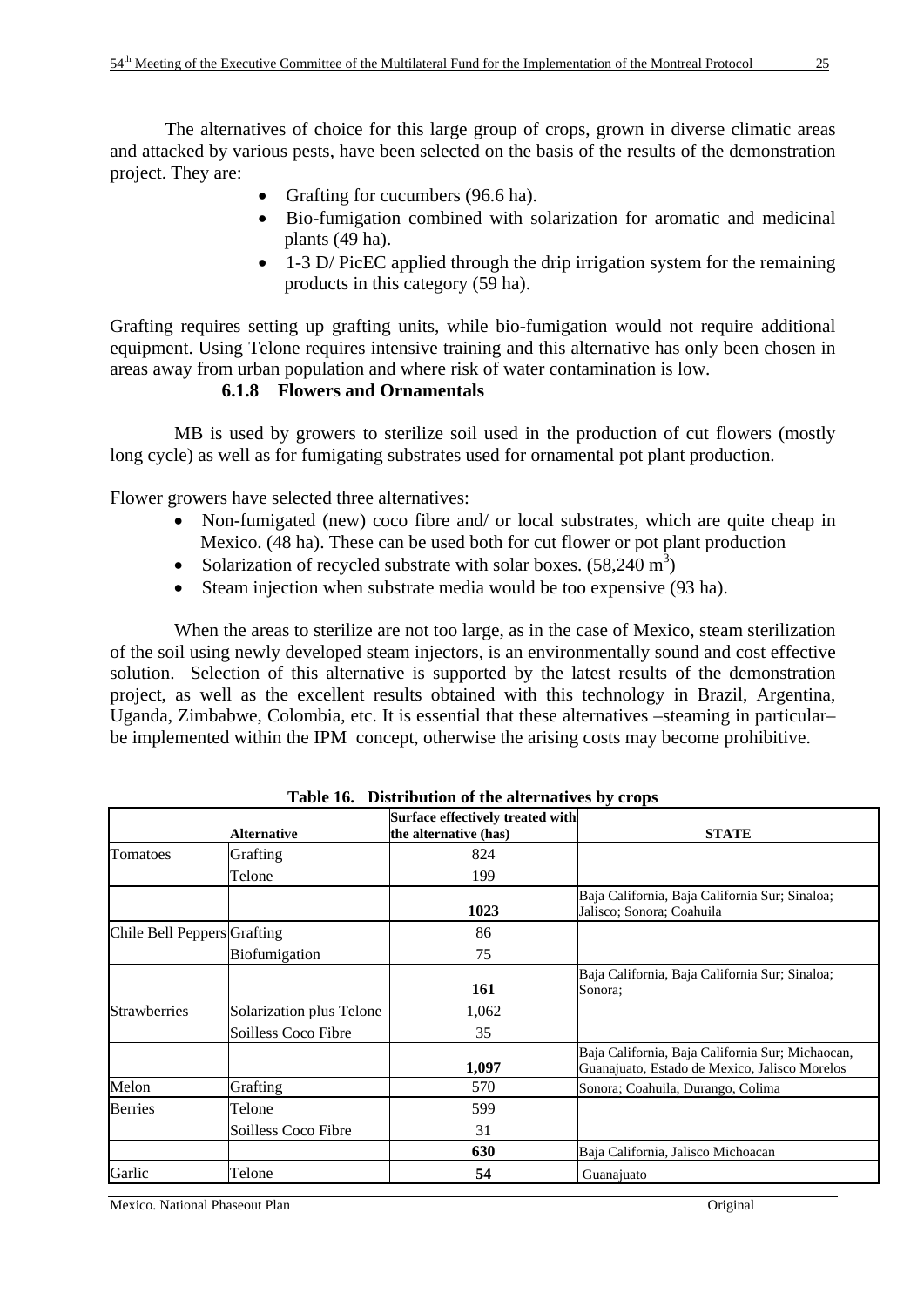The alternatives of choice for this large group of crops, grown in diverse climatic areas and attacked by various pests, have been selected on the basis of the results of the demonstration project. They are:

- Grafting for cucumbers (96.6 ha).
- Bio-fumigation combined with solarization for aromatic and medicinal plants (49 ha).
- 1-3 D/ PicEC applied through the drip irrigation system for the remaining products in this category (59 ha).

Grafting requires setting up grafting units, while bio-fumigation would not require additional equipment. Using Telone requires intensive training and this alternative has only been chosen in areas away from urban population and where risk of water contamination is low.

# **6.1.8 Flowers and Ornamentals**

 MB is used by growers to sterilize soil used in the production of cut flowers (mostly long cycle) as well as for fumigating substrates used for ornamental pot plant production.

Flower growers have selected three alternatives:

- Non-fumigated (new) coco fibre and/ or local substrates, which are quite cheap in Mexico. (48 ha). These can be used both for cut flower or pot plant production
- Solarization of recycled substrate with solar boxes.  $(58,240 \text{ m}^3)$
- Steam injection when substrate media would be too expensive (93 ha).

 When the areas to sterilize are not too large, as in the case of Mexico, steam sterilization of the soil using newly developed steam injectors, is an environmentally sound and cost effective solution. Selection of this alternative is supported by the latest results of the demonstration project, as well as the excellent results obtained with this technology in Brazil, Argentina, Uganda, Zimbabwe, Colombia, etc. It is essential that these alternatives –steaming in particular– be implemented within the IPM concept, otherwise the arising costs may become prohibitive.

|                             | <b>Alternative</b>       | $\mathbf{L}$ is a control of the direction $\mathbf{L}$ is $\mathbf{L}$ of $\mathbf{L}$<br>Surface effectively treated with<br>the alternative (has) | <b>STATE</b>                                                                                      |
|-----------------------------|--------------------------|------------------------------------------------------------------------------------------------------------------------------------------------------|---------------------------------------------------------------------------------------------------|
| Tomatoes                    | Grafting                 | 824                                                                                                                                                  |                                                                                                   |
|                             | Telone                   | 199                                                                                                                                                  |                                                                                                   |
|                             |                          | 1023                                                                                                                                                 | Baja California, Baja California Sur; Sinaloa;<br>Jalisco; Sonora; Coahuila                       |
| Chile Bell Peppers Grafting |                          | 86                                                                                                                                                   |                                                                                                   |
|                             | Biofumigation            | 75                                                                                                                                                   |                                                                                                   |
|                             |                          | 161                                                                                                                                                  | Baja California, Baja California Sur; Sinaloa;<br>Sonora:                                         |
| <b>Strawberries</b>         | Solarization plus Telone | 1,062                                                                                                                                                |                                                                                                   |
|                             | Soilless Coco Fibre      | 35                                                                                                                                                   |                                                                                                   |
|                             |                          | 1,097                                                                                                                                                | Baja California, Baja California Sur; Michaocan,<br>Guanajuato, Estado de Mexico, Jalisco Morelos |
| Melon                       | Grafting                 | 570                                                                                                                                                  | Sonora; Coahuila, Durango, Colima                                                                 |
| <b>Berries</b>              | Telone                   | 599                                                                                                                                                  |                                                                                                   |
|                             | Soilless Coco Fibre      | 31                                                                                                                                                   |                                                                                                   |
|                             |                          | 630                                                                                                                                                  | Baja California, Jalisco Michoacan                                                                |
| Garlic                      | Telone                   | 54                                                                                                                                                   | Guanajuato                                                                                        |

**Table 16. Distribution of the alternatives by crops** 

Mexico. National Phaseout Plan Original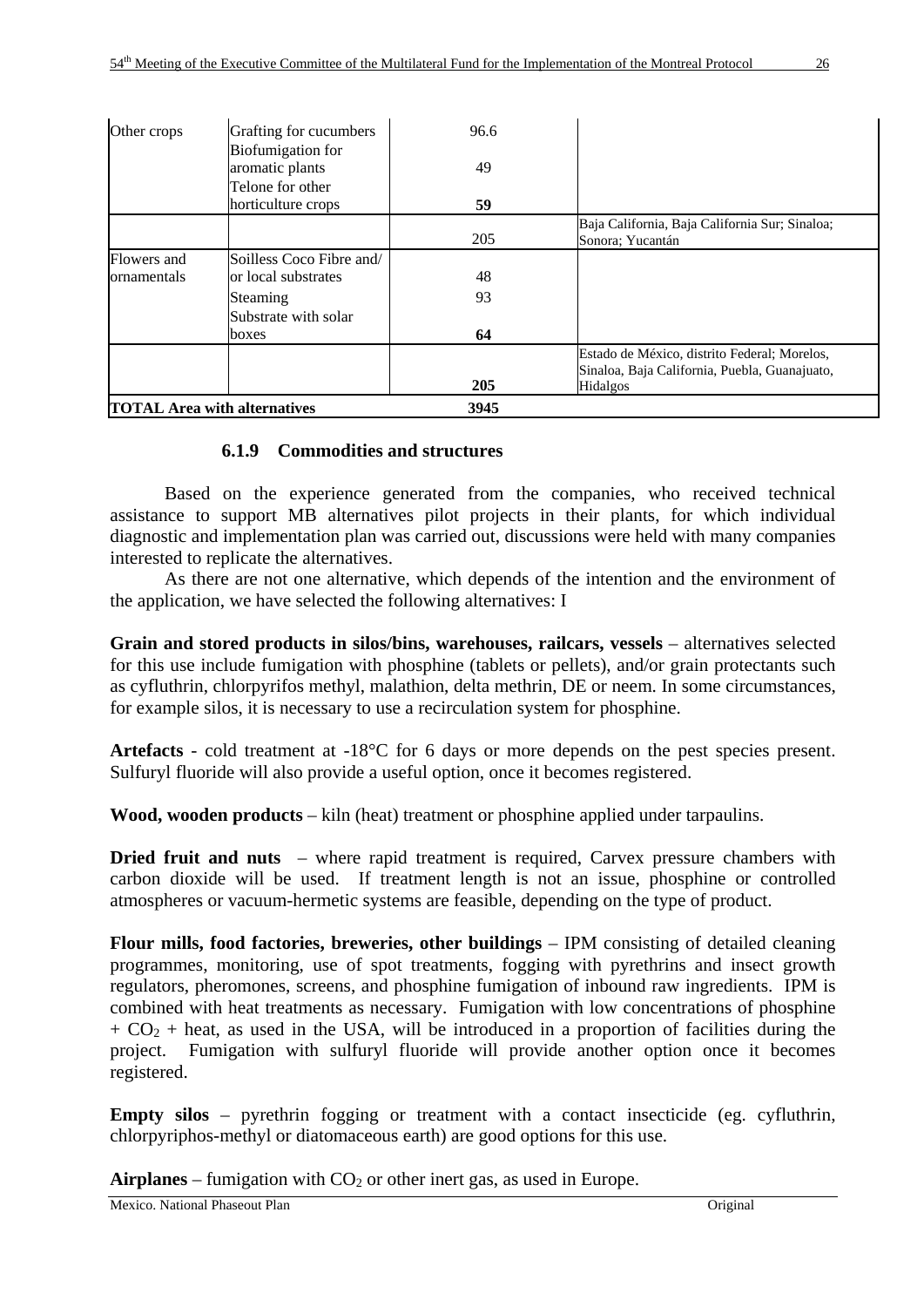| Other crops | Grafting for cucumbers                      | 96.6 |                                                                                                                  |
|-------------|---------------------------------------------|------|------------------------------------------------------------------------------------------------------------------|
|             | <b>Biofumigation</b> for<br>aromatic plants | 49   |                                                                                                                  |
|             | Telone for other                            |      |                                                                                                                  |
|             | horticulture crops                          | 59   |                                                                                                                  |
|             |                                             | 205  | Baja California, Baja California Sur; Sinaloa;<br>Sonora: Yucantán                                               |
| Flowers and | Soilless Coco Fibre and/                    |      |                                                                                                                  |
| ornamentals | or local substrates                         | 48   |                                                                                                                  |
|             | Steaming                                    | 93   |                                                                                                                  |
|             | Substrate with solar                        |      |                                                                                                                  |
|             | boxes                                       | 64   |                                                                                                                  |
|             |                                             | 205  | Estado de México, distrito Federal; Morelos,<br>Sinaloa, Baja California, Puebla, Guanajuato,<br><b>Hidalgos</b> |
|             | <b>TOTAL Area with alternatives</b>         | 3945 |                                                                                                                  |

# **6.1.9 Commodities and structures**

Based on the experience generated from the companies, who received technical assistance to support MB alternatives pilot projects in their plants, for which individual diagnostic and implementation plan was carried out, discussions were held with many companies interested to replicate the alternatives.

As there are not one alternative, which depends of the intention and the environment of the application, we have selected the following alternatives: I

**Grain and stored products in silos/bins, warehouses, railcars, vessels** – alternatives selected for this use include fumigation with phosphine (tablets or pellets), and/or grain protectants such as cyfluthrin, chlorpyrifos methyl, malathion, delta methrin, DE or neem. In some circumstances, for example silos, it is necessary to use a recirculation system for phosphine.

**Artefacts** - cold treatment at -18°C for 6 days or more depends on the pest species present. Sulfuryl fluoride will also provide a useful option, once it becomes registered.

**Wood, wooden products** – kiln (heat) treatment or phosphine applied under tarpaulins.

**Dried fruit and nuts** – where rapid treatment is required, Carvex pressure chambers with carbon dioxide will be used. If treatment length is not an issue, phosphine or controlled atmospheres or vacuum-hermetic systems are feasible, depending on the type of product.

**Flour mills, food factories, breweries, other buildings** – IPM consisting of detailed cleaning programmes, monitoring, use of spot treatments, fogging with pyrethrins and insect growth regulators, pheromones, screens, and phosphine fumigation of inbound raw ingredients. IPM is combined with heat treatments as necessary. Fumigation with low concentrations of phosphine  $+ CO<sub>2</sub> + heat$ , as used in the USA, will be introduced in a proportion of facilities during the project. Fumigation with sulfuryl fluoride will provide another option once it becomes registered.

**Empty silos** – pyrethrin fogging or treatment with a contact insecticide (eg. cyfluthrin, chlorpyriphos-methyl or diatomaceous earth) are good options for this use.

**Airplanes** – fumigation with  $CO<sub>2</sub>$  or other inert gas, as used in Europe.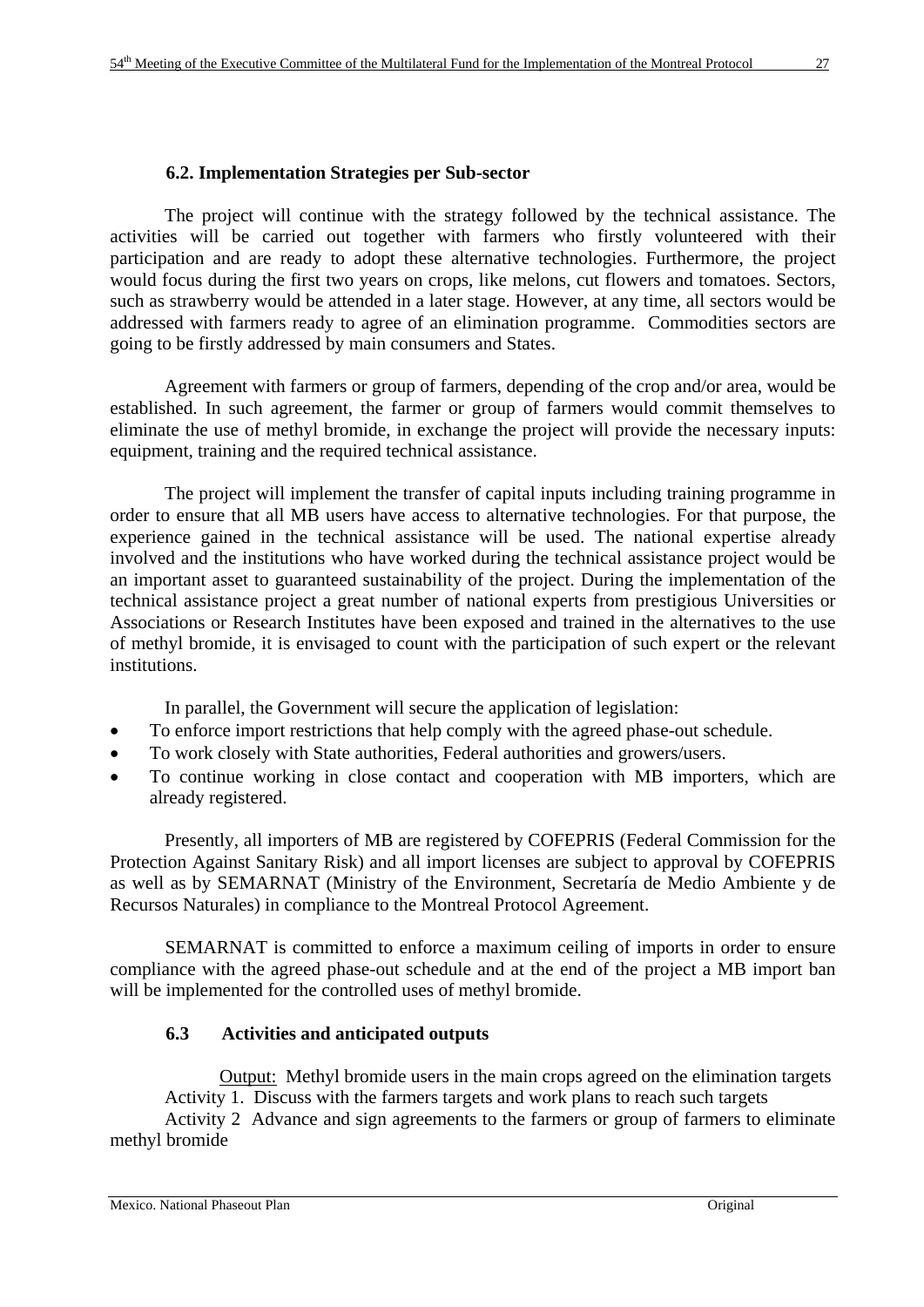# **6.2. Implementation Strategies per Sub-sector**

The project will continue with the strategy followed by the technical assistance. The activities will be carried out together with farmers who firstly volunteered with their participation and are ready to adopt these alternative technologies. Furthermore, the project would focus during the first two years on crops, like melons, cut flowers and tomatoes. Sectors, such as strawberry would be attended in a later stage. However, at any time, all sectors would be addressed with farmers ready to agree of an elimination programme. Commodities sectors are going to be firstly addressed by main consumers and States.

Agreement with farmers or group of farmers, depending of the crop and/or area, would be established. In such agreement, the farmer or group of farmers would commit themselves to eliminate the use of methyl bromide, in exchange the project will provide the necessary inputs: equipment, training and the required technical assistance.

The project will implement the transfer of capital inputs including training programme in order to ensure that all MB users have access to alternative technologies. For that purpose, the experience gained in the technical assistance will be used. The national expertise already involved and the institutions who have worked during the technical assistance project would be an important asset to guaranteed sustainability of the project. During the implementation of the technical assistance project a great number of national experts from prestigious Universities or Associations or Research Institutes have been exposed and trained in the alternatives to the use of methyl bromide, it is envisaged to count with the participation of such expert or the relevant institutions.

In parallel, the Government will secure the application of legislation:

- To enforce import restrictions that help comply with the agreed phase-out schedule.
- To work closely with State authorities, Federal authorities and growers/users.
- To continue working in close contact and cooperation with MB importers, which are already registered.

 Presently, all importers of MB are registered by COFEPRIS (Federal Commission for the Protection Against Sanitary Risk) and all import licenses are subject to approval by COFEPRIS as well as by SEMARNAT (Ministry of the Environment, Secretaría de Medio Ambiente y de Recursos Naturales) in compliance to the Montreal Protocol Agreement.

SEMARNAT is committed to enforce a maximum ceiling of imports in order to ensure compliance with the agreed phase-out schedule and at the end of the project a MB import ban will be implemented for the controlled uses of methyl bromide.

# **6.3 Activities and anticipated outputs**

Output: Methyl bromide users in the main crops agreed on the elimination targets Activity 1. Discuss with the farmers targets and work plans to reach such targets

Activity 2 Advance and sign agreements to the farmers or group of farmers to eliminate methyl bromide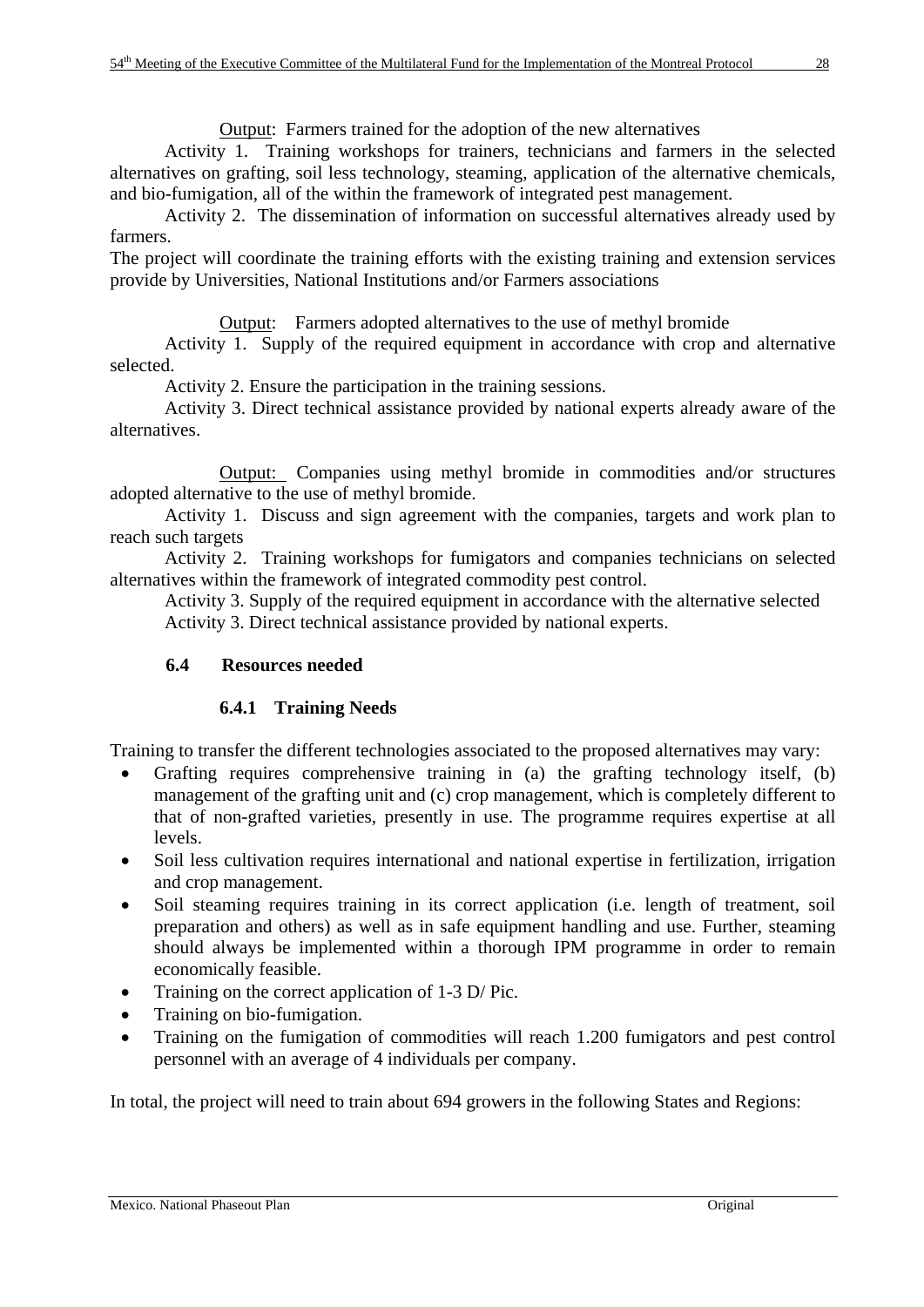Output: Farmers trained for the adoption of the new alternatives

 Activity 1. Training workshops for trainers, technicians and farmers in the selected alternatives on grafting, soil less technology, steaming, application of the alternative chemicals, and bio-fumigation, all of the within the framework of integrated pest management.

 Activity 2. The dissemination of information on successful alternatives already used by farmers.

The project will coordinate the training efforts with the existing training and extension services provide by Universities, National Institutions and/or Farmers associations

Output: Farmers adopted alternatives to the use of methyl bromide

 Activity 1. Supply of the required equipment in accordance with crop and alternative selected.

Activity 2. Ensure the participation in the training sessions.

 Activity 3. Direct technical assistance provided by national experts already aware of the alternatives.

 Output: Companies using methyl bromide in commodities and/or structures adopted alternative to the use of methyl bromide.

Activity 1. Discuss and sign agreement with the companies, targets and work plan to reach such targets

Activity 2. Training workshops for fumigators and companies technicians on selected alternatives within the framework of integrated commodity pest control.

 Activity 3. Supply of the required equipment in accordance with the alternative selected Activity 3. Direct technical assistance provided by national experts.

# **6.4 Resources needed**

# **6.4.1 Training Needs**

Training to transfer the different technologies associated to the proposed alternatives may vary:

- Grafting requires comprehensive training in (a) the grafting technology itself, (b) management of the grafting unit and (c) crop management, which is completely different to that of non-grafted varieties, presently in use. The programme requires expertise at all levels.
- Soil less cultivation requires international and national expertise in fertilization, irrigation and crop management.
- Soil steaming requires training in its correct application (i.e. length of treatment, soil preparation and others) as well as in safe equipment handling and use. Further, steaming should always be implemented within a thorough IPM programme in order to remain economically feasible.
- Training on the correct application of 1-3 D/ Pic.
- Training on bio-fumigation.
- Training on the fumigation of commodities will reach 1.200 fumigators and pest control personnel with an average of 4 individuals per company.

In total, the project will need to train about 694 growers in the following States and Regions: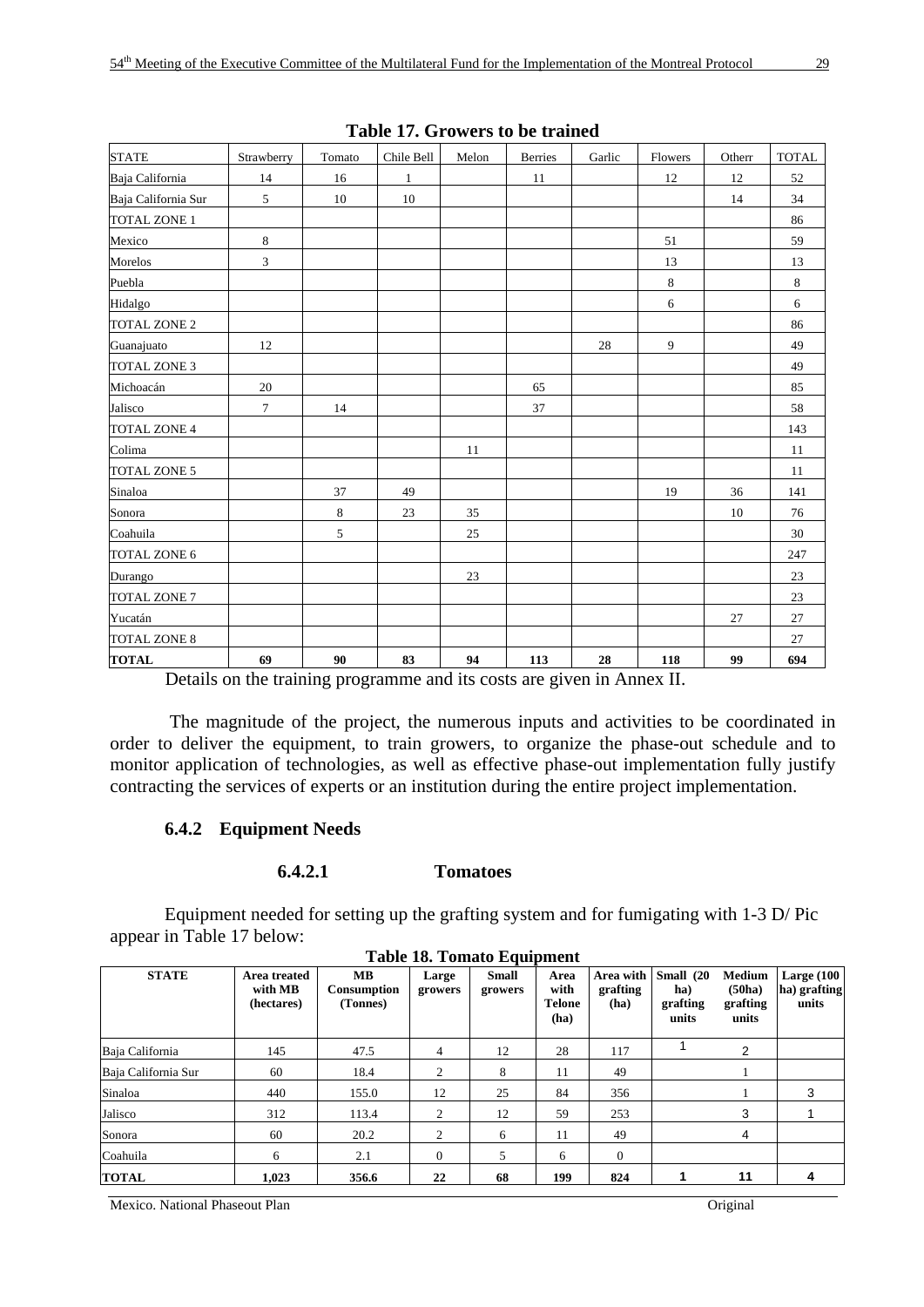| Table 17. STOWERS to be trained      |                                               |        |              |                     |                      |                               |                     |        |              |  |  |
|--------------------------------------|-----------------------------------------------|--------|--------------|---------------------|----------------------|-------------------------------|---------------------|--------|--------------|--|--|
| <b>STATE</b>                         | Strawberry                                    | Tomato | Chile Bell   | Melon               | <b>Berries</b>       | Garlic                        | Flowers             | Otherr | <b>TOTAL</b> |  |  |
| Baja California                      | 14                                            | 16     | $\mathbf{1}$ |                     | 11                   |                               | 12                  | $12\,$ | 52           |  |  |
| Baja California Sur                  | 5                                             | 10     | 10           |                     |                      |                               |                     | 14     | 34           |  |  |
| TOTAL ZONE 1                         |                                               |        |              |                     |                      |                               |                     |        | 86           |  |  |
| Mexico                               | $\,8\,$                                       |        |              |                     |                      |                               | 51                  |        | 59           |  |  |
| Morelos                              | 3                                             |        |              |                     |                      |                               | 13                  |        | 13           |  |  |
| Puebla                               |                                               |        |              |                     |                      |                               | 8                   |        | $\,8\,$      |  |  |
| Hidalgo                              |                                               |        |              |                     |                      |                               | 6                   |        | 6            |  |  |
| <b>TOTAL ZONE 2</b>                  |                                               |        |              |                     |                      |                               |                     |        | 86           |  |  |
| Guanajuato                           | 12                                            |        |              |                     |                      | 28                            | 9                   |        | 49           |  |  |
| <b>TOTAL ZONE 3</b>                  |                                               |        |              |                     |                      |                               |                     |        | 49           |  |  |
| Michoacán                            | $20\,$                                        |        |              |                     | 65                   |                               |                     |        | 85           |  |  |
| Jalisco                              | $\tau$                                        | 14     |              |                     | 37                   |                               |                     |        | 58           |  |  |
| <b>TOTAL ZONE 4</b>                  |                                               |        |              |                     |                      |                               |                     |        | 143          |  |  |
| Colima                               |                                               |        |              | 11                  |                      |                               |                     |        | 11           |  |  |
| <b>TOTAL ZONE 5</b>                  |                                               |        |              |                     |                      |                               |                     |        | 11           |  |  |
| Sinaloa                              |                                               | 37     | 49           |                     |                      |                               | 19                  | 36     | 141          |  |  |
| Sonora                               |                                               | 8      | 23           | 35                  |                      |                               |                     | 10     | 76           |  |  |
| Coahuila                             |                                               | 5      |              | 25                  |                      |                               |                     |        | 30           |  |  |
| TOTAL ZONE 6                         |                                               |        |              |                     |                      |                               |                     |        | 247          |  |  |
| Durango                              |                                               |        |              | 23                  |                      |                               |                     |        | 23           |  |  |
| <b>TOTAL ZONE 7</b>                  |                                               |        |              |                     |                      |                               |                     |        | $23\,$       |  |  |
| Yucatán                              |                                               |        |              |                     |                      |                               |                     | 27     | 27           |  |  |
| <b>TOTAL ZONE 8</b>                  |                                               |        |              |                     |                      |                               |                     |        | 27           |  |  |
| <b>TOTAL</b><br>$\sim$ $\sim$ $\sim$ | 69<br>$\sim$ $\sim$ $\sim$<br><b>Contract</b> | 90     | 83           | 94<br>$\sim$ $\sim$ | 113<br>$\sim$ $\sim$ | 28<br>$\sim$ $\sim$<br>$\sim$ | 118<br>$\mathbf{r}$ | 99     | 694          |  |  |

**Table 17. Growers to be trained** 

Details on the training programme and its costs are given in Annex II.

 The magnitude of the project, the numerous inputs and activities to be coordinated in order to deliver the equipment, to train growers, to organize the phase-out schedule and to monitor application of technologies, as well as effective phase-out implementation fully justify contracting the services of experts or an institution during the entire project implementation.

# **6.4.2 Equipment Needs**

#### **6.4.2.1 Tomatoes**

Equipment needed for setting up the grafting system and for fumigating with 1-3 D/ Pic appear in Table 17 below:

| <b>STATE</b>        | Area treated<br>with MB<br>(hectares) | <b>MB</b><br>Consumption<br>(Tonnes) | Large<br>growers | <b>Small</b><br>growers | Area<br>with<br><b>Telone</b><br>(ha) | Area with<br>grafting<br>(ha) | Small (20<br>ha)<br>grafting<br>units | <b>Medium</b><br>(50ha)<br>grafting<br>units | Large $(100$<br>ha) grafting<br>units |
|---------------------|---------------------------------------|--------------------------------------|------------------|-------------------------|---------------------------------------|-------------------------------|---------------------------------------|----------------------------------------------|---------------------------------------|
| Baja California     | 145                                   | 47.5                                 | $\overline{4}$   | 12                      | 28                                    | 117                           |                                       | 2                                            |                                       |
| Baja California Sur | 60                                    | 18.4                                 | 2                | 8                       | 11                                    | 49                            |                                       |                                              |                                       |
| Sinaloa             | 440                                   | 155.0                                | 12               | 25                      | 84                                    | 356                           |                                       |                                              | 3                                     |
| Jalisco             | 312                                   | 113.4                                | 2                | 12                      | 59                                    | 253                           |                                       | 3                                            |                                       |
| Sonora              | 60                                    | 20.2                                 | 2                | 6                       | 11                                    | 49                            |                                       | 4                                            |                                       |
| Coahuila            | 6                                     | 2.1                                  | $\overline{0}$   | 5                       | 6                                     | $\overline{0}$                |                                       |                                              |                                       |
| <b>TOTAL</b>        | 1.023                                 | 356.6                                | 22               | 68                      | 199                                   | 824                           |                                       | 11                                           |                                       |

**Table 18. Tomato Equipment** 

Mexico. National Phaseout Plan Original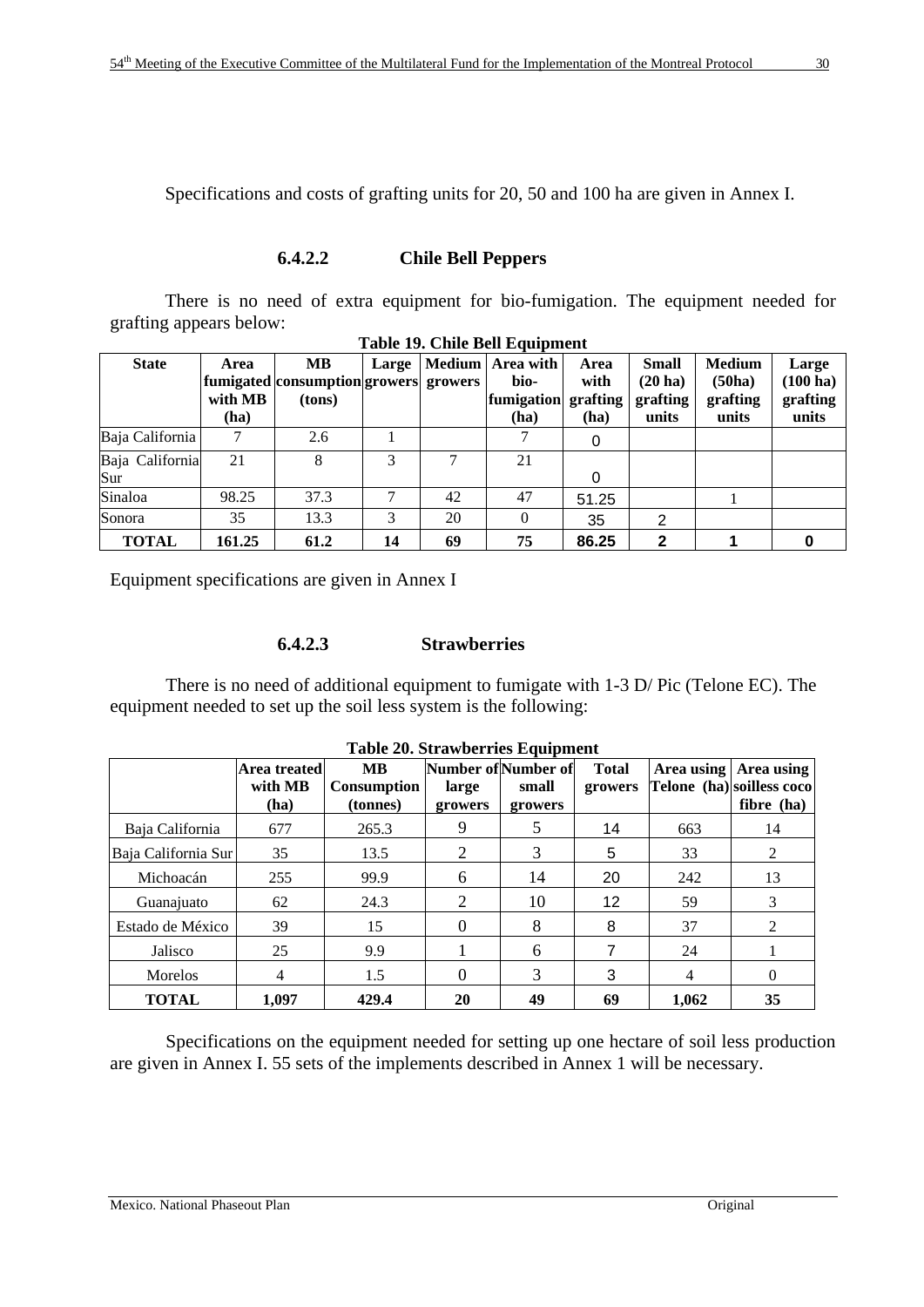Specifications and costs of grafting units for 20, 50 and 100 ha are given in Annex I.

### **6.4.2.2 Chile Bell Peppers**

There is no need of extra equipment for bio-fumigation. The equipment needed for grafting appears below: **Table 19. Chile Bell Equipment** 

| <b>State</b>           | Area<br>with MB<br>(ha) | <b>MB</b><br>fumigated consumption growers growers<br>(tons) | Large |    | Medium   Area with<br>bio-<br>fumigation grafting<br>(ha) | Area<br>with<br>(ha) | <b>Small</b><br>$(20 \text{ ha})$<br>grafting<br>units | <b>Medium</b><br>(50ha)<br>grafting<br>units | Large<br>$(100 \text{ ha})$<br>grafting<br>units |
|------------------------|-------------------------|--------------------------------------------------------------|-------|----|-----------------------------------------------------------|----------------------|--------------------------------------------------------|----------------------------------------------|--------------------------------------------------|
| Baja California        |                         | 2.6                                                          |       |    |                                                           |                      |                                                        |                                              |                                                  |
| Baja California<br>Sur | 21                      | 8                                                            | 3     |    | 21                                                        | 0                    |                                                        |                                              |                                                  |
| Sinaloa                | 98.25                   | 37.3                                                         | 7     | 42 | 47                                                        | 51.25                |                                                        |                                              |                                                  |
| Sonora                 | 35                      | 13.3                                                         | 3     | 20 | $\theta$                                                  | 35                   | 2                                                      |                                              |                                                  |
| <b>TOTAL</b>           | 161.25                  | 61.2                                                         | 14    | 69 | 75                                                        | 86.25                | 2                                                      |                                              |                                                  |

Equipment specifications are given in Annex I

# **6.4.2.3 Strawberries**

There is no need of additional equipment to fumigate with 1-3 D/ Pic (Telone EC). The equipment needed to set up the soil less system is the following:

|                     | Area treated<br>with MB<br>(ha) | <b>MB</b><br><b>Consumption</b><br>(tonnes) | Number of Number of<br>large<br>growers | small<br>growers | <b>Total</b><br>growers |       | Area using   Area using<br>Telone (ha) soilless coco<br>fibre (ha) |
|---------------------|---------------------------------|---------------------------------------------|-----------------------------------------|------------------|-------------------------|-------|--------------------------------------------------------------------|
| Baja California     | 677                             | 265.3                                       | 9                                       |                  | 14                      | 663   | 14                                                                 |
| Baja California Sur | 35                              | 13.5                                        | 2                                       | 3                | 5                       | 33    | 2                                                                  |
| Michoacán           | 255                             | 99.9                                        | 6                                       | 14               | 20                      | 242   | 13                                                                 |
| Guanajuato          | 62                              | 24.3                                        | 2                                       | 10               | 12 <sup>°</sup>         | 59    | 3                                                                  |
| Estado de México    | 39                              | 15                                          | $\Omega$                                | 8                | 8                       | 37    | $\overline{c}$                                                     |
| Jalisco             | 25                              | 9.9                                         |                                         | 6                |                         | 24    |                                                                    |
| Morelos             | 4                               | 1.5                                         | $\Omega$                                | 3                | 3                       | 4     | 0                                                                  |
| <b>TOTAL</b>        | 1.097                           | 429.4                                       | 20                                      | 49               | 69                      | 1.062 | 35                                                                 |

 Specifications on the equipment needed for setting up one hectare of soil less production are given in Annex I. 55 sets of the implements described in Annex 1 will be necessary.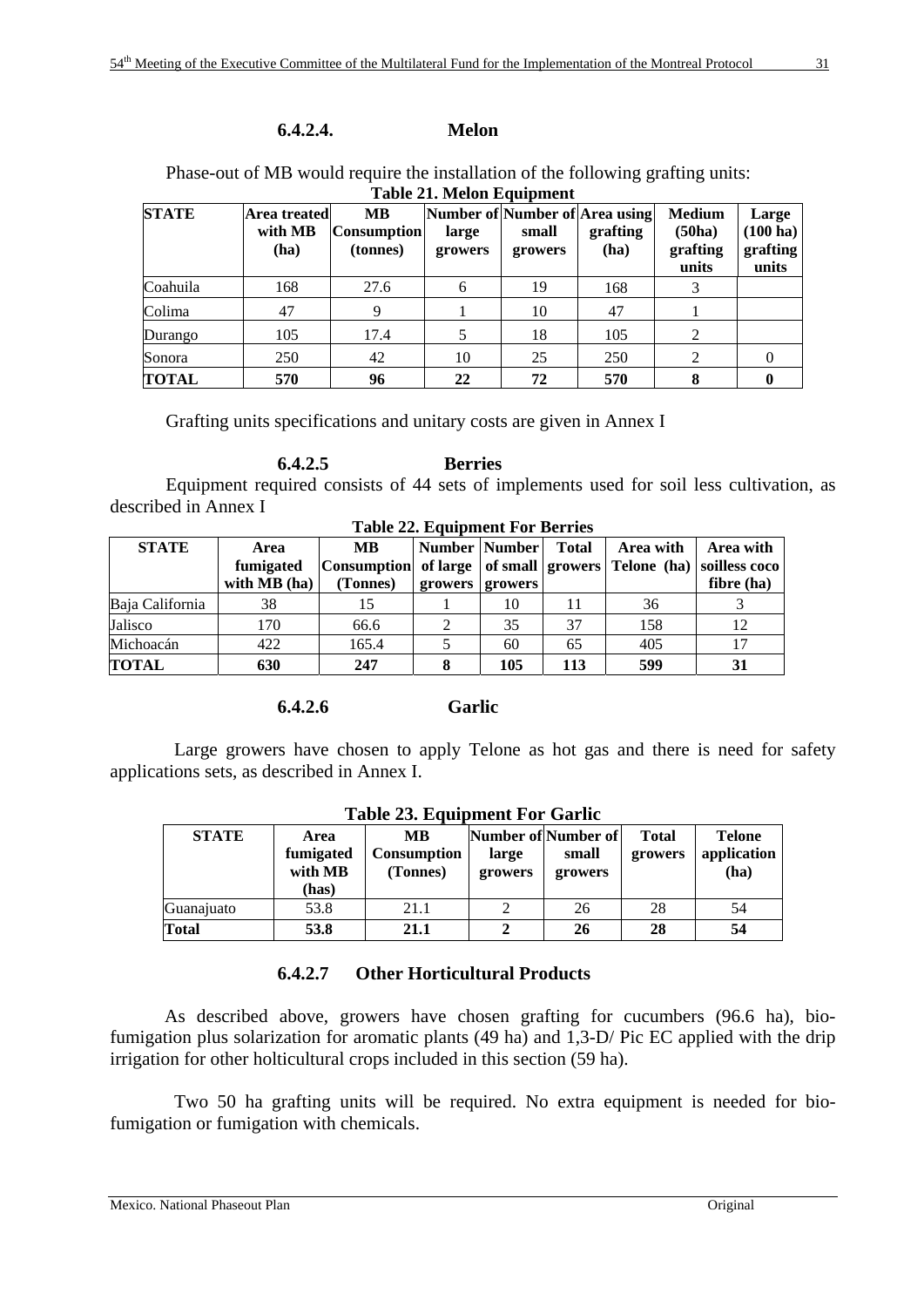# **6.4.2.4. Melon**

Phase-out of MB would require the installation of the following grafting units: **Table 21. Melon Equipment** 

| <b>STATE</b> | Area treated<br>with MB<br>(ha) | <b>MB</b><br><b>Consumption</b><br>(tonnes) | large<br>growers | small<br>growers | Number of Number of Area using<br>grafting<br>(ha) | <b>Medium</b><br>(50ha)<br>grafting<br>units | Large<br>$(100 \text{ ha})$<br>grafting<br>units |
|--------------|---------------------------------|---------------------------------------------|------------------|------------------|----------------------------------------------------|----------------------------------------------|--------------------------------------------------|
| Coahuila     | 168                             | 27.6                                        | 6                | 19               | 168                                                |                                              |                                                  |
| Colima       | 47                              | 9                                           |                  | 10               | 47                                                 |                                              |                                                  |
| Durango      | 105                             | 17.4                                        |                  | 18               | 105                                                | 2                                            |                                                  |
| Sonora       | 250                             | 42                                          | 10               | 25               | 250                                                | 2                                            |                                                  |
| <b>TOTAL</b> | 570                             | 96                                          | 22               | 72               | 570                                                | 8                                            |                                                  |

Grafting units specifications and unitary costs are given in Annex I

 **6.4.2.5 Berries**  Equipment required consists of 44 sets of implements used for soil less cultivation, as described in Annex I

| <b>Table 22. Equipment For Berries</b> |                                   |                                                                                              |         |                              |              |           |                         |  |  |  |
|----------------------------------------|-----------------------------------|----------------------------------------------------------------------------------------------|---------|------------------------------|--------------|-----------|-------------------------|--|--|--|
| <b>STATE</b>                           | Area<br>fumigated<br>with MB (ha) | MB.<br> Consumption  of large   of small   growers   Telone (ha)   soilless coco<br>(Tonnes) | growers | Number   Number  <br>growers | <b>Total</b> | Area with | Area with<br>fibre (ha) |  |  |  |
| Baja California                        | 38                                | 15                                                                                           |         | 10                           |              | 36        |                         |  |  |  |
| Jalisco                                | 170                               | 66.6                                                                                         |         | 35                           | 37           | 158       | 12                      |  |  |  |
| Michoacán                              | 422                               | 165.4                                                                                        |         | 60                           | 65           | 405       | 17                      |  |  |  |
| <b>TOTAL</b>                           | 630                               | 247                                                                                          |         | 105                          | 113          | 599       | 31                      |  |  |  |

#### **6.4.2.6 Garlic**

 Large growers have chosen to apply Telone as hot gas and there is need for safety applications sets, as described in Annex I.

| Table 23. Equipment For Garne |                                       |                                      |                  |                                         |                         |                                      |  |  |  |  |
|-------------------------------|---------------------------------------|--------------------------------------|------------------|-----------------------------------------|-------------------------|--------------------------------------|--|--|--|--|
| <b>STATE</b>                  | Area<br>fumigated<br>with MB<br>(has) | MВ<br><b>Consumption</b><br>(Tonnes) | large<br>growers | Number of Number of<br>small<br>growers | <b>Total</b><br>growers | <b>Telone</b><br>application<br>(ha) |  |  |  |  |
| Guanajuato                    | 53.8                                  | 21.1                                 |                  | 26                                      | 28                      | 54                                   |  |  |  |  |
| <b>Total</b>                  | 53.8                                  | 21.1                                 |                  | 26                                      | 28                      | 54                                   |  |  |  |  |

# **Table 23. Equipment For Garlic**

# **6.4.2.7 Other Horticultural Products**

As described above, growers have chosen grafting for cucumbers (96.6 ha), biofumigation plus solarization for aromatic plants (49 ha) and 1,3-D/ Pic EC applied with the drip irrigation for other holticultural crops included in this section (59 ha).

 Two 50 ha grafting units will be required. No extra equipment is needed for biofumigation or fumigation with chemicals.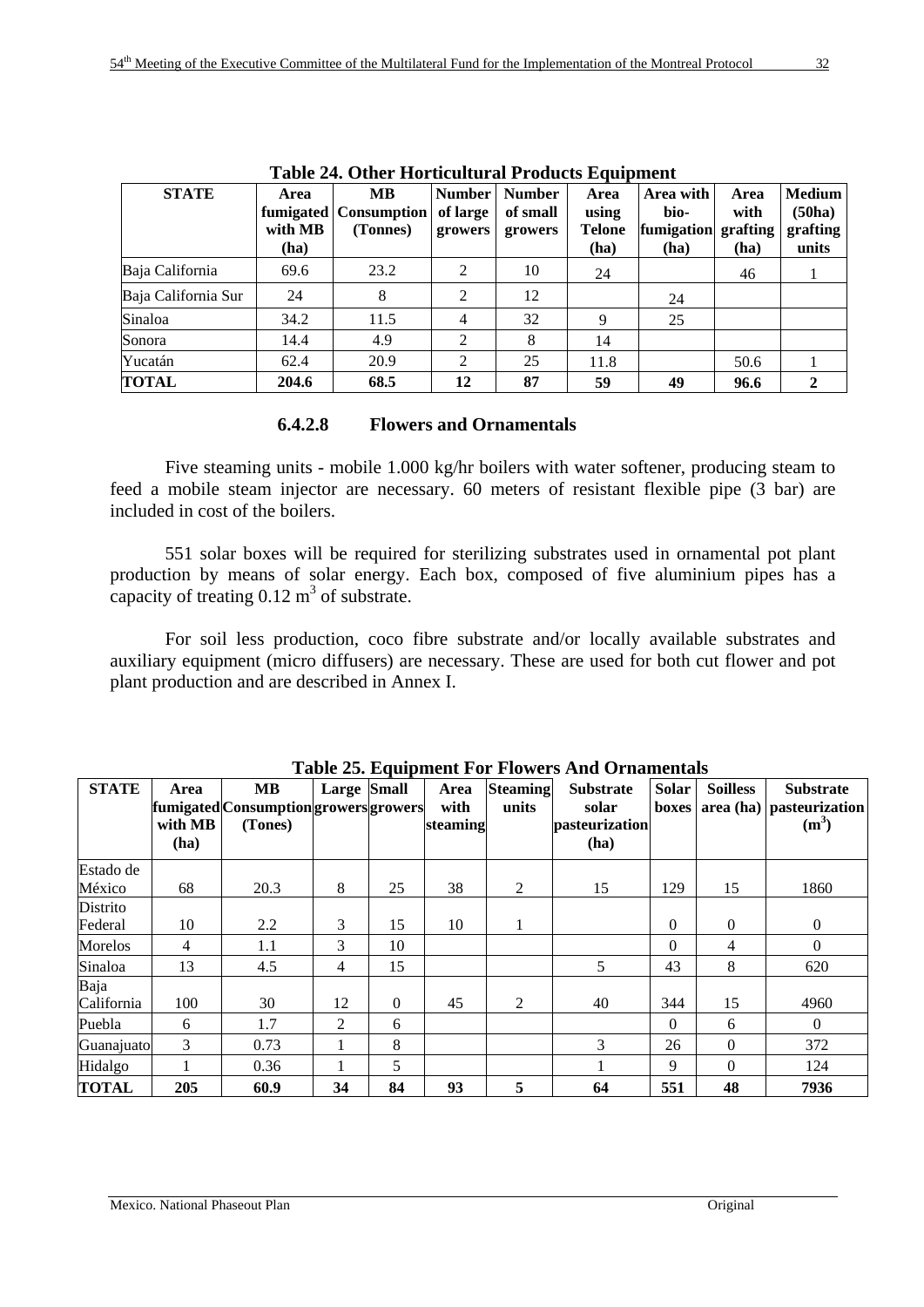|                     | Table 24. Other Tiol ticultural Froducts Equipment |                                                    |                                      |                                      |                                        |                                         |                                  |                                              |  |  |  |
|---------------------|----------------------------------------------------|----------------------------------------------------|--------------------------------------|--------------------------------------|----------------------------------------|-----------------------------------------|----------------------------------|----------------------------------------------|--|--|--|
| <b>STATE</b>        | Area<br>with MB<br>(ha)                            | <b>MB</b><br>fumigated   Consumption  <br>(Tonnes) | <b>Number</b><br>of large<br>growers | <b>Number</b><br>of small<br>growers | Area<br>using<br><b>Telone</b><br>(ha) | Area with<br>bio-<br>fumigation<br>(ha) | Area<br>with<br>grafting<br>(ha) | <b>Medium</b><br>(50ha)<br>grafting<br>units |  |  |  |
| Baja California     | 69.6                                               | 23.2                                               | $\mathfrak{D}$                       | 10                                   | 24                                     |                                         | 46                               |                                              |  |  |  |
| Baja California Sur | 24                                                 | 8                                                  | 2                                    | 12                                   |                                        | 24                                      |                                  |                                              |  |  |  |
| Sinaloa             | 34.2                                               | 11.5                                               | 4                                    | 32                                   | Q                                      | 25                                      |                                  |                                              |  |  |  |
| Sonora              | 14.4                                               | 4.9                                                | $\mathfrak{D}$                       | 8                                    | 14                                     |                                         |                                  |                                              |  |  |  |
| Yucatán             | 62.4                                               | 20.9                                               | $\mathfrak{D}$                       | 25                                   | 11.8                                   |                                         | 50.6                             |                                              |  |  |  |
| <b>TOTAL</b>        | 204.6                                              | 68.5                                               | 12                                   | 87                                   | 59                                     | 49                                      | 96.6                             | 2                                            |  |  |  |

**Table 24. Other Horticultural Products Equipment** 

# **6.4.2.8 Flowers and Ornamentals**

Five steaming units - mobile 1.000 kg/hr boilers with water softener, producing steam to feed a mobile steam injector are necessary. 60 meters of resistant flexible pipe (3 bar) are included in cost of the boilers.

551 solar boxes will be required for sterilizing substrates used in ornamental pot plant production by means of solar energy. Each box, composed of five aluminium pipes has a capacity of treating  $0.12 \text{ m}^3$  of substrate.

For soil less production, coco fibre substrate and/or locally available substrates and auxiliary equipment (micro diffusers) are necessary. These are used for both cut flower and pot plant production and are described in Annex I.

| <b>STATE</b>        | Area<br>with MB<br>(ha) | <b>MB</b><br>fumigated Consumption growers growers<br>(Tones) | <b>Large Small</b> |                  | Area<br>with<br>steaming | <b>Steaming</b><br>units | <b>Substrate</b><br>solar<br>pasteurization<br>(ha) | Solar<br>boxes | <b>Soilless</b> | <b>Substrate</b><br>$area (ha)$ pasteurization<br>$(m^3)$ |
|---------------------|-------------------------|---------------------------------------------------------------|--------------------|------------------|--------------------------|--------------------------|-----------------------------------------------------|----------------|-----------------|-----------------------------------------------------------|
| Estado de<br>México | 68                      | 20.3                                                          | 8                  | 25               | 38                       | 2                        | 15                                                  | 129            | 15              | 1860                                                      |
| Distrito<br>Federal | 10                      | 2.2                                                           | 3                  | 15               | 10                       |                          |                                                     | $\mathbf{0}$   | $\theta$        | $\overline{0}$                                            |
| Morelos             | $\overline{4}$          | 1.1                                                           | 3                  | 10               |                          |                          |                                                     | $\mathbf{0}$   | 4               | $\mathbf{0}$                                              |
| Sinaloa             | 13                      | 4.5                                                           | $\overline{4}$     | 15               |                          |                          | 5                                                   | 43             | 8               | 620                                                       |
| Baja<br>California  | 100                     | 30                                                            | 12                 | $\boldsymbol{0}$ | 45                       | $\overline{2}$           | 40                                                  | 344            | 15              | 4960                                                      |
| Puebla              | 6                       | 1.7                                                           | 2                  | 6                |                          |                          |                                                     | $\theta$       | 6               | $\theta$                                                  |
| Guanajuato          | 3                       | 0.73                                                          |                    | 8                |                          |                          | 3                                                   | 26             | $\Omega$        | 372                                                       |
| Hidalgo             |                         | 0.36                                                          |                    | 5                |                          |                          |                                                     | 9              | $\Omega$        | 124                                                       |
| <b>TOTAL</b>        | 205                     | 60.9                                                          | 34                 | 84               | 93                       | 5                        | 64                                                  | 551            | 48              | 7936                                                      |

**Table 25. Equipment For Flowers And Ornamentals**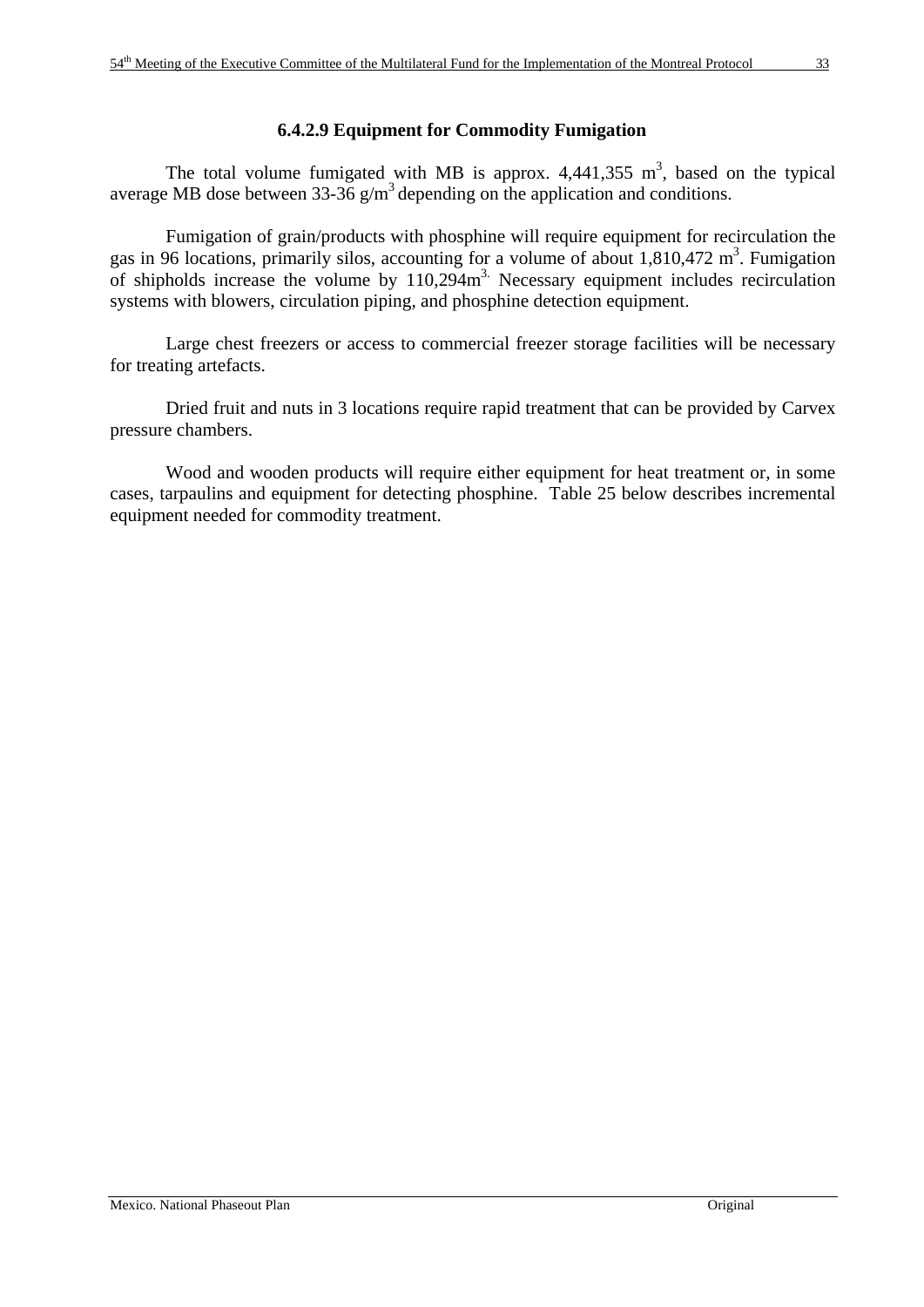#### **6.4.2.9 Equipment for Commodity Fumigation**

The total volume fumigated with MB is approx.  $4,441,355 \text{ m}^3$ , based on the typical average MB dose between  $33-36$  g/m<sup>3</sup> depending on the application and conditions.

 Fumigation of grain/products with phosphine will require equipment for recirculation the gas in 96 locations, primarily silos, accounting for a volume of about  $1,810,472$  m<sup>3</sup>. Fumigation of shipholds increase the volume by 110,294m<sup>3</sup>. Necessary equipment includes recirculation systems with blowers, circulation piping, and phosphine detection equipment.

 Large chest freezers or access to commercial freezer storage facilities will be necessary for treating artefacts.

 Dried fruit and nuts in 3 locations require rapid treatment that can be provided by Carvex pressure chambers.

 Wood and wooden products will require either equipment for heat treatment or, in some cases, tarpaulins and equipment for detecting phosphine. Table 25 below describes incremental equipment needed for commodity treatment.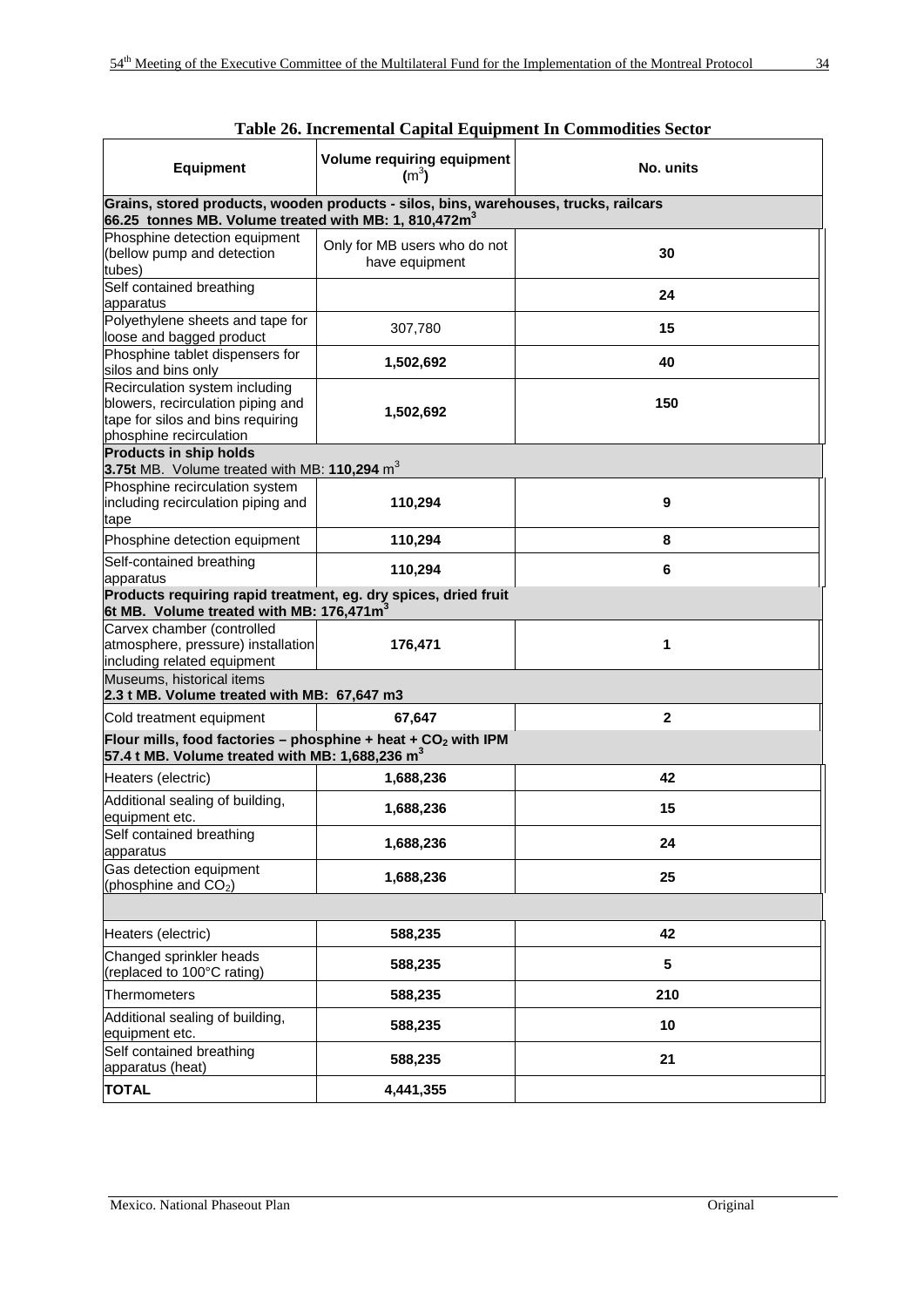| <b>Equipment</b>                                                                                                                                 | $\cdots$<br><b>Volume requiring equipment</b><br>$(m^3)$ | No. units    |  |  |  |  |  |  |  |
|--------------------------------------------------------------------------------------------------------------------------------------------------|----------------------------------------------------------|--------------|--|--|--|--|--|--|--|
| Grains, stored products, wooden products - silos, bins, warehouses, trucks, railcars<br>66.25 tonnes MB. Volume treated with MB: 1, 810,472 $m3$ |                                                          |              |  |  |  |  |  |  |  |
| Phosphine detection equipment<br>(bellow pump and detection<br>tubes)                                                                            | Only for MB users who do not<br>have equipment           | 30           |  |  |  |  |  |  |  |
| Self contained breathing<br>apparatus                                                                                                            |                                                          | 24           |  |  |  |  |  |  |  |
| Polyethylene sheets and tape for<br>loose and bagged product                                                                                     | 307,780                                                  | 15           |  |  |  |  |  |  |  |
| Phosphine tablet dispensers for<br>silos and bins only                                                                                           | 1,502,692                                                | 40           |  |  |  |  |  |  |  |
| Recirculation system including<br>blowers, recirculation piping and<br>tape for silos and bins requiring<br>phosphine recirculation              | 1,502,692                                                | 150          |  |  |  |  |  |  |  |
| <b>Products in ship holds</b><br>3.75t MB. Volume treated with MB: 110,294 $m3$                                                                  |                                                          |              |  |  |  |  |  |  |  |
| Phosphine recirculation system<br>including recirculation piping and<br>tape                                                                     | 110,294                                                  | 9            |  |  |  |  |  |  |  |
| Phosphine detection equipment                                                                                                                    | 110,294                                                  | 8            |  |  |  |  |  |  |  |
| Self-contained breathing<br>apparatus                                                                                                            | 110,294                                                  | 6            |  |  |  |  |  |  |  |
| Products requiring rapid treatment, eg. dry spices, dried fruit<br>6t MB. Volume treated with MB: 176,471m <sup>3</sup>                          |                                                          |              |  |  |  |  |  |  |  |
| Carvex chamber (controlled<br>atmosphere, pressure) installation<br>including related equipment                                                  | 176,471                                                  | 1            |  |  |  |  |  |  |  |
| Museums, historical items<br>2.3 t MB. Volume treated with MB: 67,647 m3                                                                         |                                                          |              |  |  |  |  |  |  |  |
| Cold treatment equipment                                                                                                                         | 67,647                                                   | $\mathbf{2}$ |  |  |  |  |  |  |  |
| Flour mills, food factories - phosphine + heat + $CO2$ with IPM<br>57.4 t MB. Volume treated with MB: 1,688,236 $m3$                             |                                                          |              |  |  |  |  |  |  |  |
| Heaters (electric)                                                                                                                               | 1,688,236                                                | 42           |  |  |  |  |  |  |  |
| Additional sealing of building,<br>equipment etc.                                                                                                | 1,688,236                                                | 15           |  |  |  |  |  |  |  |
| Self contained breathing<br>apparatus                                                                                                            | 1,688,236                                                | 24           |  |  |  |  |  |  |  |
| Gas detection equipment<br>(phosphine and CO <sub>2</sub> )                                                                                      | 1,688,236                                                | 25           |  |  |  |  |  |  |  |
|                                                                                                                                                  |                                                          |              |  |  |  |  |  |  |  |
| Heaters (electric)                                                                                                                               | 588,235                                                  | 42           |  |  |  |  |  |  |  |
| Changed sprinkler heads<br>(replaced to 100°C rating)                                                                                            | 588,235                                                  | 5            |  |  |  |  |  |  |  |
| Thermometers                                                                                                                                     | 588,235                                                  | 210          |  |  |  |  |  |  |  |
| Additional sealing of building,<br>equipment etc.                                                                                                | 588,235                                                  | 10           |  |  |  |  |  |  |  |
| Self contained breathing<br>apparatus (heat)                                                                                                     | 588,235                                                  | 21           |  |  |  |  |  |  |  |
| <b>TOTAL</b>                                                                                                                                     | 4,441,355                                                |              |  |  |  |  |  |  |  |

| Table 26. Incremental Capital Equipment In Commodities Sector |  |  |
|---------------------------------------------------------------|--|--|
|---------------------------------------------------------------|--|--|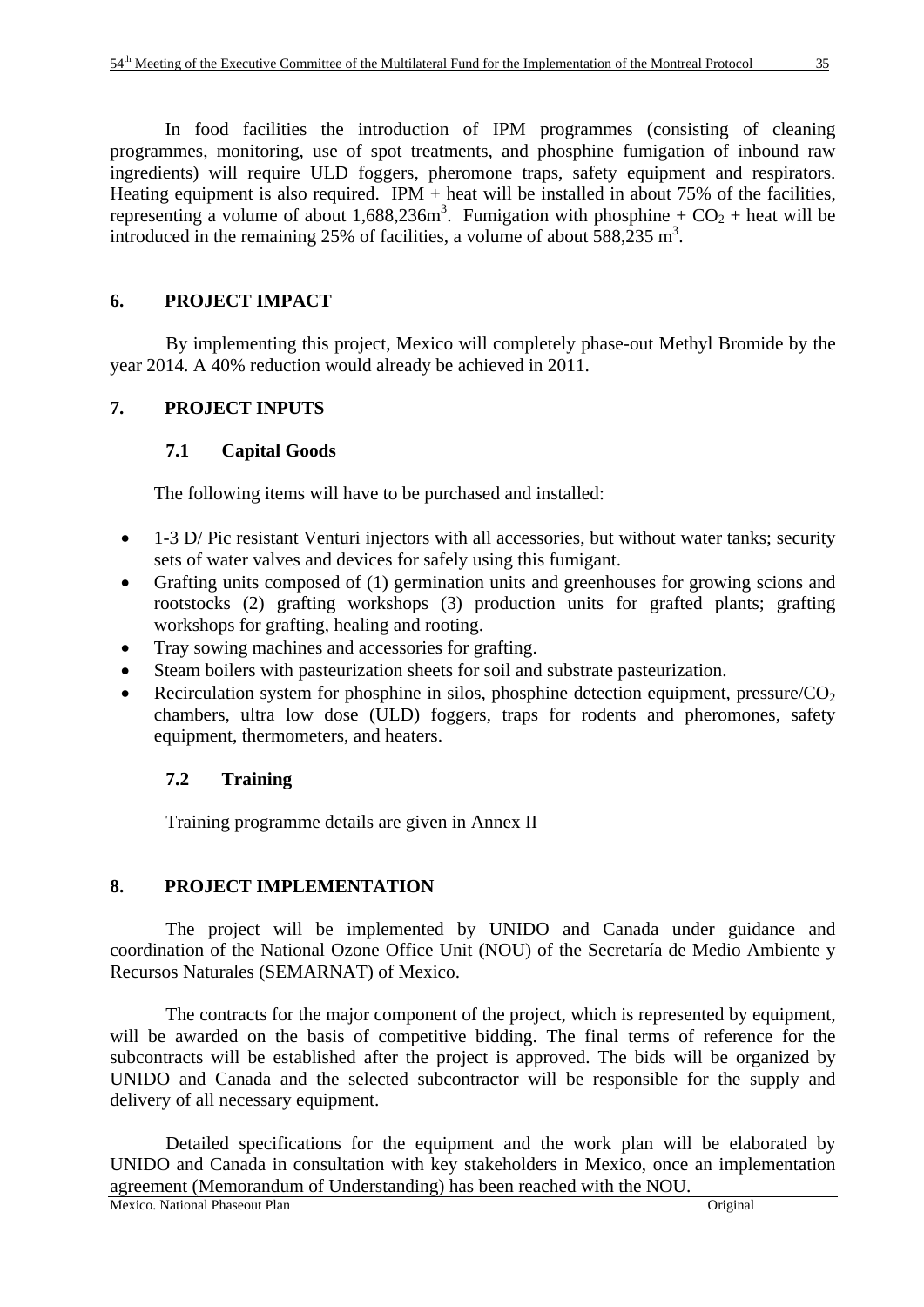In food facilities the introduction of IPM programmes (consisting of cleaning programmes, monitoring, use of spot treatments, and phosphine fumigation of inbound raw ingredients) will require ULD foggers, pheromone traps, safety equipment and respirators. Heating equipment is also required. IPM  $+$  heat will be installed in about 75% of the facilities, representing a volume of about 1,688,236m<sup>3</sup>. Fumigation with phosphine +  $CO<sub>2</sub>$  + heat will be introduced in the remaining 25% of facilities, a volume of about  $\overline{588,235 \text{ m}^3}$ .

# **6. PROJECT IMPACT**

By implementing this project, Mexico will completely phase-out Methyl Bromide by the year 2014. A 40% reduction would already be achieved in 2011.

# **7. PROJECT INPUTS**

# **7.1 Capital Goods**

The following items will have to be purchased and installed:

- 1-3 D/ Pic resistant Venturi injectors with all accessories, but without water tanks; security sets of water valves and devices for safely using this fumigant.
- Grafting units composed of (1) germination units and greenhouses for growing scions and rootstocks (2) grafting workshops (3) production units for grafted plants; grafting workshops for grafting, healing and rooting.
- Tray sowing machines and accessories for grafting.
- Steam boilers with pasteurization sheets for soil and substrate pasteurization.
- Recirculation system for phosphine in silos, phosphine detection equipment, pressure/ $CO<sub>2</sub>$ chambers, ultra low dose (ULD) foggers, traps for rodents and pheromones, safety equipment, thermometers, and heaters.

# **7.2 Training**

Training programme details are given in Annex II

# **8. PROJECT IMPLEMENTATION**

The project will be implemented by UNIDO and Canada under guidance and coordination of the National Ozone Office Unit (NOU) of the Secretaría de Medio Ambiente y Recursos Naturales (SEMARNAT) of Mexico.

The contracts for the major component of the project, which is represented by equipment, will be awarded on the basis of competitive bidding. The final terms of reference for the subcontracts will be established after the project is approved. The bids will be organized by UNIDO and Canada and the selected subcontractor will be responsible for the supply and delivery of all necessary equipment.

Detailed specifications for the equipment and the work plan will be elaborated by UNIDO and Canada in consultation with key stakeholders in Mexico, once an implementation agreement (Memorandum of Understanding) has been reached with the NOU.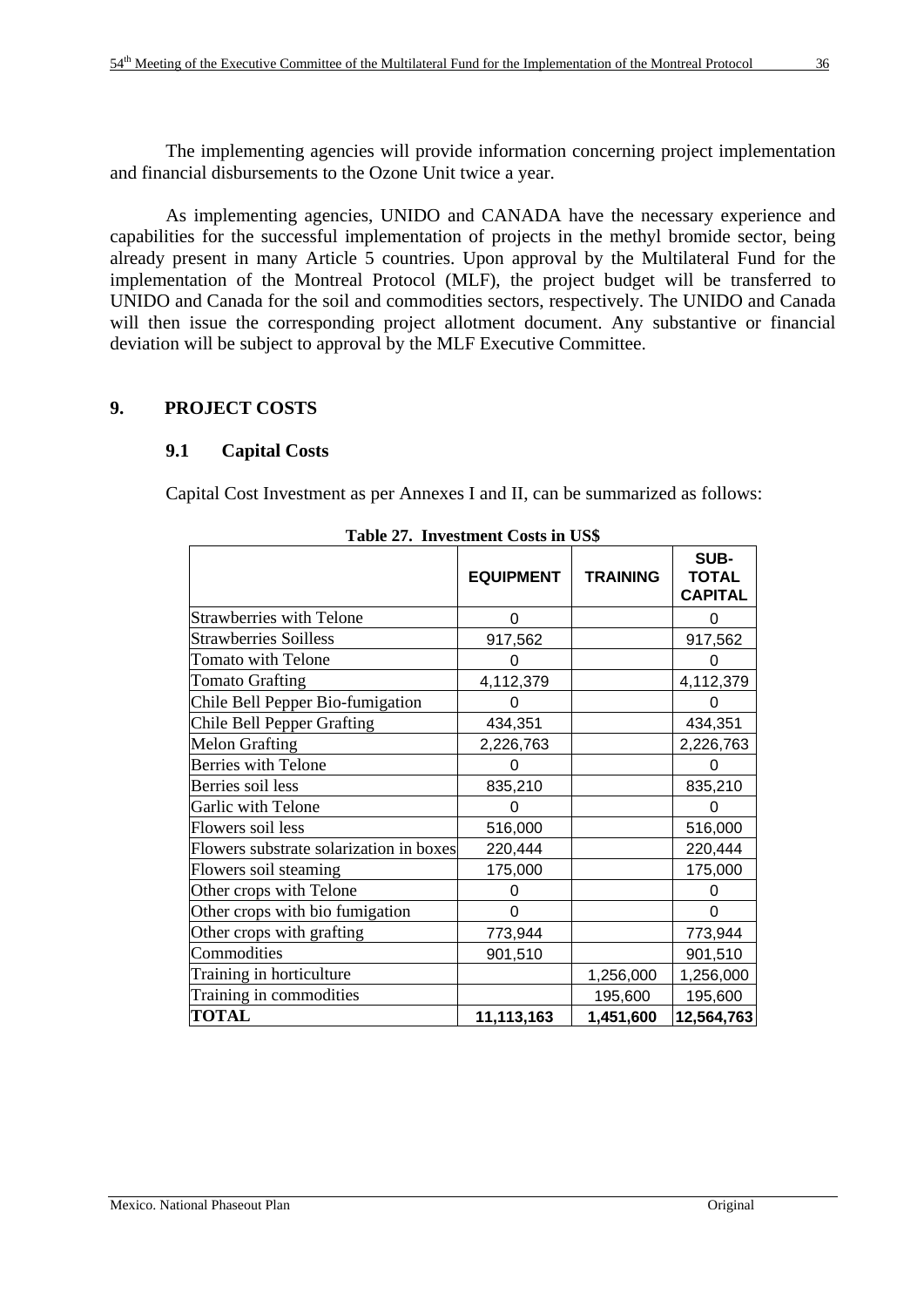The implementing agencies will provide information concerning project implementation and financial disbursements to the Ozone Unit twice a year.

As implementing agencies, UNIDO and CANADA have the necessary experience and capabilities for the successful implementation of projects in the methyl bromide sector, being already present in many Article 5 countries. Upon approval by the Multilateral Fund for the implementation of the Montreal Protocol (MLF), the project budget will be transferred to UNIDO and Canada for the soil and commodities sectors, respectively. The UNIDO and Canada will then issue the corresponding project allotment document. Any substantive or financial deviation will be subject to approval by the MLF Executive Committee.

# **9. PROJECT COSTS**

# **9.1 Capital Costs**

Capital Cost Investment as per Annexes I and II, can be summarized as follows:

|                                         | <b>EQUIPMENT</b> | <b>TRAINING</b> | SUB-<br><b>TOTAL</b><br><b>CAPITAL</b> |
|-----------------------------------------|------------------|-----------------|----------------------------------------|
| <b>Strawberries with Telone</b>         | 0                |                 |                                        |
| <b>Strawberries Soilless</b>            | 917,562          |                 | 917,562                                |
| <b>Tomato with Telone</b>               |                  |                 |                                        |
| <b>Tomato Grafting</b>                  | 4,112,379        |                 | 4,112,379                              |
| Chile Bell Pepper Bio-fumigation        |                  |                 | 0                                      |
| Chile Bell Pepper Grafting              | 434,351          |                 | 434,351                                |
| <b>Melon Grafting</b>                   | 2,226,763        |                 | 2,226,763                              |
| <b>Berries with Telone</b>              |                  |                 |                                        |
| Berries soil less                       | 835,210          |                 | 835,210                                |
| Garlic with Telone                      |                  |                 |                                        |
| Flowers soil less                       | 516,000          |                 | 516,000                                |
| Flowers substrate solarization in boxes | 220,444          |                 | 220,444                                |
| Flowers soil steaming                   | 175,000          |                 | 175,000                                |
| Other crops with Telone                 |                  |                 |                                        |
| Other crops with bio fumigation         | ი                |                 | 0                                      |
| Other crops with grafting               | 773,944          |                 | 773,944                                |
| Commodities                             | 901,510          |                 | 901,510                                |
| Training in horticulture                |                  | 1,256,000       | 1,256,000                              |
| Training in commodities                 |                  | 195,600         | 195,600                                |
| <b>TOTAL</b>                            | 11,113,163       | 1,451,600       | 12,564,763                             |

| Table 27. Investment Costs in US\$ |  |
|------------------------------------|--|
|                                    |  |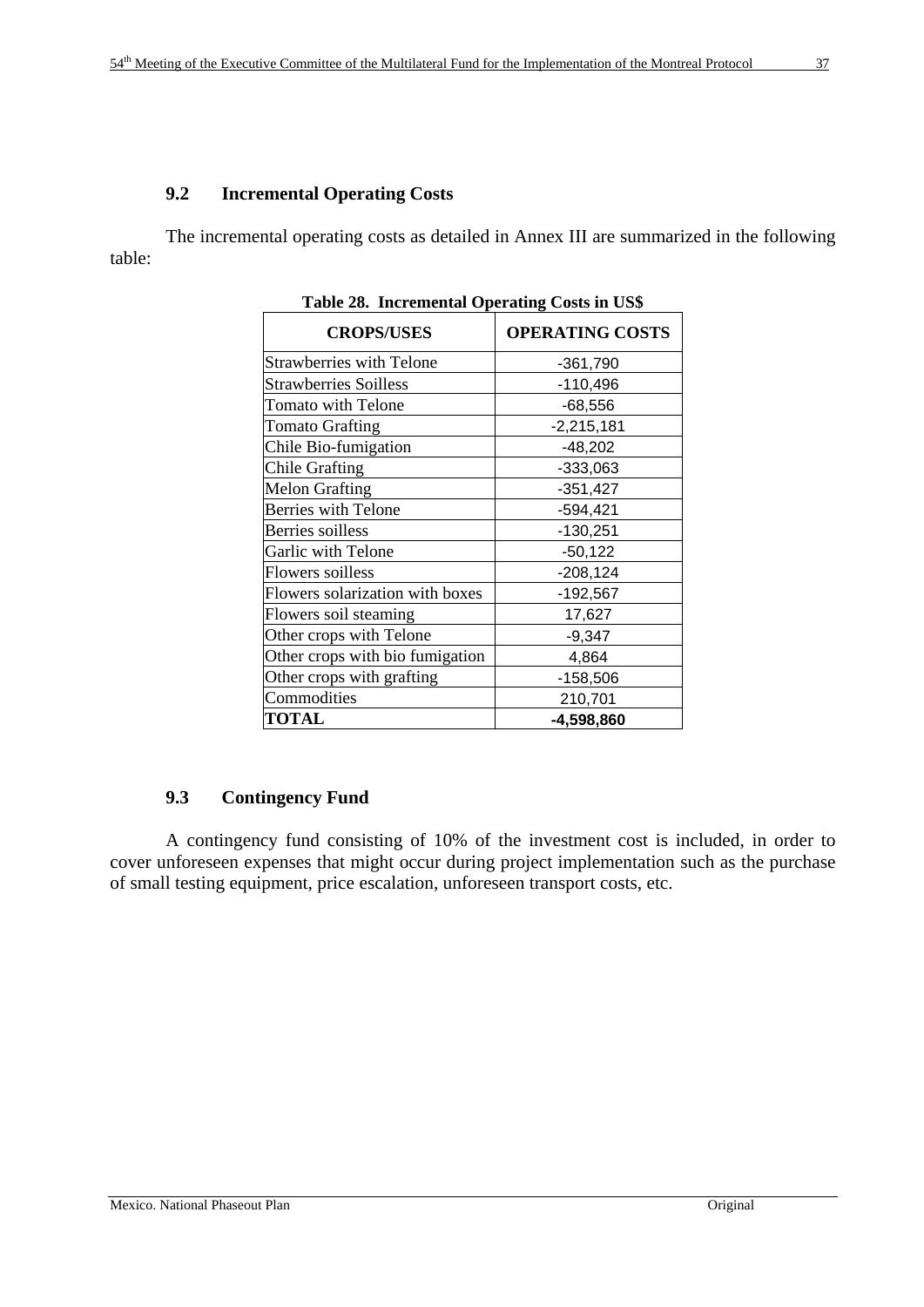The incremental operating costs as detailed in Annex III are summarized in the following table:

| <b>CROPS/USES</b>               | <b>OPERATING COSTS</b> |
|---------------------------------|------------------------|
| <b>Strawberries with Telone</b> | $-361,790$             |
| <b>Strawberries Soilless</b>    | $-110,496$             |
| <b>Tomato with Telone</b>       | $-68,556$              |
| <b>Tomato Grafting</b>          | $-2,215,181$           |
| Chile Bio-fumigation            | $-48,202$              |
| <b>Chile Grafting</b>           | $-333,063$             |
| <b>Melon Grafting</b>           | $-351,427$             |
| <b>Berries with Telone</b>      | $-594,421$             |
| Berries soilless                | $-130,251$             |
| Garlic with Telone              | $-50,122$              |
| Flowers soilless                | $-208,124$             |
| Flowers solarization with boxes | $-192,567$             |
| Flowers soil steaming           | 17,627                 |
| Other crops with Telone         | $-9,347$               |
| Other crops with bio fumigation | 4,864                  |
| Other crops with grafting       | $-158,506$             |
| Commodities                     | 210,701                |
| <b>TOTAL</b>                    | -4,598,860             |

**Table 28. Incremental Operating Costs in US\$** 

# **9.3 Contingency Fund**

A contingency fund consisting of 10% of the investment cost is included, in order to cover unforeseen expenses that might occur during project implementation such as the purchase of small testing equipment, price escalation, unforeseen transport costs, etc.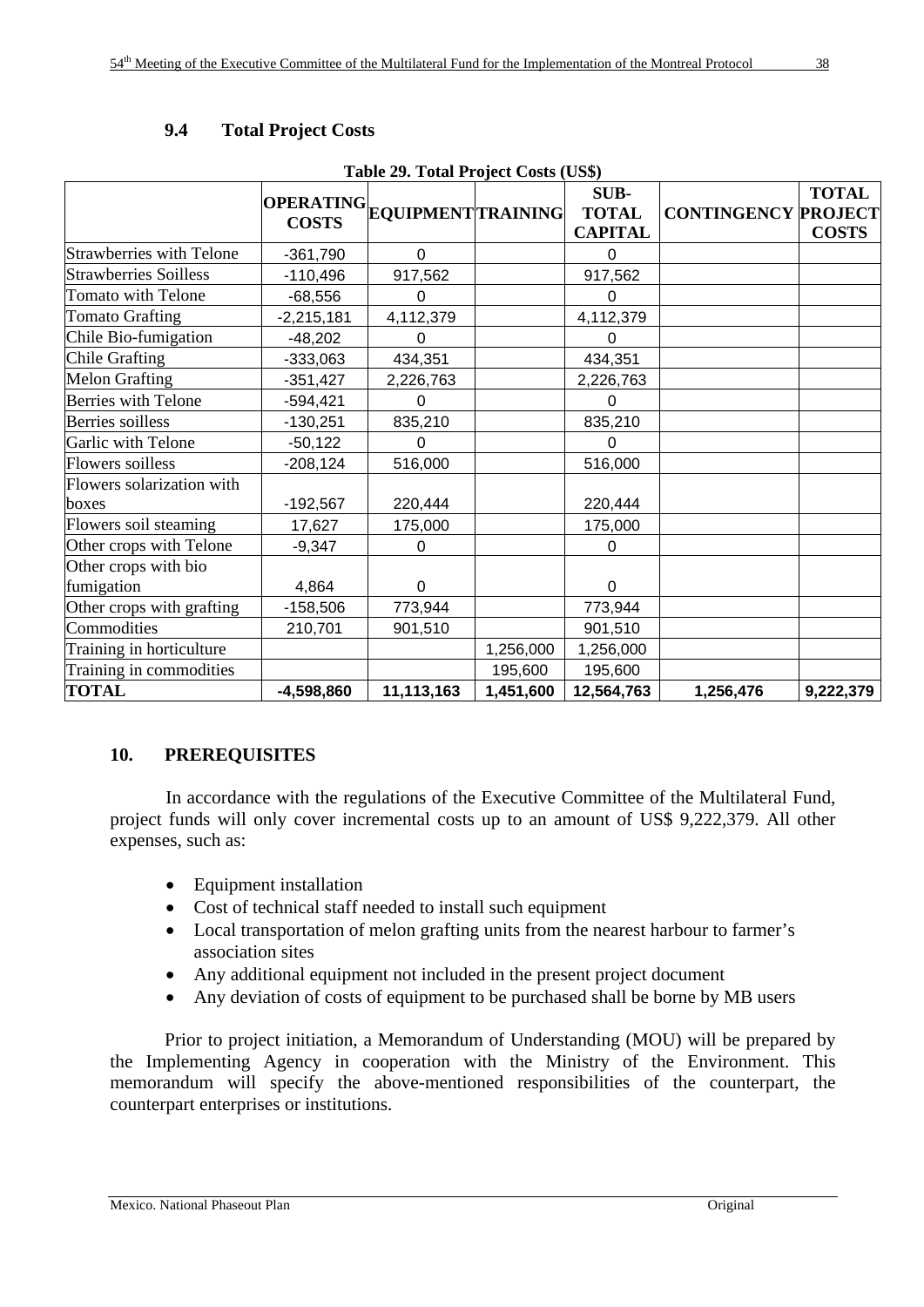| Table 29. Total Project Costs (US\$) |              |                              |           |                                        |                            |                              |  |  |  |
|--------------------------------------|--------------|------------------------------|-----------|----------------------------------------|----------------------------|------------------------------|--|--|--|
|                                      | <b>COSTS</b> | OPERATING EQUIPMENT TRAINING |           | SUB-<br><b>TOTAL</b><br><b>CAPITAL</b> | <b>CONTINGENCY PROJECT</b> | <b>TOTAL</b><br><b>COSTS</b> |  |  |  |
| <b>Strawberries with Telone</b>      | $-361,790$   | $\mathbf 0$                  |           | $\Omega$                               |                            |                              |  |  |  |
| <b>Strawberries Soilless</b>         | $-110,496$   | 917,562                      |           | 917,562                                |                            |                              |  |  |  |
| Tomato with Telone                   | $-68,556$    | 0                            |           | 0                                      |                            |                              |  |  |  |
| <b>Tomato Grafting</b>               | $-2,215,181$ | 4,112,379                    |           | 4,112,379                              |                            |                              |  |  |  |
| Chile Bio-fumigation                 | $-48,202$    | 0                            |           | $\Omega$                               |                            |                              |  |  |  |
| Chile Grafting                       | $-333,063$   | 434,351                      |           | 434,351                                |                            |                              |  |  |  |
| <b>Melon Grafting</b>                | $-351,427$   | 2,226,763                    |           | 2,226,763                              |                            |                              |  |  |  |
| <b>Berries with Telone</b>           | $-594,421$   | $\Omega$                     |           | 0                                      |                            |                              |  |  |  |
| <b>Berries</b> soilless              | $-130,251$   | 835,210                      |           | 835,210                                |                            |                              |  |  |  |
| Garlic with Telone                   | $-50,122$    | 0                            |           | U                                      |                            |                              |  |  |  |
| Flowers soilless                     | $-208,124$   | 516,000                      |           | 516,000                                |                            |                              |  |  |  |
| Flowers solarization with<br>boxes   | $-192,567$   | 220,444                      |           | 220,444                                |                            |                              |  |  |  |
| Flowers soil steaming                | 17,627       | 175,000                      |           | 175,000                                |                            |                              |  |  |  |
| Other crops with Telone              | $-9,347$     | $\Omega$                     |           | 0                                      |                            |                              |  |  |  |
| Other crops with bio<br>fumigation   | 4,864        | $\Omega$                     |           | $\mathbf 0$                            |                            |                              |  |  |  |
| Other crops with grafting            | $-158,506$   | 773,944                      |           | 773,944                                |                            |                              |  |  |  |
| Commodities                          | 210,701      | 901,510                      |           | 901,510                                |                            |                              |  |  |  |
| Training in horticulture             |              |                              | 1,256,000 | 1,256,000                              |                            |                              |  |  |  |
| Training in commodities              |              |                              | 195,600   | 195,600                                |                            |                              |  |  |  |
| <b>TOTAL</b>                         | $-4,598,860$ | 11,113,163                   | 1,451,600 | 12,564,763                             | 1,256,476                  | 9,222,379                    |  |  |  |

# **9.4 Total Project Costs**

# **10. PREREQUISITES**

 In accordance with the regulations of the Executive Committee of the Multilateral Fund, project funds will only cover incremental costs up to an amount of US\$ 9,222,379. All other expenses, such as:

- Equipment installation
- Cost of technical staff needed to install such equipment
- Local transportation of melon grafting units from the nearest harbour to farmer's association sites
- Any additional equipment not included in the present project document
- Any deviation of costs of equipment to be purchased shall be borne by MB users

 Prior to project initiation, a Memorandum of Understanding (MOU) will be prepared by the Implementing Agency in cooperation with the Ministry of the Environment. This memorandum will specify the above-mentioned responsibilities of the counterpart, the counterpart enterprises or institutions.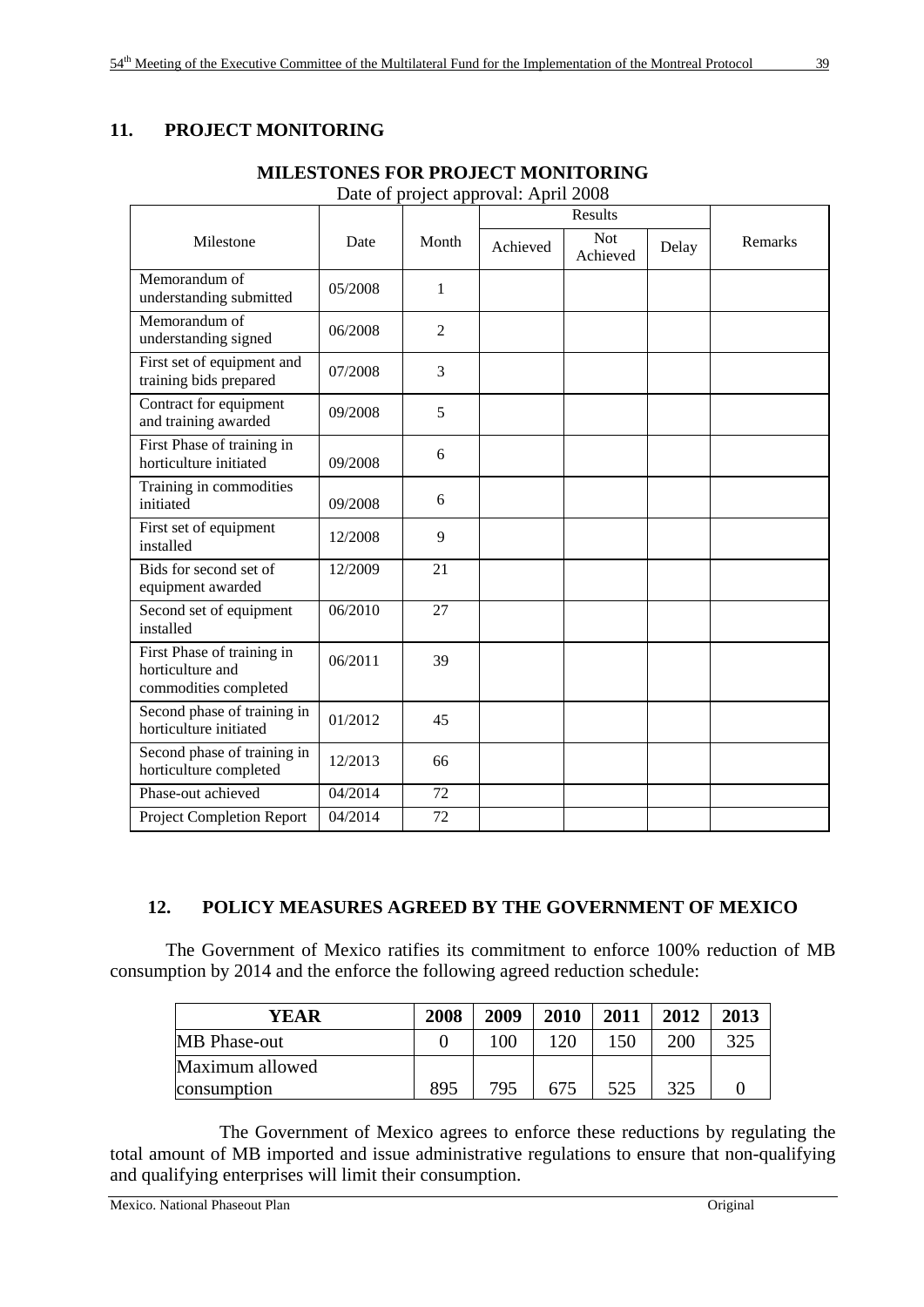# **11. PROJECT MONITORING**

| Milestone                                                               | Date    | Month          | Achieved | <b>Not</b><br>Achieved | Delay | Remarks |
|-------------------------------------------------------------------------|---------|----------------|----------|------------------------|-------|---------|
| Memorandum of<br>understanding submitted                                | 05/2008 | 1              |          |                        |       |         |
| Memorandum of<br>understanding signed                                   | 06/2008 | $\overline{2}$ |          |                        |       |         |
| First set of equipment and<br>training bids prepared                    | 07/2008 | 3              |          |                        |       |         |
| Contract for equipment<br>and training awarded                          | 09/2008 | 5              |          |                        |       |         |
| First Phase of training in<br>horticulture initiated                    | 09/2008 | 6              |          |                        |       |         |
| Training in commodities<br>initiated                                    | 09/2008 | 6              |          |                        |       |         |
| First set of equipment<br>installed                                     | 12/2008 | 9              |          |                        |       |         |
| Bids for second set of<br>equipment awarded                             | 12/2009 | 21             |          |                        |       |         |
| Second set of equipment<br>installed                                    | 06/2010 | 27             |          |                        |       |         |
| First Phase of training in<br>horticulture and<br>commodities completed | 06/2011 | 39             |          |                        |       |         |
| Second phase of training in<br>horticulture initiated                   | 01/2012 | 45             |          |                        |       |         |
| Second phase of training in<br>horticulture completed                   | 12/2013 | 66             |          |                        |       |         |
| Phase-out achieved                                                      | 04/2014 | 72             |          |                        |       |         |
| Project Completion Report                                               | 04/2014 | 72             |          |                        |       |         |

# **MILESTONES FOR PROJECT MONITORING**

Date of project approval: April 2008

# **12. POLICY MEASURES AGREED BY THE GOVERNMENT OF MEXICO**

 The Government of Mexico ratifies its commitment to enforce 100% reduction of MB consumption by 2014 and the enforce the following agreed reduction schedule:

| YEAR            | 2008 | 2009 | 2010 | 2011 | 2012 | 2013 |
|-----------------|------|------|------|------|------|------|
| MB Phase-out    |      | 100  | 120  | 150  | 200  | 325  |
| Maximum allowed |      |      |      |      |      |      |
| consumption     | 895  | 795  | 675  | 525  | 325  |      |

 The Government of Mexico agrees to enforce these reductions by regulating the total amount of MB imported and issue administrative regulations to ensure that non-qualifying and qualifying enterprises will limit their consumption.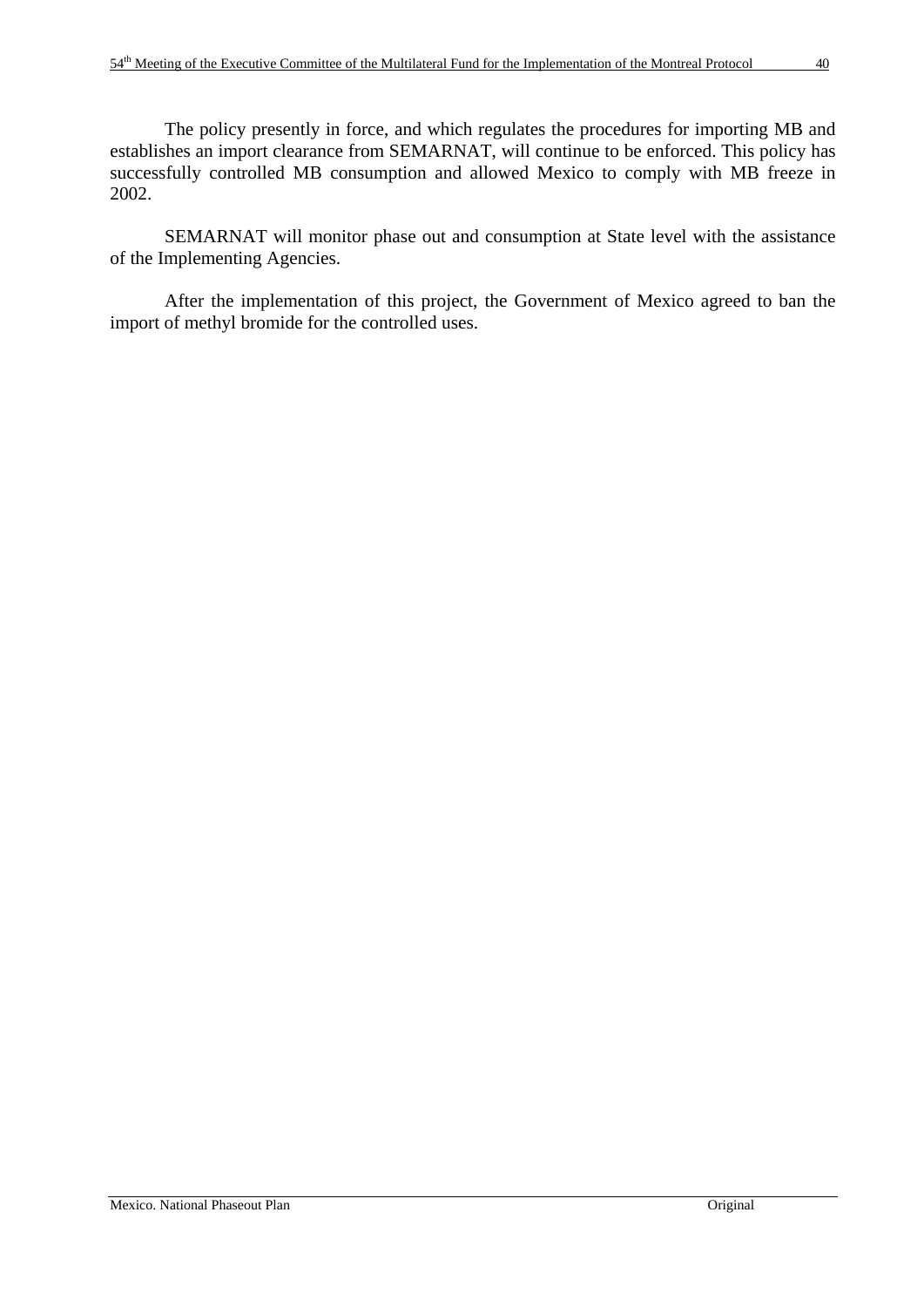SEMARNAT will monitor phase out and consumption at State level with the assistance of the Implementing Agencies.

 After the implementation of this project, the Government of Mexico agreed to ban the import of methyl bromide for the controlled uses.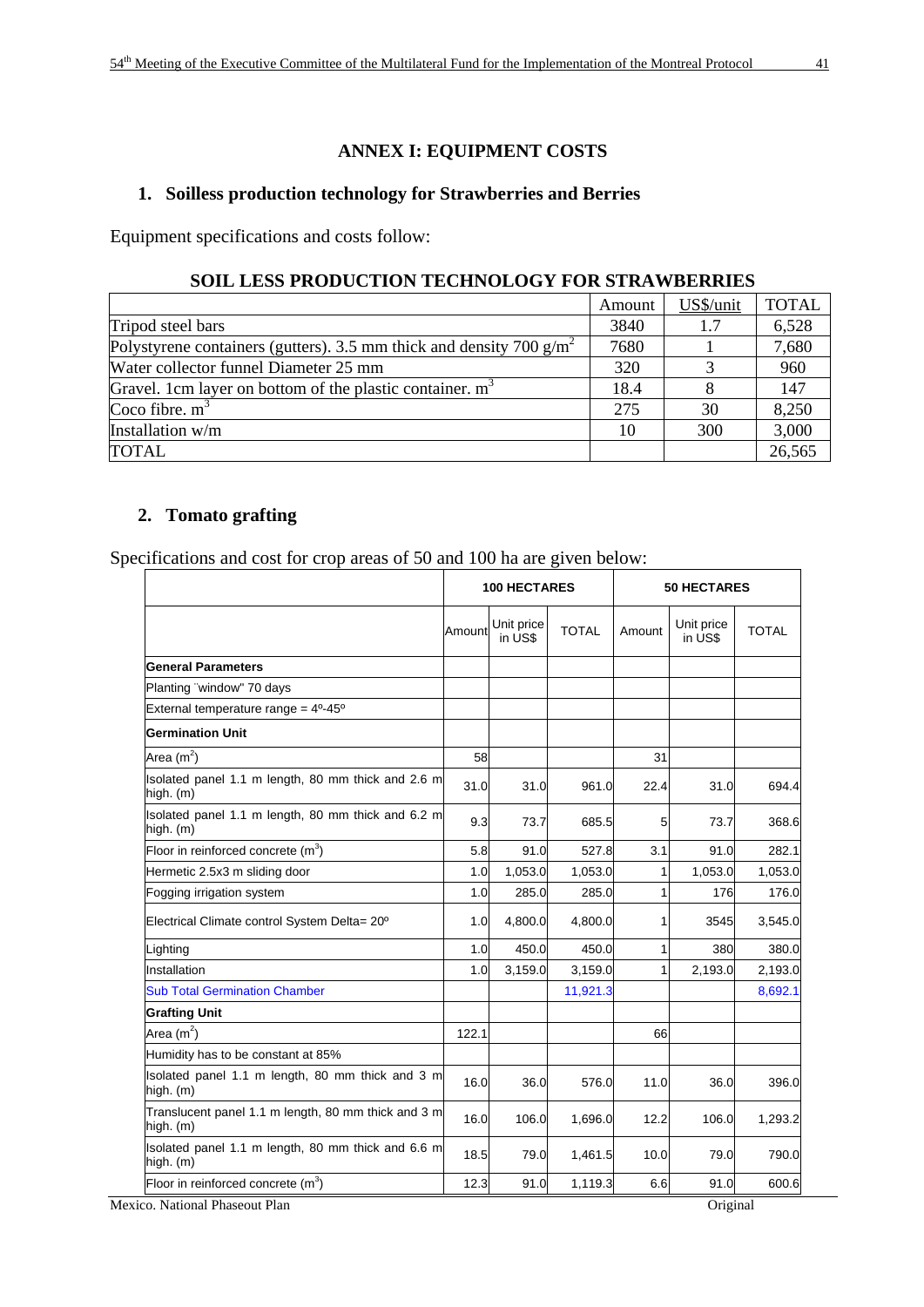# **ANNEX I: EQUIPMENT COSTS**

#### **1. Soilless production technology for Strawberries and Berries**

Equipment specifications and costs follow:

# **SOIL LESS PRODUCTION TECHNOLOGY FOR STRAWBERRIES**

|                                                                       | Amount | US\$/unit | <b>TOTAL</b> |
|-----------------------------------------------------------------------|--------|-----------|--------------|
| Tripod steel bars                                                     | 3840   | 1.7       | 6,528        |
| Polystyrene containers (gutters). 3.5 mm thick and density 700 $g/m2$ | 7680   |           | 7,680        |
| Water collector funnel Diameter 25 mm                                 | 320    |           | 960          |
| Gravel. 1cm layer on bottom of the plastic container. m <sup>3</sup>  | 18.4   |           | 147          |
| Coco fibre. $m3$                                                      | 275    | 30        | 8,250        |
| Installation w/m                                                      | 10     | 300       | 3,000        |
| <b>TOTAL</b>                                                          |        |           | 26,565       |

#### **2. Tomato grafting**

Specifications and cost for crop areas of 50 and 100 ha are given below:

|                                                                  |        | <b>100 HECTARES</b>   |              |        | <b>50 HECTARES</b>    |              |  |
|------------------------------------------------------------------|--------|-----------------------|--------------|--------|-----------------------|--------------|--|
|                                                                  | Amount | Unit price<br>in US\$ | <b>TOTAL</b> | Amount | Unit price<br>in US\$ | <b>TOTAL</b> |  |
| <b>General Parameters</b>                                        |        |                       |              |        |                       |              |  |
| Planting "window" 70 days                                        |        |                       |              |        |                       |              |  |
| External temperature range = $4^0-45^0$                          |        |                       |              |        |                       |              |  |
| <b>Germination Unit</b>                                          |        |                       |              |        |                       |              |  |
| Area $(m2)$                                                      | 58     |                       |              | 31     |                       |              |  |
| Isolated panel 1.1 m length, 80 mm thick and 2.6 m<br>high. (m)  | 31.0   | 31.0                  | 961.0        | 22.4   | 31.0                  | 694.4        |  |
| Isolated panel 1.1 m length, 80 mm thick and 6.2 m<br>high. (m)  | 9.3    | 73.7                  | 685.5        | 5      | 73.7                  | 368.6        |  |
| Floor in reinforced concrete $(m^3)$                             | 5.8    | 91.0                  | 527.8        | 3.1    | 91.0                  | 282.1        |  |
| Hermetic 2.5x3 m sliding door                                    | 1.0    | 1,053.0               | 1,053.0      |        | 1,053.0               | 1,053.0      |  |
| Fogging irrigation system                                        | 1.0    | 285.0                 | 285.0        | 1      | 176                   | 176.0        |  |
| Electrical Climate control System Delta= 20°                     | 1.0    | 4,800.0               | 4,800.0      | 1      | 3545                  | 3,545.0      |  |
| Lighting                                                         | 1.0    | 450.0                 | 450.0        | 1      | 380                   | 380.0        |  |
| Installation                                                     | 1.0    | 3,159.0               | 3,159.0      | 1      | 2,193.0               | 2,193.0      |  |
| <b>Sub Total Germination Chamber</b>                             |        |                       | 11,921.3     |        |                       | 8,692.1      |  |
| <b>Grafting Unit</b>                                             |        |                       |              |        |                       |              |  |
| Area $(m2)$                                                      | 122.1  |                       |              | 66     |                       |              |  |
| Humidity has to be constant at 85%                               |        |                       |              |        |                       |              |  |
| Isolated panel 1.1 m length, 80 mm thick and 3 m<br>high. (m)    | 16.0   | 36.0                  | 576.0        | 11.0   | 36.0                  | 396.0        |  |
| Translucent panel 1.1 m length, 80 mm thick and 3 m<br>high. (m) | 16.0   | 106.0                 | 1,696.0      | 12.2   | 106.0                 | 1,293.2      |  |
| Isolated panel 1.1 m length, 80 mm thick and 6.6 m<br>high. (m)  | 18.5   | 79.0                  | 1,461.5      | 10.0   | 79.0                  | 790.0        |  |
| Floor in reinforced concrete $(m^3)$                             | 12.3   | 91.0                  | 1,119.3      | 6.6    | 91.0                  | 600.6        |  |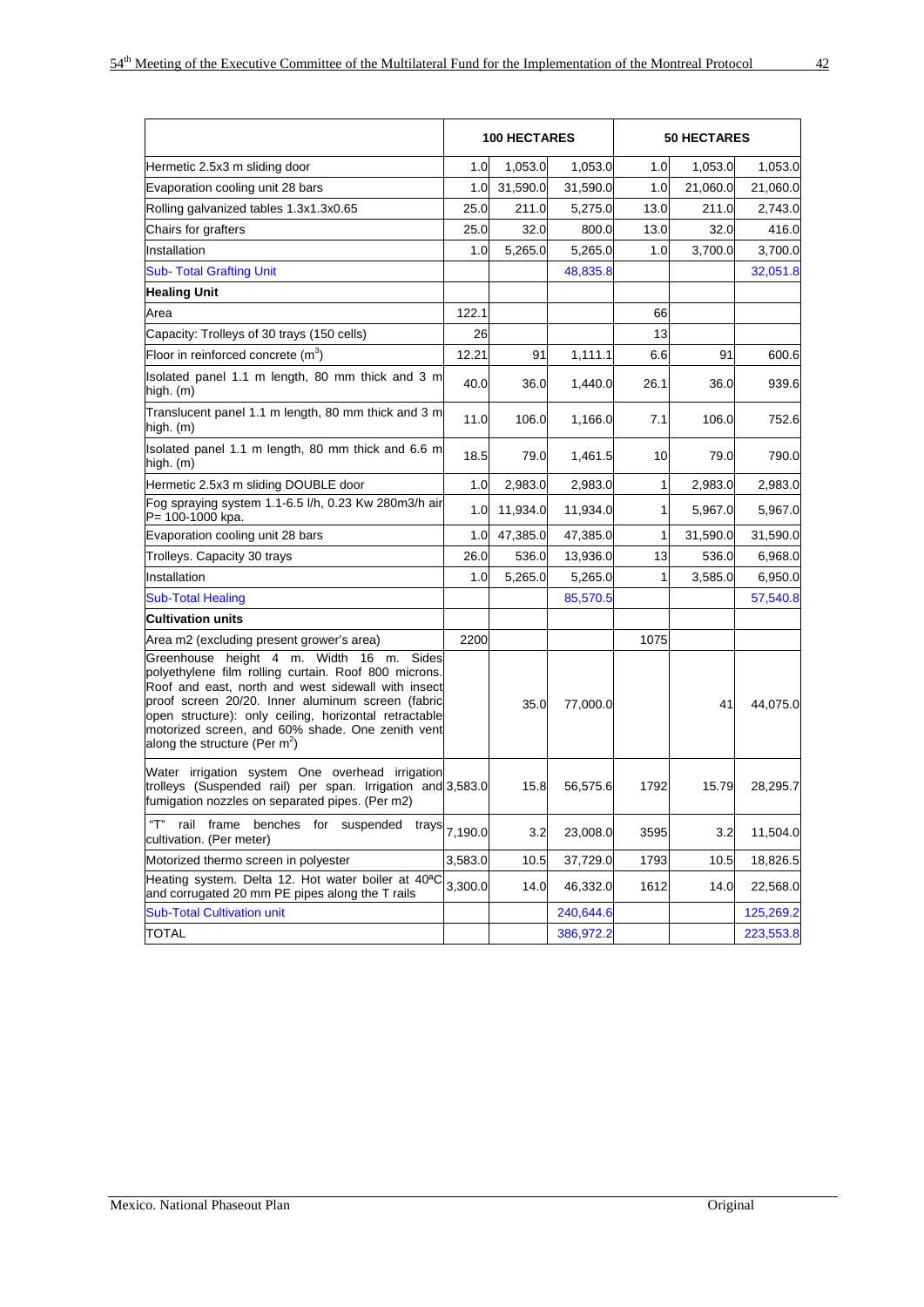|                                                                                                                                                                                                                                                                                                                                                                 |         | <b>100 HECTARES</b> |           |      | <b>50 HECTARES</b> |           |
|-----------------------------------------------------------------------------------------------------------------------------------------------------------------------------------------------------------------------------------------------------------------------------------------------------------------------------------------------------------------|---------|---------------------|-----------|------|--------------------|-----------|
| Hermetic 2.5x3 m sliding door                                                                                                                                                                                                                                                                                                                                   | 1.0     | 1,053.0             | 1,053.0   | 1.0  | 1,053.0            | 1,053.0   |
| Evaporation cooling unit 28 bars                                                                                                                                                                                                                                                                                                                                | 1.0     | 31,590.0            | 31,590.0  | 1.0  | 21,060.0           | 21,060.0  |
| Rolling galvanized tables 1.3x1.3x0.65                                                                                                                                                                                                                                                                                                                          | 25.0    | 211.0               | 5,275.0   | 13.0 | 211.0              | 2,743.0   |
| Chairs for grafters                                                                                                                                                                                                                                                                                                                                             | 25.0    | 32.0                | 800.0     | 13.0 | 32.0               | 416.0     |
| Installation                                                                                                                                                                                                                                                                                                                                                    | 1.0     | 5,265.0             | 5,265.0   | 1.0  | 3,700.0            | 3,700.0   |
| <b>Sub- Total Grafting Unit</b>                                                                                                                                                                                                                                                                                                                                 |         |                     | 48,835.8  |      |                    | 32,051.8  |
| <b>Healing Unit</b>                                                                                                                                                                                                                                                                                                                                             |         |                     |           |      |                    |           |
| Area                                                                                                                                                                                                                                                                                                                                                            | 122.1   |                     |           | 66   |                    |           |
| Capacity: Trolleys of 30 trays (150 cells)                                                                                                                                                                                                                                                                                                                      | 26      |                     |           | 13   |                    |           |
| Floor in reinforced concrete $(m^3)$                                                                                                                                                                                                                                                                                                                            | 12.21   | 91                  | 1,111.1   | 6.6  | 91                 | 600.6     |
| Isolated panel 1.1 m length, 80 mm thick and 3 m<br>high. (m)                                                                                                                                                                                                                                                                                                   | 40.0    | 36.0                | 1,440.0   | 26.1 | 36.0               | 939.6     |
| Translucent panel 1.1 m length, 80 mm thick and 3 m<br>high. (m)                                                                                                                                                                                                                                                                                                | 11.0    | 106.0               | 1,166.0   | 7.1  | 106.0              | 752.6     |
| Isolated panel 1.1 m length, 80 mm thick and 6.6 m<br>high. (m)                                                                                                                                                                                                                                                                                                 | 18.5    | 79.0                | 1,461.5   | 10   | 79.0               | 790.0     |
| Hermetic 2.5x3 m sliding DOUBLE door                                                                                                                                                                                                                                                                                                                            | 1.0     | 2,983.0             | 2,983.0   | 1    | 2,983.0            | 2,983.0   |
| Fog spraying system 1.1-6.5 l/h, 0.23 Kw 280m3/h air<br>P= 100-1000 kpa.                                                                                                                                                                                                                                                                                        | 1.0     | 11,934.0            | 11,934.0  | 1    | 5,967.0            | 5,967.0   |
| Evaporation cooling unit 28 bars                                                                                                                                                                                                                                                                                                                                | 1.0     | 47,385.0            | 47,385.0  | 1    | 31,590.0           | 31,590.0  |
| Trolleys. Capacity 30 trays                                                                                                                                                                                                                                                                                                                                     | 26.0    | 536.0               | 13,936.0  | 13   | 536.0              | 6,968.0   |
| Installation                                                                                                                                                                                                                                                                                                                                                    | 1.0     | 5,265.0             | 5,265.0   | 1    | 3,585.0            | 6,950.0   |
| <b>Sub-Total Healing</b>                                                                                                                                                                                                                                                                                                                                        |         |                     | 85,570.5  |      |                    | 57,540.8  |
| <b>Cultivation units</b>                                                                                                                                                                                                                                                                                                                                        |         |                     |           |      |                    |           |
| Area m2 (excluding present grower's area)                                                                                                                                                                                                                                                                                                                       | 2200    |                     |           | 1075 |                    |           |
| Greenhouse height 4 m. Width 16 m.<br>Sides<br>polyethylene film rolling curtain. Roof 800 microns.<br>Roof and east, north and west sidewall with insect<br>proof screen 20/20. Inner aluminum screen (fabric<br>open structure): only ceiling, horizontal retractable<br>motorized screen, and 60% shade. One zenith vent<br>along the structure (Per $m^2$ ) |         | 35.0                | 77,000.0  |      | 41                 | 44,075.0  |
| Water irrigation system One overhead irrigation<br>trolleys (Suspended rail) per span. Irrigation and 3,583.0<br>fumigation nozzles on separated pipes. (Per m2)                                                                                                                                                                                                |         | 15.8                | 56,575.6  | 1792 | 15.79              | 28,295.7  |
| "Т"<br>rail frame benches for suspended<br>trays<br>cultivation. (Per meter)                                                                                                                                                                                                                                                                                    | 7,190.0 | 3.2                 | 23,008.0  | 3595 | 3.2                | 11,504.0  |
| Motorized thermo screen in polyester                                                                                                                                                                                                                                                                                                                            | 3,583.0 | 10.5                | 37,729.0  | 1793 | 10.5               | 18,826.5  |
| Heating system. Delta 12. Hot water boiler at 40 <sup>a</sup> C<br>and corrugated 20 mm PE pipes along the T rails                                                                                                                                                                                                                                              | 3,300.0 | 14.0                | 46,332.0  | 1612 | 14.0               | 22,568.0  |
| <b>Sub-Total Cultivation unit</b>                                                                                                                                                                                                                                                                                                                               |         |                     | 240,644.6 |      |                    | 125,269.2 |
| <b>TOTAL</b>                                                                                                                                                                                                                                                                                                                                                    |         |                     | 386,972.2 |      |                    | 223,553.8 |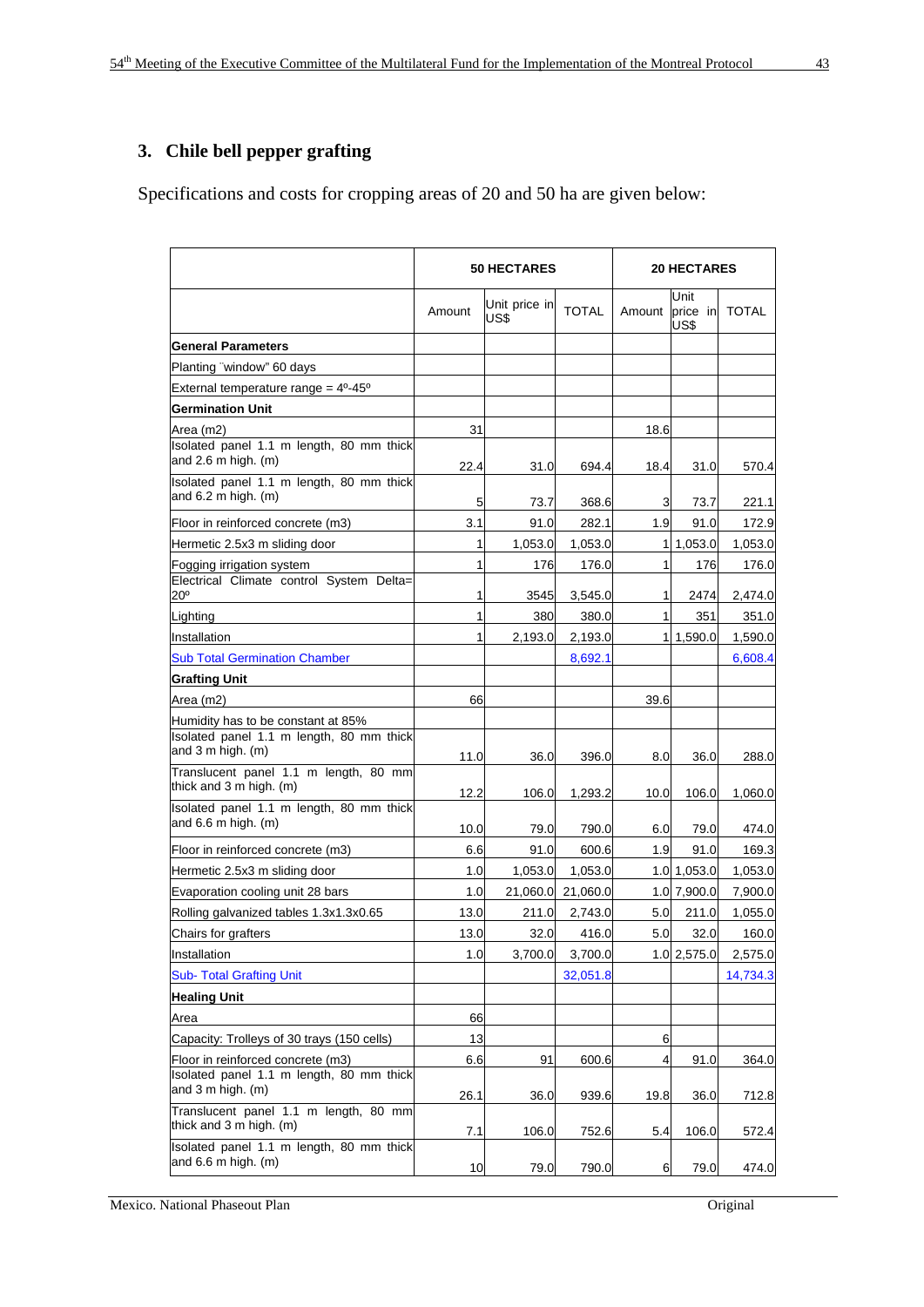# **3. Chile bell pepper grafting**

Specifications and costs for cropping areas of 20 and 50 ha are given below:

|                                                                                                     |        | <b>50 HECTARES</b>    |              |        | <b>20 HECTARES</b>       |              |  |
|-----------------------------------------------------------------------------------------------------|--------|-----------------------|--------------|--------|--------------------------|--------------|--|
|                                                                                                     | Amount | Unit price in<br>US\$ | <b>TOTAL</b> | Amount | Unit<br>price in<br>US\$ | <b>TOTAL</b> |  |
| <b>General Parameters</b>                                                                           |        |                       |              |        |                          |              |  |
| Planting "window" 60 days                                                                           |        |                       |              |        |                          |              |  |
| External temperature range = $4^0-45^0$                                                             |        |                       |              |        |                          |              |  |
| <b>Germination Unit</b>                                                                             |        |                       |              |        |                          |              |  |
| Area (m2)                                                                                           | 31     |                       |              | 18.6   |                          |              |  |
| Isolated panel 1.1 m length, 80 mm thick<br>and $2.6$ m high. (m)                                   | 22.4   | 31.0                  | 694.4        | 18.4   | 31.0                     | 570.4        |  |
| Isolated panel 1.1 m length, 80 mm thick<br>and $6.2$ m high. (m)                                   | 5      | 73.7                  | 368.6        | 3      | 73.7                     | 221.1        |  |
| Floor in reinforced concrete (m3)                                                                   | 3.1    | 91.0                  | 282.1        | 1.9    | 91.0                     | 172.9        |  |
| Hermetic 2.5x3 m sliding door                                                                       | 1      | 1,053.0               | 1,053.0      |        | 1 1,053.0                | 1,053.0      |  |
| Fogging irrigation system<br>Electrical Climate control System Delta=                               | 1      | 176                   | 176.0        | 1      | 176                      | 176.0        |  |
| 20°                                                                                                 | 1      | 3545                  | 3.545.0      | 1      | 2474                     | 2,474.0      |  |
| Lighting                                                                                            | 1      | 380                   | 380.0        | 1      | 351                      | 351.0        |  |
| Installation                                                                                        | 1      | 2,193.0               | 2,193.0      |        | 1 1,590.0                | 1,590.0      |  |
| <b>Sub Total Germination Chamber</b>                                                                |        |                       | 8,692.1      |        |                          | 6,608.4      |  |
| <b>Grafting Unit</b>                                                                                |        |                       |              |        |                          |              |  |
| Area (m2)                                                                                           | 66     |                       |              | 39.6   |                          |              |  |
| Humidity has to be constant at 85%<br>Isolated panel 1.1 m length, 80 mm thick<br>and 3 m high. (m) | 11.0   | 36.0                  | 396.0        | 8.0    | 36.0                     | 288.0        |  |
| Translucent panel 1.1 m length, 80 mm<br>thick and 3 m high. (m)                                    | 12.2   | 106.0                 | 1,293.2      | 10.0   | 106.0                    | 1,060.0      |  |
| Isolated panel 1.1 m length, 80 mm thick<br>and $6.6$ m high. (m)                                   | 10.0   | 79.0                  | 790.0        | 6.0    | 79.0                     | 474.0        |  |
| Floor in reinforced concrete (m3)                                                                   | 6.6    | 91.0                  | 600.6        | 1.9    | 91.0                     | 169.3        |  |
| Hermetic 2.5x3 m sliding door                                                                       | 1.0    | 1,053.0               | 1,053.0      |        | 1.0 1,053.0              | 1,053.0      |  |
| Evaporation cooling unit 28 bars                                                                    | 1.0    | 21,060.0              | 21,060.0     |        | 1.0 7,900.0              | 7,900.0      |  |
| Rolling galvanized tables 1.3x1.3x0.65                                                              | 13.0   | 211.0                 | 2,743.0      | 5.0    | 211.0                    | 1,055.0      |  |
| Chairs for grafters                                                                                 | 13.0   | 32.0                  | 416.0        | 5.0    | 32.0                     | 160.0        |  |
| Installation                                                                                        | 1.0    | 3,700.0               | 3,700.0      |        | 1.0 2,575.0              | 2,575.0      |  |
| <b>Sub- Total Grafting Unit</b>                                                                     |        |                       | 32,051.8     |        |                          | 14,734.3     |  |
| <b>Healing Unit</b>                                                                                 |        |                       |              |        |                          |              |  |
| Area                                                                                                | 66     |                       |              |        |                          |              |  |
| Capacity: Trolleys of 30 trays (150 cells)                                                          | 13     |                       |              | 6      |                          |              |  |
| Floor in reinforced concrete (m3)                                                                   | 6.6    | 91                    | 600.6        | 4      | 91.0                     | 364.0        |  |
| Isolated panel 1.1 m length, 80 mm thick<br>and $3$ m high. $(m)$                                   | 26.1   | 36.0                  | 939.6        | 19.8   | 36.0                     | 712.8        |  |
| Translucent panel 1.1 m length, 80 mm<br>thick and 3 m high. (m)                                    | 7.1    | 106.0                 | 752.6        | 5.4    | 106.0                    | 572.4        |  |
| Isolated panel 1.1 m length, 80 mm thick<br>and $6.6$ m high. (m)                                   | 10     | 79.0                  | 790.0        | 6      | 79.0                     | 474.0        |  |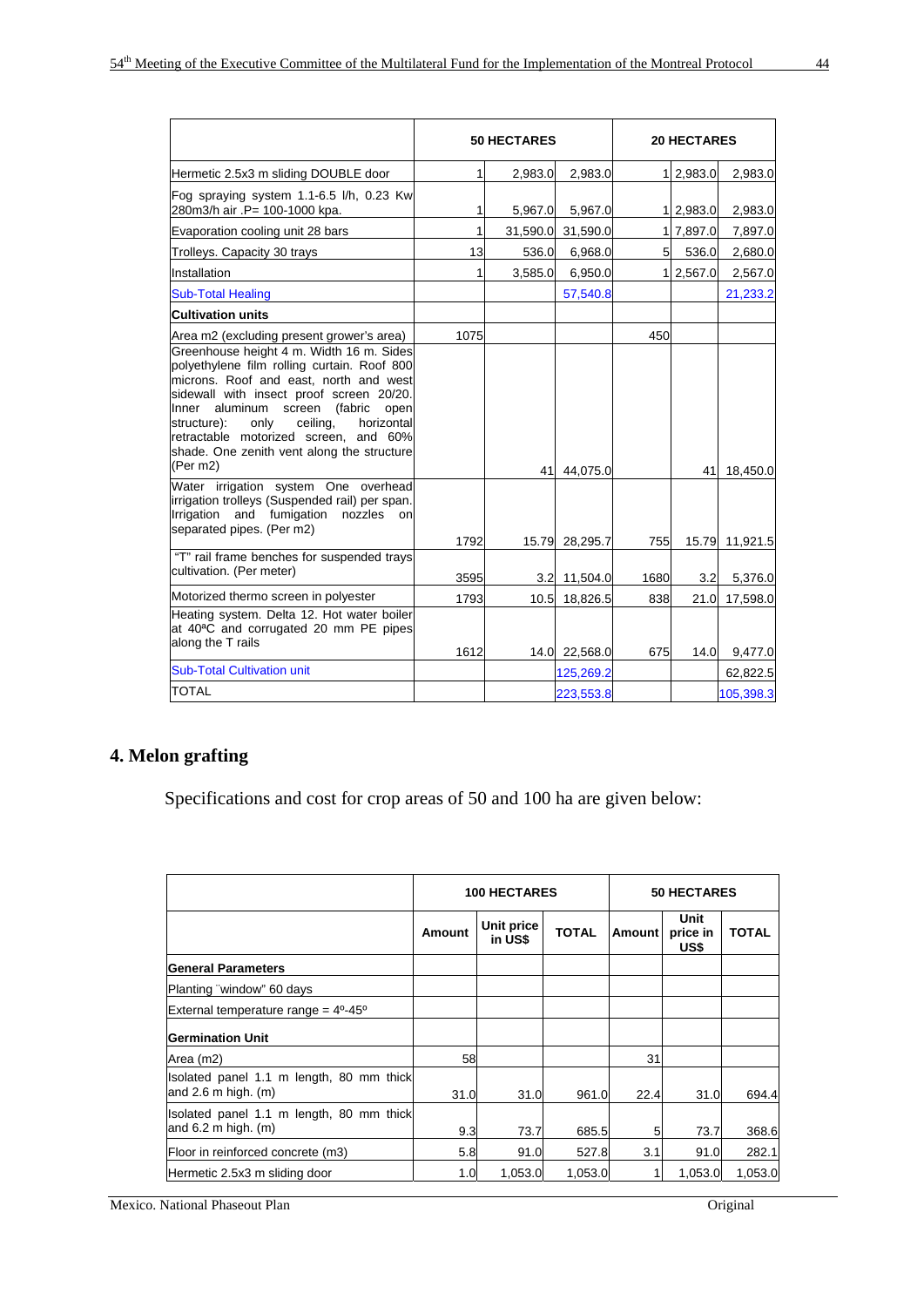|                                                                                                                                                                                                                                                                                                                                                                                                                                                                                                                                                                                                    |              | <b>50 HECTARES</b> |                            |                | <b>20 HECTARES</b> |                            |
|----------------------------------------------------------------------------------------------------------------------------------------------------------------------------------------------------------------------------------------------------------------------------------------------------------------------------------------------------------------------------------------------------------------------------------------------------------------------------------------------------------------------------------------------------------------------------------------------------|--------------|--------------------|----------------------------|----------------|--------------------|----------------------------|
| Hermetic 2.5x3 m sliding DOUBLE door                                                                                                                                                                                                                                                                                                                                                                                                                                                                                                                                                               | 1            | 2,983.0            | 2,983.0                    |                | 1 2,983.0          | 2,983.0                    |
| Fog spraying system 1.1-6.5 l/h, 0.23 Kw<br>280m3/h air .P= 100-1000 kpa.                                                                                                                                                                                                                                                                                                                                                                                                                                                                                                                          | 1            | 5,967.0            | 5,967.0                    |                | 1 2,983.0          | 2,983.0                    |
| Evaporation cooling unit 28 bars                                                                                                                                                                                                                                                                                                                                                                                                                                                                                                                                                                   | 1            | 31,590.0           | 31,590.0                   |                | 1 7,897.0          | 7,897.0                    |
| Trolleys. Capacity 30 trays                                                                                                                                                                                                                                                                                                                                                                                                                                                                                                                                                                        | 13           | 536.0              | 6,968.0                    | 5 <sup>1</sup> | 536.0              | 2,680.0                    |
| Installation                                                                                                                                                                                                                                                                                                                                                                                                                                                                                                                                                                                       | 1            | 3,585.0            | 6,950.0                    |                | 1 2,567.0          | 2,567.0                    |
| <b>Sub-Total Healing</b>                                                                                                                                                                                                                                                                                                                                                                                                                                                                                                                                                                           |              |                    | 57,540.8                   |                |                    | 21,233.2                   |
| <b>Cultivation units</b>                                                                                                                                                                                                                                                                                                                                                                                                                                                                                                                                                                           |              |                    |                            |                |                    |                            |
| Area m2 (excluding present grower's area)<br>Greenhouse height 4 m. Width 16 m. Sides<br>polyethylene film rolling curtain. Roof 800<br>microns. Roof and east, north and west<br>sidewall with insect proof screen 20/20.<br>Inner aluminum<br>screen<br>(fabric<br>open<br>structure):<br>ceiling,<br>horizontal<br>only<br>retractable motorized screen, and 60%<br>shade. One zenith vent along the structure<br>(Per m2)<br>Water irrigation system One overhead<br>irrigation trolleys (Suspended rail) per span.<br>Irrigation and fumigation<br>nozzles<br>on<br>separated pipes. (Per m2) | 1075<br>1792 | 41                 | 44,075.0<br>15.79 28,295.7 | 450<br>755     | 41                 | 18,450.0<br>15.79 11,921.5 |
| "T" rail frame benches for suspended trays                                                                                                                                                                                                                                                                                                                                                                                                                                                                                                                                                         |              |                    |                            |                |                    |                            |
| cultivation. (Per meter)                                                                                                                                                                                                                                                                                                                                                                                                                                                                                                                                                                           | 3595         | 3.2                | 11,504.0                   | 1680           | 3.2                | 5,376.0                    |
| Motorized thermo screen in polyester                                                                                                                                                                                                                                                                                                                                                                                                                                                                                                                                                               | 1793         | 10.5               | 18,826.5                   | 838            | 21.0               | 17,598.0                   |
| Heating system. Delta 12. Hot water boiler<br>at 40 <sup>a</sup> C and corrugated 20 mm PE pipes<br>along the T rails                                                                                                                                                                                                                                                                                                                                                                                                                                                                              | 1612         |                    | 14.0 22,568.0              | 675            | 14.0               | 9,477.0                    |
| <b>Sub-Total Cultivation unit</b>                                                                                                                                                                                                                                                                                                                                                                                                                                                                                                                                                                  |              |                    | 125,269.2                  |                |                    | 62,822.5                   |
| <b>TOTAL</b>                                                                                                                                                                                                                                                                                                                                                                                                                                                                                                                                                                                       |              |                    | 223,553.8                  |                |                    | 105,398.3                  |

# **4. Melon grafting**

Specifications and cost for crop areas of 50 and 100 ha are given below:

|                                                                     | <b>100 HECTARES</b> |                       |              | <b>50 HECTARES</b> |                          |              |
|---------------------------------------------------------------------|---------------------|-----------------------|--------------|--------------------|--------------------------|--------------|
|                                                                     | Amount              | Unit price<br>in US\$ | <b>TOTAL</b> | Amount             | Unit<br>price in<br>US\$ | <b>TOTAL</b> |
| <b>General Parameters</b>                                           |                     |                       |              |                    |                          |              |
| Planting "window" 60 days                                           |                     |                       |              |                    |                          |              |
| External temperature range = $4^{\circ} - 45^{\circ}$               |                     |                       |              |                    |                          |              |
| <b>Germination Unit</b>                                             |                     |                       |              |                    |                          |              |
| Area (m2)                                                           | 58                  |                       |              | 31                 |                          |              |
| Isolated panel 1.1 m length, 80 mm thick<br>and $2.6$ m high. (m)   | 31.0                | 31.0                  | 961.0        | 22.4               | 31.0                     | 694.4        |
| Isolated panel 1.1 m length, 80 mm thick<br>and $6.2$ m high. $(m)$ | 9.3                 | 73.7                  | 685.5        | 5                  | 73.7                     | 368.6        |
| Floor in reinforced concrete (m3)                                   | 5.8                 | 91.0                  | 527.8        | 3.1                | 91.0                     | 282.1        |
| Hermetic 2.5x3 m sliding door                                       | 1.0 <sub>l</sub>    | 1,053.0               | 1,053.0      |                    | 1.053.0                  | 1,053.0      |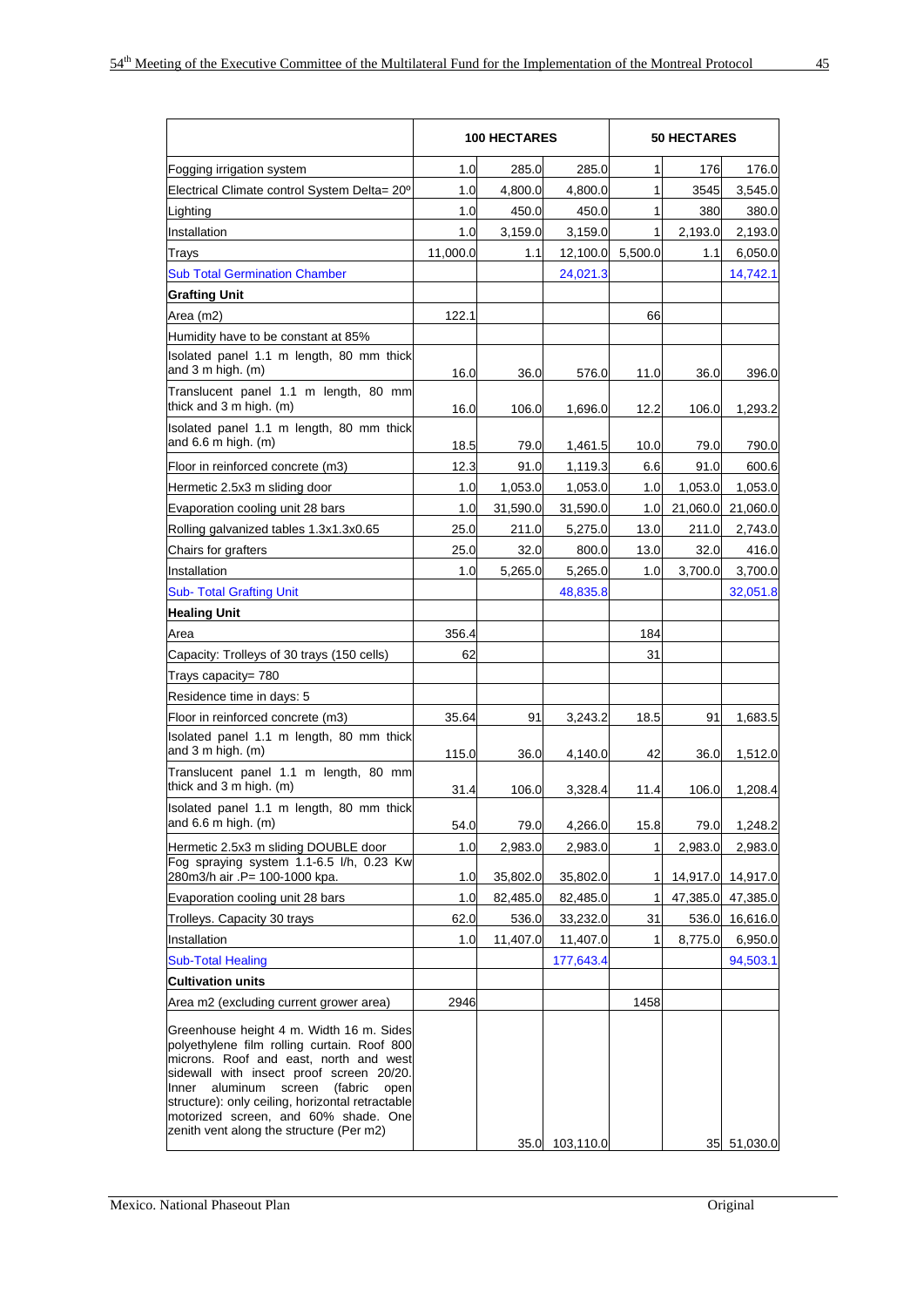| 1.0<br>1.0<br>1.0<br>1.0<br>11,000.0<br>122.1 | 285.0<br>4,800.0<br>450.0<br>3,159.0<br>1.1 | 285.0<br>4,800.0<br>450.0<br>3,159.0                      | 1<br>1<br>1                                                    | 176<br>3545 | 176.0<br>3,545.0                         |
|-----------------------------------------------|---------------------------------------------|-----------------------------------------------------------|----------------------------------------------------------------|-------------|------------------------------------------|
|                                               |                                             |                                                           |                                                                |             |                                          |
|                                               |                                             |                                                           |                                                                |             |                                          |
|                                               |                                             |                                                           |                                                                | 380         | 380.0                                    |
|                                               |                                             |                                                           | 1                                                              | 2,193.0     | 2,193.0                                  |
|                                               |                                             | 12,100.0                                                  | 5,500.0                                                        | 1.1         | 6,050.0                                  |
|                                               |                                             | 24,021.3                                                  |                                                                |             | 14,742.1                                 |
|                                               |                                             |                                                           |                                                                |             |                                          |
|                                               |                                             |                                                           | 66                                                             |             |                                          |
|                                               |                                             |                                                           |                                                                |             |                                          |
| 16.0                                          | 36.0                                        | 576.0                                                     | 11.0                                                           | 36.0        | 396.0                                    |
| 16.0                                          | 106.0                                       | 1,696.0                                                   | 12.2                                                           | 106.0       | 1,293.2                                  |
| 18.5                                          |                                             | 1,461.5                                                   | 10.0                                                           | 79.0        | 790.0                                    |
| 12.3                                          | 91.0                                        | 1,119.3                                                   | 6.6                                                            | 91.0        | 600.6                                    |
| 1.0                                           | 1,053.0                                     | 1,053.0                                                   | 1.0                                                            | 1,053.0     | 1,053.0                                  |
| 1.0                                           | 31,590.0                                    | 31,590.0                                                  | 1.0                                                            | 21,060.0    | 21,060.0                                 |
| 25.0                                          | 211.0                                       | 5,275.0                                                   | 13.0                                                           | 211.0       | 2,743.0                                  |
| 25.0                                          |                                             | 800.0                                                     | 13.0                                                           | 32.0        | 416.0                                    |
| 1.0                                           | 5,265.0                                     | 5,265.0                                                   | 1.0                                                            | 3,700.0     | 3,700.0                                  |
|                                               |                                             | 48,835.8                                                  |                                                                |             | 32,051.8                                 |
|                                               |                                             |                                                           |                                                                |             |                                          |
| 356.4                                         |                                             |                                                           | 184                                                            |             |                                          |
| 62                                            |                                             |                                                           | 31                                                             |             |                                          |
|                                               |                                             |                                                           |                                                                |             |                                          |
|                                               |                                             |                                                           |                                                                |             |                                          |
| 35.64                                         | 91                                          | 3,243.2                                                   | 18.5                                                           | 91          | 1,683.5                                  |
| 115.0                                         | 36.0                                        | 4,140.0                                                   | 42                                                             | 36.0        | 1,512.0                                  |
| 31.4                                          | 106.0                                       | 3,328.4                                                   | 11.4                                                           | 106.0       | 1,208.4                                  |
| 54.0                                          | 79.0                                        | 4,266.0                                                   | 15.8                                                           | 79.0        | 1,248.2                                  |
| 1.0                                           | 2,983.0                                     | 2,983.0                                                   | 1                                                              | 2,983.0     | 2,983.0                                  |
|                                               |                                             |                                                           |                                                                |             | 14,917.0                                 |
|                                               |                                             |                                                           | 1                                                              |             | 47,385.0                                 |
|                                               |                                             |                                                           |                                                                |             | 16,616.0                                 |
|                                               |                                             |                                                           | 1                                                              |             | 6,950.0                                  |
|                                               |                                             | 177,643.4                                                 |                                                                |             | 94,503.1                                 |
|                                               |                                             |                                                           |                                                                |             |                                          |
| 2946                                          |                                             |                                                           | 1458                                                           |             |                                          |
|                                               |                                             |                                                           |                                                                |             | 35 51,030.0                              |
|                                               | 1.0<br>1.0<br>62.0<br>1.0                   | 79.0<br>32.0<br>35,802.0<br>82,485.0<br>536.0<br>11,407.0 | 35,802.0<br>82,485.0<br>33,232.0<br>11,407.0<br>35.0 103,110.0 | 1<br>31     | 14,917.0<br>47,385.0<br>536.0<br>8,775.0 |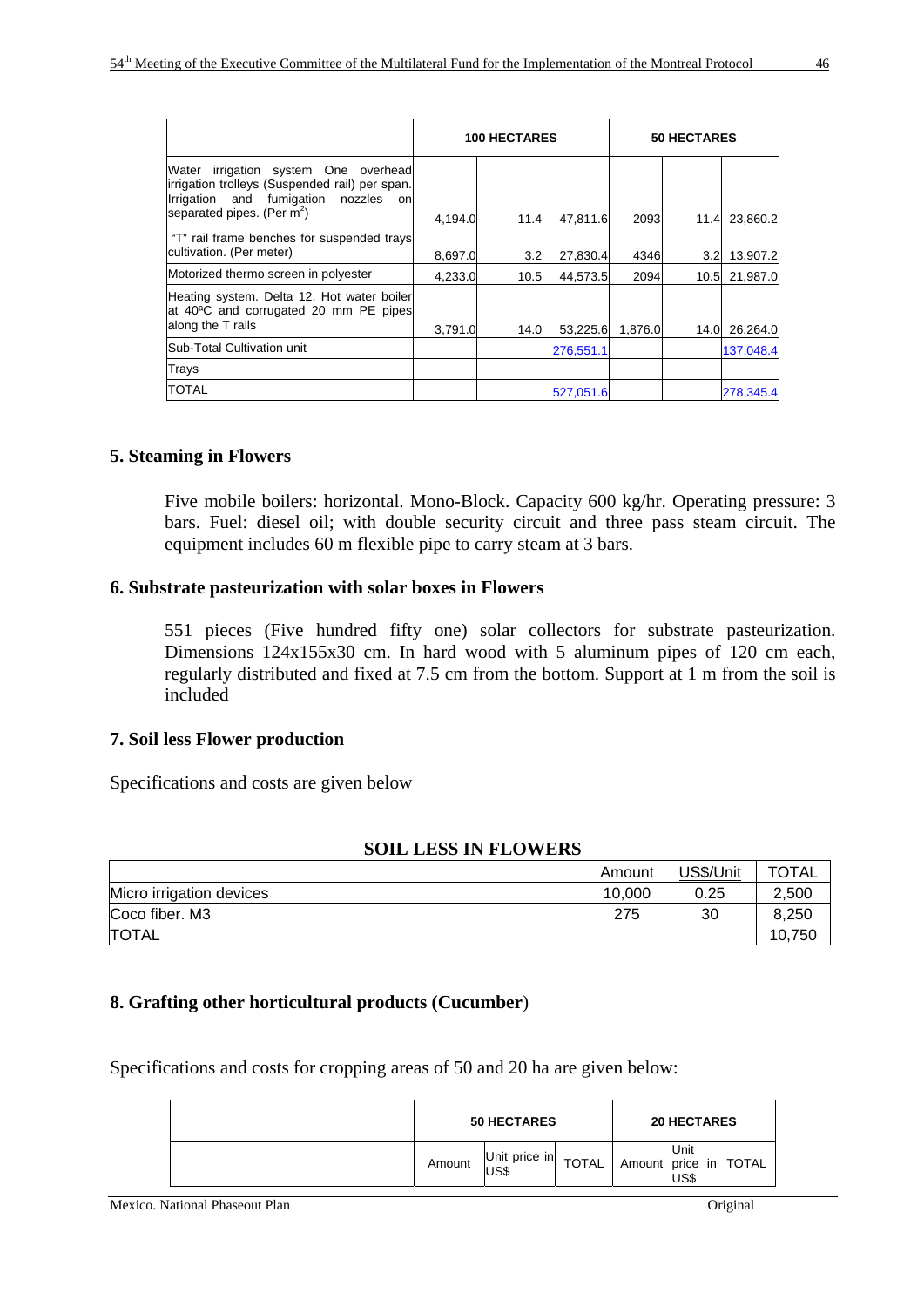|                                                                                                                                                                           | <b>100 HECTARES</b> |      |           |         | 50 HECTARES      |           |  |
|---------------------------------------------------------------------------------------------------------------------------------------------------------------------------|---------------------|------|-----------|---------|------------------|-----------|--|
| Water<br>irrigation system One overhead<br>irrigation trolleys (Suspended rail) per span.<br>Irrigation and fumigation<br>nozzles<br>onl<br>separated pipes. (Per $m^2$ ) | 4.194.0             | 11.4 | 47.811.6  | 2093    | 11.4             | 23.860.2  |  |
| "T" rail frame benches for suspended trays<br>cultivation. (Per meter)                                                                                                    | 8,697.0             | 3.2  | 27,830.4  | 4346    | 3.2 <sub>l</sub> | 13,907.2  |  |
| Motorized thermo screen in polyester                                                                                                                                      | 4,233.0             | 10.5 | 44.573.5  | 2094    | 10.5             | 21,987.0  |  |
| Heating system. Delta 12. Hot water boiler<br>at 40 <sup>a</sup> C and corrugated 20 mm PE pipes<br>along the T rails                                                     | 3,791.0             | 14.0 | 53,225.6  | 1,876.0 | 14.0             | 26,264.0  |  |
| Sub-Total Cultivation unit                                                                                                                                                |                     |      | 276,551.1 |         |                  | 137,048.4 |  |
| Trays                                                                                                                                                                     |                     |      |           |         |                  |           |  |
| <b>TOTAL</b>                                                                                                                                                              |                     |      | 527.051.6 |         |                  | 278,345.4 |  |

# **5. Steaming in Flowers**

Five mobile boilers: horizontal. Mono-Block. Capacity 600 kg/hr. Operating pressure: 3 bars. Fuel: diesel oil; with double security circuit and three pass steam circuit. The equipment includes 60 m flexible pipe to carry steam at 3 bars.

#### **6. Substrate pasteurization with solar boxes in Flowers**

551 pieces (Five hundred fifty one) solar collectors for substrate pasteurization. Dimensions 124x155x30 cm. In hard wood with 5 aluminum pipes of 120 cm each, regularly distributed and fixed at 7.5 cm from the bottom. Support at 1 m from the soil is included

#### **7. Soil less Flower production**

Specifications and costs are given below

#### **SOIL LESS IN FLOWERS**

|                          | Amount | US\$/Unit | <b>TOTAL</b> |
|--------------------------|--------|-----------|--------------|
| Micro irrigation devices | 10.000 | 0.25      | 2,500        |
| Coco fiber. M3           | 275    | 30        | 8,250        |
| <b>ITOTAL</b>            |        |           | 10,750       |

#### **8. Grafting other horticultural products (Cucumber**)

Specifications and costs for cropping areas of 50 and 20 ha are given below:

| <b>50 HECTARES</b> |                        |              |              | <b>20 HECTARES</b> |          |  |
|--------------------|------------------------|--------------|--------------|--------------------|----------|--|
| Amount             | Unit price in<br>lUS\$ | <b>TOTAL</b> | Amount price | <b>Unit</b><br>USS | in TOTAL |  |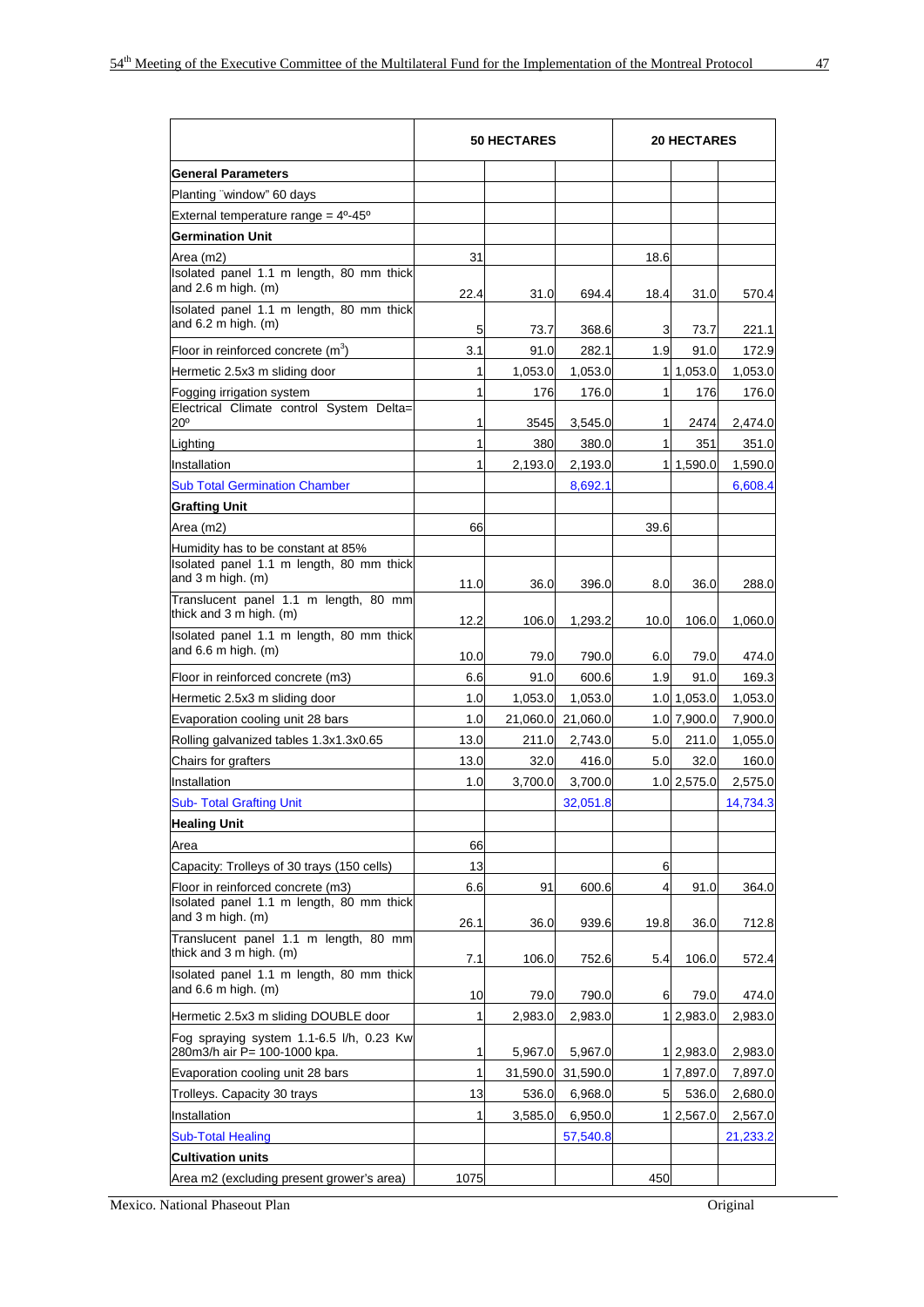|                                                                                                    | <b>50 HECTARES</b> |                 |                  | <b>20 HECTARES</b> |                 |                  |
|----------------------------------------------------------------------------------------------------|--------------------|-----------------|------------------|--------------------|-----------------|------------------|
| <b>General Parameters</b>                                                                          |                    |                 |                  |                    |                 |                  |
| Planting "window" 60 days                                                                          |                    |                 |                  |                    |                 |                  |
| External temperature range = $4^0-45^0$                                                            |                    |                 |                  |                    |                 |                  |
| <b>Germination Unit</b>                                                                            |                    |                 |                  |                    |                 |                  |
| Area (m2)                                                                                          | 31                 |                 |                  | 18.6               |                 |                  |
| Isolated panel 1.1 m length, 80 mm thick<br>and $2.6$ m high. (m)                                  | 22.4               | 31.0            | 694.4            | 18.4               | 31.0            | 570.4            |
| Isolated panel 1.1 m length, 80 mm thick<br>and $6.2$ m high. (m)                                  | 5                  | 73.7            | 368.6            | 3                  | 73.7            | 221.1            |
| Floor in reinforced concrete $(m^3)$                                                               | 3.1                | 91.0            | 282.1            | 1.9                | 91.0            | 172.9            |
| Hermetic 2.5x3 m sliding door                                                                      | 1                  | 1,053.0         | 1,053.0          | 11                 | 1,053.0         | 1,053.0          |
| Fogging irrigation system                                                                          | $\mathbf{1}$       | 176             | 176.0            | 1                  | 176             | 176.0            |
| Electrical Climate control System Delta=<br>$20^{\circ}$                                           | 1                  | 3545            | 3,545.0          | 1                  | 2474            | 2,474.0          |
| Lighting                                                                                           | 1                  | 380             | 380.0            | 1                  | 351             | 351.0            |
| Installation                                                                                       | $\mathbf{1}$       | 2,193.0         | 2,193.0          | 11                 | 1,590.0         | 1,590.0          |
| <b>Sub Total Germination Chamber</b>                                                               |                    |                 | 8,692.1          |                    |                 | 6,608.4          |
| <b>Grafting Unit</b>                                                                               |                    |                 |                  |                    |                 |                  |
| Area (m2)                                                                                          | 66                 |                 |                  | 39.6               |                 |                  |
| Humidity has to be constant at 85%                                                                 |                    |                 |                  |                    |                 |                  |
| Isolated panel 1.1 m length, 80 mm thick<br>and 3 m high. (m)                                      | 11.0               | 36.0            | 396.0            | 8.0                | 36.0            | 288.0            |
| Translucent panel 1.1 m length, 80 mm<br>thick and 3 m high. (m)                                   | 12.2               | 106.0           | 1,293.2          | 10.0               | 106.0           | 1,060.0          |
| Isolated panel 1.1 m length, 80 mm thick<br>and 6.6 m high. (m)                                    | 10.0               | 79.0            | 790.0            | 6.0                | 79.0            | 474.0            |
| Floor in reinforced concrete (m3)                                                                  | 6.6                | 91.0            | 600.6            | 1.9                | 91.0            | 169.3            |
| Hermetic 2.5x3 m sliding door                                                                      | 1.0                | 1,053.0         | 1,053.0          |                    | 1.0 1,053.0     | 1,053.0          |
| Evaporation cooling unit 28 bars                                                                   | 1.0                | 21,060.0        | 21,060.0         |                    | 1.0 7,900.0     | 7,900.0          |
| Rolling galvanized tables 1.3x1.3x0.65                                                             | 13.0               | 211.0           | 2,743.0          | 5.0                | 211.0           | 1,055.0          |
| Chairs for grafters                                                                                | 13.0               | 32.0            | 416.0            | 5.0                | 32.0            | 160.0            |
| Installation                                                                                       | 1.0                | 3,700.0         | 3,700.0          |                    | 1.0 2,575.0     | 2,575.0          |
| <b>Sub- Total Grafting Unit</b>                                                                    |                    |                 | 32,051.8         |                    |                 | 14,734.3         |
| <b>Healing Unit</b>                                                                                |                    |                 |                  |                    |                 |                  |
| Area                                                                                               |                    |                 |                  |                    |                 |                  |
|                                                                                                    | 66                 |                 |                  |                    |                 |                  |
| Capacity: Trolleys of 30 trays (150 cells)                                                         | 13                 |                 |                  | 6                  |                 |                  |
| Floor in reinforced concrete (m3)<br>Isolated panel 1.1 m length, 80 mm thick<br>and 3 m high. (m) | 6.6                | 91              | 600.6            | $\overline{4}$     | 91.0            | 364.0            |
| Translucent panel 1.1 m length, 80 mm<br>thick and 3 m high. (m)                                   | 26.1               | 36.0            | 939.6            | 19.8<br>5.4        | 36.0<br>106.0   | 712.8            |
| Isolated panel 1.1 m length, 80 mm thick<br>and $6.6$ m high. (m)                                  | 7.1                | 106.0           | 752.6            | 6                  |                 | 572.4            |
| Hermetic 2.5x3 m sliding DOUBLE door                                                               | 10<br>$\mathbf{1}$ | 79.0<br>2,983.0 | 790.0<br>2,983.0 | 1                  | 79.0<br>2,983.0 | 474.0<br>2,983.0 |
| Fog spraying system 1.1-6.5 l/h, 0.23 Kw<br>280m3/h air P= 100-1000 kpa.                           | 1                  | 5,967.0         | 5,967.0          |                    | 1 2,983.0       | 2,983.0          |
| Evaporation cooling unit 28 bars                                                                   | $\mathbf{1}$       | 31,590.0        | 31,590.0         |                    | 1 7,897.0       | 7,897.0          |
| Trolleys. Capacity 30 trays                                                                        | 13                 | 536.0           | 6,968.0          | 5                  | 536.0           | 2,680.0          |
| Installation                                                                                       | $\mathbf{1}$       | 3,585.0         | 6,950.0          |                    | 1 2,567.0       | 2,567.0          |
| <b>Sub-Total Healing</b>                                                                           |                    |                 | 57,540.8         |                    |                 | 21,233.2         |
| <b>Cultivation units</b>                                                                           |                    |                 |                  |                    |                 |                  |
| Area m2 (excluding present grower's area)                                                          | 1075               |                 |                  | 450                |                 |                  |
|                                                                                                    |                    |                 |                  |                    |                 |                  |

Mexico. National Phaseout Plan Original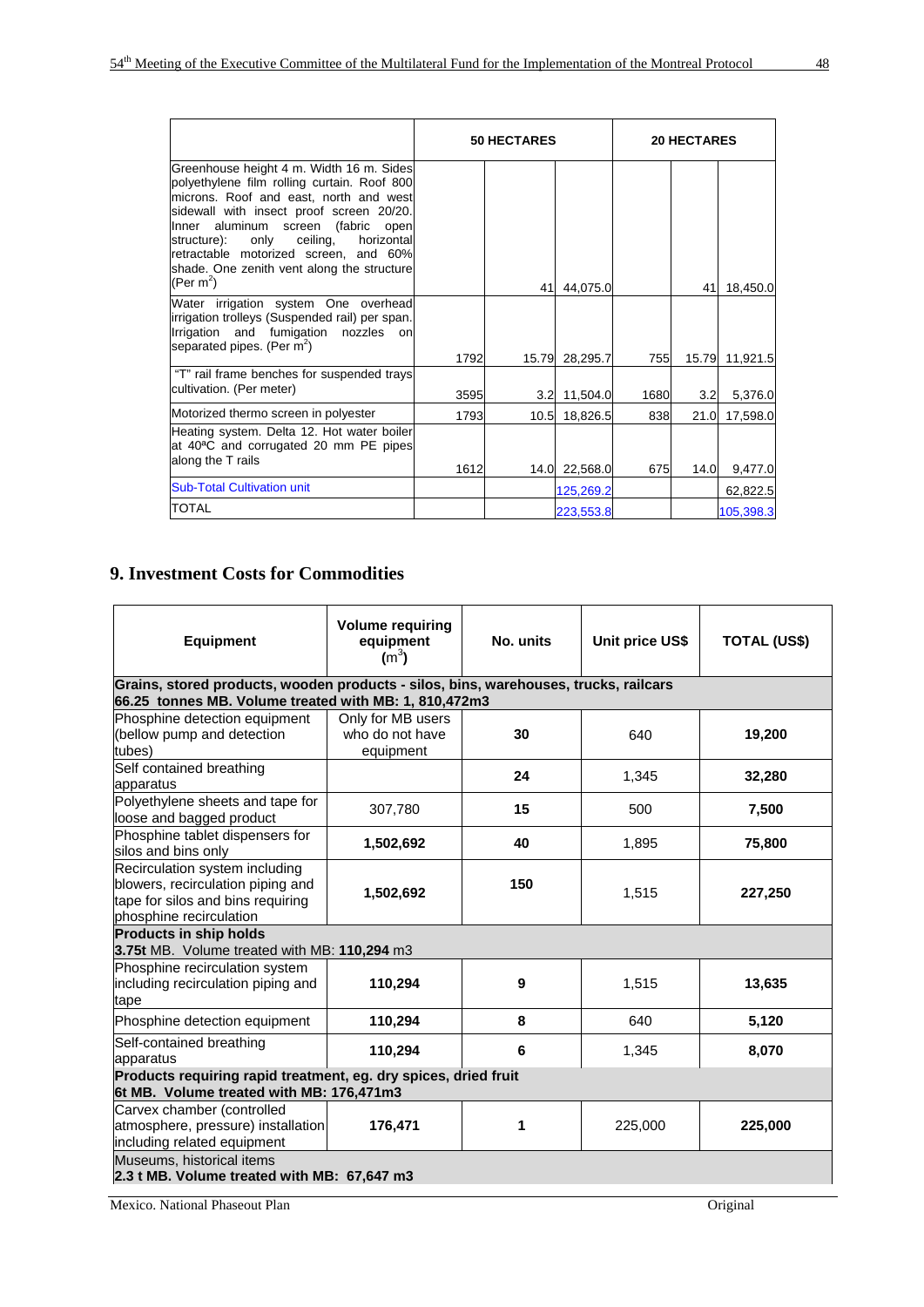|                                                                                                                                                                                                                                                                                                                                                                                               | <b>50 HECTARES</b> |      |                | <b>20 HECTARES</b> |      |                |
|-----------------------------------------------------------------------------------------------------------------------------------------------------------------------------------------------------------------------------------------------------------------------------------------------------------------------------------------------------------------------------------------------|--------------------|------|----------------|--------------------|------|----------------|
| Greenhouse height 4 m. Width 16 m. Sides<br>polyethylene film rolling curtain. Roof 800<br>microns. Roof and east, north and west<br>sidewall with insect proof screen 20/20.<br>aluminum<br>screen (fabric<br>Inner<br>open<br>ceiling,<br>horizontal<br>only<br>structure):<br>retractable motorized screen, and 60%<br>shade. One zenith vent along the structure<br>(Per m <sup>2</sup> ) |                    | 41   | 44,075.0       |                    | 41   | 18,450.0       |
| Water irrigation system One overhead<br>irrigation trolleys (Suspended rail) per span.<br>Irrigation<br>and<br>fumigation<br>nozzles<br>on<br>separated pipes. (Per $m^2$ )                                                                                                                                                                                                                   | 1792               |      | 15.79 28,295.7 | 755                |      | 15.79 11,921.5 |
| "T" rail frame benches for suspended trays<br>cultivation. (Per meter)                                                                                                                                                                                                                                                                                                                        | 3595               |      | 3.2 11,504.0   | 1680               | 3.2  | 5,376.0        |
| Motorized thermo screen in polyester                                                                                                                                                                                                                                                                                                                                                          | 1793               | 10.5 | 18,826.5       | 838                | 21.0 | 17,598.0       |
| Heating system. Delta 12. Hot water boiler<br>at 40 <sup>a</sup> C and corrugated 20 mm PE pipes<br>along the T rails                                                                                                                                                                                                                                                                         | 1612               |      | 14.0 22,568.0  | 675                | 14.0 | 9,477.0        |
| <b>Sub-Total Cultivation unit</b>                                                                                                                                                                                                                                                                                                                                                             |                    |      | 125,269.2      |                    |      | 62,822.5       |
| <b>TOTAL</b>                                                                                                                                                                                                                                                                                                                                                                                  |                    |      | 223,553.8      |                    |      | 105,398.3      |

# **9. Investment Costs for Commodities**

| <b>Equipment</b>                                                                                                                              | <b>Volume requiring</b><br>equipment<br>$(m^3)$   | No. units | Unit price US\$ | <b>TOTAL (US\$)</b> |  |  |  |  |  |
|-----------------------------------------------------------------------------------------------------------------------------------------------|---------------------------------------------------|-----------|-----------------|---------------------|--|--|--|--|--|
| Grains, stored products, wooden products - silos, bins, warehouses, trucks, railcars<br>66.25 tonnes MB. Volume treated with MB: 1, 810,472m3 |                                                   |           |                 |                     |  |  |  |  |  |
| Phosphine detection equipment<br>(bellow pump and detection<br>tubes)                                                                         | Only for MB users<br>who do not have<br>equipment | 30        | 640             | 19,200              |  |  |  |  |  |
| Self contained breathing<br>apparatus                                                                                                         |                                                   | 24        | 1,345           | 32,280              |  |  |  |  |  |
| Polyethylene sheets and tape for<br>loose and bagged product                                                                                  | 307,780                                           | 15        | 500             | 7,500               |  |  |  |  |  |
| Phosphine tablet dispensers for<br>silos and bins only                                                                                        | 1,502,692                                         | 40        | 1,895           | 75,800              |  |  |  |  |  |
| Recirculation system including<br>blowers, recirculation piping and<br>tape for silos and bins requiring<br>phosphine recirculation           | 1,502,692                                         | 150       | 1,515           | 227,250             |  |  |  |  |  |
| <b>Products in ship holds</b><br>3.75t MB. Volume treated with MB: 110,294 m3                                                                 |                                                   |           |                 |                     |  |  |  |  |  |
| Phosphine recirculation system<br>including recirculation piping and<br>tape                                                                  | 110,294                                           | 9         | 1,515           | 13,635              |  |  |  |  |  |
| Phosphine detection equipment                                                                                                                 | 110,294                                           | 8         | 640             | 5,120               |  |  |  |  |  |
| Self-contained breathing<br>apparatus                                                                                                         | 110,294                                           | 6         | 1,345           | 8,070               |  |  |  |  |  |
| Products requiring rapid treatment, eg. dry spices, dried fruit<br>6t MB. Volume treated with MB: 176,471m3                                   |                                                   |           |                 |                     |  |  |  |  |  |
| Carvex chamber (controlled<br>atmosphere, pressure) installation<br>including related equipment                                               | 176,471                                           | 1         | 225,000         | 225,000             |  |  |  |  |  |
| Museums, historical items                                                                                                                     | 2.3 t MB. Volume treated with MB: 67,647 m3       |           |                 |                     |  |  |  |  |  |

Mexico. National Phaseout Plan Original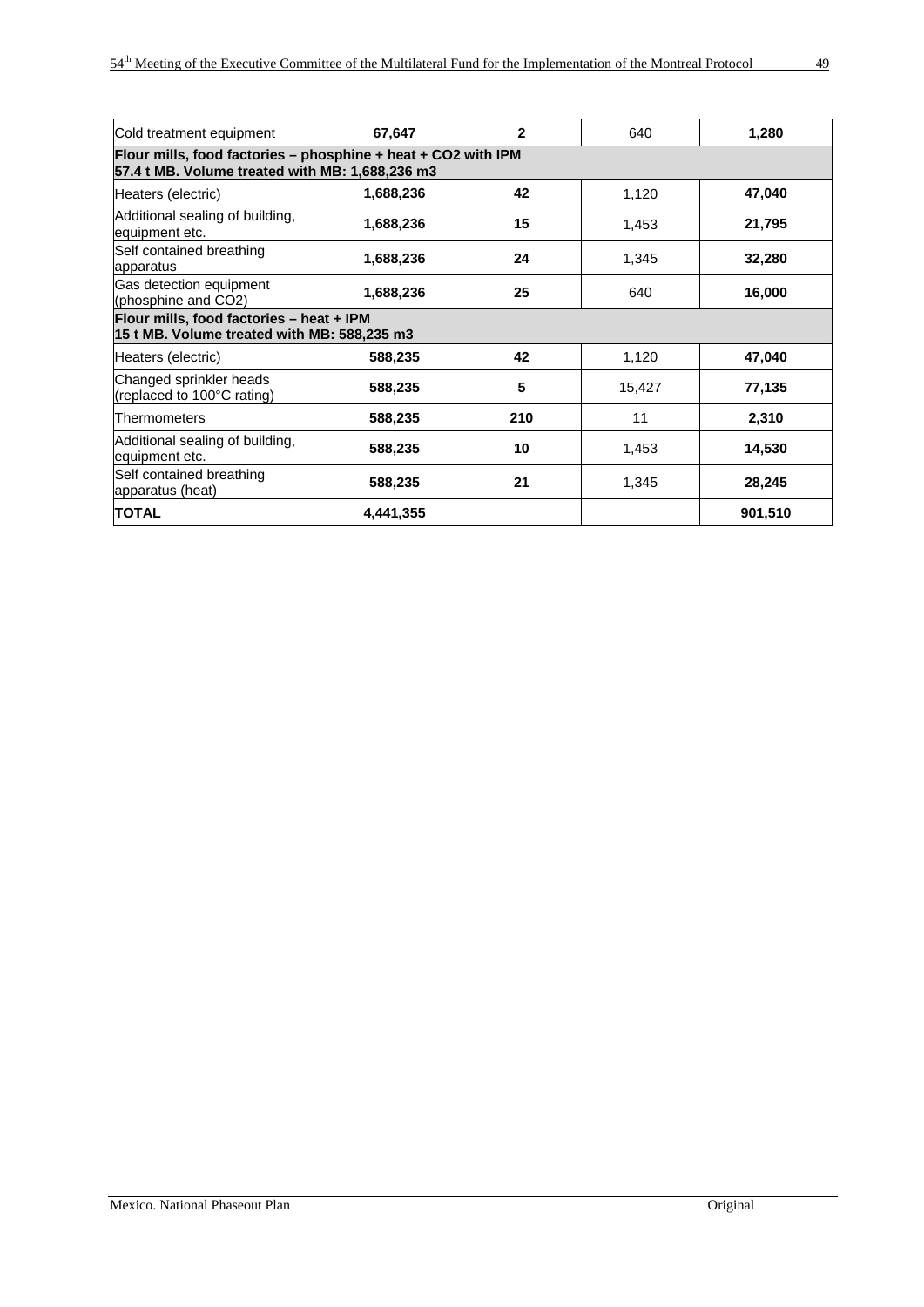| Cold treatment equipment                                                                                             | 67,647    | $\overline{2}$ | 640    | 1,280   |  |  |  |  |  |  |
|----------------------------------------------------------------------------------------------------------------------|-----------|----------------|--------|---------|--|--|--|--|--|--|
| Flour mills, food factories – phosphine $+$ heat $+$ CO2 with IPM<br>57.4 t MB. Volume treated with MB: 1,688,236 m3 |           |                |        |         |  |  |  |  |  |  |
| Heaters (electric)                                                                                                   | 1,688,236 | 42             | 1,120  | 47,040  |  |  |  |  |  |  |
| Additional sealing of building,<br>equipment etc.                                                                    | 1,688,236 | 15             | 1,453  | 21,795  |  |  |  |  |  |  |
| Self contained breathing<br>apparatus                                                                                | 1,688,236 | 24             | 1,345  | 32,280  |  |  |  |  |  |  |
| Gas detection equipment<br>(phosphine and CO2)                                                                       | 1,688,236 | 25             | 640    | 16,000  |  |  |  |  |  |  |
| Flour mills, food factories - heat + IPM<br>15 t MB. Volume treated with MB: 588,235 m3                              |           |                |        |         |  |  |  |  |  |  |
| Heaters (electric)                                                                                                   | 588,235   | 42             | 1,120  | 47,040  |  |  |  |  |  |  |
| Changed sprinkler heads<br>(replaced to 100°C rating)                                                                | 588,235   | 5              | 15,427 | 77,135  |  |  |  |  |  |  |
| Thermometers                                                                                                         | 588,235   | 210            | 11     | 2,310   |  |  |  |  |  |  |
| Additional sealing of building,<br>equipment etc.                                                                    | 588,235   | 10             | 1,453  | 14,530  |  |  |  |  |  |  |
| Self contained breathing<br>apparatus (heat)                                                                         | 588,235   | 21             | 1,345  | 28,245  |  |  |  |  |  |  |
| <b>TOTAL</b>                                                                                                         | 4,441,355 |                |        | 901,510 |  |  |  |  |  |  |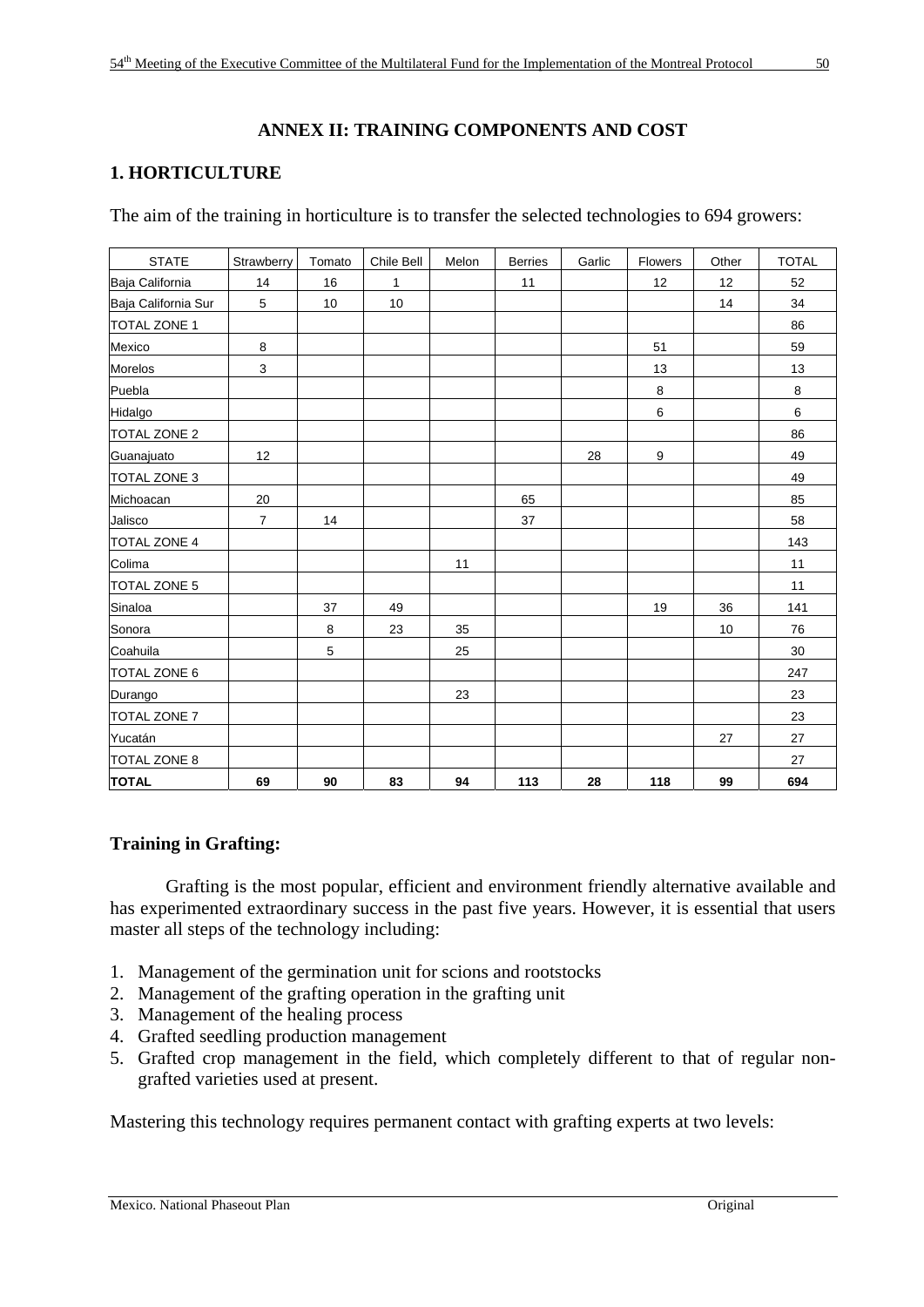# **ANNEX II: TRAINING COMPONENTS AND COST**

# **1. HORTICULTURE**

The aim of the training in horticulture is to transfer the selected technologies to 694 growers:

| <b>STATE</b>        | Strawberry     | Tomato | Chile Bell | Melon | <b>Berries</b> | Garlic | Flowers | Other | <b>TOTAL</b> |
|---------------------|----------------|--------|------------|-------|----------------|--------|---------|-------|--------------|
| Baja California     | 14             | 16     | 1          |       | 11             |        | 12      | 12    | 52           |
| Baja California Sur | 5              | 10     | 10         |       |                |        |         | 14    | 34           |
| <b>TOTAL ZONE 1</b> |                |        |            |       |                |        |         |       | 86           |
| Mexico              | $\bf 8$        |        |            |       |                |        | 51      |       | 59           |
| Morelos             | 3              |        |            |       |                |        | 13      |       | 13           |
| Puebla              |                |        |            |       |                |        | 8       |       | 8            |
| Hidalgo             |                |        |            |       |                |        | 6       |       | 6            |
| <b>TOTAL ZONE 2</b> |                |        |            |       |                |        |         |       | 86           |
| Guanajuato          | 12             |        |            |       |                | 28     | 9       |       | 49           |
| <b>TOTAL ZONE 3</b> |                |        |            |       |                |        |         |       | 49           |
| Michoacan           | 20             |        |            |       | 65             |        |         |       | 85           |
| Jalisco             | $\overline{7}$ | 14     |            |       | 37             |        |         |       | 58           |
| <b>TOTAL ZONE 4</b> |                |        |            |       |                |        |         |       | 143          |
| Colima              |                |        |            | 11    |                |        |         |       | 11           |
| <b>TOTAL ZONE 5</b> |                |        |            |       |                |        |         |       | 11           |
| Sinaloa             |                | 37     | 49         |       |                |        | 19      | 36    | 141          |
| Sonora              |                | 8      | 23         | 35    |                |        |         | 10    | 76           |
| Coahuila            |                | 5      |            | 25    |                |        |         |       | 30           |
| <b>TOTAL ZONE 6</b> |                |        |            |       |                |        |         |       | 247          |
| Durango             |                |        |            | 23    |                |        |         |       | 23           |
| <b>TOTAL ZONE 7</b> |                |        |            |       |                |        |         |       | 23           |
| Yucatán             |                |        |            |       |                |        |         | 27    | 27           |
| <b>TOTAL ZONE 8</b> |                |        |            |       |                |        |         |       | 27           |
| <b>TOTAL</b>        | 69             | 90     | 83         | 94    | 113            | 28     | 118     | 99    | 694          |

# **Training in Grafting:**

 Grafting is the most popular, efficient and environment friendly alternative available and has experimented extraordinary success in the past five years. However, it is essential that users master all steps of the technology including:

- 1. Management of the germination unit for scions and rootstocks
- 2. Management of the grafting operation in the grafting unit
- 3. Management of the healing process
- 4. Grafted seedling production management
- 5. Grafted crop management in the field, which completely different to that of regular nongrafted varieties used at present.

Mastering this technology requires permanent contact with grafting experts at two levels: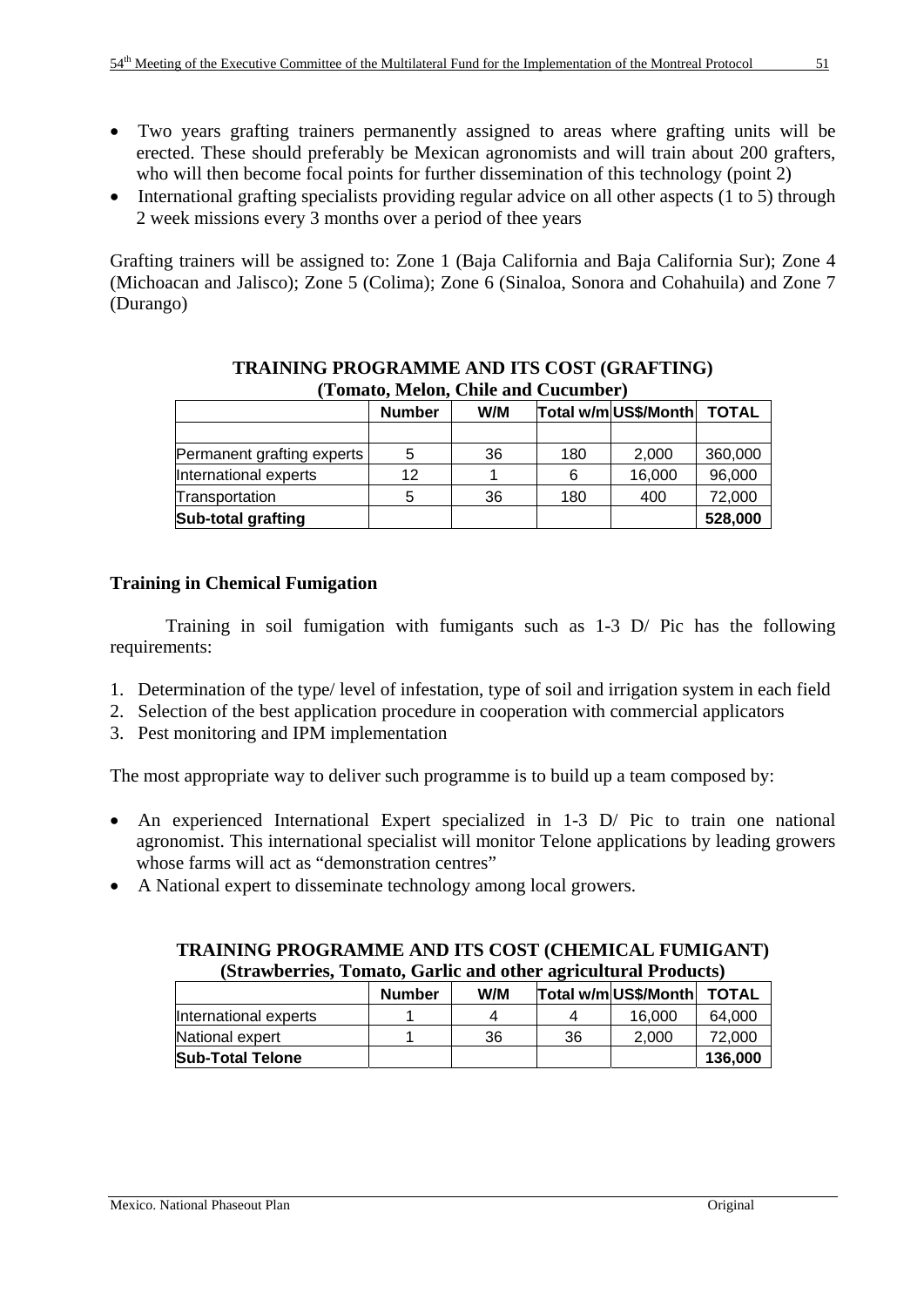- Two years grafting trainers permanently assigned to areas where grafting units will be erected. These should preferably be Mexican agronomists and will train about 200 grafters, who will then become focal points for further dissemination of this technology (point 2)
- International grafting specialists providing regular advice on all other aspects (1 to 5) through 2 week missions every 3 months over a period of thee years

Grafting trainers will be assigned to: Zone 1 (Baja California and Baja California Sur); Zone 4 (Michoacan and Jalisco); Zone 5 (Colima); Zone 6 (Sinaloa, Sonora and Cohahuila) and Zone 7 (Durango)

| TUMUNU MADIDINI CHIID MINI CHUMINDUL |               |     |                            |        |         |  |  |
|--------------------------------------|---------------|-----|----------------------------|--------|---------|--|--|
|                                      | <b>Number</b> | W/M | Total w/m US\$/Month TOTAL |        |         |  |  |
|                                      |               |     |                            |        |         |  |  |
| Permanent grafting experts           | 5             | 36  | 180                        | 2,000  | 360,000 |  |  |
| International experts                | 12            |     | 6                          | 16,000 | 96,000  |  |  |
| Transportation                       |               | 36  | 180                        | 400    | 72,000  |  |  |
| Sub-total grafting                   |               |     |                            |        | 528,000 |  |  |

#### **TRAINING PROGRAMME AND ITS COST (GRAFTING) (Tomato, Melon, Chile and Cucumber)**

# **Training in Chemical Fumigation**

 Training in soil fumigation with fumigants such as 1-3 D/ Pic has the following requirements:

- 1. Determination of the type/ level of infestation, type of soil and irrigation system in each field
- 2. Selection of the best application procedure in cooperation with commercial applicators
- 3. Pest monitoring and IPM implementation

The most appropriate way to deliver such programme is to build up a team composed by:

- An experienced International Expert specialized in 1-3 D/ Pic to train one national agronomist. This international specialist will monitor Telone applications by leading growers whose farms will act as "demonstration centres"
- A National expert to disseminate technology among local growers.

| (Strawberries, Tomato, Garlic and other agricultural Products) |         |    |    |        |        |  |  |  |  |  |
|----------------------------------------------------------------|---------|----|----|--------|--------|--|--|--|--|--|
| Total w/m US\$/Month TOTAL<br>W/M<br><b>Number</b>             |         |    |    |        |        |  |  |  |  |  |
| International experts                                          |         | Δ  |    | 16,000 | 64,000 |  |  |  |  |  |
| National expert                                                |         | 36 | 36 | 2.000  | 72.000 |  |  |  |  |  |
| <b>Sub-Total Telone</b>                                        | 136,000 |    |    |        |        |  |  |  |  |  |

# **TRAINING PROGRAMME AND ITS COST (CHEMICAL FUMIGANT)**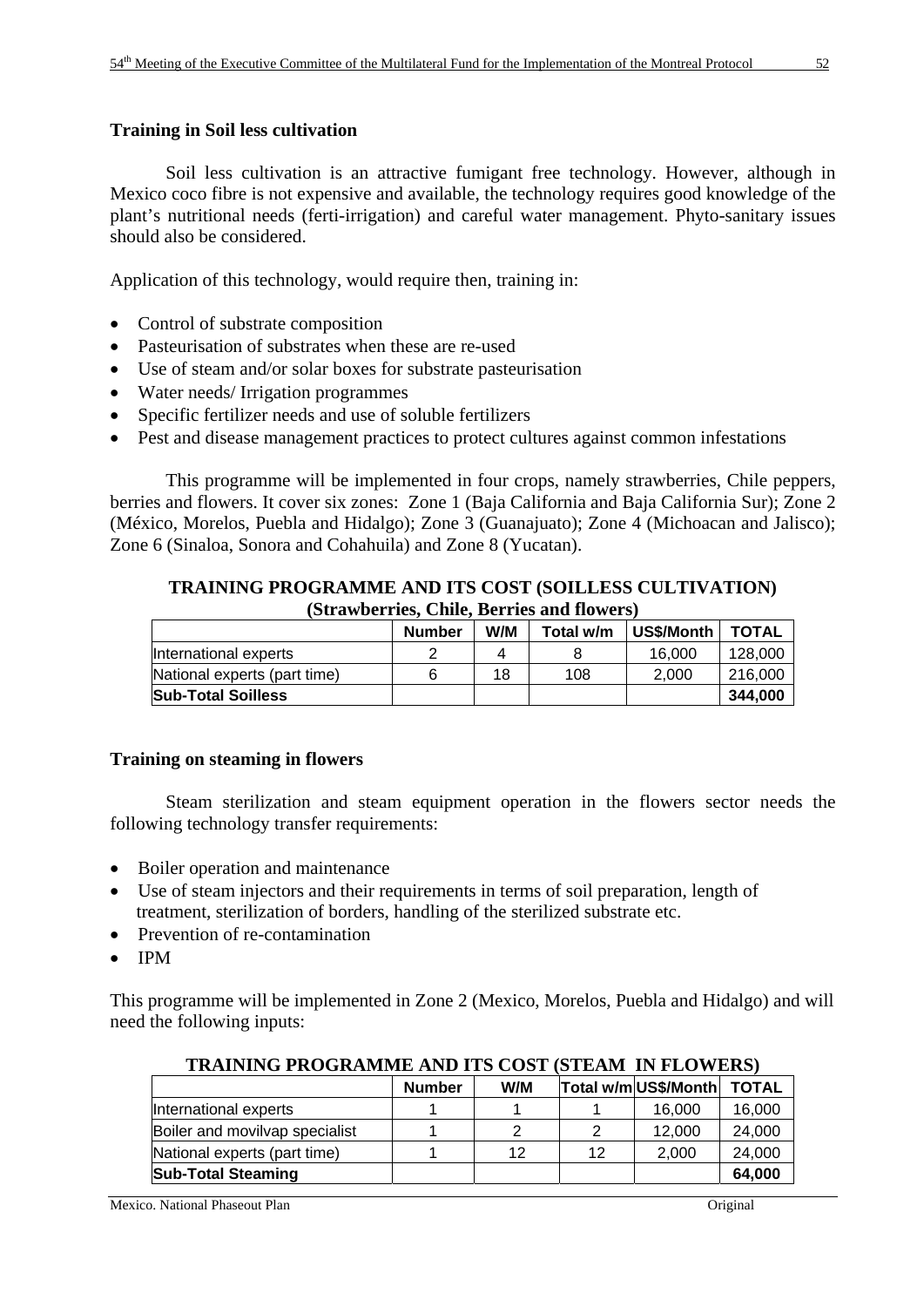# **Training in Soil less cultivation**

 Soil less cultivation is an attractive fumigant free technology. However, although in Mexico coco fibre is not expensive and available, the technology requires good knowledge of the plant's nutritional needs (ferti-irrigation) and careful water management. Phyto-sanitary issues should also be considered.

Application of this technology, would require then, training in:

- Control of substrate composition
- Pasteurisation of substrates when these are re-used
- Use of steam and/or solar boxes for substrate pasteurisation
- Water needs/ Irrigation programmes
- Specific fertilizer needs and use of soluble fertilizers
- Pest and disease management practices to protect cultures against common infestations

 This programme will be implemented in four crops, namely strawberries, Chile peppers, berries and flowers. It cover six zones: Zone 1 (Baja California and Baja California Sur); Zone 2 (México, Morelos, Puebla and Hidalgo); Zone 3 (Guanajuato); Zone 4 (Michoacan and Jalisco); Zone 6 (Sinaloa, Sonora and Cohahuila) and Zone 8 (Yucatan).

#### **TRAINING PROGRAMME AND ITS COST (SOILLESS CULTIVATION) (Strawberries, Chile, Berries and flowers)**

|                              | Number | W/M | Total w/m | US\$/Month | <b>TOTAL</b> |
|------------------------------|--------|-----|-----------|------------|--------------|
| International experts        |        | 4   |           | 16.000     | 128.000      |
| National experts (part time) |        | 18  | 108       | 2.000      | 216,000      |
| <b>Sub-Total Soilless</b>    |        |     |           |            | 344.000      |

#### **Training on steaming in flowers**

 Steam sterilization and steam equipment operation in the flowers sector needs the following technology transfer requirements:

- Boiler operation and maintenance
- Use of steam injectors and their requirements in terms of soil preparation, length of treatment, sterilization of borders, handling of the sterilized substrate etc.
- Prevention of re-contamination
- IPM

This programme will be implemented in Zone 2 (Mexico, Morelos, Puebla and Hidalgo) and will need the following inputs:

|                                | <b>Number</b> | W/M |    | Total w/m US\$/Month | <b>TOTAL</b> |
|--------------------------------|---------------|-----|----|----------------------|--------------|
| International experts          |               |     |    | 16.000               | 16,000       |
| Boiler and movilvap specialist |               |     |    | 12.000               | 24,000       |
| National experts (part time)   |               | 12  | 12 | 2.000                | 24,000       |
| <b>Sub-Total Steaming</b>      |               |     |    |                      | 64.000       |

**TRAINING PROGRAMME AND ITS COST (STEAM IN FLOWERS)**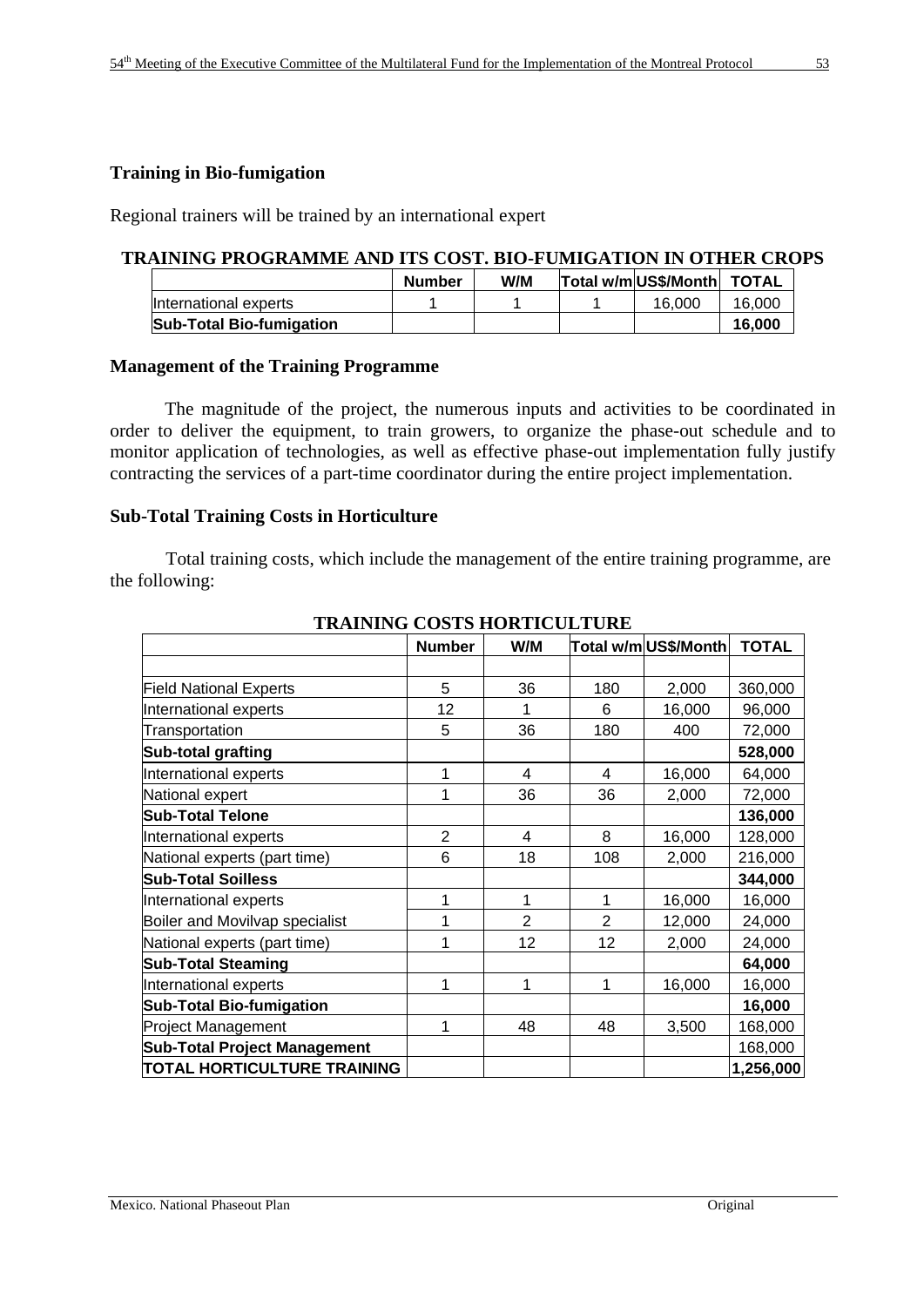#### **Training in Bio-fumigation**

Regional trainers will be trained by an international expert

#### **TRAINING PROGRAMME AND ITS COST. BIO-FUMIGATION IN OTHER CROPS**

|                                 | <b>Number</b> | W/M | Total w/m US\$/Month TOTAL |        |
|---------------------------------|---------------|-----|----------------------------|--------|
| International experts           |               |     | 16,000                     | 16.000 |
| <b>Sub-Total Bio-fumigation</b> |               |     |                            | 16.000 |

#### **Management of the Training Programme**

The magnitude of the project, the numerous inputs and activities to be coordinated in order to deliver the equipment, to train growers, to organize the phase-out schedule and to monitor application of technologies, as well as effective phase-out implementation fully justify contracting the services of a part-time coordinator during the entire project implementation.

#### **Sub-Total Training Costs in Horticulture**

 Total training costs, which include the management of the entire training programme, are the following:

| IRAINING CODID HORIICOLI ORL        |                |                |                |                      |              |
|-------------------------------------|----------------|----------------|----------------|----------------------|--------------|
|                                     | <b>Number</b>  | W/M            |                | Total w/m US\$/Month | <b>TOTAL</b> |
|                                     |                |                |                |                      |              |
| <b>Field National Experts</b>       | 5              | 36             | 180            | 2,000                | 360,000      |
| International experts               | 12             | 1              | 6              | 16,000               | 96,000       |
| Transportation                      | 5              | 36             | 180            | 400                  | 72,000       |
| Sub-total grafting                  |                |                |                |                      | 528,000      |
| International experts               | 1              | 4              | 4              | 16,000               | 64,000       |
| National expert                     | 1              | 36             | 36             | 2,000                | 72,000       |
| <b>Sub-Total Telone</b>             |                |                |                |                      | 136,000      |
| International experts               | $\overline{2}$ | 4              | 8              | 16,000               | 128,000      |
| National experts (part time)        | 6              | 18             | 108            | 2,000                | 216,000      |
| <b>Sub-Total Soilless</b>           |                |                |                |                      | 344,000      |
| International experts               | 1              | 1              | 1              | 16,000               | 16,000       |
| Boiler and Movilvap specialist      | 1              | $\overline{2}$ | $\overline{2}$ | 12,000               | 24,000       |
| National experts (part time)        | 1              | 12             | 12             | 2,000                | 24,000       |
| <b>Sub-Total Steaming</b>           |                |                |                |                      | 64,000       |
| International experts               | 1              | 1              | 1              | 16,000               | 16,000       |
| <b>Sub-Total Bio-fumigation</b>     |                |                |                |                      | 16,000       |
| <b>Project Management</b>           | 1              | 48             | 48             | 3,500                | 168,000      |
| <b>Sub-Total Project Management</b> |                |                |                |                      | 168,000      |
| <b>TOTAL HORTICULTURE TRAINING</b>  |                |                |                |                      | 1,256,000    |

# **TRAINING COSTS HORTICULTURE**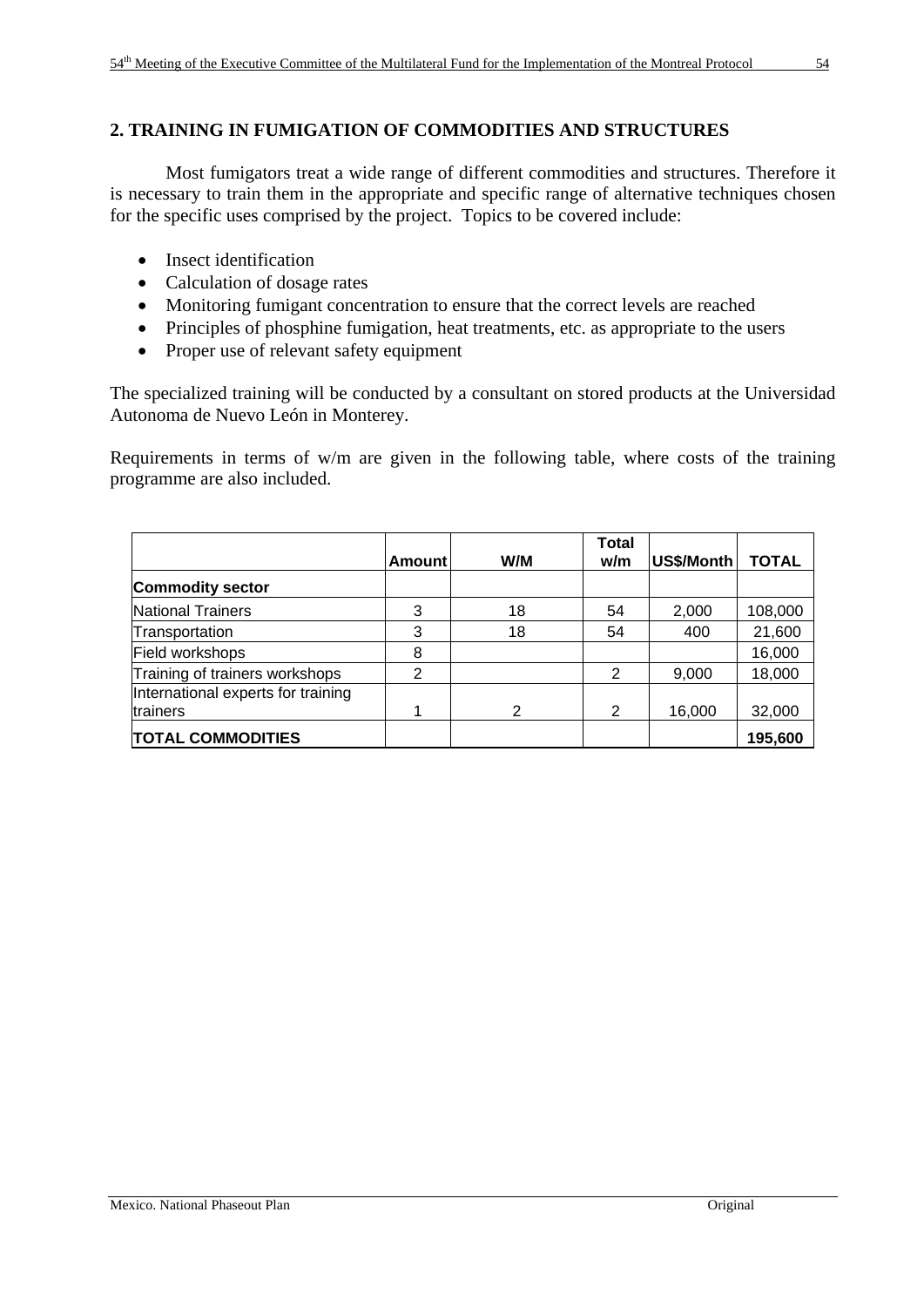# **2. TRAINING IN FUMIGATION OF COMMODITIES AND STRUCTURES**

 Most fumigators treat a wide range of different commodities and structures. Therefore it is necessary to train them in the appropriate and specific range of alternative techniques chosen for the specific uses comprised by the project. Topics to be covered include:

- Insect identification
- Calculation of dosage rates
- Monitoring fumigant concentration to ensure that the correct levels are reached
- Principles of phosphine fumigation, heat treatments, etc. as appropriate to the users
- Proper use of relevant safety equipment

The specialized training will be conducted by a consultant on stored products at the Universidad Autonoma de Nuevo León in Monterey.

Requirements in terms of w/m are given in the following table, where costs of the training programme are also included.

|                                                | <b>Amount</b>  | W/M | <b>Total</b><br>w/m | US\$/Month | <b>TOTAL</b> |
|------------------------------------------------|----------------|-----|---------------------|------------|--------------|
| <b>Commodity sector</b>                        |                |     |                     |            |              |
| National Trainers                              | 3              | 18  | 54                  | 2,000      | 108,000      |
| Transportation                                 | 3              | 18  | 54                  | 400        | 21,600       |
| Field workshops                                | 8              |     |                     |            | 16,000       |
| Training of trainers workshops                 | $\overline{2}$ |     | 2                   | 9,000      | 18,000       |
| International experts for training<br>trainers |                | 2   | 2                   | 16,000     | 32,000       |
| <b>TOTAL COMMODITIES</b>                       |                |     |                     |            | 195,600      |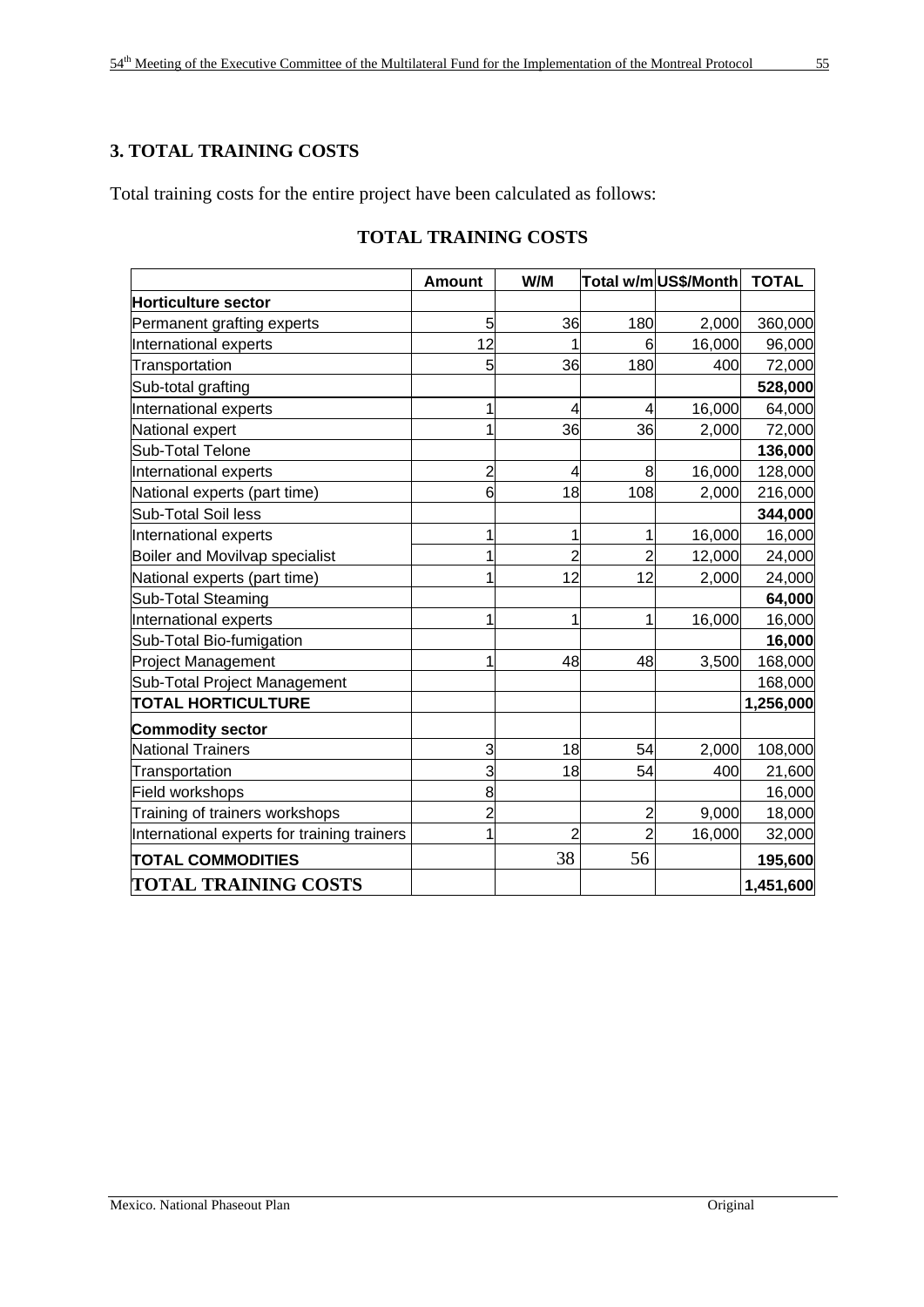# **3. TOTAL TRAINING COSTS**

Total training costs for the entire project have been calculated as follows:

|                                             | <b>Amount</b>  | W/M            |                | Total w/mUS\$/Month | <b>TOTAL</b> |
|---------------------------------------------|----------------|----------------|----------------|---------------------|--------------|
| <b>Horticulture sector</b>                  |                |                |                |                     |              |
| Permanent grafting experts                  | 5              | 36             | 180            | 2,000               | 360,000      |
| International experts                       | 12             | 1              | 6              | 16,000              | 96,000       |
| Transportation                              | 5              | 36             | 180            | 400                 | 72,000       |
| Sub-total grafting                          |                |                |                |                     | 528,000      |
| International experts                       | 1              | 4              | 4              | 16,000              | 64,000       |
| National expert                             | 1              | 36             | 36             | 2,000               | 72,000       |
| <b>Sub-Total Telone</b>                     |                |                |                |                     | 136,000      |
| International experts                       | $\overline{c}$ | 4              | 8              | 16,000              | 128,000      |
| National experts (part time)                | 6              | 18             | 108            | 2,000               | 216,000      |
| <b>Sub-Total Soil less</b>                  |                |                |                |                     | 344,000      |
| International experts                       | 1              | 1              | 1              | 16,000              | 16,000       |
| Boiler and Movilvap specialist              | 1              | $\overline{2}$ | $\overline{2}$ | 12,000              | 24,000       |
| National experts (part time)                | 1              | 12             | 12             | 2,000               | 24,000       |
| Sub-Total Steaming                          |                |                |                |                     | 64,000       |
| International experts                       | 1              | 1              | 1              | 16,000              | 16,000       |
| Sub-Total Bio-fumigation                    |                |                |                |                     | 16,000       |
| <b>Project Management</b>                   | 1              | 48             | 48             | 3,500               | 168,000      |
| Sub-Total Project Management                |                |                |                |                     | 168,000      |
| <b>TOTAL HORTICULTURE</b>                   |                |                |                |                     | 1,256,000    |
| <b>Commodity sector</b>                     |                |                |                |                     |              |
| <b>National Trainers</b>                    | 3              | 18             | 54             | 2,000               | 108,000      |
| Transportation                              | 3              | 18             | 54             | 400                 | 21,600       |
| Field workshops                             | 8              |                |                |                     | 16,000       |
| Training of trainers workshops              | $\overline{2}$ |                | $\overline{2}$ | 9,000               | 18,000       |
| International experts for training trainers | $\overline{1}$ | $\overline{2}$ | $\overline{2}$ | 16,000              | 32,000       |
| <b>TOTAL COMMODITIES</b>                    |                | 38             | 56             |                     | 195,600      |
| <b>TOTAL TRAINING COSTS</b>                 |                |                |                |                     | 1,451,600    |

# **TOTAL TRAINING COSTS**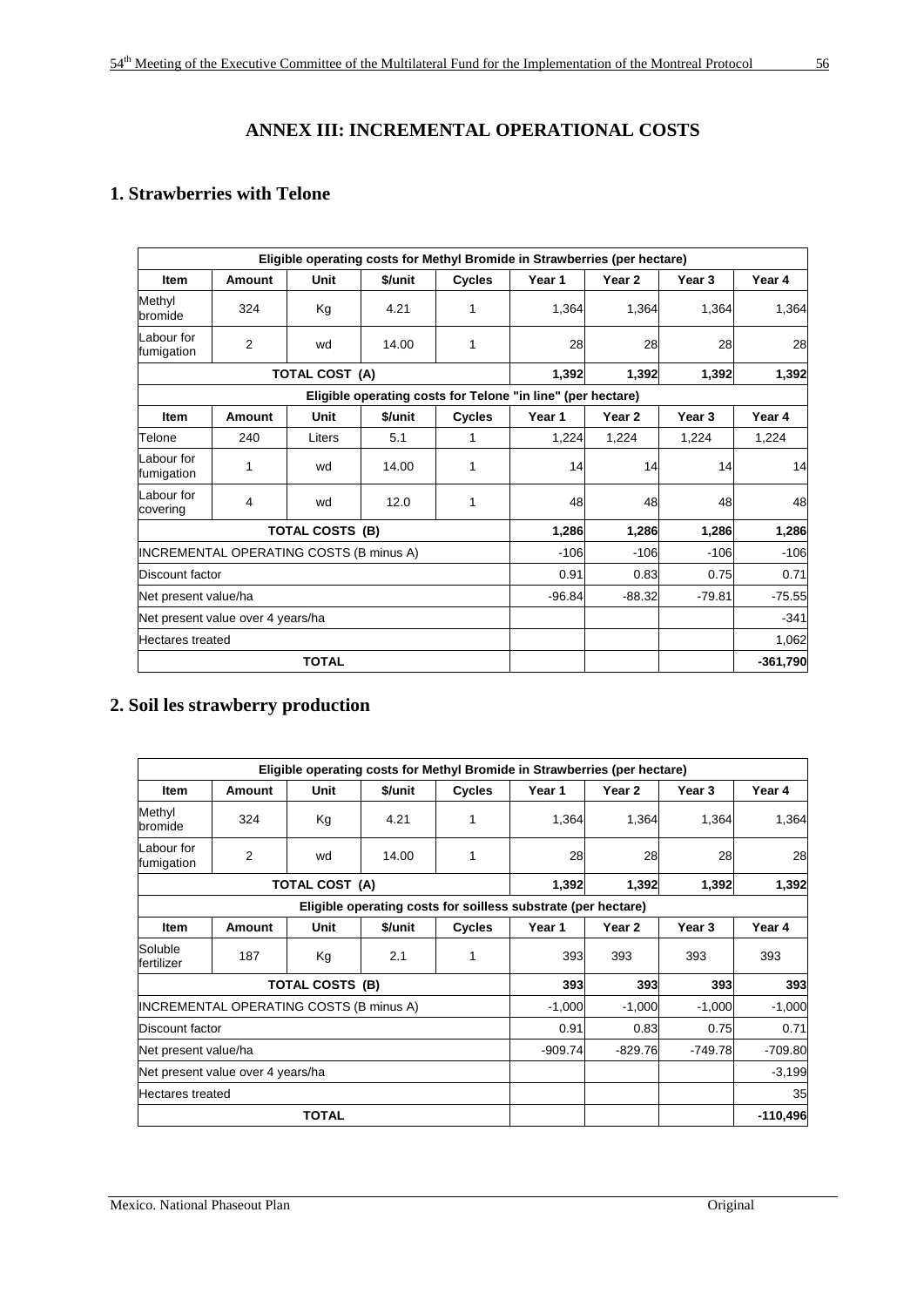# **ANNEX III: INCREMENTAL OPERATIONAL COSTS**

# **1. Strawberries with Telone**

|                                   |                                         |                        |          |               | Eligible operating costs for Methyl Bromide in Strawberries (per hectare) |                   |        |            |
|-----------------------------------|-----------------------------------------|------------------------|----------|---------------|---------------------------------------------------------------------------|-------------------|--------|------------|
| <b>Item</b>                       | Amount                                  | Unit                   | \$/unit  | <b>Cycles</b> | Year 1                                                                    | Year <sub>2</sub> | Year 3 | Year 4     |
| Methyl<br>bromide                 | 324                                     | Kg                     | 4.21     | 1             | 1,364                                                                     | 1.364             | 1.364  | 1,364      |
| Labour for<br>fumigation          | 2                                       | wd                     | 14.00    | 1             | 28                                                                        | 28                | 28     | 28         |
|                                   |                                         | <b>TOTAL COST (A)</b>  |          |               | 1,392                                                                     | 1,392             | 1,392  | 1,392      |
|                                   |                                         |                        |          |               | Eligible operating costs for Telone "in line" (per hectare)               |                   |        |            |
| <b>Item</b>                       | Amount                                  | Unit                   | \$/unit  | <b>Cycles</b> | Year 1                                                                    | Year <sub>2</sub> | Year 3 | Year 4     |
| Telone                            | 240                                     | Liters                 | 5.1      | 1             | 1,224                                                                     | 1,224             | 1,224  | 1,224      |
| Labour for<br>fumigation          | 1                                       | wd                     | 14.00    | 1             | 14                                                                        | 14                | 14     | 14         |
| Labour for<br>covering            | 4                                       | wd                     | 12.0     | 1             | 48                                                                        | 48                | 48     | 48         |
|                                   |                                         | <b>TOTAL COSTS (B)</b> |          |               | 1,286                                                                     | 1,286             | 1,286  | 1,286      |
|                                   | INCREMENTAL OPERATING COSTS (B minus A) |                        |          |               | $-106$                                                                    | $-106$            | $-106$ | $-106$     |
| Discount factor                   |                                         |                        |          |               | 0.91                                                                      | 0.83              | 0.75   | 0.71       |
| Net present value/ha              |                                         |                        | $-96.84$ | $-88.32$      | $-79.81$                                                                  | $-75.55$          |        |            |
| Net present value over 4 years/ha |                                         |                        |          |               | $-341$                                                                    |                   |        |            |
| <b>Hectares treated</b>           |                                         |                        |          |               |                                                                           |                   |        | 1,062      |
|                                   |                                         | <b>TOTAL</b>           |          |               |                                                                           |                   |        | $-361,790$ |

# **2. Soil les strawberry production**

|                          |                                         |                       |         |               | Eligible operating costs for Methyl Bromide in Strawberries (per hectare) |           |           |            |
|--------------------------|-----------------------------------------|-----------------------|---------|---------------|---------------------------------------------------------------------------|-----------|-----------|------------|
| Item                     | <b>Amount</b>                           | Unit                  | \$/unit | <b>Cycles</b> | Year 1                                                                    | Year 2    | Year 3    | Year 4     |
| Methyl<br>bromide        | 324                                     | Kg                    | 4.21    |               | 1,364                                                                     | 1,364     | 1,364     | 1,364      |
| Labour for<br>fumigation | 2                                       | wd                    | 14.00   | 1             | 28                                                                        | 28        | 28        | 28         |
|                          |                                         | <b>TOTAL COST (A)</b> |         |               | 1,392                                                                     | 1,392     | 1,392     | 1,392      |
|                          |                                         |                       |         |               | Eligible operating costs for soilless substrate (per hectare)             |           |           |            |
| <b>Item</b>              | Amount                                  | Unit                  | \$/unit | <b>Cycles</b> | Year 1                                                                    | Year 2    | Year 3    | Year 4     |
| Soluble<br>fertilizer    | 187                                     | Kg                    | 2.1     | 1             | 393                                                                       | 393       | 393       | 393        |
|                          |                                         | TOTAL COSTS (B)       |         |               | 393                                                                       | 393       | 393       | 393        |
|                          | INCREMENTAL OPERATING COSTS (B minus A) |                       |         |               | $-1,000$                                                                  | $-1,000$  | $-1,000$  | $-1,000$   |
| Discount factor          |                                         |                       |         |               | 0.91                                                                      | 0.83      | 0.75      | 0.71       |
|                          | Net present value/ha                    |                       |         |               |                                                                           | $-829.76$ | $-749.78$ | $-709.80$  |
|                          | Net present value over 4 years/ha       |                       |         |               |                                                                           |           |           | $-3,199$   |
|                          | <b>Hectares treated</b>                 |                       |         |               |                                                                           |           |           | 35         |
|                          |                                         | <b>TOTAL</b>          |         |               |                                                                           |           |           | $-110,496$ |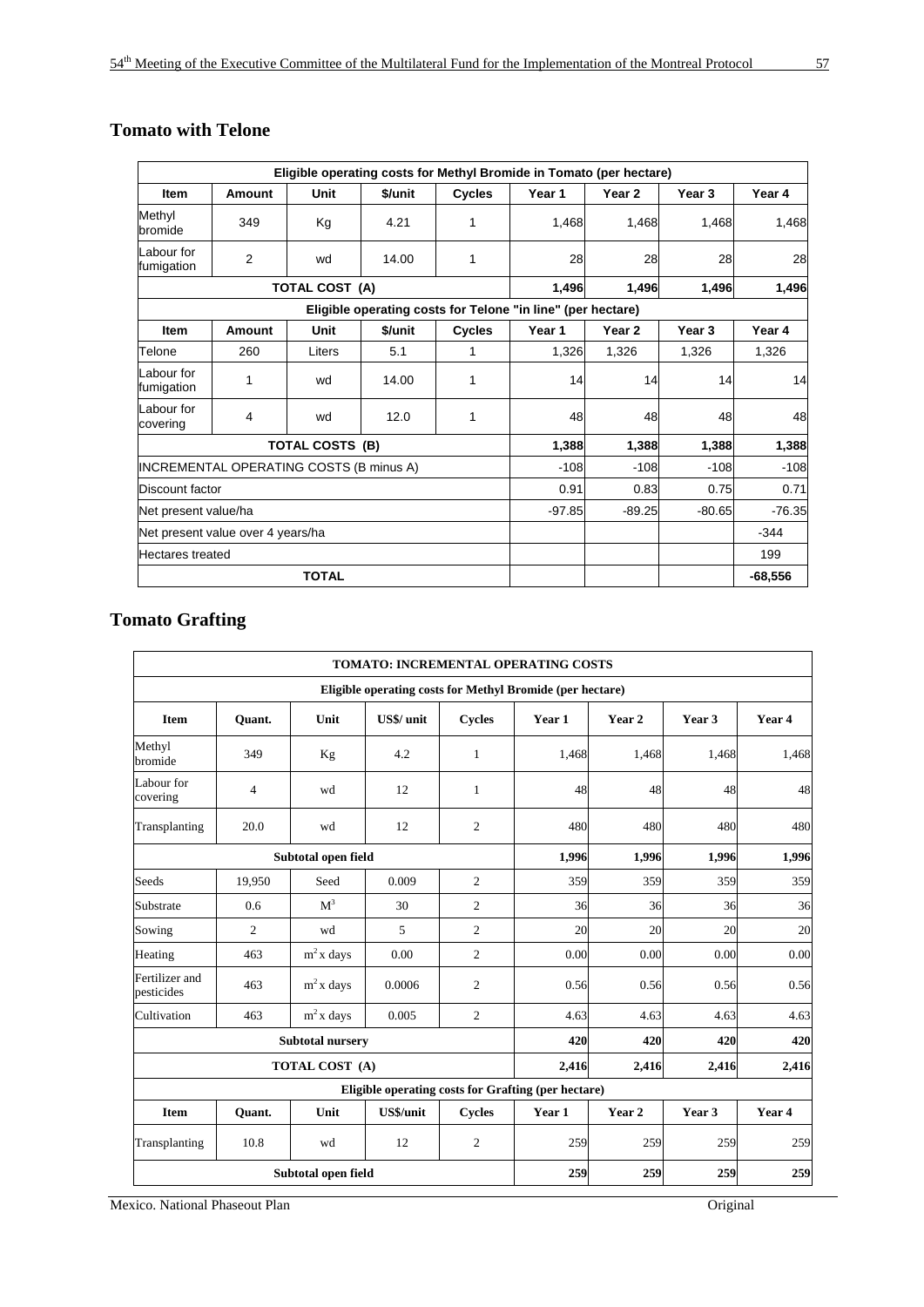|                          |                                         |                        |         |               | Eligible operating costs for Methyl Bromide in Tomato (per hectare) |          |          |           |
|--------------------------|-----------------------------------------|------------------------|---------|---------------|---------------------------------------------------------------------|----------|----------|-----------|
| <b>Item</b>              | <b>Amount</b>                           | Unit                   | \$/unit | <b>Cycles</b> | Year 1                                                              | Year 2   | Year 3   | Year 4    |
| Methyl<br>bromide        | 349                                     | Kg                     | 4.21    | 1             | 1,468                                                               | 1,468    | 1,468    | 1.468     |
| Labour for<br>fumigation | 2                                       | wd                     | 14.00   | 1             | 28                                                                  | 28       | 28       | 28        |
|                          |                                         | <b>TOTAL COST (A)</b>  |         |               | 1,496                                                               | 1,496    | 1,496    | 1,496     |
|                          |                                         |                        |         |               | Eligible operating costs for Telone "in line" (per hectare)         |          |          |           |
| <b>Item</b>              | Amount                                  | Unit                   | \$/unit | <b>Cycles</b> | Year 1                                                              | Year 2   | Year 3   | Year 4    |
| Telone                   | 260                                     | Liters                 | 5.1     | 1             | 1,326                                                               | 1,326    | 1,326    | 1,326     |
| Labour for<br>fumigation | 1                                       | wd                     | 14.00   | 1             | 14                                                                  | 14       | 14       | 14        |
| Labour for<br>covering   | 4                                       | wd                     | 12.0    | 1             | 48                                                                  | 48       | 48       | 48        |
|                          |                                         | <b>TOTAL COSTS (B)</b> |         |               | 1,388                                                               | 1,388    | 1,388    | 1,388     |
|                          | INCREMENTAL OPERATING COSTS (B minus A) |                        |         |               | $-108$                                                              | $-108$   | $-108$   | $-108$    |
| Discount factor          |                                         |                        |         |               | 0.91                                                                | 0.83     | 0.75     | 0.71      |
| Net present value/ha     |                                         |                        |         |               | $-97.85$                                                            | $-89.25$ | $-80.65$ | $-76.35$  |
|                          | Net present value over 4 years/ha       |                        |         |               |                                                                     |          | $-344$   |           |
| <b>Hectares</b> treated  |                                         |                        |         |               |                                                                     |          | 199      |           |
|                          |                                         | <b>TOTAL</b>           |         |               |                                                                     |          |          | $-68,556$ |

# **Tomato with Telone**

# **Tomato Grafting**

|                              |                |                         |                  |                | <b>TOMATO: INCREMENTAL OPERATING COSTS</b>                |        |        |        |
|------------------------------|----------------|-------------------------|------------------|----------------|-----------------------------------------------------------|--------|--------|--------|
|                              |                |                         |                  |                | Eligible operating costs for Methyl Bromide (per hectare) |        |        |        |
| <b>Item</b>                  | Ouant.         | Unit                    | US\$/ unit       | <b>Cycles</b>  | Year 1                                                    | Year 2 | Year 3 | Year 4 |
| Methyl<br>bromide            | 349            | Kg                      | 4.2              | $\mathbf{1}$   | 1,468                                                     | 1,468  | 1,468  | 1,468  |
| Labour for<br>covering       | 4              | wd                      | 12               | $\mathbf{1}$   | 48                                                        | 48     | 48     | 48     |
| Transplanting                | 20.0           | wd                      | 12               | $\overline{c}$ | 480                                                       | 480    | 480    | 480    |
|                              |                | Subtotal open field     |                  |                | 1,996                                                     | 1,996  | 1,996  | 1,996  |
| Seeds                        | 19,950         | Seed                    | 0.009            | $\overline{c}$ | 359                                                       | 359    | 359    | 359    |
| Substrate                    | 0.6            | M <sup>3</sup>          | 30               | $\overline{c}$ | 36                                                        | 36     | 36     | 36     |
| Sowing                       | $\overline{c}$ | wd                      | 5                | $\overline{c}$ | 20                                                        | 20     | 20     | 20     |
| Heating                      | 463            | $m2$ x days             | 0.00             | $\overline{2}$ | 0.00                                                      | 0.00   | 0.00   | 0.00   |
| Fertilizer and<br>pesticides | 463            | $m2$ x days             | 0.0006           | $\overline{c}$ | 0.56                                                      | 0.56   | 0.56   | 0.56   |
| Cultivation                  | 463            | $m2$ x days             | 0.005            | $\overline{c}$ | 4.63                                                      | 4.63   | 4.63   | 4.63   |
|                              |                | <b>Subtotal nursery</b> |                  |                | 420                                                       | 420    | 420    | 420    |
|                              |                | TOTAL COST (A)          |                  |                | 2,416                                                     | 2,416  | 2,416  | 2,416  |
|                              |                |                         |                  |                | Eligible operating costs for Grafting (per hectare)       |        |        |        |
| <b>Item</b>                  | Ouant.         | Unit                    | <b>US\$/unit</b> | <b>Cycles</b>  | Year 1                                                    | Year 2 | Year 3 | Year 4 |
| Transplanting                | 10.8           | wd                      | 12               | $\overline{c}$ | 259                                                       | 259    | 259    | 259    |
|                              |                | Subtotal open field     |                  |                | 259                                                       | 259    | 259    | 259    |

Mexico. National Phaseout Plan Original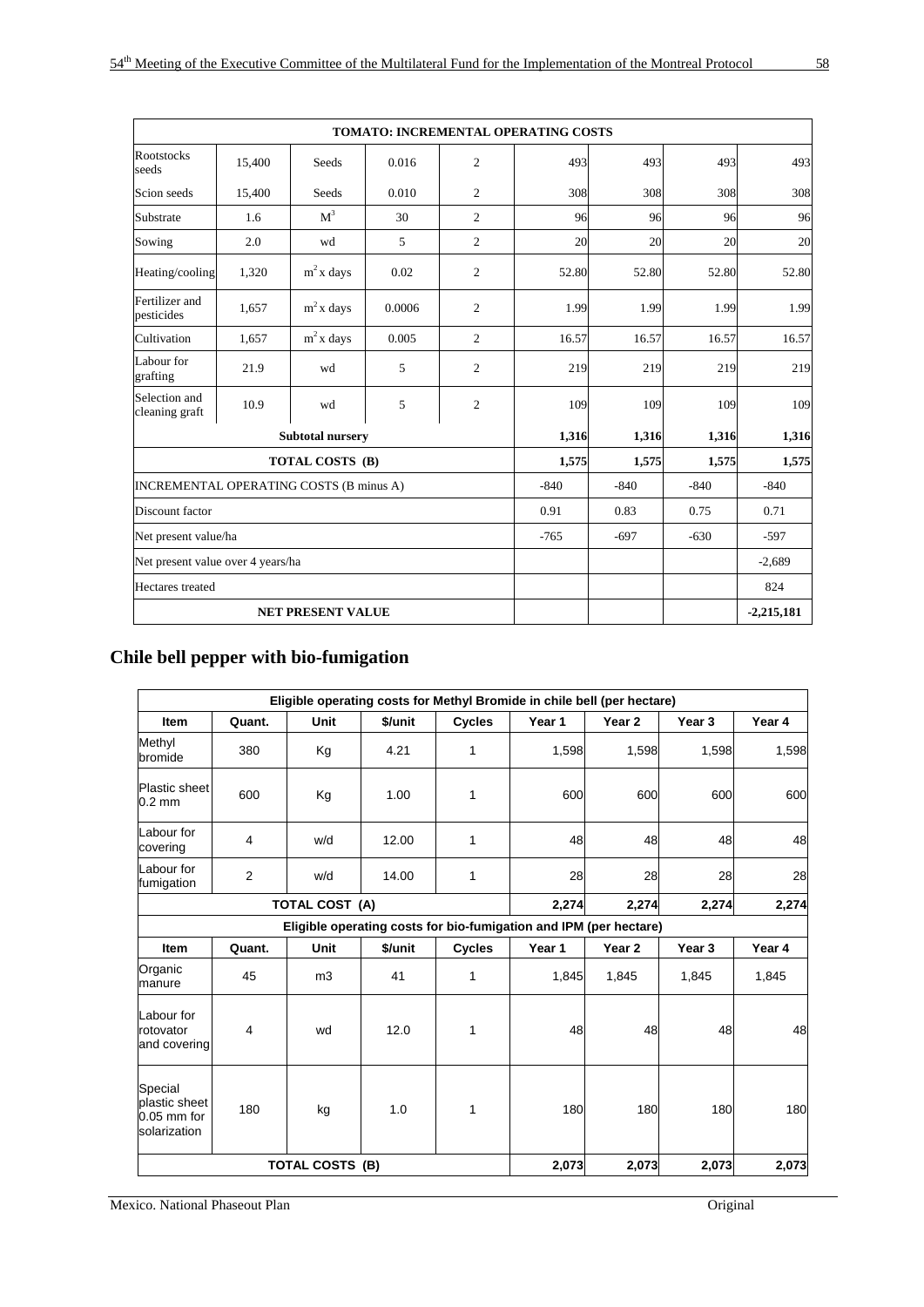|                                         |        |                          |        |                | <b>TOMATO: INCREMENTAL OPERATING COSTS</b> |        |              |        |
|-----------------------------------------|--------|--------------------------|--------|----------------|--------------------------------------------|--------|--------------|--------|
| <b>Rootstocks</b><br>seeds              | 15,400 | Seeds                    | 0.016  | 2              | 493                                        | 493    | 493          | 493    |
| Scion seeds                             | 15,400 | <b>Seeds</b>             | 0.010  | $\overline{2}$ | 308                                        | 308    | 308          | 308    |
| Substrate                               | 1.6    | M <sup>3</sup>           | 30     | 2              | 96                                         | 96     | 96           | 96     |
| Sowing                                  | 2.0    | wd                       | 5      | 2              | 20                                         | 20     | 20           | 20     |
| Heating/cooling                         | 1,320  | $m2$ x days              | 0.02   | 2              | 52.80                                      | 52.80  | 52.80        | 52.80  |
| Fertilizer and<br>pesticides            | 1,657  | $m2$ x days              | 0.0006 | $\overline{2}$ | 1.99                                       | 1.99   | 1.99         | 1.99   |
| Cultivation                             | 1.657  | $m2$ x days              | 0.005  | 2              | 16.57                                      | 16.57  | 16.57        | 16.57  |
| Labour for<br>grafting                  | 21.9   | wd                       | 5      | 2              | 219                                        | 219    | 219          | 219    |
| Selection and<br>cleaning graft         | 10.9   | wd                       | 5      | 2              | 109                                        | 109    | 109          | 109    |
|                                         |        | <b>Subtotal nursery</b>  |        |                | 1,316                                      | 1,316  | 1,316        | 1,316  |
|                                         |        | TOTAL COSTS (B)          |        |                | 1,575                                      | 1,575  | 1,575        | 1,575  |
| INCREMENTAL OPERATING COSTS (B minus A) |        |                          |        |                | $-840$                                     | $-840$ | $-840$       | $-840$ |
| Discount factor                         |        |                          |        |                | 0.91                                       | 0.83   | 0.75         | 0.71   |
| Net present value/ha                    |        |                          | $-765$ | $-697$         | $-630$                                     | $-597$ |              |        |
| Net present value over 4 years/ha       |        |                          |        |                |                                            |        | $-2,689$     |        |
| Hectares treated                        |        |                          |        |                |                                            |        |              | 824    |
|                                         |        | <b>NET PRESENT VALUE</b> |        |                |                                            |        | $-2,215,181$ |        |

# **Chile bell pepper with bio-fumigation**

|                                                           |        |                        |         |               | Eligible operating costs for Methyl Bromide in chile bell (per hectare) |        |                   |        |
|-----------------------------------------------------------|--------|------------------------|---------|---------------|-------------------------------------------------------------------------|--------|-------------------|--------|
| <b>Item</b>                                               | Quant. | <b>Unit</b>            | \$/unit | <b>Cycles</b> | Year 1                                                                  | Year 2 | Year <sub>3</sub> | Year 4 |
| Methyl<br>bromide                                         | 380    | Кg                     | 4.21    | 1             | 1,598                                                                   | 1,598  | 1,598             | 1,598  |
| Plastic sheet<br>$0.2 \text{ mm}$                         | 600    | Кg                     | 1.00    | 1             | 600                                                                     | 600    | 600               | 600    |
| Labour for<br>covering                                    | 4      | w/d                    | 12.00   | 1             | 48                                                                      | 48     | 48                | 48     |
| Labour for<br>fumigation                                  | 2      | w/d                    | 14.00   | 1             | 28                                                                      | 28     | 28                | 28     |
|                                                           |        | <b>TOTAL COST (A)</b>  |         |               | 2,274                                                                   | 2,274  | 2,274             | 2,274  |
|                                                           |        |                        |         |               | Eligible operating costs for bio-fumigation and IPM (per hectare)       |        |                   |        |
| Item                                                      | Quant. | Unit                   | \$/unit | <b>Cycles</b> | Year 1                                                                  | Year 2 | Year 3            | Year 4 |
| Organic<br>manure                                         | 45     | m <sub>3</sub>         | 41      | 1             | 1,845                                                                   | 1,845  | 1,845             | 1,845  |
| Labour for<br>rotovator<br>and covering                   | 4      | wd                     | 12.0    | 1             | 48                                                                      | 48     | 48                | 48     |
| Special<br>plastic sheet<br>$0.05$ mm for<br>solarization | 180    | kg                     | 1.0     | 1             | 180                                                                     | 180    | 180               | 180    |
|                                                           |        | <b>TOTAL COSTS (B)</b> |         | 2,073         | 2,073                                                                   | 2,073  | 2,073             |        |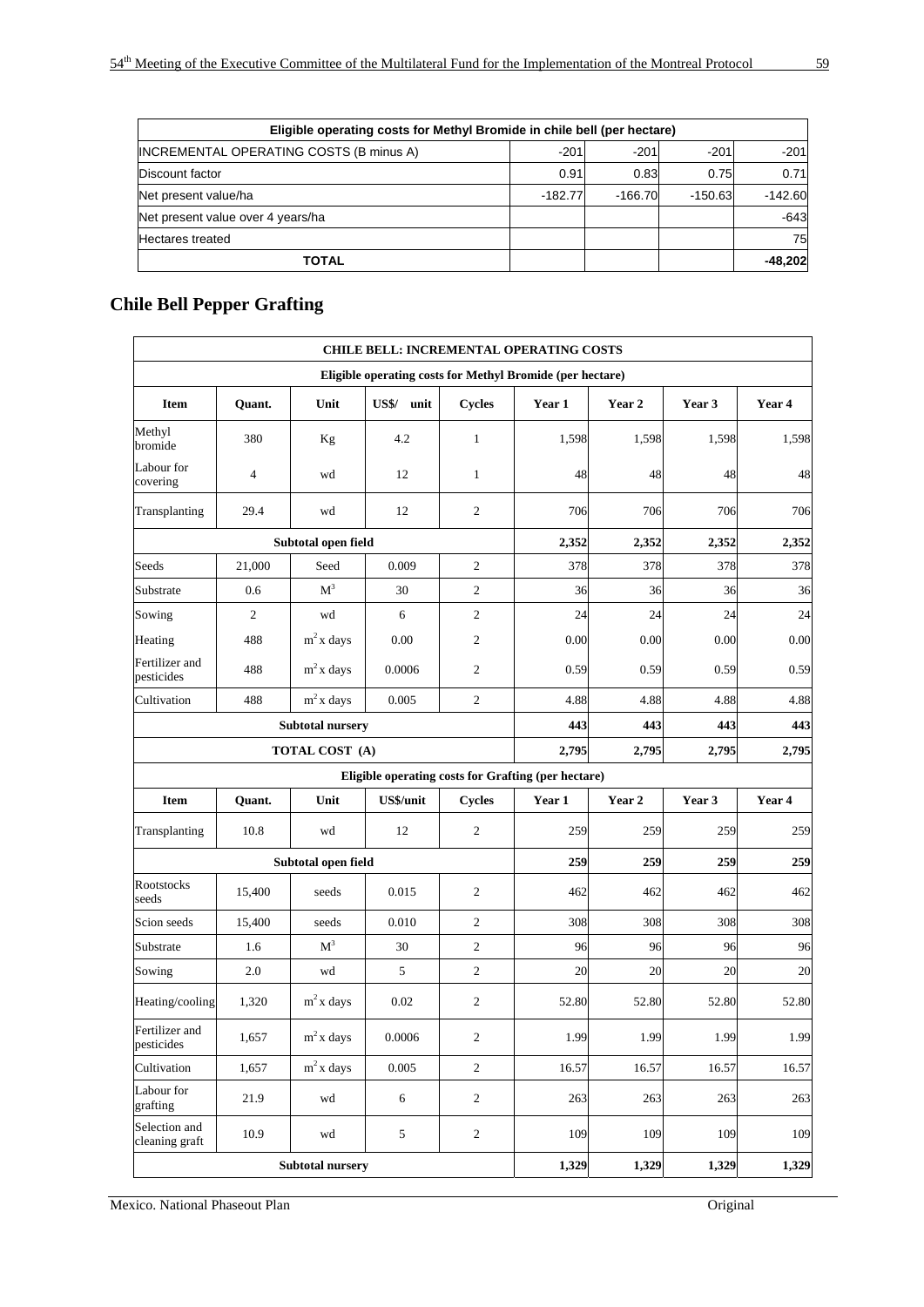| Eligible operating costs for Methyl Bromide in chile bell (per hectare) |           |           |           |           |  |  |  |  |  |
|-------------------------------------------------------------------------|-----------|-----------|-----------|-----------|--|--|--|--|--|
| <b>INCREMENTAL OPERATING COSTS (B minus A)</b>                          | $-201$    | $-201$    | $-201$    | $-201$    |  |  |  |  |  |
| Discount factor                                                         | 0.91      | 0.83      | 0.75      | 0.71      |  |  |  |  |  |
| Net present value/ha                                                    | $-182.77$ | $-166.70$ | $-150.63$ | $-142.60$ |  |  |  |  |  |
| Net present value over 4 years/ha                                       |           |           |           | $-643$    |  |  |  |  |  |
| <b>Hectares</b> treated                                                 |           |           |           | 75        |  |  |  |  |  |
| <b>TOTAL</b>                                                            |           |           |           | $-48,202$ |  |  |  |  |  |

# **Chile Bell Pepper Grafting**

|                                 |                |                         |               |                  | <b>CHILE BELL: INCREMENTAL OPERATING COSTS</b>            |        |        |        |
|---------------------------------|----------------|-------------------------|---------------|------------------|-----------------------------------------------------------|--------|--------|--------|
|                                 |                |                         |               |                  | Eligible operating costs for Methyl Bromide (per hectare) |        |        |        |
| Item                            | Quant.         | Unit                    | US\$/ unit    | <b>Cycles</b>    | Year 1                                                    | Year 2 | Year 3 | Year 4 |
| Methyl<br>bromide               | 380            | Kg                      | 4.2           | $\mathbf{1}$     | 1,598                                                     | 1,598  | 1,598  | 1,598  |
| Labour for<br>covering          | $\overline{4}$ | wd                      | 12            | $\mathbf{1}$     | 48                                                        | 48     | 48     | 48     |
| Transplanting                   | 29.4           | wd                      | 12            | $\mathfrak{2}$   | 706                                                       | 706    | 706    | 706    |
|                                 |                | Subtotal open field     |               |                  | 2,352                                                     | 2,352  | 2,352  | 2,352  |
| Seeds                           | 21,000         | Seed                    | 0.009         | $\overline{c}$   | 378                                                       | 378    | 378    | 378    |
| Substrate                       | 0.6            | M <sup>3</sup>          | 30            | $\overline{c}$   | 36                                                        | 36     | 36     | 36     |
| Sowing                          | $\overline{c}$ | wd                      | 6             | $\overline{c}$   | 24                                                        | 24     | 24     | 24     |
| Heating                         | 488            | $m2$ x days             | 0.00          | $\overline{c}$   | 0.00                                                      | 0.00   | 0.00   | 0.00   |
| Fertilizer and<br>pesticides    | 488            | $m2$ x days             | 0.0006        | $\overline{c}$   | 0.59                                                      | 0.59   | 0.59   | 0.59   |
| Cultivation                     | 488            | $m2$ x days             | 0.005         | $\overline{c}$   | 4.88                                                      | 4.88   | 4.88   | 4.88   |
|                                 |                | <b>Subtotal nursery</b> |               |                  | 443                                                       | 443    | 443    | 443    |
|                                 |                | TOTAL COST (A)          |               |                  | 2,795                                                     | 2,795  | 2,795  | 2,795  |
|                                 |                |                         |               |                  | Eligible operating costs for Grafting (per hectare)       |        |        |        |
| Item                            | Quant.         | Unit                    | US\$/unit     | <b>Cycles</b>    | Year 1                                                    | Year 2 | Year 3 | Year 4 |
| Transplanting                   | 10.8           | wd                      | 12            | $\boldsymbol{2}$ | 259                                                       | 259    | 259    | 259    |
|                                 |                | Subtotal open field     |               |                  | 259                                                       | 259    | 259    | 259    |
| Rootstocks<br>seeds             | 15,400         | seeds                   | 0.015         | $\overline{c}$   | 462                                                       | 462    | 462    | 462    |
| Scion seeds                     | 15,400         | seeds                   | 0.010         | $\overline{c}$   | 308                                                       | 308    | 308    | 308    |
| Substrate                       | 1.6            | M <sup>3</sup>          | 30            | $\overline{c}$   | 96                                                        | 96     | 96     | 96     |
| Sowing                          | 2.0            | wd                      | 5             | 2                | 20                                                        | 20     | 20     | 20     |
| Heating/cooling                 | 1,320          | $m2$ x days             | 0.02          | $\overline{c}$   | 52.80                                                     | 52.80  | 52.80  | 52.80  |
| Fertilizer and<br>pesticides    | 1,657          | $m2$ x days             | 0.0006        | $\overline{c}$   | 1.99                                                      | 1.99   | 1.99   | 1.99   |
| Cultivation                     | 1,657          | $m2$ x days             | 0.005         | $\sqrt{2}$       | 16.57                                                     | 16.57  | 16.57  | 16.57  |
| Labour for<br>grafting          | 21.9           | wd                      | 6             | $\boldsymbol{2}$ | 263                                                       | 263    | 263    | 263    |
| Selection and<br>cleaning graft | 10.9           | wd                      | $\mathfrak s$ | $\overline{c}$   | 109                                                       | 109    | 109    | 109    |
|                                 |                | <b>Subtotal nursery</b> |               |                  | 1,329                                                     | 1,329  | 1,329  | 1,329  |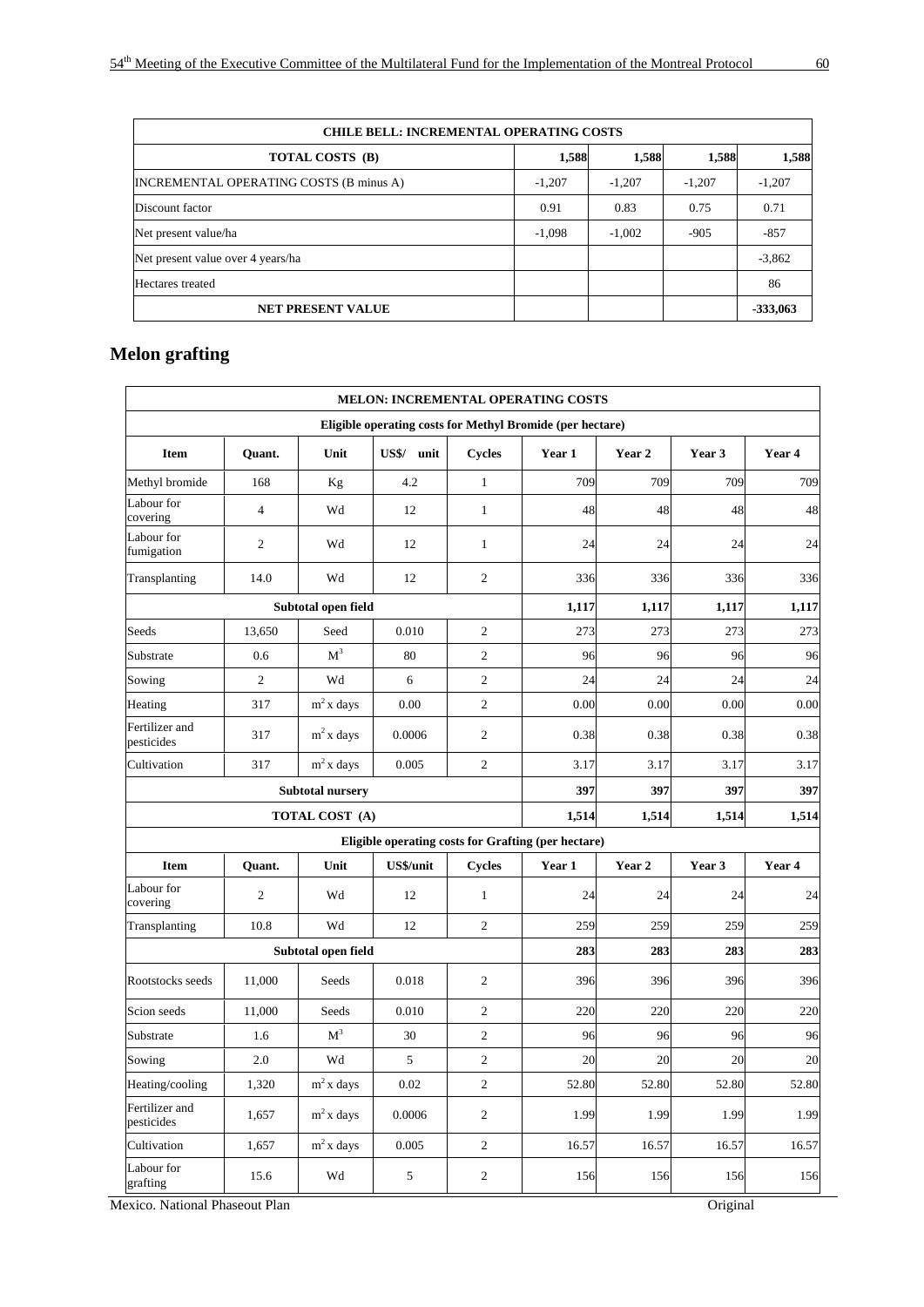| <b>CHILE BELL: INCREMENTAL OPERATING COSTS</b> |          |          |          |            |  |  |  |  |  |  |
|------------------------------------------------|----------|----------|----------|------------|--|--|--|--|--|--|
| TOTAL COSTS (B)                                | 1,588    | 1,588    | 1,588    | 1,588      |  |  |  |  |  |  |
| <b>INCREMENTAL OPERATING COSTS (B minus A)</b> | $-1,207$ | $-1,207$ | $-1,207$ | $-1,207$   |  |  |  |  |  |  |
| Discount factor                                | 0.91     | 0.83     | 0.75     | 0.71       |  |  |  |  |  |  |
| Net present value/ha                           | $-1,098$ | $-1,002$ | $-905$   | $-857$     |  |  |  |  |  |  |
| Net present value over 4 years/ha              |          |          |          | $-3,862$   |  |  |  |  |  |  |
| Hectares treated                               |          |          |          | 86         |  |  |  |  |  |  |
| <b>NET PRESENT VALUE</b>                       |          |          |          | $-333,063$ |  |  |  |  |  |  |

# **Melon grafting**

|                              |                  |                         |                  |                | <b>MELON: INCREMENTAL OPERATING COSTS</b>                 |        |        |        |
|------------------------------|------------------|-------------------------|------------------|----------------|-----------------------------------------------------------|--------|--------|--------|
|                              |                  |                         |                  |                | Eligible operating costs for Methyl Bromide (per hectare) |        |        |        |
| <b>Item</b>                  | Quant.           | Unit                    | US\$/ unit       | <b>Cycles</b>  | Year 1                                                    | Year 2 | Year 3 | Year 4 |
| Methyl bromide               | 168              | Kg                      | 4.2              | $\,1$          | 709                                                       | 709    | 709    | 709    |
| Labour for<br>covering       | $\overline{4}$   | Wd                      | 12               | $\mathbf{1}$   | 48                                                        | 48     | 48     | 48     |
| Labour for<br>fumigation     | $\overline{2}$   | Wd                      | 12               | $\mathbf{1}$   | 24                                                        | 24     | 24     | 24     |
| Transplanting                | 14.0             | Wd                      | 12               | $\mathbf{2}$   | 336                                                       | 336    | 336    | 336    |
|                              |                  | Subtotal open field     |                  |                | 1,117                                                     | 1,117  | 1,117  | 1,117  |
| Seeds                        | 13,650           | Seed                    | 0.010            | $\mathfrak{2}$ | 273                                                       | 273    | 273    | 273    |
| Substrate                    | 0.6              | $\mathbf{M}^3$          | 80               | $\mathfrak{2}$ | 96                                                        | 96     | 96     | 96     |
| Sowing                       | $\boldsymbol{2}$ | Wd                      | 6                | $\sqrt{2}$     | 24                                                        | 24     | 24     | 24     |
| Heating                      | 317              | $m2$ x days             | 0.00             | $\mathbf{2}$   | 0.00                                                      | 0.00   | 0.00   | 0.00   |
| Fertilizer and<br>pesticides | 317              | $m2$ x days             | 0.0006           | 2              | 0.38                                                      | 0.38   | 0.38   | 0.38   |
| Cultivation                  | 317              | $m2$ x days             | 0.005            | $\mathbf{2}$   | 3.17                                                      | 3.17   | 3.17   | 3.17   |
|                              |                  | <b>Subtotal nursery</b> |                  |                | 397                                                       | 397    | 397    | 397    |
|                              |                  | TOTAL COST (A)          |                  |                | 1,514                                                     | 1,514  | 1,514  | 1,514  |
|                              |                  |                         |                  |                | Eligible operating costs for Grafting (per hectare)       |        |        |        |
| <b>Item</b>                  | Quant.           | Unit                    | <b>US\$/unit</b> | Cycles         | Year 1                                                    | Year 2 | Year 3 | Year 4 |
| Labour for<br>covering       | $\overline{2}$   | Wd                      | 12               | $\mathbf{1}$   | 24                                                        | 24     | 24     | 24     |
| Transplanting                | 10.8             | Wd                      | 12               | 2              | 259                                                       | 259    | 259    | 259    |
|                              |                  | Subtotal open field     |                  |                | 283                                                       | 283    | 283    | 283    |
| Rootstocks seeds             | 11,000           | Seeds                   | 0.018            | $\mathbf{2}$   | 396                                                       | 396    | 396    | 396    |
| Scion seeds                  | 11,000           | Seeds                   | 0.010            | $\sqrt{2}$     | 220                                                       | 220    | 220    | 220    |
| Substrate                    | 1.6              | M <sup>3</sup>          | 30               | $\mathbf{2}$   | 96                                                        | 96     | 96     | 96     |
| Sowing                       | 2.0              | Wd                      | 5                | $\mathbf{2}$   | 20                                                        | 20     | 20     | 20     |
| Heating/cooling              | 1,320            | $m2$ x days             | 0.02             | $\mathbf{2}$   | 52.80                                                     | 52.80  | 52.80  | 52.80  |
| Fertilizer and<br>pesticides | 1,657            | $m2$ x days             | 0.0006           | $\mathbf{2}$   | 1.99                                                      | 1.99   | 1.99   | 1.99   |
| Cultivation                  | 1,657            | $m2$ x days             | 0.005            | $\mathfrak{2}$ | 16.57                                                     | 16.57  | 16.57  | 16.57  |
| Labour for<br>grafting       | 15.6             | Wd                      | 5                | $\overline{c}$ | 156                                                       | 156    | 156    | 156    |

Mexico. National Phaseout Plan Original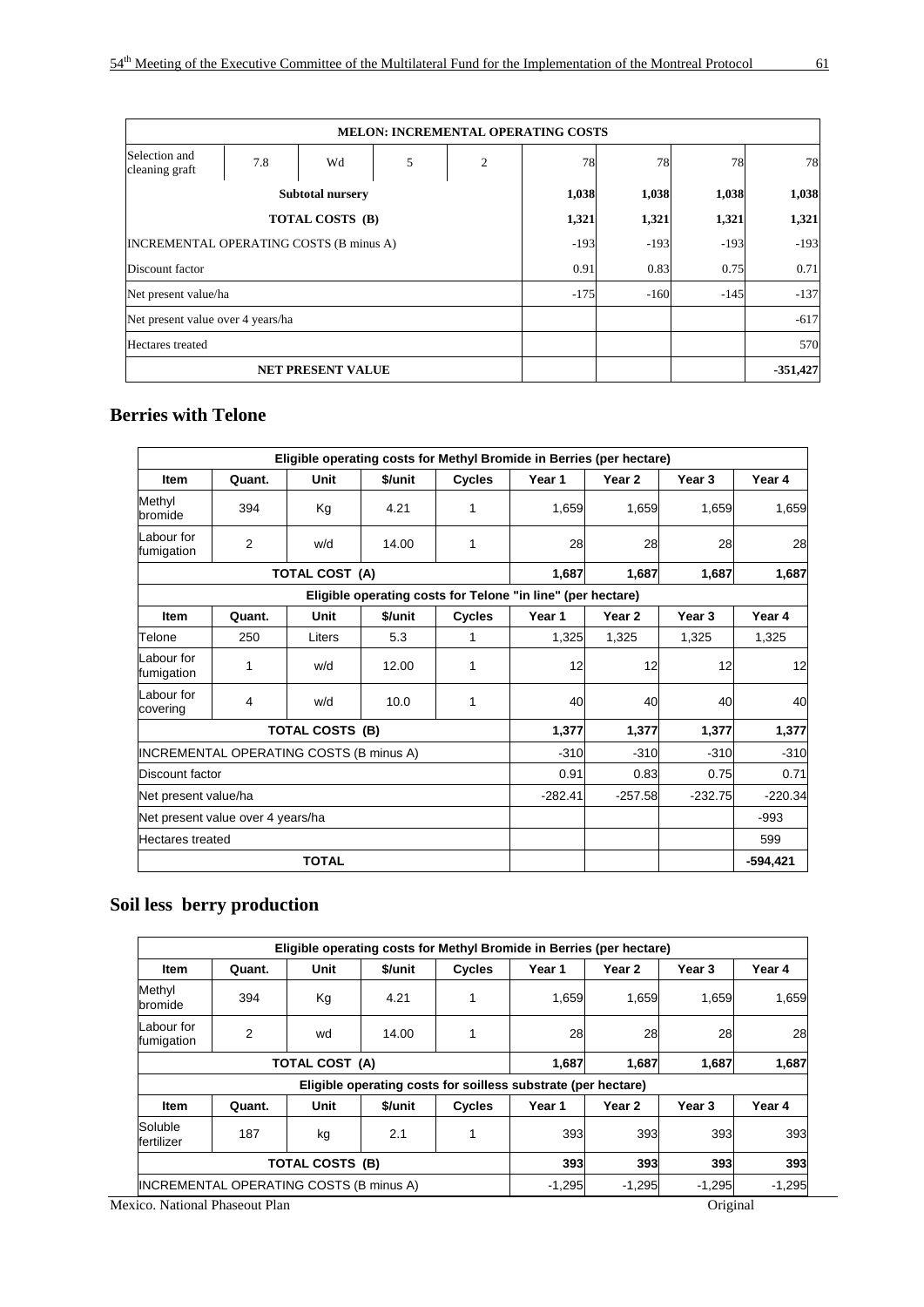|                                                |                          |                         |       | <b>MELON: INCREMENTAL OPERATING COSTS</b> |        |        |        |            |
|------------------------------------------------|--------------------------|-------------------------|-------|-------------------------------------------|--------|--------|--------|------------|
| Selection and<br>cleaning graft                | 7.8                      | Wd                      | 2     | 78                                        | 78     | 78     | 78     |            |
|                                                |                          | <b>Subtotal nursery</b> | 1,038 | 1,038                                     | 1,038  | 1,038  |        |            |
|                                                |                          | TOTAL COSTS (B)         |       |                                           | 1,321  | 1,321  | 1,321  | 1,321      |
| <b>INCREMENTAL OPERATING COSTS (B minus A)</b> |                          |                         |       |                                           | $-193$ | $-193$ | $-193$ | $-193$     |
| Discount factor                                |                          |                         |       |                                           | 0.91   | 0.83   | 0.75   | 0.71       |
| Net present value/ha                           |                          |                         |       |                                           | $-175$ | $-160$ | $-145$ | $-137$     |
| Net present value over 4 years/ha              |                          |                         |       |                                           |        |        |        | $-617$     |
| Hectares treated                               |                          |                         |       |                                           |        |        |        | 570        |
|                                                | <b>NET PRESENT VALUE</b> |                         |       |                                           |        |        |        | $-351,427$ |

#### **Berries with Telone**

|                          |                                         |                        |         |               | Eligible operating costs for Methyl Bromide in Berries (per hectare) |           |           |            |
|--------------------------|-----------------------------------------|------------------------|---------|---------------|----------------------------------------------------------------------|-----------|-----------|------------|
| <b>Item</b>              | Quant.                                  | Unit                   | \$/unit | Cycles        | Year 1                                                               | Year 2    | Year 3    | Year 4     |
| Methyl<br>bromide        | 394                                     | Kg                     | 4.21    | 1             | 1,659                                                                | 1,659     | 1.659     | 1,659      |
| Labour for<br>fumigation | 2                                       | w/d                    | 14.00   | 1             | 28                                                                   | 28        | 28        | 28         |
|                          |                                         | <b>TOTAL COST (A)</b>  |         |               | 1,687                                                                | 1,687     | 1,687     | 1,687      |
|                          |                                         |                        |         |               | Eligible operating costs for Telone "in line" (per hectare)          |           |           |            |
| <b>Item</b>              | Quant.                                  | Unit                   | \$/unit | <b>Cycles</b> | Year 1                                                               | Year 2    | Year 3    | Year 4     |
| Telone                   | 250                                     | Liters                 | 5.3     | 1             | 1,325                                                                | 1,325     | 1,325     | 1,325      |
| Labour for<br>fumigation | 1                                       | w/d                    | 12.00   | 1             | 12                                                                   | 12        | 12        | 12         |
| Labour for<br>covering   | 4                                       | w/d                    | 10.0    | 1             | 40                                                                   | 40        | 40        | 40         |
|                          |                                         | <b>TOTAL COSTS (B)</b> |         |               | 1,377                                                                | 1,377     | 1,377     | 1,377      |
|                          | INCREMENTAL OPERATING COSTS (B minus A) |                        |         |               | $-310$                                                               | $-310$    | $-310$    | $-310$     |
| Discount factor          |                                         |                        |         |               | 0.91                                                                 | 0.83      | 0.75      | 0.71       |
| Net present value/ha     |                                         |                        |         | $-282.41$     | $-257.58$                                                            | $-232.75$ | $-220.34$ |            |
|                          | Net present value over 4 years/ha       |                        |         |               |                                                                      |           | $-993$    |            |
| Hectares treated         |                                         |                        |         |               |                                                                      |           |           | 599        |
|                          |                                         | <b>TOTAL</b>           |         |               |                                                                      |           |           | $-594,421$ |

# **Soil less berry production**

|                          |                                         |                        |         |               | Eligible operating costs for Methyl Bromide in Berries (per hectare) |          |          |        |
|--------------------------|-----------------------------------------|------------------------|---------|---------------|----------------------------------------------------------------------|----------|----------|--------|
| <b>Item</b>              | Quant.                                  | Unit                   | \$/unit | <b>Cycles</b> | Year 1                                                               | Year 2   | Year 3   | Year 4 |
| Methyl<br>bromide        | 394                                     | Kg                     | 4.21    |               | 1,659                                                                | 1,659    | 1.659    | 1,659  |
| Labour for<br>fumigation | 2                                       | wd                     | 14.00   |               | 28                                                                   | 28       | 28       | 28     |
|                          |                                         | TOTAL COST (A)         |         |               | 1,687                                                                | 1,687    | 1,687    | 1,687  |
|                          |                                         |                        |         |               | Eligible operating costs for soilless substrate (per hectare)        |          |          |        |
| <b>Item</b>              | Quant.                                  | Unit                   | \$/unit | <b>Cycles</b> | Year 1                                                               | Year 2   | Year 3   | Year 4 |
| Soluble<br>fertilizer    | 187                                     | kg                     | 2.1     | 393           | 393                                                                  | 393      | 393      |        |
|                          |                                         | <b>TOTAL COSTS (B)</b> |         | 393           | 393                                                                  | 393      | 393      |        |
|                          | INCREMENTAL OPERATING COSTS (B minus A) |                        |         | $-1,295$      | $-1,295$                                                             | $-1.295$ | $-1,295$ |        |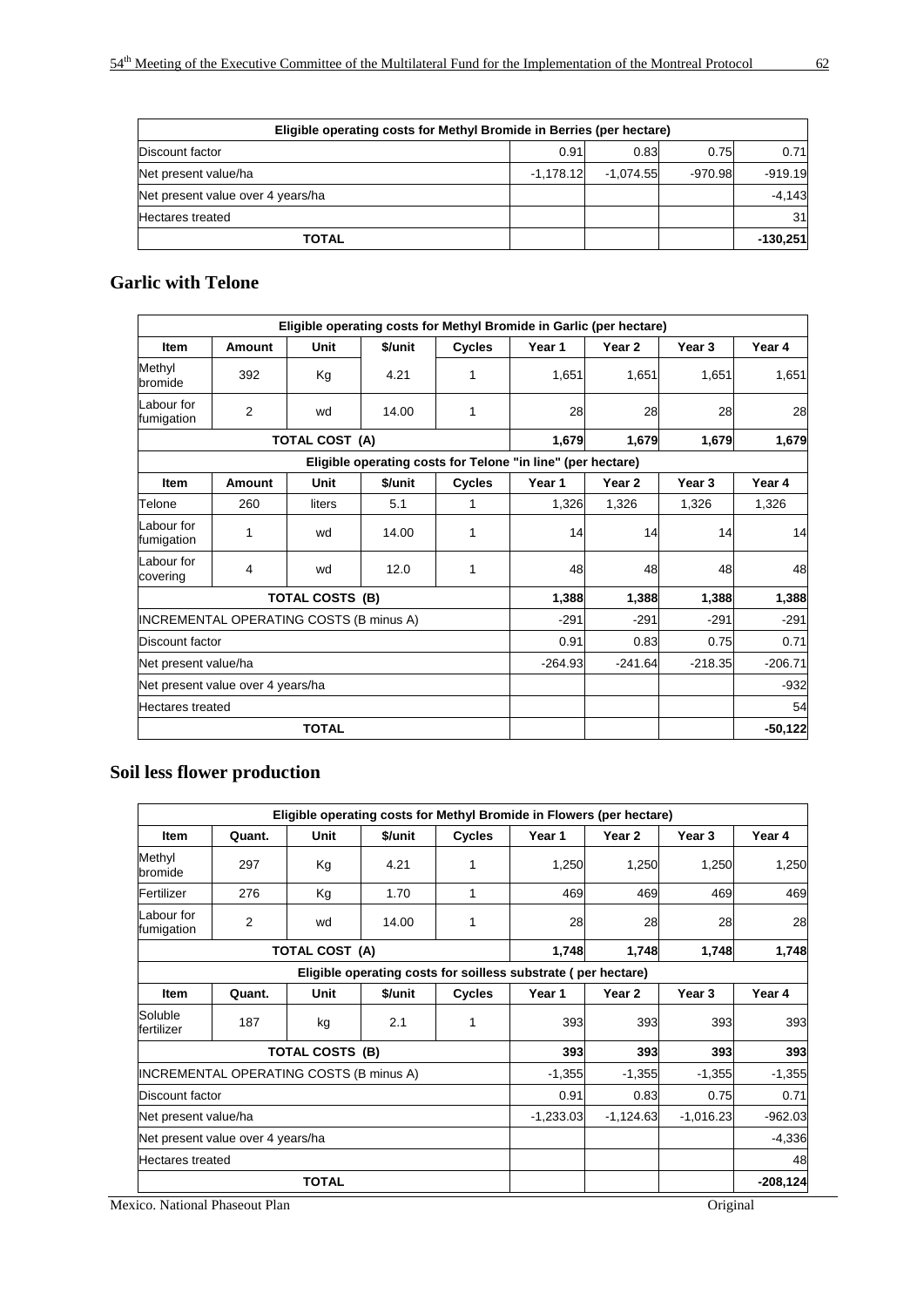| Eligible operating costs for Methyl Bromide in Berries (per hectare) |             |             |           |            |  |  |  |  |  |
|----------------------------------------------------------------------|-------------|-------------|-----------|------------|--|--|--|--|--|
| Discount factor                                                      | 0.91        | 0.83        | 0.75      | 0.71       |  |  |  |  |  |
| Net present value/ha                                                 | $-1.178.12$ | $-1.074.55$ | $-970.98$ | $-919.19$  |  |  |  |  |  |
| Net present value over 4 years/ha                                    |             |             |           | $-4,143$   |  |  |  |  |  |
| <b>Hectares treated</b>                                              |             |             |           | 31         |  |  |  |  |  |
| <b>TOTAL</b>                                                         |             |             |           | $-130.251$ |  |  |  |  |  |

# **Garlic with Telone**

|                                   |                                         |                        |         |               | Eligible operating costs for Methyl Bromide in Garlic (per hectare) |           |                   |            |
|-----------------------------------|-----------------------------------------|------------------------|---------|---------------|---------------------------------------------------------------------|-----------|-------------------|------------|
| <b>Item</b>                       | Amount                                  | Unit                   | \$/unit | <b>Cycles</b> | Year 1                                                              | Year 2    | Year 3            | Year 4     |
| Methyl<br>bromide                 | 392                                     | Kg                     | 4.21    | 1             | 1,651                                                               | 1,651     | 1.651             | 1,651      |
| Labour for<br>fumigation          | 2                                       | wd                     | 14.00   | 1             | 28                                                                  | 28        | 28                | 28         |
|                                   |                                         | <b>TOTAL COST (A)</b>  |         |               | 1,679                                                               | 1,679     | 1,679             | 1,679      |
|                                   |                                         |                        |         |               | Eligible operating costs for Telone "in line" (per hectare)         |           |                   |            |
| <b>Item</b>                       | Amount                                  | Unit                   | \$/unit | <b>Cycles</b> | Year 1                                                              | Year 2    | Year <sub>3</sub> | Year 4     |
| Telone                            | 260                                     | liters                 | 5.1     | 1             | 1,326                                                               | 1,326     | 1,326             | 1,326      |
| Labour for<br>fumigation          | 1                                       | wd                     | 14.00   | 1             | 14                                                                  | 14        | 14                | 14         |
| Labour for<br>covering            | 4                                       | wd                     | 12.0    | 1             | 48                                                                  | 48        | 48                | 48         |
|                                   |                                         | <b>TOTAL COSTS (B)</b> |         |               | 1,388                                                               | 1,388     | 1,388             | 1,388      |
|                                   | INCREMENTAL OPERATING COSTS (B minus A) |                        |         |               | $-291$                                                              | $-291$    | $-291$            | $-291$     |
| Discount factor                   |                                         |                        |         |               | 0.91                                                                | 0.83      | 0.75              | 0.71       |
| Net present value/ha              |                                         |                        |         |               | $-264.93$                                                           | $-241.64$ | $-218.35$         | $-206.71$  |
| Net present value over 4 years/ha |                                         |                        |         |               |                                                                     |           |                   | $-932$     |
| <b>Hectares</b> treated           |                                         |                        |         |               |                                                                     |           |                   | 54         |
|                                   |                                         | <b>TOTAL</b>           |         |               |                                                                     |           |                   | $-50, 122$ |

# **Soil less flower production**

|                                                               |                                         |                        |         |               | Eligible operating costs for Methyl Bromide in Flowers (per hectare) |             |             |            |  |
|---------------------------------------------------------------|-----------------------------------------|------------------------|---------|---------------|----------------------------------------------------------------------|-------------|-------------|------------|--|
| <b>Item</b>                                                   | Quant.                                  | <b>Unit</b>            | \$/unit | <b>Cycles</b> | Year 1                                                               | Year 2      | Year 3      | Year 4     |  |
| Methyl<br>bromide                                             | 297                                     | Kg                     | 4.21    | 1             | 1,250                                                                | 1,250       | 1,250       | 1,250      |  |
| Fertilizer                                                    | 276                                     | Kg                     | 1.70    | 1             | 469                                                                  | 469         | 469         | 469        |  |
| Labour for<br>fumigation                                      | 2                                       | wd                     | 14.00   | 1             | 28                                                                   | 28          | 28          | 28         |  |
| <b>TOTAL COST (A)</b>                                         |                                         |                        |         |               | 1,748                                                                | 1,748       | 1,748       | 1,748      |  |
| Eligible operating costs for soilless substrate (per hectare) |                                         |                        |         |               |                                                                      |             |             |            |  |
| <b>Item</b>                                                   | Quant.                                  | Unit                   | \$/unit | <b>Cycles</b> | Year 1                                                               | Year 2      | Year 3      | Year 4     |  |
| Soluble<br>fertilizer                                         | 187                                     | kg                     | 2.1     | 1             | 393                                                                  | 393         | 393         | 393        |  |
|                                                               |                                         | <b>TOTAL COSTS (B)</b> |         |               | 393                                                                  | 393         | 393         | 393        |  |
|                                                               | INCREMENTAL OPERATING COSTS (B minus A) |                        |         |               | $-1,355$                                                             | $-1,355$    | $-1,355$    | $-1,355$   |  |
| Discount factor                                               |                                         |                        |         |               | 0.91                                                                 | 0.83        | 0.75        | 0.71       |  |
| Net present value/ha                                          |                                         |                        |         |               | $-1,233.03$                                                          | $-1,124.63$ | $-1,016.23$ | $-962.03$  |  |
| Net present value over 4 years/ha                             |                                         |                        |         |               |                                                                      |             |             | $-4,336$   |  |
| <b>Hectares treated</b>                                       |                                         |                        |         |               |                                                                      |             | 48          |            |  |
|                                                               |                                         | <b>TOTAL</b>           |         |               |                                                                      |             |             | $-208,124$ |  |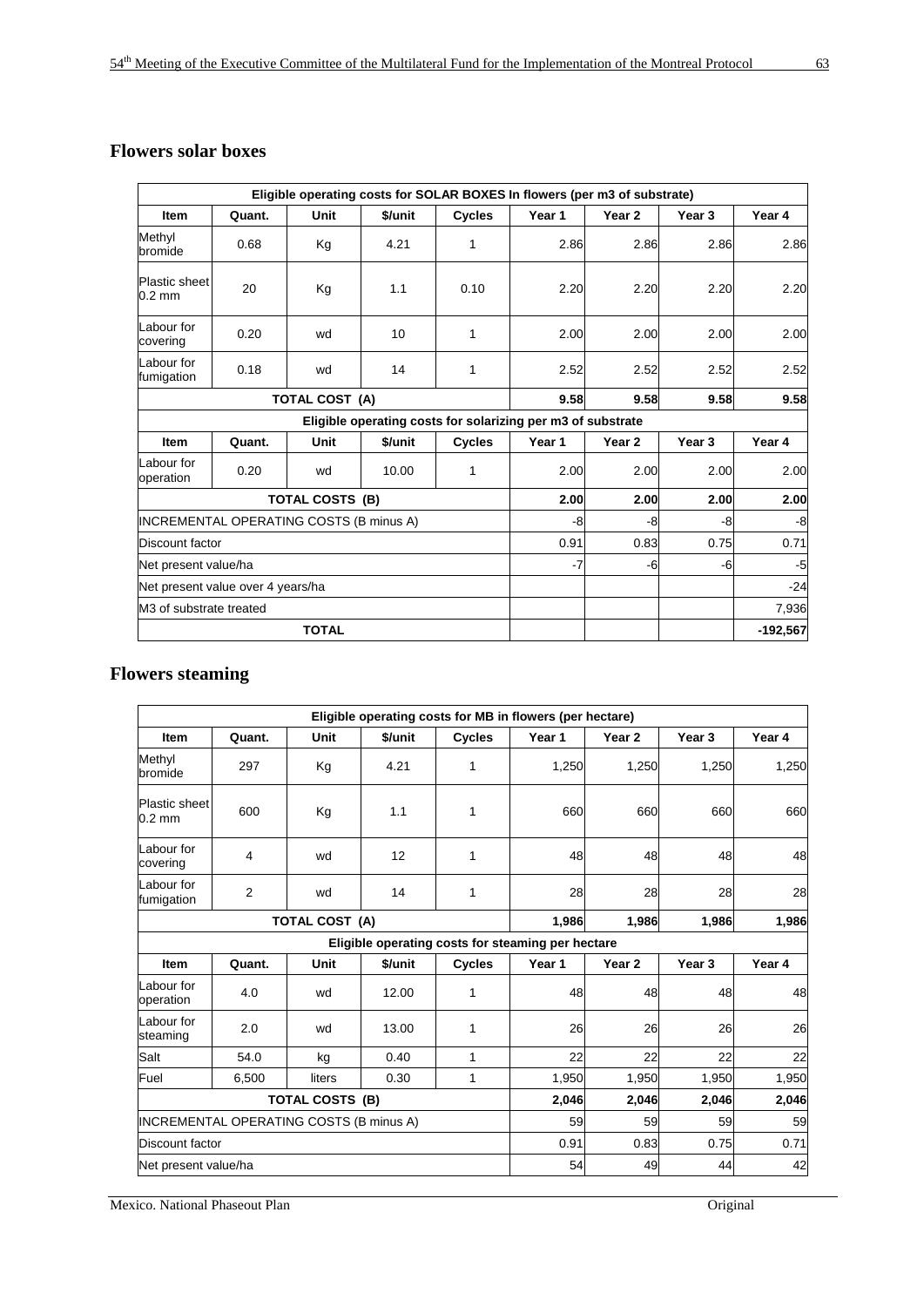# **Flowers solar boxes**

|                                          |        |                        |         |               | Eligible operating costs for SOLAR BOXES In flowers (per m3 of substrate) |                   |                   |            |
|------------------------------------------|--------|------------------------|---------|---------------|---------------------------------------------------------------------------|-------------------|-------------------|------------|
| <b>Item</b>                              | Quant. | Unit                   | \$/unit | <b>Cycles</b> | Year 1                                                                    | Year 2            | Year 3            | Year 4     |
| Methyl<br>bromide                        | 0.68   | Kg                     | 4.21    | 1             | 2.86                                                                      | 2.86              | 2.86              | 2.86       |
| <b>Plastic sheet</b><br>$0.2 \text{ mm}$ | 20     | Kg                     | 1.1     | 0.10          | 2.20                                                                      | 2.20              | 2.20              | 2.20       |
| Labour for<br>covering                   | 0.20   | wd                     | 10      | 1             | 2.00                                                                      | 2.00              | 2.00              | 2.00       |
| Labour for<br>fumigation                 | 0.18   | wd                     | 14      | 1             | 2.52                                                                      | 2.52              | 2.52              | 2.52       |
|                                          |        | TOTAL COST (A)         |         |               | 9.58                                                                      | 9.58              | 9.58              | 9.58       |
|                                          |        |                        |         |               | Eligible operating costs for solarizing per m3 of substrate               |                   |                   |            |
| <b>Item</b>                              | Quant. | Unit                   | \$/unit | Cycles        | Year 1                                                                    | Year <sub>2</sub> | Year <sub>3</sub> | Year 4     |
| Labour for<br>operation                  | 0.20   | wd                     | 10.00   | 1             | 2.00                                                                      | 2.00              | 2.00              | 2.00       |
|                                          |        | <b>TOTAL COSTS (B)</b> |         |               | 2.00                                                                      | 2.00              | 2.00              | 2.00       |
| INCREMENTAL OPERATING COSTS (B minus A)  |        |                        |         |               | -8                                                                        | -8                | -8                | -8         |
| Discount factor                          |        |                        |         |               | 0.91                                                                      | 0.83              | 0.75              | 0.71       |
| Net present value/ha                     |        |                        |         |               | -7                                                                        | -6                | -6                | $-5$       |
| Net present value over 4 years/ha        |        |                        |         |               |                                                                           |                   |                   | $-24$      |
| M <sub>3</sub> of substrate treated      |        |                        |         |               |                                                                           |                   |                   | 7,936      |
|                                          |        | <b>TOTAL</b>           |         |               |                                                                           |                   |                   | $-192,567$ |

# **Flowers steaming**

|                                         |        |                        |         |               | Eligible operating costs for MB in flowers (per hectare) |                   |                   |        |
|-----------------------------------------|--------|------------------------|---------|---------------|----------------------------------------------------------|-------------------|-------------------|--------|
| <b>Item</b>                             | Quant. | <b>Unit</b>            | \$/unit | <b>Cycles</b> | Year 1                                                   | Year 2            | Year <sub>3</sub> | Year 4 |
| Methyl<br>bromide                       | 297    | Kg                     | 4.21    | 1             | 1,250                                                    | 1,250             | 1,250             | 1,250  |
| Plastic sheet<br>$0.2 \text{ mm}$       | 600    | Kg                     | 1.1     | 1             | 660                                                      | 660               | 660               | 660    |
| Labour for<br>covering                  | 4      | wd                     | 12      | 1             | 48                                                       | 48                | 48                | 48     |
| Labour for<br>fumigation                | 2      | wd                     | 14      | 1             | 28                                                       | 28                | 28                | 28     |
|                                         |        | TOTAL COST (A)         |         |               | 1,986                                                    | 1,986             | 1,986             | 1,986  |
|                                         |        |                        |         |               | Eligible operating costs for steaming per hectare        |                   |                   |        |
| <b>Item</b>                             | Quant. | Unit                   | \$/unit | <b>Cycles</b> | Year 1                                                   | Year <sub>2</sub> | Year 3            | Year 4 |
| Labour for<br>operation                 | 4.0    | wd                     | 12.00   | 1             | 48                                                       | 48                | 48                | 48     |
| Labour for<br>steaming                  | 2.0    | wd                     | 13.00   | 1             | 26                                                       | 26                | 26                | 26     |
| Salt                                    | 54.0   | kg                     | 0.40    | 1             | 22                                                       | 22                | 22                | 22     |
| Fuel                                    | 6,500  | liters                 | 0.30    | 1             | 1,950                                                    | 1,950             | 1,950             | 1,950  |
|                                         |        | <b>TOTAL COSTS (B)</b> |         |               | 2,046                                                    | 2,046             | 2,046             | 2,046  |
| INCREMENTAL OPERATING COSTS (B minus A) |        |                        |         |               | 59                                                       | 59                | 59                | 59     |
| Discount factor                         |        |                        |         |               | 0.91                                                     | 0.83              | 0.75              | 0.71   |
| Net present value/ha                    |        |                        |         |               | 54                                                       | 49                | 44                | 42     |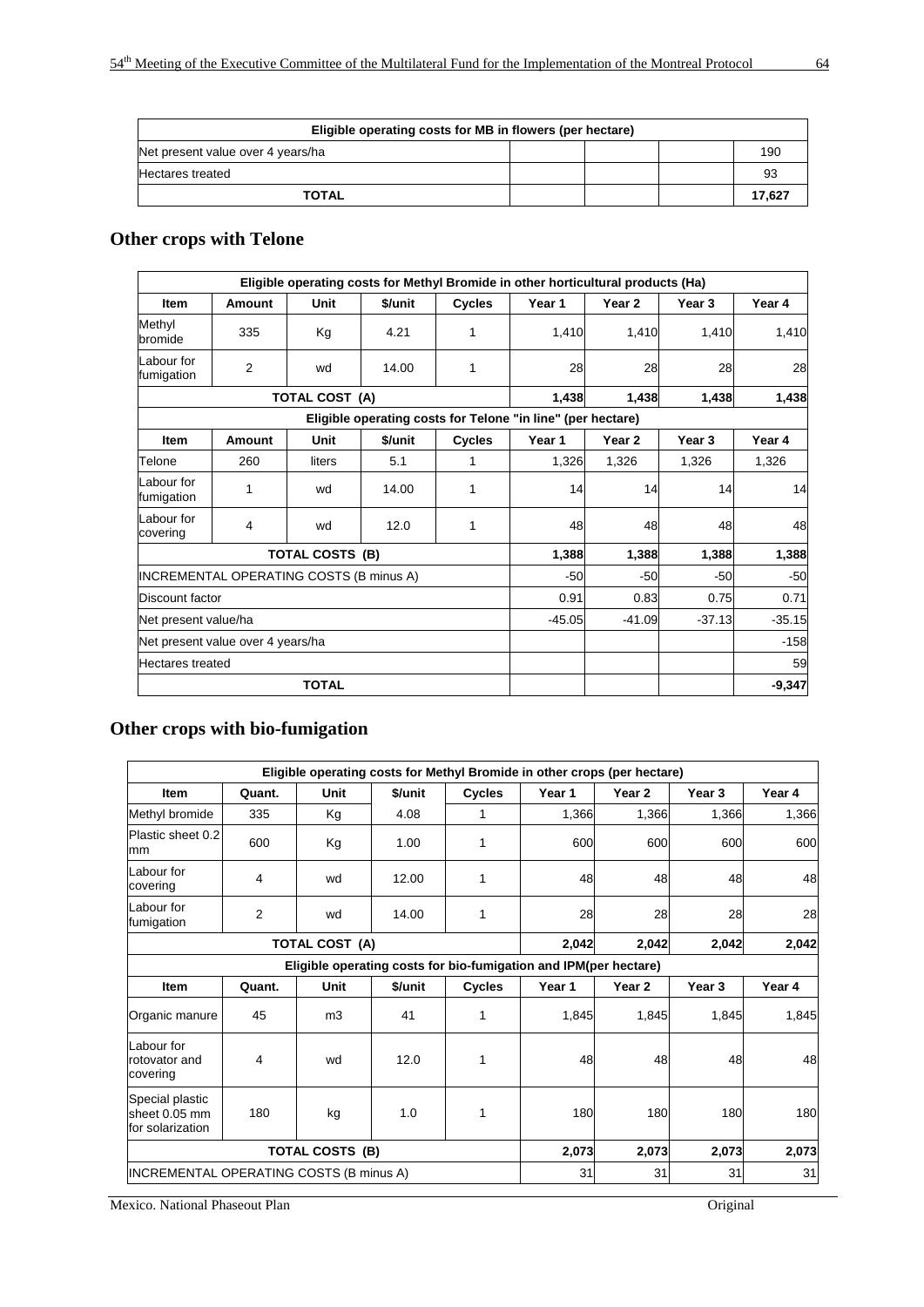| Eligible operating costs for MB in flowers (per hectare) |  |  |  |        |  |  |  |  |  |
|----------------------------------------------------------|--|--|--|--------|--|--|--|--|--|
| Net present value over 4 years/ha                        |  |  |  | 190    |  |  |  |  |  |
| <b>Hectares treated</b>                                  |  |  |  | 93     |  |  |  |  |  |
| <b>TOTAL</b>                                             |  |  |  | 17.627 |  |  |  |  |  |

# **Other crops with Telone**

|                                   |                                         |                        |         |               | Eligible operating costs for Methyl Bromide in other horticultural products (Ha) |                   |                   |          |
|-----------------------------------|-----------------------------------------|------------------------|---------|---------------|----------------------------------------------------------------------------------|-------------------|-------------------|----------|
| <b>Item</b>                       | <b>Amount</b>                           | Unit                   | \$/unit | <b>Cycles</b> | Year 1                                                                           | Year <sub>2</sub> | Year <sub>3</sub> | Year 4   |
| Methyl<br>bromide                 | 335                                     | Kg                     | 4.21    | 1             | 1,410                                                                            | 1,410             | 1,410             | 1,410    |
| Labour for<br>fumigation          | 2                                       | wd                     | 14.00   | 1             | 28                                                                               | 28                | 28                | 28       |
|                                   |                                         | <b>TOTAL COST (A)</b>  |         |               | 1,438                                                                            | 1,438             | 1,438             | 1,438    |
|                                   |                                         |                        |         |               | Eligible operating costs for Telone "in line" (per hectare)                      |                   |                   |          |
| Item                              | <b>Amount</b>                           | Unit                   | \$/unit | <b>Cycles</b> | Year 1                                                                           | Year <sub>2</sub> | Year 3            | Year 4   |
| Telone                            | 260                                     | liters                 | 5.1     | 1             | 1,326                                                                            | 1,326             | 1,326             | 1,326    |
| Labour for<br>fumigation          | 1                                       | wd                     | 14.00   | 1             | 14                                                                               | 14                | 14                | 14       |
| Labour for<br>covering            | 4                                       | wd                     | 12.0    | 1             | 48                                                                               | 48                | 48                | 48       |
|                                   |                                         | <b>TOTAL COSTS (B)</b> |         |               | 1,388                                                                            | 1,388             | 1,388             | 1,388    |
|                                   | INCREMENTAL OPERATING COSTS (B minus A) |                        |         |               | $-50$                                                                            | $-50$             | $-50$             | $-50$    |
| Discount factor                   |                                         |                        |         |               | 0.91                                                                             | 0.83              | 0.75              | 0.71     |
| Net present value/ha              |                                         |                        |         |               | $-45.05$                                                                         | $-41.09$          | $-37.13$          | $-35.15$ |
| Net present value over 4 years/ha |                                         |                        |         |               |                                                                                  |                   |                   | $-158$   |
| <b>Hectares</b> treated           |                                         |                        |         |               |                                                                                  |                   |                   | 59       |
|                                   |                                         | <b>TOTAL</b>           |         |               |                                                                                  |                   |                   | $-9,347$ |

# **Other crops with bio-fumigation**

|                                                      |                |                        |         |               | Eligible operating costs for Methyl Bromide in other crops (per hectare) |                   |                   |        |
|------------------------------------------------------|----------------|------------------------|---------|---------------|--------------------------------------------------------------------------|-------------------|-------------------|--------|
| <b>Item</b>                                          | Quant.         | Unit                   | \$/unit | <b>Cycles</b> | Year 1                                                                   | Year 2            | Year 3            | Year 4 |
| Methyl bromide                                       | 335            | Kg                     | 4.08    | 1             | 1,366                                                                    | 1,366             | 1,366             | 1,366  |
| Plastic sheet 0.2<br>mm                              | 600            | Kg                     | 1.00    | 1             | 600                                                                      | 600               | 600               | 600    |
| Labour for<br>covering                               | 4              | wd                     | 12.00   | 1             | 48                                                                       | 48                | 48                | 48     |
| Labour for<br>fumigation                             | $\overline{2}$ | wd                     | 14.00   | 1             | 28                                                                       | 28                | 28                | 28     |
|                                                      |                | <b>TOTAL COST (A)</b>  |         |               | 2,042                                                                    | 2,042             | 2,042             | 2,042  |
|                                                      |                |                        |         |               | Eligible operating costs for bio-fumigation and IPM(per hectare)         |                   |                   |        |
| <b>Item</b>                                          | Quant.         | Unit                   | \$/unit | <b>Cycles</b> | Year 1                                                                   | Year <sub>2</sub> | Year <sub>3</sub> | Year 4 |
| Organic manure                                       | 45             | m <sub>3</sub>         | 41      | 1             | 1,845                                                                    | 1,845             | 1.845             | 1,845  |
| Labour for<br>rotovator and<br>covering              | 4              | wd                     | 12.0    | 1             | 48                                                                       | 48                | 48                | 48     |
| Special plastic<br>sheet 0.05 mm<br>for solarization | 180            | kg                     | 1.0     | 1             | 180                                                                      | 180               | 180               | 180    |
|                                                      |                | <b>TOTAL COSTS (B)</b> |         |               | 2,073                                                                    | 2,073             | 2,073             | 2,073  |
| IINCREMENTAL OPERATING COSTS (B minus A)             |                |                        |         |               | 31                                                                       | 31                | 31                | 31     |

**Mexico. National Phaseout Plan** Original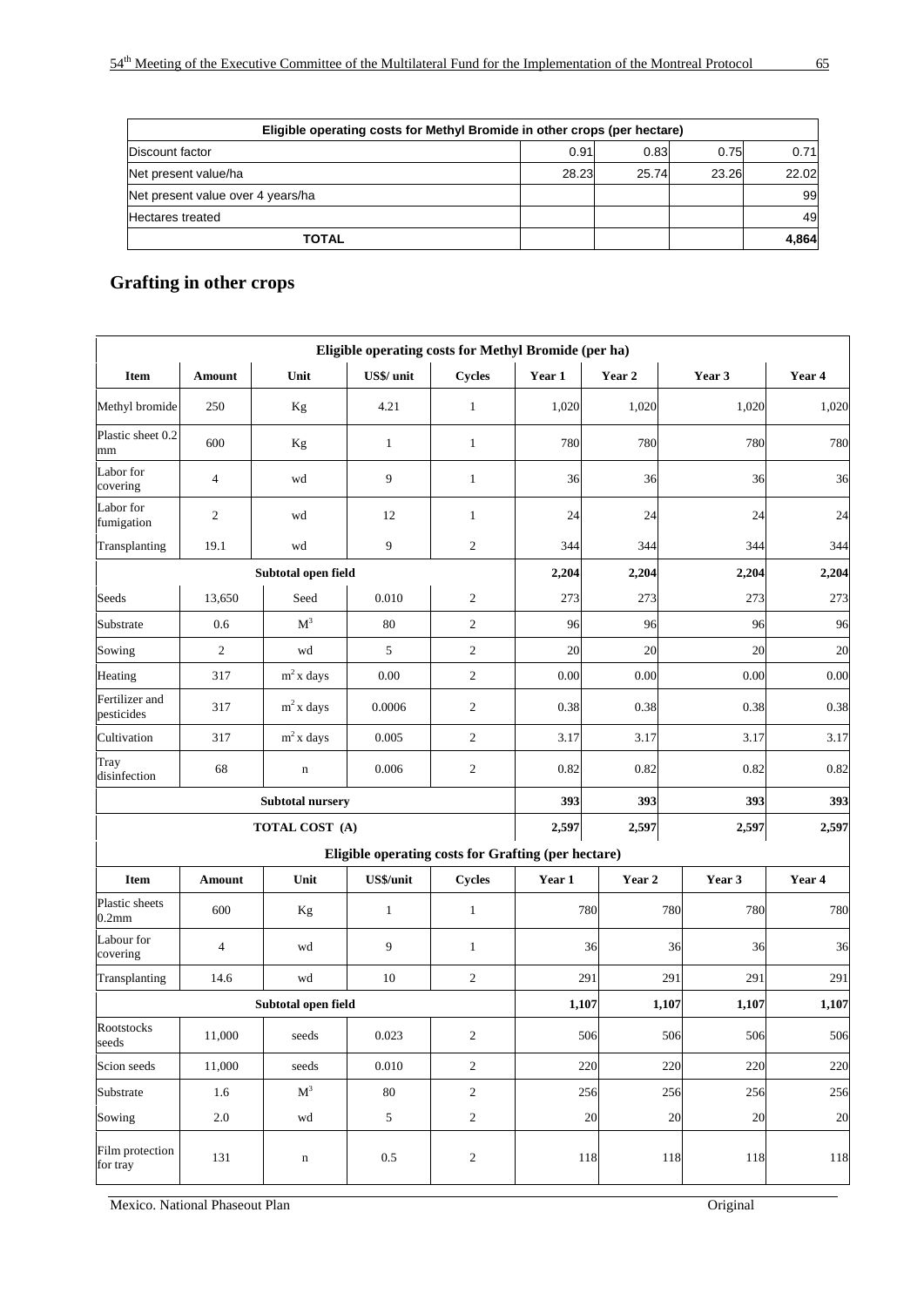| Eligible operating costs for Methyl Bromide in other crops (per hectare) |       |       |       |       |  |  |  |  |  |  |
|--------------------------------------------------------------------------|-------|-------|-------|-------|--|--|--|--|--|--|
| Discount factor                                                          | 0.91  | 0.83  | 0.75  | 0.71  |  |  |  |  |  |  |
| Net present value/ha                                                     | 28.23 | 25.74 | 23.26 | 22.02 |  |  |  |  |  |  |
| Net present value over 4 years/ha                                        |       |       |       | 99    |  |  |  |  |  |  |
| <b>Hectares treated</b>                                                  |       |       |       | 49    |  |  |  |  |  |  |
| <b>TOTAL</b>                                                             |       |       |       | 4,864 |  |  |  |  |  |  |

# **Grafting in other crops**

|                                     |                |                         | Eligible operating costs for Methyl Bromide (per ha) |                |        |          |                |        |
|-------------------------------------|----------------|-------------------------|------------------------------------------------------|----------------|--------|----------|----------------|--------|
| <b>Item</b>                         | Amount         | Unit                    | US\$/ unit                                           | <b>Cycles</b>  | Year 1 | Year 2   | Year 3         | Year 4 |
| Methyl bromide                      | 250            | Kg                      | 4.21                                                 | $\mathbf{1}$   | 1,020  | 1,020    | 1,020          | 1,020  |
| Plastic sheet 0.2<br>mm             | 600            | Kg                      | $\mathbf{1}$                                         | $\mathbf{1}$   | 780    | 780      | 780            | 780    |
| Labor for<br>covering               | $\overline{4}$ | wd                      | 9                                                    | $\mathbf{1}$   | 36     | 36       | 36             | 36     |
| Labor for<br>fumigation             | $\overline{c}$ | wd                      | 12                                                   | $\mathbf{1}$   | 24     | 24       | 24             | 24     |
| Transplanting                       | 19.1           | wd                      | 9                                                    | $\mathfrak{2}$ | 344    | 344      | 344            | 344    |
|                                     |                | Subtotal open field     |                                                      |                | 2,204  | 2,204    | 2,204          | 2,204  |
| Seeds                               | 13,650         | Seed                    | 0.010                                                | $\overline{c}$ | 273    | 273      | 273            | 273    |
| Substrate                           | 0.6            | M <sup>3</sup>          | 80                                                   | $\mathfrak{2}$ | 96     | 96       | 96             | 96     |
| Sowing                              | $\overline{2}$ | wd                      | 5                                                    | $\mathfrak{2}$ | 20     | 20       | 20             | 20     |
| Heating                             | 317            | $m2$ x days             | 0.00                                                 | $\sqrt{2}$     | 0.00   | $0.00\,$ | 0.00           | 0.00   |
| Fertilizer and<br>pesticides        | 317            | $m2$ x days             | 0.0006                                               | $\mathfrak{2}$ | 0.38   | 0.38     | 0.38           | 0.38   |
| Cultivation                         | 317            | $m2$ x days             | 0.005                                                | $\overline{c}$ | 3.17   | 3.17     | 3.17           | 3.17   |
| Tray<br>disinfection                | 68             | $\mathbf n$             | 0.006                                                | $\mathbf{2}$   | 0.82   | 0.82     | 0.82           | 0.82   |
|                                     |                | <b>Subtotal nursery</b> |                                                      |                | 393    | 393      | 393            | 393    |
|                                     |                | TOTAL COST (A)          |                                                      |                | 2,597  | 2,597    | 2,597          | 2,597  |
|                                     |                |                         | Eligible operating costs for Grafting (per hectare)  |                |        |          |                |        |
| Item                                | Amount         | Unit                    | US\$/unit                                            | <b>Cycles</b>  | Year 1 | Year 2   | Year 3         | Year 4 |
| Plastic sheets<br>0.2 <sub>mm</sub> | 600            | Kg                      | $\mathbf{1}$                                         | $\mathbf{1}$   |        | 780      | 780<br>780     | 780    |
| Labour for<br>covering              | $\overline{4}$ | wd                      | 9                                                    | $\mathbf{1}$   |        | 36       | 36<br>36       | 36     |
| Transplanting                       | 14.6           | wd                      | 10                                                   | $\mathbf{2}$   |        | 291      | 291<br>291     | 291    |
|                                     |                | Subtotal open field     |                                                      |                | 1,107  |          | 1,107<br>1,107 | 1,107  |
| <b>Rootstocks</b><br>seeds          | 11,000         | seeds                   | 0.023                                                | 2              |        | 506      | 506<br>506     | 506    |
| Scion seeds                         | 11,000         | seeds                   | $0.010\,$                                            | $\sqrt{2}$     |        | 220      | 220<br>220     | 220    |
| Substrate                           | 1.6            | $\mathbf{M}^3$          | 80                                                   | $\sqrt{2}$     |        | 256      | 256<br>256     | 256    |
| Sowing                              | $2.0\,$        | wd                      | $\sqrt{5}$                                           | $\sqrt{2}$     |        | 20       | 20<br>20       | 20     |
| Film protection<br>for tray         | 131            | $\mathbf n$             | $0.5\,$                                              | $\sqrt{2}$     |        | 118      | 118<br>118     | 118    |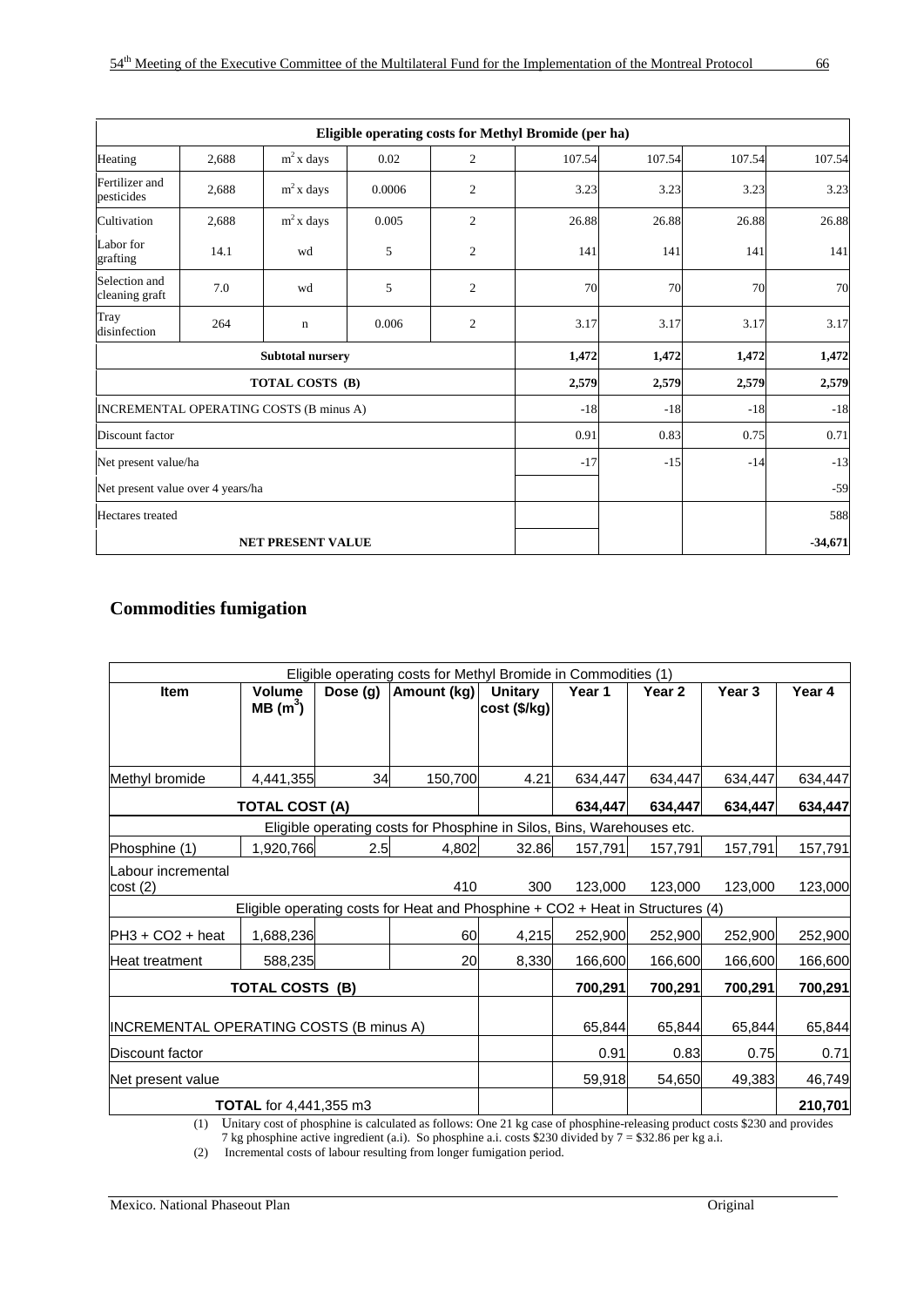|                                   |       |                                         |        |                | Eligible operating costs for Methyl Bromide (per ha) |        |        |           |
|-----------------------------------|-------|-----------------------------------------|--------|----------------|------------------------------------------------------|--------|--------|-----------|
| Heating                           | 2,688 | $m2$ x days                             | 0.02   | 2              | 107.54                                               | 107.54 | 107.54 | 107.54    |
| Fertilizer and<br>pesticides      | 2,688 | $m2$ x days                             | 0.0006 | $\overline{c}$ | 3.23                                                 | 3.23   | 3.23   | 3.23      |
| Cultivation                       | 2,688 | $m^2$ x days                            | 0.005  | 2              | 26.88                                                | 26.88  | 26.88  | 26.88     |
| Labor for<br>grafting             | 14.1  | wd                                      | 5      | $\mathfrak{2}$ | 141                                                  | 141    | 141    | 141       |
| Selection and<br>cleaning graft   | 7.0   | wd                                      | 5      | $\overline{c}$ | 70                                                   | 70     | 70     | 70        |
| Tray<br>disinfection              | 264   | $\mathbf n$                             | 0.006  | $\overline{c}$ | 3.17                                                 | 3.17   | 3.17   | 3.17      |
|                                   |       | <b>Subtotal nursery</b>                 |        |                | 1,472                                                | 1,472  | 1,472  | 1,472     |
|                                   |       | TOTAL COSTS (B)                         |        |                | 2,579                                                | 2,579  | 2,579  | 2,579     |
|                                   |       | INCREMENTAL OPERATING COSTS (B minus A) |        |                | $-18$                                                | $-18$  | $-18$  | $-18$     |
| Discount factor                   |       |                                         |        |                | 0.91                                                 | 0.83   | 0.75   | 0.71      |
| Net present value/ha              |       |                                         |        |                | $-17$                                                | $-15$  | $-14$  | $-13$     |
| Net present value over 4 years/ha |       |                                         |        |                |                                                      |        |        | $-59$     |
| Hectares treated                  |       |                                         |        |                |                                                      |        |        | 588       |
|                                   |       | <b>NET PRESENT VALUE</b>                |        |                |                                                      |        |        | $-34,671$ |

# **Commodities fumigation**

|                                         |                               |          | Eligible operating costs for Methyl Bromide in Commodities (1)                 |                         |         |         |         |         |
|-----------------------------------------|-------------------------------|----------|--------------------------------------------------------------------------------|-------------------------|---------|---------|---------|---------|
| <b>Item</b>                             | Volume<br>MB(m <sup>3</sup> ) | Dose (g) | Amount (kg)                                                                    | Unitary<br>cost (\$/kg) | Year 1  | Year 2  | Year 3  | Year 4  |
|                                         |                               |          |                                                                                |                         |         |         |         |         |
| Methyl bromide                          | 4,441,355                     | 34       | 150,700                                                                        | 4.21                    | 634,447 | 634,447 | 634,447 | 634,447 |
|                                         | <b>TOTAL COST (A)</b>         |          |                                                                                |                         | 634,447 | 634.447 | 634,447 | 634,447 |
|                                         |                               |          | Eligible operating costs for Phosphine in Silos, Bins, Warehouses etc.         |                         |         |         |         |         |
| Phosphine (1)                           | 1,920,766                     | 2.5      | 4,802                                                                          | 32.86                   | 157,791 | 157,791 | 157,791 | 157,791 |
| Labour incremental<br>cost(2)           |                               |          | 410                                                                            | 300                     | 123,000 | 123,000 | 123,000 | 123,000 |
|                                         |                               |          | Eligible operating costs for Heat and Phosphine + CO2 + Heat in Structures (4) |                         |         |         |         |         |
| $PH3 + CO2 + heat$                      | 1,688,236                     |          | 60                                                                             | 4,215                   | 252,900 | 252,900 | 252,900 | 252,900 |
| <b>Heat treatment</b>                   | 588,235                       |          | 20                                                                             | 8,330                   | 166,600 | 166,600 | 166,600 | 166,600 |
|                                         | <b>TOTAL COSTS (B)</b>        |          |                                                                                |                         | 700,291 | 700,291 | 700,291 | 700,291 |
| INCREMENTAL OPERATING COSTS (B minus A) |                               |          |                                                                                |                         | 65,844  | 65,844  | 65,844  | 65,844  |
| Discount factor                         |                               |          |                                                                                |                         | 0.91    | 0.83    | 0.75    | 0.71    |
| Net present value                       |                               |          |                                                                                |                         | 59,918  | 54,650  | 49,383  | 46,749  |
|                                         | <b>TOTAL</b> for 4,441,355 m3 |          |                                                                                |                         |         |         |         | 210,701 |

(1) Unitary cost of phosphine is calculated as follows: One 21 kg case of phosphine-releasing product costs \$230 and provides 7 kg phosphine active ingredient (a.i). So phosphine a.i. costs \$230 divided by 7 = \$32.86 per kg a.i.

(2) Incremental costs of labour resulting from longer fumigation period.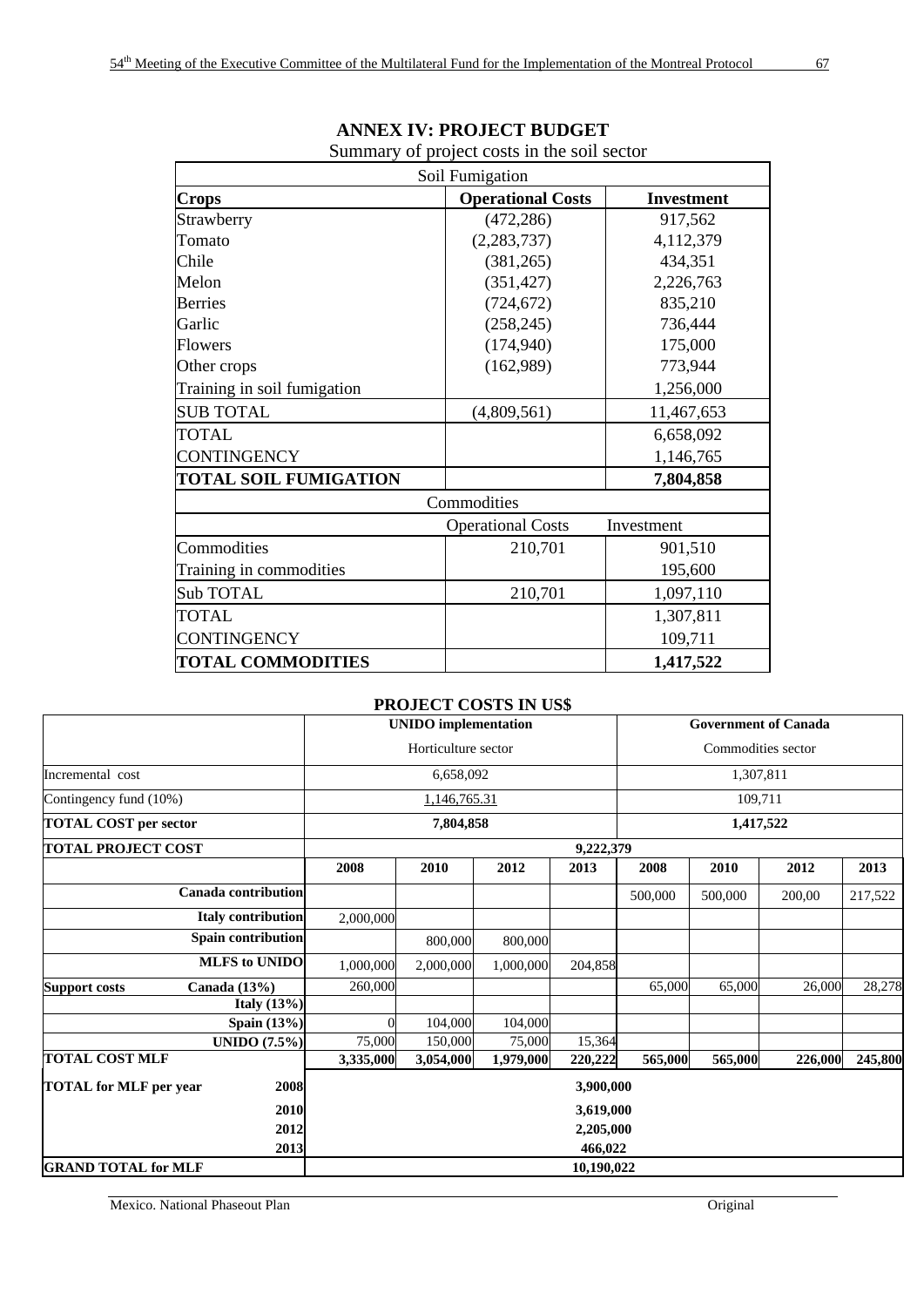|                              | Soil Fumigation          |                   |
|------------------------------|--------------------------|-------------------|
| <b>Crops</b>                 | <b>Operational Costs</b> | <b>Investment</b> |
| Strawberry                   | (472, 286)               | 917,562           |
| Tomato                       | (2, 283, 737)            | 4,112,379         |
| Chile                        | (381, 265)               | 434,351           |
| Melon                        | (351, 427)               | 2,226,763         |
| <b>Berries</b>               | (724, 672)               | 835,210           |
| Garlic                       | (258, 245)               | 736,444           |
| <b>Flowers</b>               | (174, 940)               | 175,000           |
| Other crops                  | (162,989)                | 773,944           |
| Training in soil fumigation  |                          | 1,256,000         |
| <b>SUB TOTAL</b>             | (4,809,561)              | 11,467,653        |
| <b>TOTAL</b>                 |                          | 6,658,092         |
| <b>CONTINGENCY</b>           |                          | 1,146,765         |
| <b>TOTAL SOIL FUMIGATION</b> |                          | 7,804,858         |
|                              | Commodities              |                   |
|                              | <b>Operational Costs</b> | Investment        |
| Commodities                  | 210,701                  | 901,510           |
| Training in commodities      |                          | 195,600           |
| Sub TOTAL                    | 210,701                  | 1,097,110         |
| <b>TOTAL</b>                 |                          | 1,307,811         |
| <b>CONTINGENCY</b>           |                          | 109,711           |
| <b>TOTAL COMMODITIES</b>     |                          | 1,417,522         |

#### **ANNEX IV: PROJECT BUDGET**  Summary of project costs in the soil sector

#### **PROJECT COSTS IN US\$**

|                                        | <b>UNIDO</b> implementation |           |           | <b>Government of Canada</b> |           |         |         |         |
|----------------------------------------|-----------------------------|-----------|-----------|-----------------------------|-----------|---------|---------|---------|
|                                        | Horticulture sector         |           |           | Commodities sector          |           |         |         |         |
| Incremental cost                       | 6,658,092                   |           |           | 1,307,811                   |           |         |         |         |
| Contingency fund (10%)                 | 1,146,765.31                |           |           |                             |           | 109,711 |         |         |
| <b>TOTAL COST per sector</b>           | 7,804,858                   |           |           | 1,417,522                   |           |         |         |         |
| <b>TOTAL PROJECT COST</b>              |                             |           |           | 9,222,379                   |           |         |         |         |
|                                        | 2008                        | 2010      | 2012      | 2013                        | 2008      | 2010    | 2012    | 2013    |
| <b>Canada contribution</b>             |                             |           |           |                             | 500,000   | 500,000 | 200,00  | 217,522 |
| <b>Italy contribution</b>              | 2,000,000                   |           |           |                             |           |         |         |         |
| <b>Spain contribution</b>              |                             | 800,000   | 800,000   |                             |           |         |         |         |
| <b>MLFS</b> to UNIDO                   | 1,000,000                   | 2,000,000 | 1,000,000 | 204,858                     |           |         |         |         |
| Canada $(13%)$<br><b>Support costs</b> | 260,000                     |           |           |                             | 65,000    | 65,000  | 26,000  | 28,278  |
| Italy $(13%)$                          |                             |           |           |                             |           |         |         |         |
| <b>Spain</b> (13%)                     | $\overline{0}$              | 104,000   | 104,000   |                             |           |         |         |         |
| <b>UNIDO</b> (7.5%)                    | 75,000                      | 150,000   | 75,000    | 15,364                      |           |         |         |         |
| <b>TOTAL COST MLF</b>                  | 3,335,000                   | 3,054,000 | 1,979,000 | 220,222                     | 565,000   | 565,000 | 226,000 | 245,800 |
| 2008<br><b>TOTAL for MLF per year</b>  |                             |           |           | 3,900,000                   |           |         |         |         |
| 2010                                   |                             |           |           |                             | 3,619,000 |         |         |         |
| 2012                                   | 2,205,000                   |           |           |                             |           |         |         |         |
| 2013                                   |                             |           |           | 466,022                     |           |         |         |         |
| <b>GRAND TOTAL for MLF</b>             | 10,190,022                  |           |           |                             |           |         |         |         |

Mexico. National Phaseout Plan Original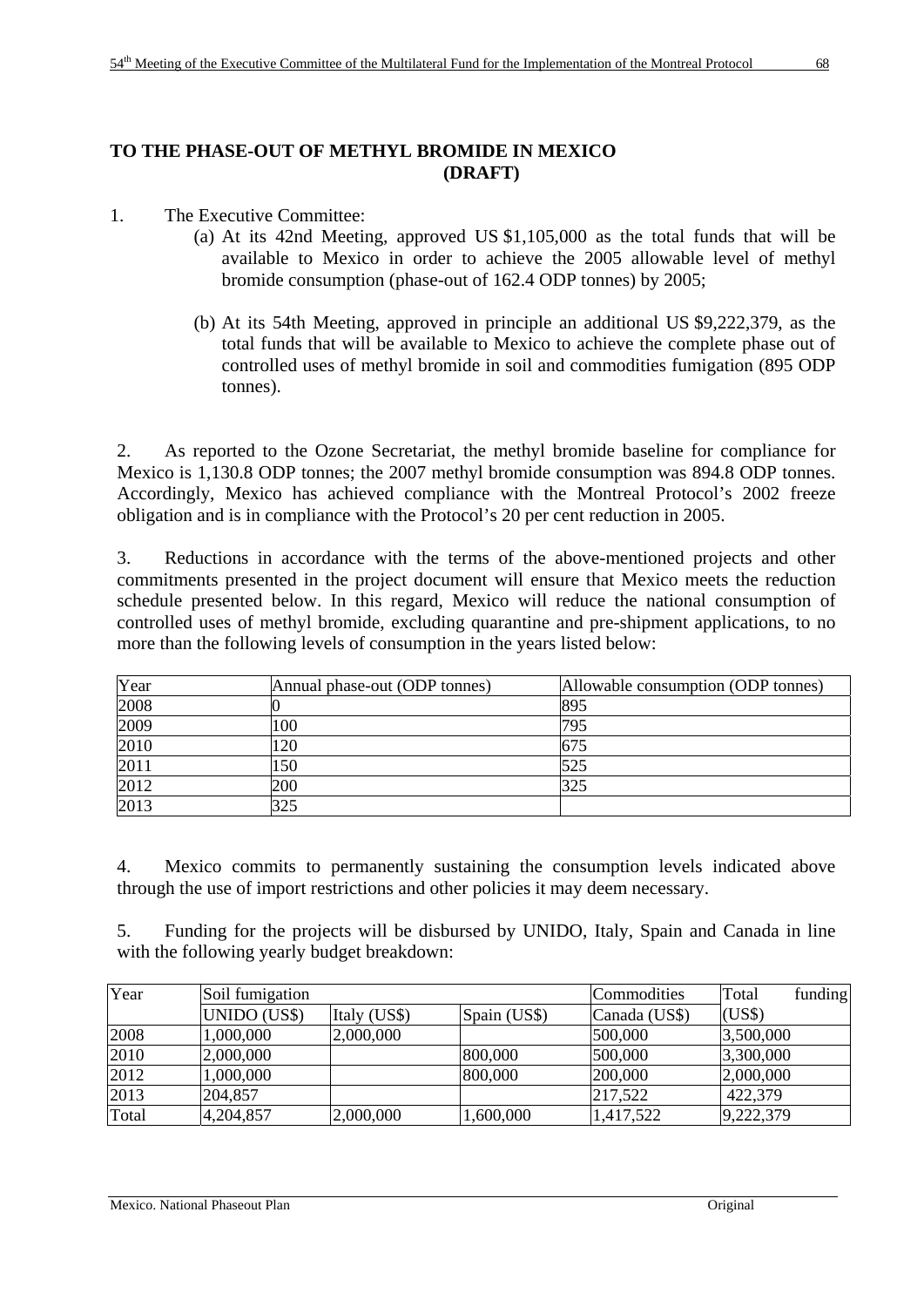# **TO THE PHASE-OUT OF METHYL BROMIDE IN MEXICO (DRAFT)**

- 1. The Executive Committee:
	- (a) At its 42nd Meeting, approved US \$1,105,000 as the total funds that will be available to Mexico in order to achieve the 2005 allowable level of methyl bromide consumption (phase-out of 162.4 ODP tonnes) by 2005;
	- (b) At its 54th Meeting, approved in principle an additional US \$9,222,379, as the total funds that will be available to Mexico to achieve the complete phase out of controlled uses of methyl bromide in soil and commodities fumigation (895 ODP tonnes).

2. As reported to the Ozone Secretariat, the methyl bromide baseline for compliance for Mexico is 1,130.8 ODP tonnes; the 2007 methyl bromide consumption was 894.8 ODP tonnes. Accordingly, Mexico has achieved compliance with the Montreal Protocol's 2002 freeze obligation and is in compliance with the Protocol's 20 per cent reduction in 2005.

3. Reductions in accordance with the terms of the above-mentioned projects and other commitments presented in the project document will ensure that Mexico meets the reduction schedule presented below. In this regard, Mexico will reduce the national consumption of controlled uses of methyl bromide, excluding quarantine and pre-shipment applications, to no more than the following levels of consumption in the years listed below:

| Year | Annual phase-out (ODP tonnes) | Allowable consumption (ODP tonnes) |
|------|-------------------------------|------------------------------------|
| 2008 |                               | 895                                |
| 2009 | 100                           | 795                                |
| 2010 | 120                           | 675                                |
| 2011 | 150                           | 525                                |
| 2012 | 200                           | 325                                |
| 2013 | 325                           |                                    |

4. Mexico commits to permanently sustaining the consumption levels indicated above through the use of import restrictions and other policies it may deem necessary.

5. Funding for the projects will be disbursed by UNIDO, Italy, Spain and Canada in line with the following yearly budget breakdown:

| Year  | Soil fumigation |              |              | Commodities   | Total     | funding |
|-------|-----------------|--------------|--------------|---------------|-----------|---------|
|       | UNIDO (US\$)    | Italy (US\$) | Spain (US\$) | Canada (US\$) | (US\$)    |         |
| 2008  | 1,000,000       | 2,000,000    |              | 500,000       | 3,500,000 |         |
| 2010  | 2,000,000       |              | 800,000      | 500,000       | 3,300,000 |         |
| 2012  | 1,000,000       |              | 800,000      | 200,000       | 2,000,000 |         |
| 2013  | 204,857         |              |              | 217,522       | 422,379   |         |
| Total | 4,204,857       | 2,000,000    | 1,600,000    | 1,417,522     | 9,222,379 |         |